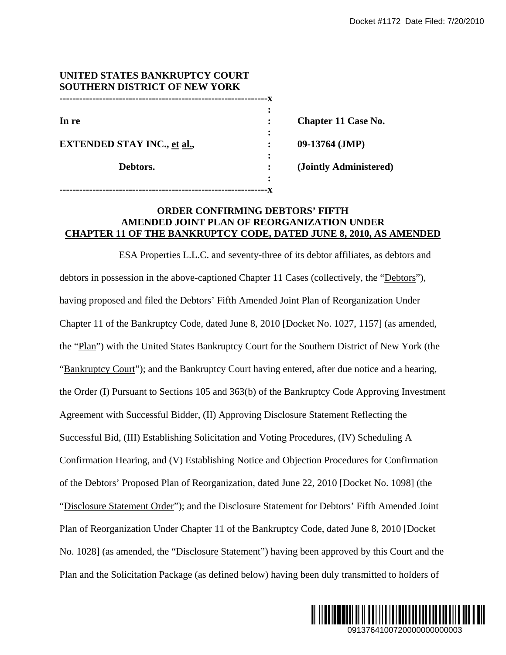| UNITED STATES BANKRUPTCY COURT<br><b>SOUTHERN DISTRICT OF NEW YORK</b> |   |                            |
|------------------------------------------------------------------------|---|----------------------------|
|                                                                        |   |                            |
|                                                                        |   |                            |
| In re                                                                  |   | <b>Chapter 11 Case No.</b> |
|                                                                        |   |                            |
| <b>EXTENDED STAY INC., et al.,</b>                                     |   | $09-13764$ (JMP)           |
|                                                                        |   |                            |
| Debtors.                                                               |   | (Jointly Administered)     |
|                                                                        | ٠ |                            |
|                                                                        |   |                            |

# **ORDER CONFIRMING DEBTORS' FIFTH AMENDED JOINT PLAN OF REORGANIZATION UNDER CHAPTER 11 OF THE BANKRUPTCY CODE, DATED JUNE 8, 2010, AS AMENDED**

ESA Properties L.L.C. and seventy-three of its debtor affiliates, as debtors and debtors in possession in the above-captioned Chapter 11 Cases (collectively, the "Debtors"), having proposed and filed the Debtors' Fifth Amended Joint Plan of Reorganization Under Chapter 11 of the Bankruptcy Code, dated June 8, 2010 [Docket No. 1027, 1157] (as amended, the "Plan") with the United States Bankruptcy Court for the Southern District of New York (the "Bankruptcy Court"); and the Bankruptcy Court having entered, after due notice and a hearing, the Order (I) Pursuant to Sections 105 and 363(b) of the Bankruptcy Code Approving Investment Agreement with Successful Bidder, (II) Approving Disclosure Statement Reflecting the Successful Bid, (III) Establishing Solicitation and Voting Procedures, (IV) Scheduling A Confirmation Hearing, and (V) Establishing Notice and Objection Procedures for Confirmation of the Debtors' Proposed Plan of Reorganization, dated June 22, 2010 [Docket No. 1098] (the "Disclosure Statement Order"); and the Disclosure Statement for Debtors' Fifth Amended Joint Plan of Reorganization Under Chapter 11 of the Bankruptcy Code, dated June 8, 2010 [Docket No. 1028] (as amended, the "Disclosure Statement") having been approved by this Court and the Plan and the Solicitation Package (as defined below) having been duly transmitted to holders of Docket #1172 Date Filed: 7/20/2010<br>
(<br> **CASE No.**<br> **CASE CASE CASE CASE AMENDED**<br>
<br> **EXECUTE:** 2010, AS AMENDED<br>
<br>
Liates, as debtors and<br>

refly, the "<u>Debtors</u>"),<br>
rganization Under<br>
T.7, 1157] (as amended,<br>
strict of Ne

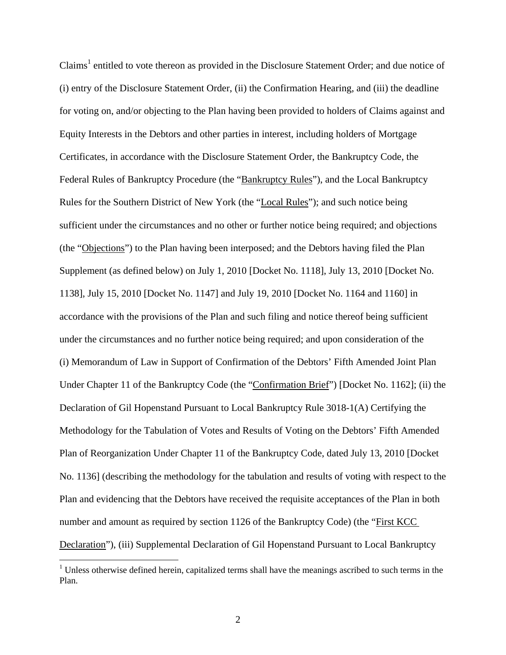Claims<sup>1</sup> entitled to vote thereon as provided in the Disclosure Statement Order; and due notice of (i) entry of the Disclosure Statement Order, (ii) the Confirmation Hearing, and (iii) the deadline for voting on, and/or objecting to the Plan having been provided to holders of Claims against and Equity Interests in the Debtors and other parties in interest, including holders of Mortgage Certificates, in accordance with the Disclosure Statement Order, the Bankruptcy Code, the Federal Rules of Bankruptcy Procedure (the "Bankruptcy Rules"), and the Local Bankruptcy Rules for the Southern District of New York (the "Local Rules"); and such notice being sufficient under the circumstances and no other or further notice being required; and objections (the "Objections") to the Plan having been interposed; and the Debtors having filed the Plan Supplement (as defined below) on July 1, 2010 [Docket No. 1118], July 13, 2010 [Docket No. 1138], July 15, 2010 [Docket No. 1147] and July 19, 2010 [Docket No. 1164 and 1160] in accordance with the provisions of the Plan and such filing and notice thereof being sufficient under the circumstances and no further notice being required; and upon consideration of the (i) Memorandum of Law in Support of Confirmation of the Debtors' Fifth Amended Joint Plan Under Chapter 11 of the Bankruptcy Code (the "Confirmation Brief") [Docket No. 1162]; (ii) the Declaration of Gil Hopenstand Pursuant to Local Bankruptcy Rule 3018-1(A) Certifying the Methodology for the Tabulation of Votes and Results of Voting on the Debtors' Fifth Amended Plan of Reorganization Under Chapter 11 of the Bankruptcy Code, dated July 13, 2010 [Docket No. 1136] (describing the methodology for the tabulation and results of voting with respect to the Plan and evidencing that the Debtors have received the requisite acceptances of the Plan in both number and amount as required by section 1126 of the Bankruptcy Code) (the "First KCC Declaration"), (iii) Supplemental Declaration of Gil Hopenstand Pursuant to Local Bankruptcy

 $\overline{a}$ 

 $1$  Unless otherwise defined herein, capitalized terms shall have the meanings ascribed to such terms in the Plan.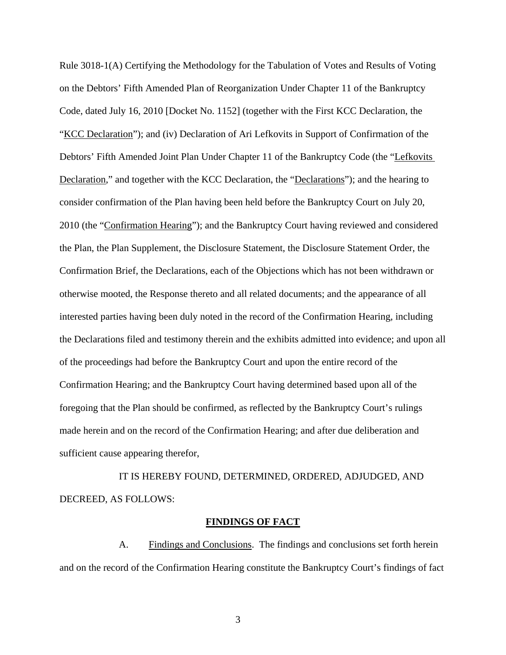Rule 3018-1(A) Certifying the Methodology for the Tabulation of Votes and Results of Voting on the Debtors' Fifth Amended Plan of Reorganization Under Chapter 11 of the Bankruptcy Code, dated July 16, 2010 [Docket No. 1152] (together with the First KCC Declaration, the "KCC Declaration"); and (iv) Declaration of Ari Lefkovits in Support of Confirmation of the Debtors' Fifth Amended Joint Plan Under Chapter 11 of the Bankruptcy Code (the "Lefkovits Declaration," and together with the KCC Declaration, the "Declarations"); and the hearing to consider confirmation of the Plan having been held before the Bankruptcy Court on July 20, 2010 (the "Confirmation Hearing"); and the Bankruptcy Court having reviewed and considered the Plan, the Plan Supplement, the Disclosure Statement, the Disclosure Statement Order, the Confirmation Brief, the Declarations, each of the Objections which has not been withdrawn or otherwise mooted, the Response thereto and all related documents; and the appearance of all interested parties having been duly noted in the record of the Confirmation Hearing, including the Declarations filed and testimony therein and the exhibits admitted into evidence; and upon all of the proceedings had before the Bankruptcy Court and upon the entire record of the Confirmation Hearing; and the Bankruptcy Court having determined based upon all of the foregoing that the Plan should be confirmed, as reflected by the Bankruptcy Court's rulings made herein and on the record of the Confirmation Hearing; and after due deliberation and sufficient cause appearing therefor,

 IT IS HEREBY FOUND, DETERMINED, ORDERED, ADJUDGED, AND DECREED, AS FOLLOWS:

### **FINDINGS OF FACT**

A. Findings and Conclusions. The findings and conclusions set forth herein and on the record of the Confirmation Hearing constitute the Bankruptcy Court's findings of fact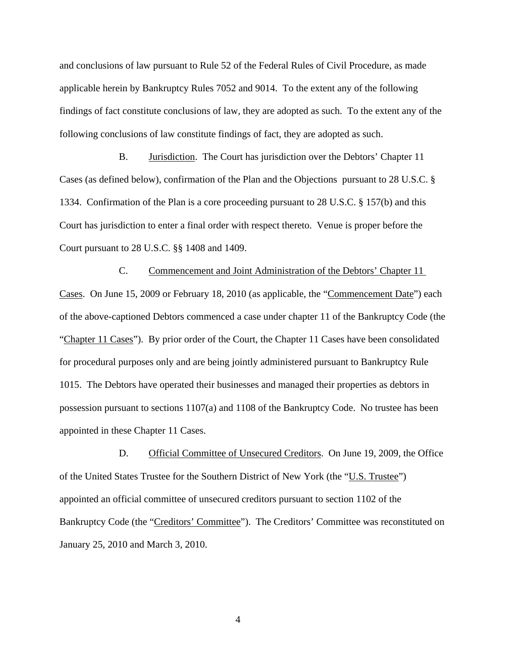and conclusions of law pursuant to Rule 52 of the Federal Rules of Civil Procedure, as made applicable herein by Bankruptcy Rules 7052 and 9014. To the extent any of the following findings of fact constitute conclusions of law, they are adopted as such. To the extent any of the following conclusions of law constitute findings of fact, they are adopted as such.

B. Jurisdiction. The Court has jurisdiction over the Debtors' Chapter 11 Cases (as defined below), confirmation of the Plan and the Objections pursuant to 28 U.S.C. § 1334. Confirmation of the Plan is a core proceeding pursuant to 28 U.S.C. § 157(b) and this Court has jurisdiction to enter a final order with respect thereto. Venue is proper before the Court pursuant to 28 U.S.C. §§ 1408 and 1409.

C. Commencement and Joint Administration of the Debtors' Chapter 11 Cases. On June 15, 2009 or February 18, 2010 (as applicable, the "Commencement Date") each of the above-captioned Debtors commenced a case under chapter 11 of the Bankruptcy Code (the "Chapter 11 Cases"). By prior order of the Court, the Chapter 11 Cases have been consolidated for procedural purposes only and are being jointly administered pursuant to Bankruptcy Rule 1015. The Debtors have operated their businesses and managed their properties as debtors in possession pursuant to sections 1107(a) and 1108 of the Bankruptcy Code. No trustee has been appointed in these Chapter 11 Cases.

D. Official Committee of Unsecured Creditors. On June 19, 2009, the Office of the United States Trustee for the Southern District of New York (the "U.S. Trustee") appointed an official committee of unsecured creditors pursuant to section 1102 of the Bankruptcy Code (the "Creditors' Committee"). The Creditors' Committee was reconstituted on January 25, 2010 and March 3, 2010.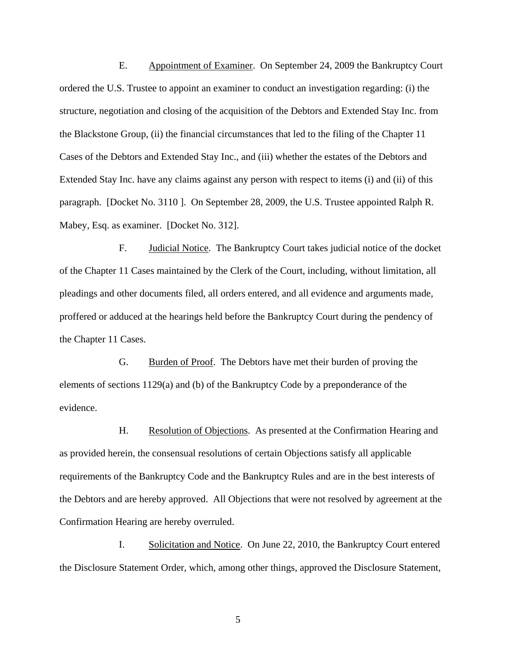E. Appointment of Examiner. On September 24, 2009 the Bankruptcy Court ordered the U.S. Trustee to appoint an examiner to conduct an investigation regarding: (i) the structure, negotiation and closing of the acquisition of the Debtors and Extended Stay Inc. from the Blackstone Group, (ii) the financial circumstances that led to the filing of the Chapter 11 Cases of the Debtors and Extended Stay Inc., and (iii) whether the estates of the Debtors and Extended Stay Inc. have any claims against any person with respect to items (i) and (ii) of this paragraph. [Docket No. 3110 ]. On September 28, 2009, the U.S. Trustee appointed Ralph R. Mabey, Esq. as examiner. [Docket No. 312].

F. Judicial Notice. The Bankruptcy Court takes judicial notice of the docket of the Chapter 11 Cases maintained by the Clerk of the Court, including, without limitation, all pleadings and other documents filed, all orders entered, and all evidence and arguments made, proffered or adduced at the hearings held before the Bankruptcy Court during the pendency of the Chapter 11 Cases.

G. Burden of Proof. The Debtors have met their burden of proving the elements of sections 1129(a) and (b) of the Bankruptcy Code by a preponderance of the evidence.

H. Resolution of Objections. As presented at the Confirmation Hearing and as provided herein, the consensual resolutions of certain Objections satisfy all applicable requirements of the Bankruptcy Code and the Bankruptcy Rules and are in the best interests of the Debtors and are hereby approved. All Objections that were not resolved by agreement at the Confirmation Hearing are hereby overruled.

I. Solicitation and Notice. On June 22, 2010, the Bankruptcy Court entered the Disclosure Statement Order, which, among other things, approved the Disclosure Statement,

 $\overline{5}$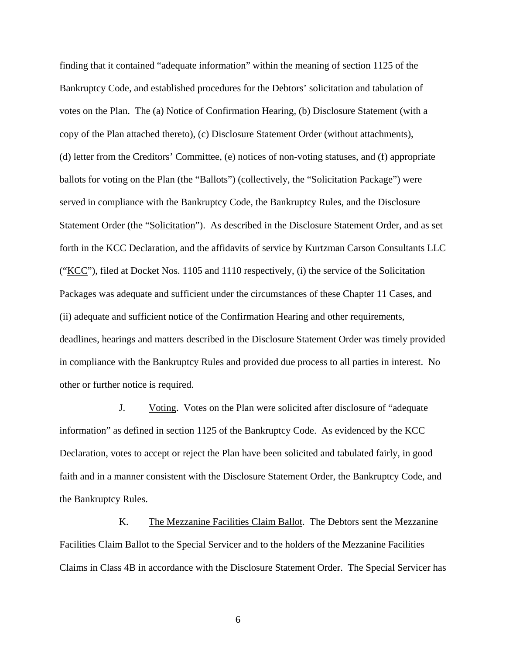finding that it contained "adequate information" within the meaning of section 1125 of the Bankruptcy Code, and established procedures for the Debtors' solicitation and tabulation of votes on the Plan. The (a) Notice of Confirmation Hearing, (b) Disclosure Statement (with a copy of the Plan attached thereto), (c) Disclosure Statement Order (without attachments), (d) letter from the Creditors' Committee, (e) notices of non-voting statuses, and (f) appropriate ballots for voting on the Plan (the "Ballots") (collectively, the "Solicitation Package") were served in compliance with the Bankruptcy Code, the Bankruptcy Rules, and the Disclosure Statement Order (the "Solicitation"). As described in the Disclosure Statement Order, and as set forth in the KCC Declaration, and the affidavits of service by Kurtzman Carson Consultants LLC ("KCC"), filed at Docket Nos. 1105 and 1110 respectively, (i) the service of the Solicitation Packages was adequate and sufficient under the circumstances of these Chapter 11 Cases, and (ii) adequate and sufficient notice of the Confirmation Hearing and other requirements, deadlines, hearings and matters described in the Disclosure Statement Order was timely provided in compliance with the Bankruptcy Rules and provided due process to all parties in interest. No other or further notice is required.

J. Voting. Votes on the Plan were solicited after disclosure of "adequate information" as defined in section 1125 of the Bankruptcy Code. As evidenced by the KCC Declaration, votes to accept or reject the Plan have been solicited and tabulated fairly, in good faith and in a manner consistent with the Disclosure Statement Order, the Bankruptcy Code, and the Bankruptcy Rules.

K. The Mezzanine Facilities Claim Ballot. The Debtors sent the Mezzanine Facilities Claim Ballot to the Special Servicer and to the holders of the Mezzanine Facilities Claims in Class 4B in accordance with the Disclosure Statement Order. The Special Servicer has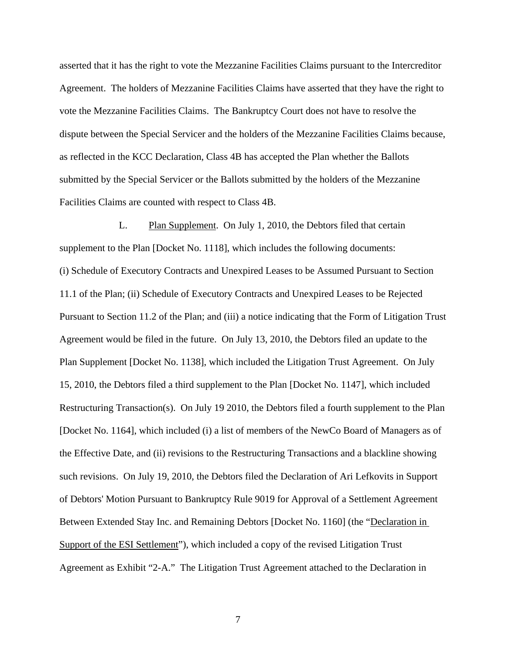asserted that it has the right to vote the Mezzanine Facilities Claims pursuant to the Intercreditor Agreement. The holders of Mezzanine Facilities Claims have asserted that they have the right to vote the Mezzanine Facilities Claims. The Bankruptcy Court does not have to resolve the dispute between the Special Servicer and the holders of the Mezzanine Facilities Claims because, as reflected in the KCC Declaration, Class 4B has accepted the Plan whether the Ballots submitted by the Special Servicer or the Ballots submitted by the holders of the Mezzanine Facilities Claims are counted with respect to Class 4B.

L. Plan Supplement. On July 1, 2010, the Debtors filed that certain supplement to the Plan [Docket No. 1118], which includes the following documents: (i) Schedule of Executory Contracts and Unexpired Leases to be Assumed Pursuant to Section 11.1 of the Plan; (ii) Schedule of Executory Contracts and Unexpired Leases to be Rejected Pursuant to Section 11.2 of the Plan; and (iii) a notice indicating that the Form of Litigation Trust Agreement would be filed in the future. On July 13, 2010, the Debtors filed an update to the Plan Supplement [Docket No. 1138], which included the Litigation Trust Agreement. On July 15, 2010, the Debtors filed a third supplement to the Plan [Docket No. 1147], which included Restructuring Transaction(s). On July 19 2010, the Debtors filed a fourth supplement to the Plan [Docket No. 1164], which included (i) a list of members of the NewCo Board of Managers as of the Effective Date, and (ii) revisions to the Restructuring Transactions and a blackline showing such revisions. On July 19, 2010, the Debtors filed the Declaration of Ari Lefkovits in Support of Debtors' Motion Pursuant to Bankruptcy Rule 9019 for Approval of a Settlement Agreement Between Extended Stay Inc. and Remaining Debtors [Docket No. 1160] (the "Declaration in Support of the ESI Settlement"), which included a copy of the revised Litigation Trust Agreement as Exhibit "2-A." The Litigation Trust Agreement attached to the Declaration in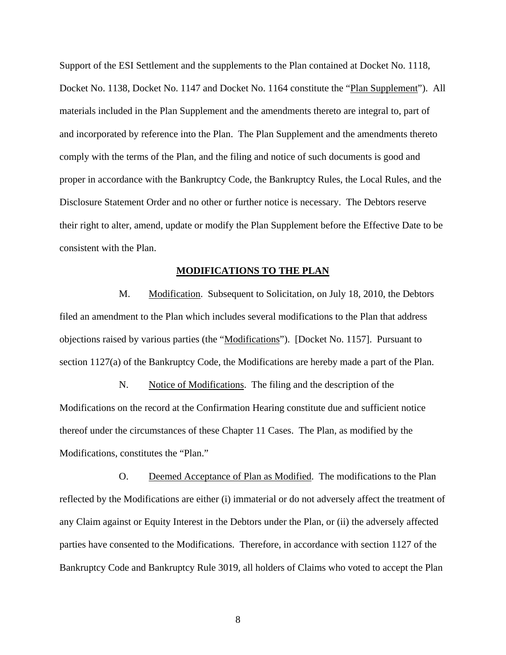Support of the ESI Settlement and the supplements to the Plan contained at Docket No. 1118, Docket No. 1138, Docket No. 1147 and Docket No. 1164 constitute the "Plan Supplement"). All materials included in the Plan Supplement and the amendments thereto are integral to, part of and incorporated by reference into the Plan. The Plan Supplement and the amendments thereto comply with the terms of the Plan, and the filing and notice of such documents is good and proper in accordance with the Bankruptcy Code, the Bankruptcy Rules, the Local Rules, and the Disclosure Statement Order and no other or further notice is necessary. The Debtors reserve their right to alter, amend, update or modify the Plan Supplement before the Effective Date to be consistent with the Plan.

#### **MODIFICATIONS TO THE PLAN**

M. Modification. Subsequent to Solicitation, on July 18, 2010, the Debtors filed an amendment to the Plan which includes several modifications to the Plan that address objections raised by various parties (the "Modifications"). [Docket No. 1157]. Pursuant to section 1127(a) of the Bankruptcy Code, the Modifications are hereby made a part of the Plan.

N. Notice of Modifications. The filing and the description of the Modifications on the record at the Confirmation Hearing constitute due and sufficient notice thereof under the circumstances of these Chapter 11 Cases. The Plan, as modified by the Modifications, constitutes the "Plan."

O. Deemed Acceptance of Plan as Modified. The modifications to the Plan reflected by the Modifications are either (i) immaterial or do not adversely affect the treatment of any Claim against or Equity Interest in the Debtors under the Plan, or (ii) the adversely affected parties have consented to the Modifications. Therefore, in accordance with section 1127 of the Bankruptcy Code and Bankruptcy Rule 3019, all holders of Claims who voted to accept the Plan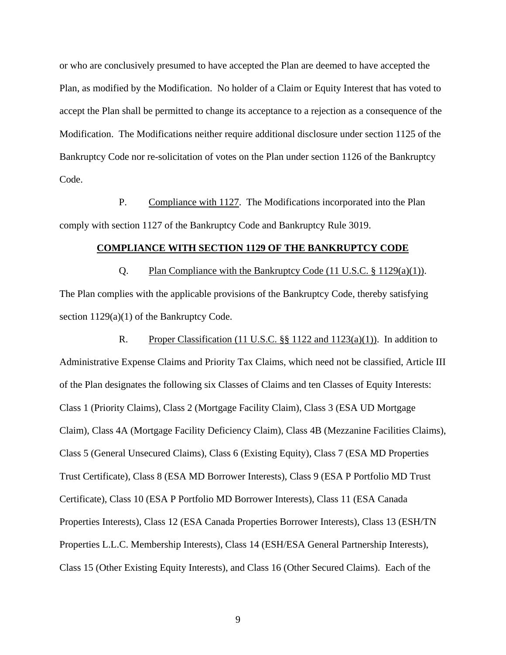or who are conclusively presumed to have accepted the Plan are deemed to have accepted the Plan, as modified by the Modification. No holder of a Claim or Equity Interest that has voted to accept the Plan shall be permitted to change its acceptance to a rejection as a consequence of the Modification. The Modifications neither require additional disclosure under section 1125 of the Bankruptcy Code nor re-solicitation of votes on the Plan under section 1126 of the Bankruptcy Code.

P. Compliance with 1127. The Modifications incorporated into the Plan comply with section 1127 of the Bankruptcy Code and Bankruptcy Rule 3019.

## **COMPLIANCE WITH SECTION 1129 OF THE BANKRUPTCY CODE**

Q. Plan Compliance with the Bankruptcy Code (11 U.S.C. § 1129(a)(1)). The Plan complies with the applicable provisions of the Bankruptcy Code, thereby satisfying section  $1129(a)(1)$  of the Bankruptcy Code.

R. Proper Classification (11 U.S.C. §§ 1122 and 1123(a)(1)). In addition to Administrative Expense Claims and Priority Tax Claims, which need not be classified, Article III of the Plan designates the following six Classes of Claims and ten Classes of Equity Interests: Class 1 (Priority Claims), Class 2 (Mortgage Facility Claim), Class 3 (ESA UD Mortgage Claim), Class 4A (Mortgage Facility Deficiency Claim), Class 4B (Mezzanine Facilities Claims), Class 5 (General Unsecured Claims), Class 6 (Existing Equity), Class 7 (ESA MD Properties Trust Certificate), Class 8 (ESA MD Borrower Interests), Class 9 (ESA P Portfolio MD Trust Certificate), Class 10 (ESA P Portfolio MD Borrower Interests), Class 11 (ESA Canada Properties Interests), Class 12 (ESA Canada Properties Borrower Interests), Class 13 (ESH/TN Properties L.L.C. Membership Interests), Class 14 (ESH/ESA General Partnership Interests), Class 15 (Other Existing Equity Interests), and Class 16 (Other Secured Claims). Each of the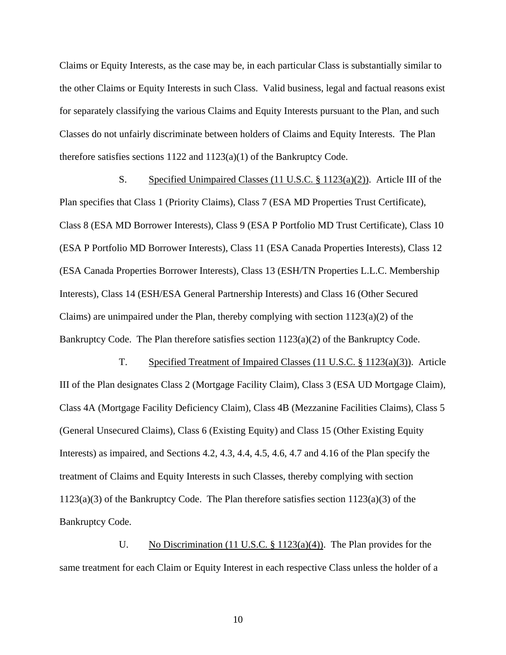Claims or Equity Interests, as the case may be, in each particular Class is substantially similar to the other Claims or Equity Interests in such Class. Valid business, legal and factual reasons exist for separately classifying the various Claims and Equity Interests pursuant to the Plan, and such Classes do not unfairly discriminate between holders of Claims and Equity Interests. The Plan therefore satisfies sections 1122 and 1123(a)(1) of the Bankruptcy Code.

S. Specified Unimpaired Classes (11 U.S.C. § 1123(a)(2)). Article III of the Plan specifies that Class 1 (Priority Claims), Class 7 (ESA MD Properties Trust Certificate), Class 8 (ESA MD Borrower Interests), Class 9 (ESA P Portfolio MD Trust Certificate), Class 10 (ESA P Portfolio MD Borrower Interests), Class 11 (ESA Canada Properties Interests), Class 12 (ESA Canada Properties Borrower Interests), Class 13 (ESH/TN Properties L.L.C. Membership Interests), Class 14 (ESH/ESA General Partnership Interests) and Class 16 (Other Secured Claims) are unimpaired under the Plan, thereby complying with section  $1123(a)(2)$  of the Bankruptcy Code. The Plan therefore satisfies section 1123(a)(2) of the Bankruptcy Code.

T. Specified Treatment of Impaired Classes (11 U.S.C. § 1123(a)(3)). Article III of the Plan designates Class 2 (Mortgage Facility Claim), Class 3 (ESA UD Mortgage Claim), Class 4A (Mortgage Facility Deficiency Claim), Class 4B (Mezzanine Facilities Claims), Class 5 (General Unsecured Claims), Class 6 (Existing Equity) and Class 15 (Other Existing Equity Interests) as impaired, and Sections 4.2, 4.3, 4.4, 4.5, 4.6, 4.7 and 4.16 of the Plan specify the treatment of Claims and Equity Interests in such Classes, thereby complying with section 1123(a)(3) of the Bankruptcy Code. The Plan therefore satisfies section 1123(a)(3) of the Bankruptcy Code.

U. No Discrimination (11 U.S.C. § 1123(a)(4)). The Plan provides for the same treatment for each Claim or Equity Interest in each respective Class unless the holder of a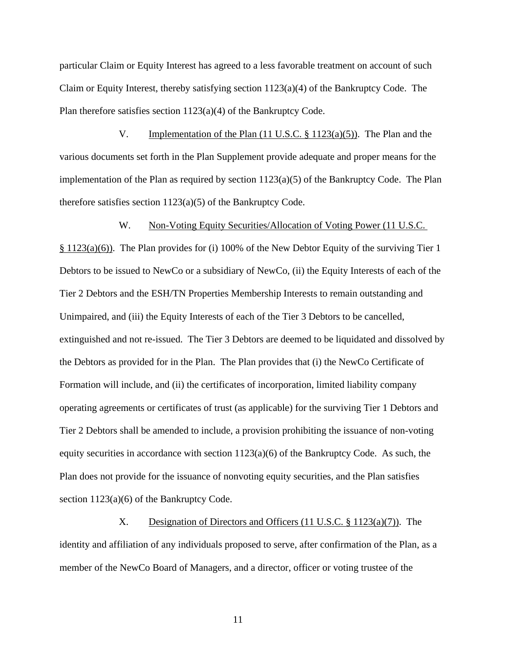particular Claim or Equity Interest has agreed to a less favorable treatment on account of such Claim or Equity Interest, thereby satisfying section  $1123(a)(4)$  of the Bankruptcy Code. The Plan therefore satisfies section 1123(a)(4) of the Bankruptcy Code.

V. Implementation of the Plan (11 U.S.C. § 1123(a)(5)). The Plan and the various documents set forth in the Plan Supplement provide adequate and proper means for the implementation of the Plan as required by section  $1123(a)(5)$  of the Bankruptcy Code. The Plan therefore satisfies section 1123(a)(5) of the Bankruptcy Code.

### W. Non-Voting Equity Securities/Allocation of Voting Power (11 U.S.C.

§ 1123(a)(6)). The Plan provides for (i) 100% of the New Debtor Equity of the surviving Tier 1 Debtors to be issued to NewCo or a subsidiary of NewCo, (ii) the Equity Interests of each of the Tier 2 Debtors and the ESH/TN Properties Membership Interests to remain outstanding and Unimpaired, and (iii) the Equity Interests of each of the Tier 3 Debtors to be cancelled, extinguished and not re-issued. The Tier 3 Debtors are deemed to be liquidated and dissolved by the Debtors as provided for in the Plan. The Plan provides that (i) the NewCo Certificate of Formation will include, and (ii) the certificates of incorporation, limited liability company operating agreements or certificates of trust (as applicable) for the surviving Tier 1 Debtors and Tier 2 Debtors shall be amended to include, a provision prohibiting the issuance of non-voting equity securities in accordance with section  $1123(a)(6)$  of the Bankruptcy Code. As such, the Plan does not provide for the issuance of nonvoting equity securities, and the Plan satisfies section  $1123(a)(6)$  of the Bankruptcy Code.

X. Designation of Directors and Officers (11 U.S.C. § 1123(a)(7)). The identity and affiliation of any individuals proposed to serve, after confirmation of the Plan, as a member of the NewCo Board of Managers, and a director, officer or voting trustee of the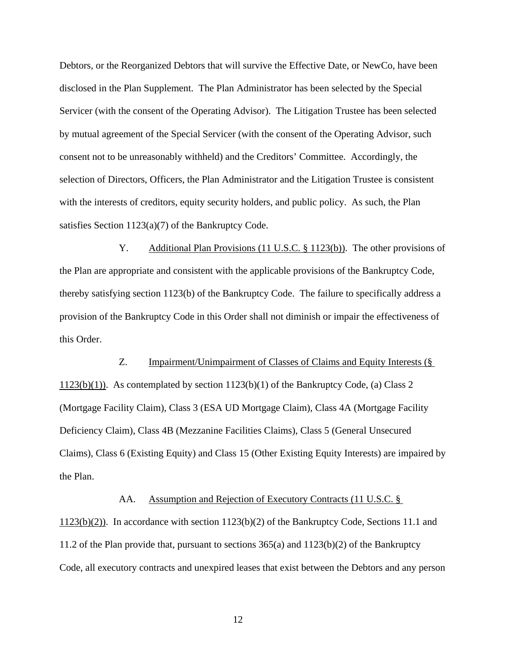Debtors, or the Reorganized Debtors that will survive the Effective Date, or NewCo, have been disclosed in the Plan Supplement. The Plan Administrator has been selected by the Special Servicer (with the consent of the Operating Advisor). The Litigation Trustee has been selected by mutual agreement of the Special Servicer (with the consent of the Operating Advisor, such consent not to be unreasonably withheld) and the Creditors' Committee. Accordingly, the selection of Directors, Officers, the Plan Administrator and the Litigation Trustee is consistent with the interests of creditors, equity security holders, and public policy. As such, the Plan satisfies Section 1123(a)(7) of the Bankruptcy Code.

Y. Additional Plan Provisions (11 U.S.C. § 1123(b)). The other provisions of the Plan are appropriate and consistent with the applicable provisions of the Bankruptcy Code, thereby satisfying section 1123(b) of the Bankruptcy Code. The failure to specifically address a provision of the Bankruptcy Code in this Order shall not diminish or impair the effectiveness of this Order.

Z. Impairment/Unimpairment of Classes of Claims and Equity Interests (§  $1123(b)(1)$ . As contemplated by section  $1123(b)(1)$  of the Bankruptcy Code, (a) Class 2 (Mortgage Facility Claim), Class 3 (ESA UD Mortgage Claim), Class 4A (Mortgage Facility Deficiency Claim), Class 4B (Mezzanine Facilities Claims), Class 5 (General Unsecured Claims), Class 6 (Existing Equity) and Class 15 (Other Existing Equity Interests) are impaired by the Plan.

AA. Assumption and Rejection of Executory Contracts (11 U.S.C. §

1123(b)(2)). In accordance with section 1123(b)(2) of the Bankruptcy Code, Sections 11.1 and 11.2 of the Plan provide that, pursuant to sections 365(a) and 1123(b)(2) of the Bankruptcy Code, all executory contracts and unexpired leases that exist between the Debtors and any person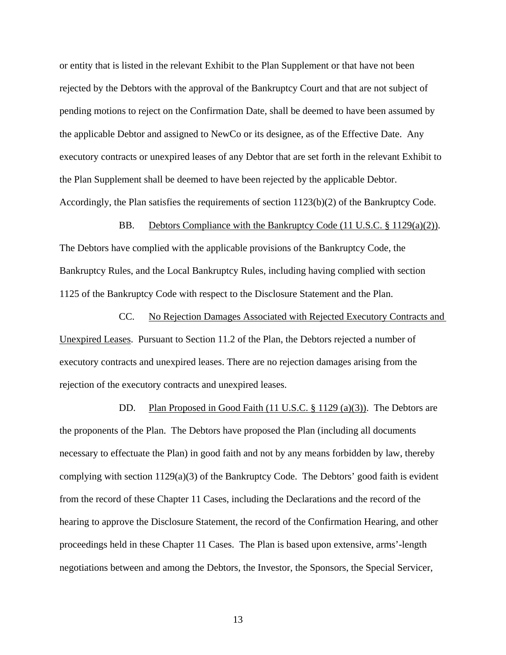or entity that is listed in the relevant Exhibit to the Plan Supplement or that have not been rejected by the Debtors with the approval of the Bankruptcy Court and that are not subject of pending motions to reject on the Confirmation Date, shall be deemed to have been assumed by the applicable Debtor and assigned to NewCo or its designee, as of the Effective Date. Any executory contracts or unexpired leases of any Debtor that are set forth in the relevant Exhibit to the Plan Supplement shall be deemed to have been rejected by the applicable Debtor. Accordingly, the Plan satisfies the requirements of section 1123(b)(2) of the Bankruptcy Code.

BB. Debtors Compliance with the Bankruptcy Code (11 U.S.C. § 1129(a)(2)). The Debtors have complied with the applicable provisions of the Bankruptcy Code, the Bankruptcy Rules, and the Local Bankruptcy Rules, including having complied with section 1125 of the Bankruptcy Code with respect to the Disclosure Statement and the Plan.

CC. No Rejection Damages Associated with Rejected Executory Contracts and Unexpired Leases. Pursuant to Section 11.2 of the Plan, the Debtors rejected a number of executory contracts and unexpired leases. There are no rejection damages arising from the rejection of the executory contracts and unexpired leases.

DD. Plan Proposed in Good Faith (11 U.S.C. § 1129 (a)(3)). The Debtors are the proponents of the Plan. The Debtors have proposed the Plan (including all documents necessary to effectuate the Plan) in good faith and not by any means forbidden by law, thereby complying with section  $1129(a)(3)$  of the Bankruptcy Code. The Debtors' good faith is evident from the record of these Chapter 11 Cases, including the Declarations and the record of the hearing to approve the Disclosure Statement, the record of the Confirmation Hearing, and other proceedings held in these Chapter 11 Cases. The Plan is based upon extensive, arms'-length negotiations between and among the Debtors, the Investor, the Sponsors, the Special Servicer,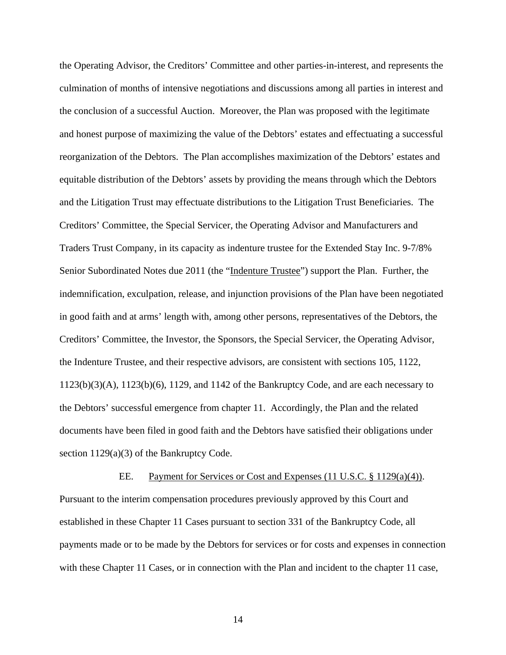the Operating Advisor, the Creditors' Committee and other parties-in-interest, and represents the culmination of months of intensive negotiations and discussions among all parties in interest and the conclusion of a successful Auction. Moreover, the Plan was proposed with the legitimate and honest purpose of maximizing the value of the Debtors' estates and effectuating a successful reorganization of the Debtors. The Plan accomplishes maximization of the Debtors' estates and equitable distribution of the Debtors' assets by providing the means through which the Debtors and the Litigation Trust may effectuate distributions to the Litigation Trust Beneficiaries. The Creditors' Committee, the Special Servicer, the Operating Advisor and Manufacturers and Traders Trust Company, in its capacity as indenture trustee for the Extended Stay Inc. 9-7/8% Senior Subordinated Notes due 2011 (the "Indenture Trustee") support the Plan. Further, the indemnification, exculpation, release, and injunction provisions of the Plan have been negotiated in good faith and at arms' length with, among other persons, representatives of the Debtors, the Creditors' Committee, the Investor, the Sponsors, the Special Servicer, the Operating Advisor, the Indenture Trustee, and their respective advisors, are consistent with sections 105, 1122, 1123(b)(3)(A), 1123(b)(6), 1129, and 1142 of the Bankruptcy Code, and are each necessary to the Debtors' successful emergence from chapter 11. Accordingly, the Plan and the related documents have been filed in good faith and the Debtors have satisfied their obligations under section 1129(a)(3) of the Bankruptcy Code.

EE. Payment for Services or Cost and Expenses (11 U.S.C. § 1129(a)(4)). Pursuant to the interim compensation procedures previously approved by this Court and established in these Chapter 11 Cases pursuant to section 331 of the Bankruptcy Code, all payments made or to be made by the Debtors for services or for costs and expenses in connection with these Chapter 11 Cases, or in connection with the Plan and incident to the chapter 11 case,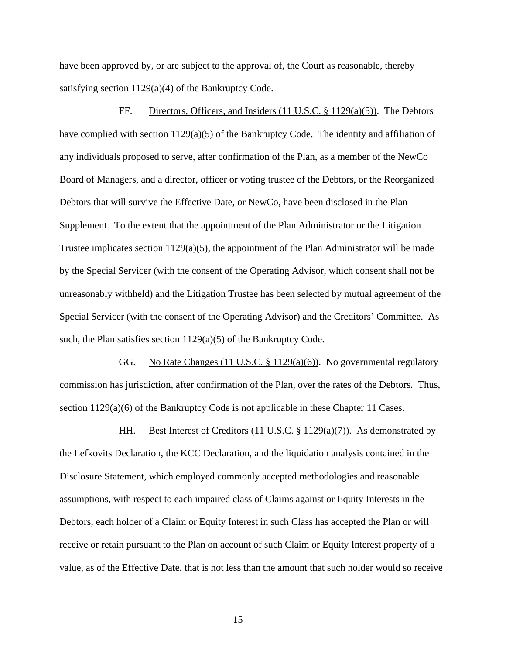have been approved by, or are subject to the approval of, the Court as reasonable, thereby satisfying section 1129(a)(4) of the Bankruptcy Code.

FF. Directors, Officers, and Insiders (11 U.S.C. § 1129(a)(5)). The Debtors have complied with section 1129(a)(5) of the Bankruptcy Code. The identity and affiliation of any individuals proposed to serve, after confirmation of the Plan, as a member of the NewCo Board of Managers, and a director, officer or voting trustee of the Debtors, or the Reorganized Debtors that will survive the Effective Date, or NewCo, have been disclosed in the Plan Supplement. To the extent that the appointment of the Plan Administrator or the Litigation Trustee implicates section  $1129(a)(5)$ , the appointment of the Plan Administrator will be made by the Special Servicer (with the consent of the Operating Advisor, which consent shall not be unreasonably withheld) and the Litigation Trustee has been selected by mutual agreement of the Special Servicer (with the consent of the Operating Advisor) and the Creditors' Committee. As such, the Plan satisfies section 1129(a)(5) of the Bankruptcy Code.

GG. No Rate Changes (11 U.S.C. § 1129(a)(6)). No governmental regulatory commission has jurisdiction, after confirmation of the Plan, over the rates of the Debtors. Thus, section 1129(a)(6) of the Bankruptcy Code is not applicable in these Chapter 11 Cases.

HH. Best Interest of Creditors (11 U.S.C. § 1129(a)(7)). As demonstrated by the Lefkovits Declaration, the KCC Declaration, and the liquidation analysis contained in the Disclosure Statement, which employed commonly accepted methodologies and reasonable assumptions, with respect to each impaired class of Claims against or Equity Interests in the Debtors, each holder of a Claim or Equity Interest in such Class has accepted the Plan or will receive or retain pursuant to the Plan on account of such Claim or Equity Interest property of a value, as of the Effective Date, that is not less than the amount that such holder would so receive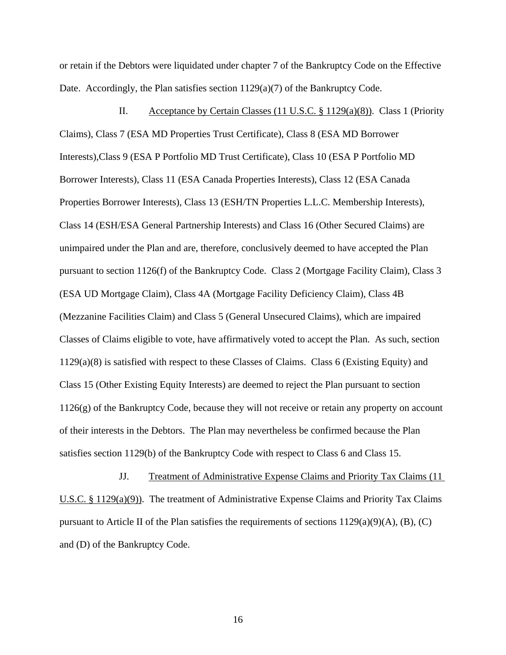or retain if the Debtors were liquidated under chapter 7 of the Bankruptcy Code on the Effective Date. Accordingly, the Plan satisfies section 1129(a)(7) of the Bankruptcy Code.

II. Acceptance by Certain Classes (11 U.S.C. § 1129(a)(8)). Class 1 (Priority Claims), Class 7 (ESA MD Properties Trust Certificate), Class 8 (ESA MD Borrower Interests),Class 9 (ESA P Portfolio MD Trust Certificate), Class 10 (ESA P Portfolio MD Borrower Interests), Class 11 (ESA Canada Properties Interests), Class 12 (ESA Canada Properties Borrower Interests), Class 13 (ESH/TN Properties L.L.C. Membership Interests), Class 14 (ESH/ESA General Partnership Interests) and Class 16 (Other Secured Claims) are unimpaired under the Plan and are, therefore, conclusively deemed to have accepted the Plan pursuant to section 1126(f) of the Bankruptcy Code. Class 2 (Mortgage Facility Claim), Class 3 (ESA UD Mortgage Claim), Class 4A (Mortgage Facility Deficiency Claim), Class 4B (Mezzanine Facilities Claim) and Class 5 (General Unsecured Claims), which are impaired Classes of Claims eligible to vote, have affirmatively voted to accept the Plan. As such, section 1129(a)(8) is satisfied with respect to these Classes of Claims. Class 6 (Existing Equity) and Class 15 (Other Existing Equity Interests) are deemed to reject the Plan pursuant to section 1126(g) of the Bankruptcy Code, because they will not receive or retain any property on account of their interests in the Debtors. The Plan may nevertheless be confirmed because the Plan satisfies section 1129(b) of the Bankruptcy Code with respect to Class 6 and Class 15.

JJ. Treatment of Administrative Expense Claims and Priority Tax Claims (11 U.S.C. § 1129(a)(9)). The treatment of Administrative Expense Claims and Priority Tax Claims pursuant to Article II of the Plan satisfies the requirements of sections  $1129(a)(9)(A)$ ,  $(B)$ ,  $(C)$ and (D) of the Bankruptcy Code.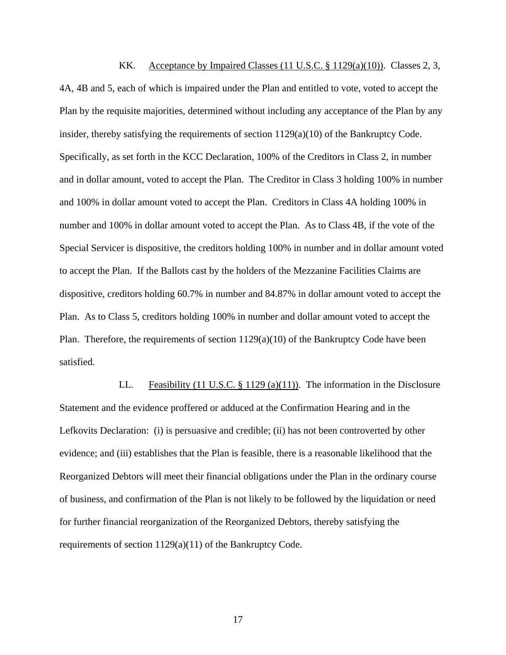KK. Acceptance by Impaired Classes  $(11 \text{ U.S.C.} \$ 1129(a)(10))$ . Classes 2, 3, 4A, 4B and 5, each of which is impaired under the Plan and entitled to vote, voted to accept the Plan by the requisite majorities, determined without including any acceptance of the Plan by any insider, thereby satisfying the requirements of section 1129(a)(10) of the Bankruptcy Code. Specifically, as set forth in the KCC Declaration, 100% of the Creditors in Class 2, in number and in dollar amount, voted to accept the Plan. The Creditor in Class 3 holding 100% in number and 100% in dollar amount voted to accept the Plan. Creditors in Class 4A holding 100% in number and 100% in dollar amount voted to accept the Plan. As to Class 4B, if the vote of the Special Servicer is dispositive, the creditors holding 100% in number and in dollar amount voted to accept the Plan. If the Ballots cast by the holders of the Mezzanine Facilities Claims are dispositive, creditors holding 60.7% in number and 84.87% in dollar amount voted to accept the Plan. As to Class 5, creditors holding 100% in number and dollar amount voted to accept the Plan. Therefore, the requirements of section 1129(a)(10) of the Bankruptcy Code have been satisfied.

LL. Feasibility  $(11 \text{ U.S.C. } § 1129 \text{ (a)}(11))$ . The information in the Disclosure Statement and the evidence proffered or adduced at the Confirmation Hearing and in the Lefkovits Declaration: (i) is persuasive and credible; (ii) has not been controverted by other evidence; and (iii) establishes that the Plan is feasible, there is a reasonable likelihood that the Reorganized Debtors will meet their financial obligations under the Plan in the ordinary course of business, and confirmation of the Plan is not likely to be followed by the liquidation or need for further financial reorganization of the Reorganized Debtors, thereby satisfying the requirements of section 1129(a)(11) of the Bankruptcy Code.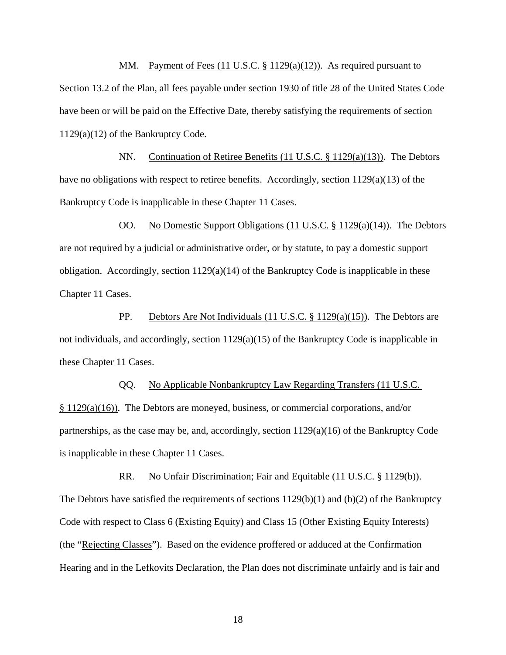MM. Payment of Fees  $(11 \text{ U.S.C. } § 1129(a)(12))$ . As required pursuant to Section 13.2 of the Plan, all fees payable under section 1930 of title 28 of the United States Code have been or will be paid on the Effective Date, thereby satisfying the requirements of section 1129(a)(12) of the Bankruptcy Code.

NN. Continuation of Retiree Benefits (11 U.S.C. § 1129(a)(13)). The Debtors have no obligations with respect to retiree benefits. Accordingly, section 1129(a)(13) of the Bankruptcy Code is inapplicable in these Chapter 11 Cases.

OO. No Domestic Support Obligations (11 U.S.C. § 1129(a)(14)). The Debtors are not required by a judicial or administrative order, or by statute, to pay a domestic support obligation. Accordingly, section  $1129(a)(14)$  of the Bankruptcy Code is inapplicable in these Chapter 11 Cases.

PP. Debtors Are Not Individuals  $(11 \text{ U.S.C.} \& 1129(a)(15))$ . The Debtors are not individuals, and accordingly, section 1129(a)(15) of the Bankruptcy Code is inapplicable in these Chapter 11 Cases.

QQ. No Applicable Nonbankruptcy Law Regarding Transfers (11 U.S.C. § 1129(a)(16)). The Debtors are moneyed, business, or commercial corporations, and/or partnerships, as the case may be, and, accordingly, section  $1129(a)(16)$  of the Bankruptcy Code is inapplicable in these Chapter 11 Cases.

RR. No Unfair Discrimination; Fair and Equitable (11 U.S.C. § 1129(b)). The Debtors have satisfied the requirements of sections 1129(b)(1) and (b)(2) of the Bankruptcy Code with respect to Class 6 (Existing Equity) and Class 15 (Other Existing Equity Interests) (the "Rejecting Classes"). Based on the evidence proffered or adduced at the Confirmation Hearing and in the Lefkovits Declaration, the Plan does not discriminate unfairly and is fair and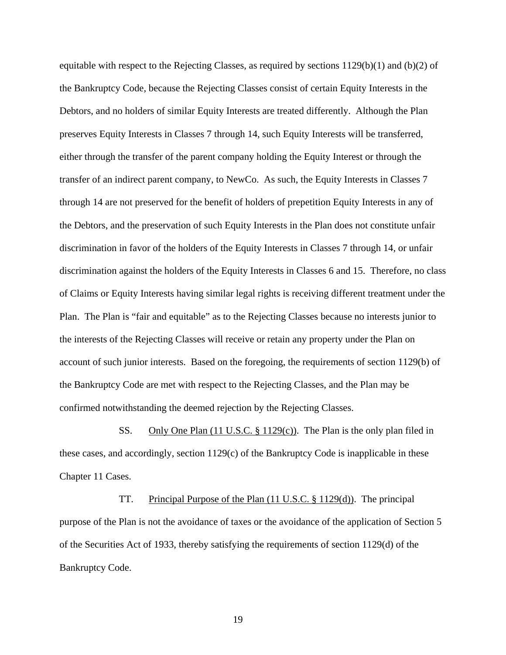equitable with respect to the Rejecting Classes, as required by sections 1129(b)(1) and (b)(2) of the Bankruptcy Code, because the Rejecting Classes consist of certain Equity Interests in the Debtors, and no holders of similar Equity Interests are treated differently. Although the Plan preserves Equity Interests in Classes 7 through 14, such Equity Interests will be transferred, either through the transfer of the parent company holding the Equity Interest or through the transfer of an indirect parent company, to NewCo. As such, the Equity Interests in Classes 7 through 14 are not preserved for the benefit of holders of prepetition Equity Interests in any of the Debtors, and the preservation of such Equity Interests in the Plan does not constitute unfair discrimination in favor of the holders of the Equity Interests in Classes 7 through 14, or unfair discrimination against the holders of the Equity Interests in Classes 6 and 15. Therefore, no class of Claims or Equity Interests having similar legal rights is receiving different treatment under the Plan. The Plan is "fair and equitable" as to the Rejecting Classes because no interests junior to the interests of the Rejecting Classes will receive or retain any property under the Plan on account of such junior interests. Based on the foregoing, the requirements of section 1129(b) of the Bankruptcy Code are met with respect to the Rejecting Classes, and the Plan may be confirmed notwithstanding the deemed rejection by the Rejecting Classes.

SS. Only One Plan (11 U.S.C. § 1129(c)). The Plan is the only plan filed in these cases, and accordingly, section 1129(c) of the Bankruptcy Code is inapplicable in these Chapter 11 Cases.

TT. Principal Purpose of the Plan (11 U.S.C. § 1129(d)). The principal purpose of the Plan is not the avoidance of taxes or the avoidance of the application of Section 5 of the Securities Act of 1933, thereby satisfying the requirements of section 1129(d) of the Bankruptcy Code.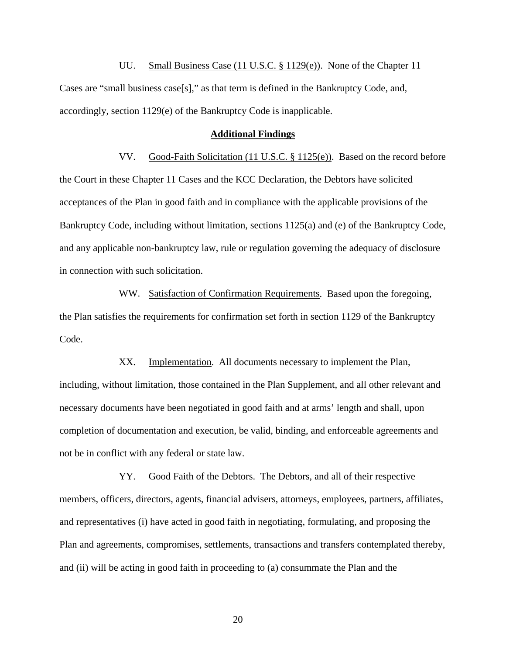UU. Small Business Case (11 U.S.C. § 1129(e)). None of the Chapter 11 Cases are "small business case[s]," as that term is defined in the Bankruptcy Code, and, accordingly, section 1129(e) of the Bankruptcy Code is inapplicable.

#### **Additional Findings**

VV. Good-Faith Solicitation (11 U.S.C. § 1125(e)). Based on the record before the Court in these Chapter 11 Cases and the KCC Declaration, the Debtors have solicited acceptances of the Plan in good faith and in compliance with the applicable provisions of the Bankruptcy Code, including without limitation, sections 1125(a) and (e) of the Bankruptcy Code, and any applicable non-bankruptcy law, rule or regulation governing the adequacy of disclosure in connection with such solicitation.

WW. Satisfaction of Confirmation Requirements. Based upon the foregoing, the Plan satisfies the requirements for confirmation set forth in section 1129 of the Bankruptcy Code.

XX. Implementation. All documents necessary to implement the Plan, including, without limitation, those contained in the Plan Supplement, and all other relevant and necessary documents have been negotiated in good faith and at arms' length and shall, upon completion of documentation and execution, be valid, binding, and enforceable agreements and not be in conflict with any federal or state law.

YY. Good Faith of the Debtors. The Debtors, and all of their respective members, officers, directors, agents, financial advisers, attorneys, employees, partners, affiliates, and representatives (i) have acted in good faith in negotiating, formulating, and proposing the Plan and agreements, compromises, settlements, transactions and transfers contemplated thereby, and (ii) will be acting in good faith in proceeding to (a) consummate the Plan and the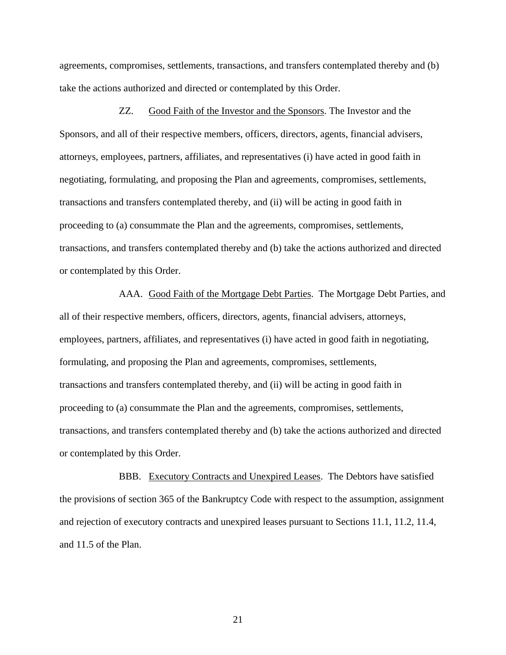agreements, compromises, settlements, transactions, and transfers contemplated thereby and (b) take the actions authorized and directed or contemplated by this Order.

ZZ. Good Faith of the Investor and the Sponsors. The Investor and the Sponsors, and all of their respective members, officers, directors, agents, financial advisers, attorneys, employees, partners, affiliates, and representatives (i) have acted in good faith in negotiating, formulating, and proposing the Plan and agreements, compromises, settlements, transactions and transfers contemplated thereby, and (ii) will be acting in good faith in proceeding to (a) consummate the Plan and the agreements, compromises, settlements, transactions, and transfers contemplated thereby and (b) take the actions authorized and directed or contemplated by this Order.

AAA. Good Faith of the Mortgage Debt Parties. The Mortgage Debt Parties, and all of their respective members, officers, directors, agents, financial advisers, attorneys, employees, partners, affiliates, and representatives (i) have acted in good faith in negotiating, formulating, and proposing the Plan and agreements, compromises, settlements, transactions and transfers contemplated thereby, and (ii) will be acting in good faith in proceeding to (a) consummate the Plan and the agreements, compromises, settlements, transactions, and transfers contemplated thereby and (b) take the actions authorized and directed or contemplated by this Order.

BBB. Executory Contracts and Unexpired Leases. The Debtors have satisfied the provisions of section 365 of the Bankruptcy Code with respect to the assumption, assignment and rejection of executory contracts and unexpired leases pursuant to Sections 11.1, 11.2, 11.4, and 11.5 of the Plan.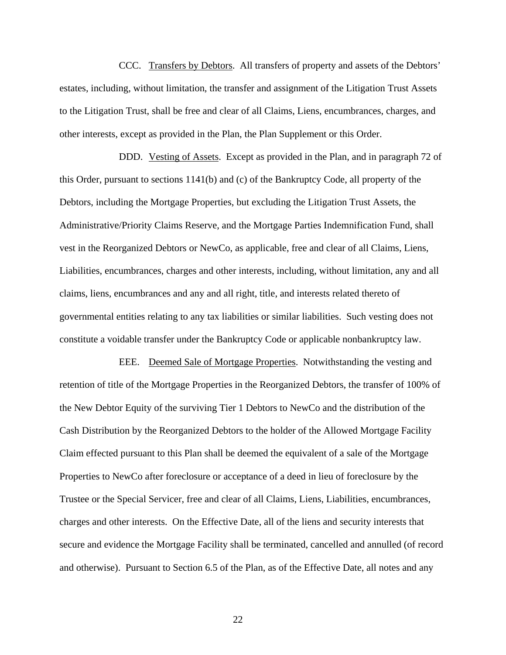CCC. Transfers by Debtors. All transfers of property and assets of the Debtors' estates, including, without limitation, the transfer and assignment of the Litigation Trust Assets to the Litigation Trust, shall be free and clear of all Claims, Liens, encumbrances, charges, and other interests, except as provided in the Plan, the Plan Supplement or this Order.

DDD. Vesting of Assets. Except as provided in the Plan, and in paragraph 72 of this Order, pursuant to sections 1141(b) and (c) of the Bankruptcy Code, all property of the Debtors, including the Mortgage Properties, but excluding the Litigation Trust Assets, the Administrative/Priority Claims Reserve, and the Mortgage Parties Indemnification Fund, shall vest in the Reorganized Debtors or NewCo, as applicable, free and clear of all Claims, Liens, Liabilities, encumbrances, charges and other interests, including, without limitation, any and all claims, liens, encumbrances and any and all right, title, and interests related thereto of governmental entities relating to any tax liabilities or similar liabilities. Such vesting does not constitute a voidable transfer under the Bankruptcy Code or applicable nonbankruptcy law.

EEE. Deemed Sale of Mortgage Properties. Notwithstanding the vesting and retention of title of the Mortgage Properties in the Reorganized Debtors, the transfer of 100% of the New Debtor Equity of the surviving Tier 1 Debtors to NewCo and the distribution of the Cash Distribution by the Reorganized Debtors to the holder of the Allowed Mortgage Facility Claim effected pursuant to this Plan shall be deemed the equivalent of a sale of the Mortgage Properties to NewCo after foreclosure or acceptance of a deed in lieu of foreclosure by the Trustee or the Special Servicer, free and clear of all Claims, Liens, Liabilities, encumbrances, charges and other interests. On the Effective Date, all of the liens and security interests that secure and evidence the Mortgage Facility shall be terminated, cancelled and annulled (of record and otherwise). Pursuant to Section 6.5 of the Plan, as of the Effective Date, all notes and any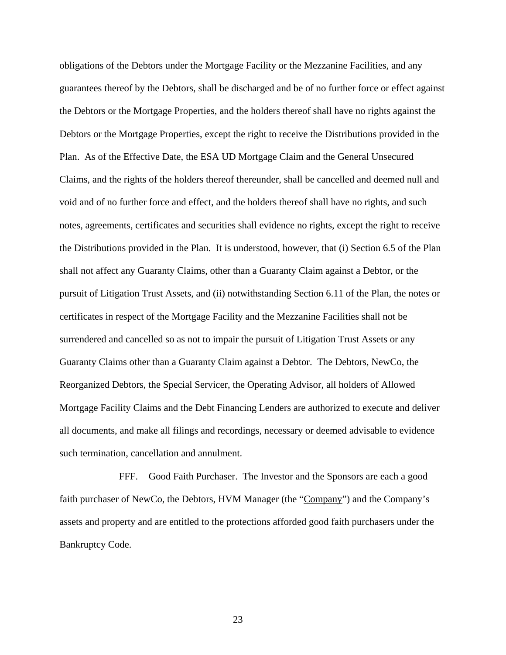obligations of the Debtors under the Mortgage Facility or the Mezzanine Facilities, and any guarantees thereof by the Debtors, shall be discharged and be of no further force or effect against the Debtors or the Mortgage Properties, and the holders thereof shall have no rights against the Debtors or the Mortgage Properties, except the right to receive the Distributions provided in the Plan. As of the Effective Date, the ESA UD Mortgage Claim and the General Unsecured Claims, and the rights of the holders thereof thereunder, shall be cancelled and deemed null and void and of no further force and effect, and the holders thereof shall have no rights, and such notes, agreements, certificates and securities shall evidence no rights, except the right to receive the Distributions provided in the Plan. It is understood, however, that (i) Section 6.5 of the Plan shall not affect any Guaranty Claims, other than a Guaranty Claim against a Debtor, or the pursuit of Litigation Trust Assets, and (ii) notwithstanding Section 6.11 of the Plan, the notes or certificates in respect of the Mortgage Facility and the Mezzanine Facilities shall not be surrendered and cancelled so as not to impair the pursuit of Litigation Trust Assets or any Guaranty Claims other than a Guaranty Claim against a Debtor. The Debtors, NewCo, the Reorganized Debtors, the Special Servicer, the Operating Advisor, all holders of Allowed Mortgage Facility Claims and the Debt Financing Lenders are authorized to execute and deliver all documents, and make all filings and recordings, necessary or deemed advisable to evidence such termination, cancellation and annulment.

FFF. Good Faith Purchaser. The Investor and the Sponsors are each a good faith purchaser of NewCo, the Debtors, HVM Manager (the "Company") and the Company's assets and property and are entitled to the protections afforded good faith purchasers under the Bankruptcy Code.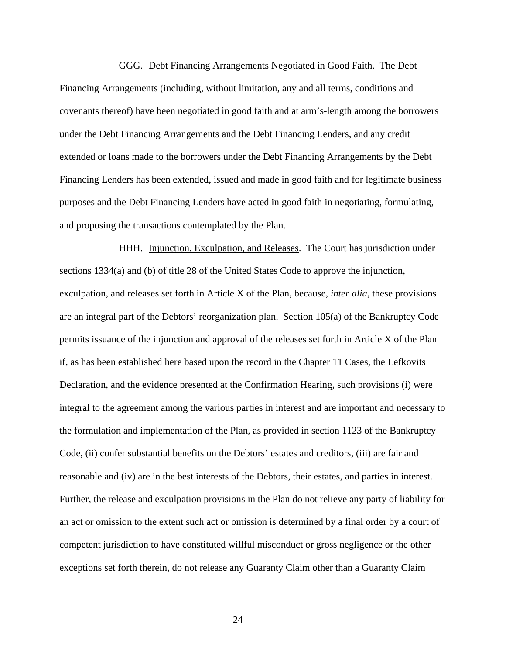GGG. Debt Financing Arrangements Negotiated in Good Faith. The Debt Financing Arrangements (including, without limitation, any and all terms, conditions and covenants thereof) have been negotiated in good faith and at arm's-length among the borrowers under the Debt Financing Arrangements and the Debt Financing Lenders, and any credit extended or loans made to the borrowers under the Debt Financing Arrangements by the Debt Financing Lenders has been extended, issued and made in good faith and for legitimate business purposes and the Debt Financing Lenders have acted in good faith in negotiating, formulating, and proposing the transactions contemplated by the Plan.

HHH. Injunction, Exculpation, and Releases. The Court has jurisdiction under sections 1334(a) and (b) of title 28 of the United States Code to approve the injunction, exculpation, and releases set forth in Article X of the Plan, because, *inter alia*, these provisions are an integral part of the Debtors' reorganization plan. Section 105(a) of the Bankruptcy Code permits issuance of the injunction and approval of the releases set forth in Article X of the Plan if, as has been established here based upon the record in the Chapter 11 Cases, the Lefkovits Declaration, and the evidence presented at the Confirmation Hearing, such provisions (i) were integral to the agreement among the various parties in interest and are important and necessary to the formulation and implementation of the Plan, as provided in section 1123 of the Bankruptcy Code, (ii) confer substantial benefits on the Debtors' estates and creditors, (iii) are fair and reasonable and (iv) are in the best interests of the Debtors, their estates, and parties in interest. Further, the release and exculpation provisions in the Plan do not relieve any party of liability for an act or omission to the extent such act or omission is determined by a final order by a court of competent jurisdiction to have constituted willful misconduct or gross negligence or the other exceptions set forth therein, do not release any Guaranty Claim other than a Guaranty Claim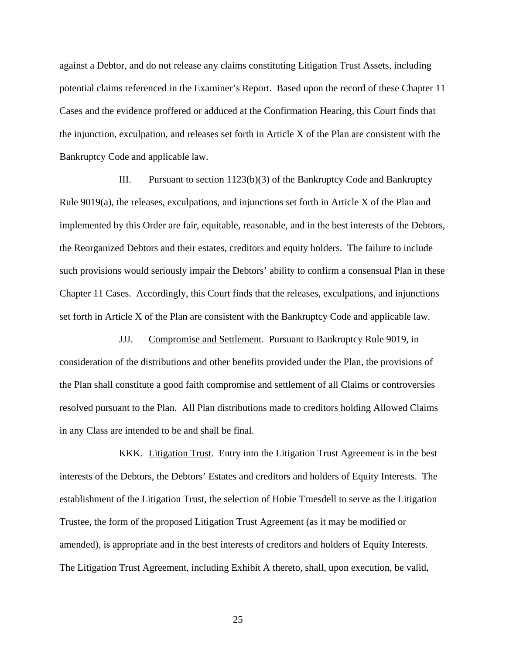against a Debtor, and do not release any claims constituting Litigation Trust Assets, including potential claims referenced in the Examiner's Report. Based upon the record of these Chapter 11 Cases and the evidence proffered or adduced at the Confirmation Hearing, this Court finds that the injunction, exculpation, and releases set forth in Article X of the Plan are consistent with the Bankruptcy Code and applicable law.

III. Pursuant to section 1123(b)(3) of the Bankruptcy Code and Bankruptcy Rule 9019(a), the releases, exculpations, and injunctions set forth in Article X of the Plan and implemented by this Order are fair, equitable, reasonable, and in the best interests of the Debtors, the Reorganized Debtors and their estates, creditors and equity holders. The failure to include such provisions would seriously impair the Debtors' ability to confirm a consensual Plan in these Chapter 11 Cases. Accordingly, this Court finds that the releases, exculpations, and injunctions set forth in Article X of the Plan are consistent with the Bankruptcy Code and applicable law.

JJJ. Compromise and Settlement. Pursuant to Bankruptcy Rule 9019, in consideration of the distributions and other benefits provided under the Plan, the provisions of the Plan shall constitute a good faith compromise and settlement of all Claims or controversies resolved pursuant to the Plan. All Plan distributions made to creditors holding Allowed Claims in any Class are intended to be and shall be final.

KKK. Litigation Trust. Entry into the Litigation Trust Agreement is in the best interests of the Debtors, the Debtors' Estates and creditors and holders of Equity Interests. The establishment of the Litigation Trust, the selection of Hobie Truesdell to serve as the Litigation Trustee, the form of the proposed Litigation Trust Agreement (as it may be modified or amended), is appropriate and in the best interests of creditors and holders of Equity Interests. The Litigation Trust Agreement, including Exhibit A thereto, shall, upon execution, be valid,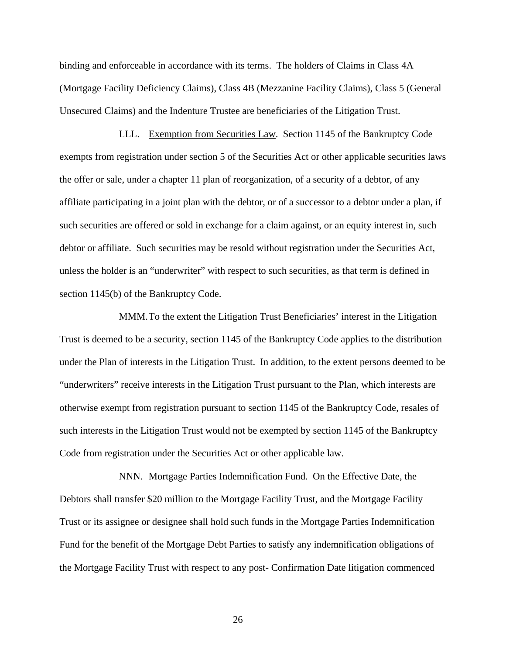binding and enforceable in accordance with its terms. The holders of Claims in Class 4A (Mortgage Facility Deficiency Claims), Class 4B (Mezzanine Facility Claims), Class 5 (General Unsecured Claims) and the Indenture Trustee are beneficiaries of the Litigation Trust.

LLL. Exemption from Securities Law. Section 1145 of the Bankruptcy Code exempts from registration under section 5 of the Securities Act or other applicable securities laws the offer or sale, under a chapter 11 plan of reorganization, of a security of a debtor, of any affiliate participating in a joint plan with the debtor, or of a successor to a debtor under a plan, if such securities are offered or sold in exchange for a claim against, or an equity interest in, such debtor or affiliate. Such securities may be resold without registration under the Securities Act, unless the holder is an "underwriter" with respect to such securities, as that term is defined in section 1145(b) of the Bankruptcy Code.

MMM.To the extent the Litigation Trust Beneficiaries' interest in the Litigation Trust is deemed to be a security, section 1145 of the Bankruptcy Code applies to the distribution under the Plan of interests in the Litigation Trust. In addition, to the extent persons deemed to be "underwriters" receive interests in the Litigation Trust pursuant to the Plan, which interests are otherwise exempt from registration pursuant to section 1145 of the Bankruptcy Code, resales of such interests in the Litigation Trust would not be exempted by section 1145 of the Bankruptcy Code from registration under the Securities Act or other applicable law.

NNN. Mortgage Parties Indemnification Fund. On the Effective Date, the Debtors shall transfer \$20 million to the Mortgage Facility Trust, and the Mortgage Facility Trust or its assignee or designee shall hold such funds in the Mortgage Parties Indemnification Fund for the benefit of the Mortgage Debt Parties to satisfy any indemnification obligations of the Mortgage Facility Trust with respect to any post- Confirmation Date litigation commenced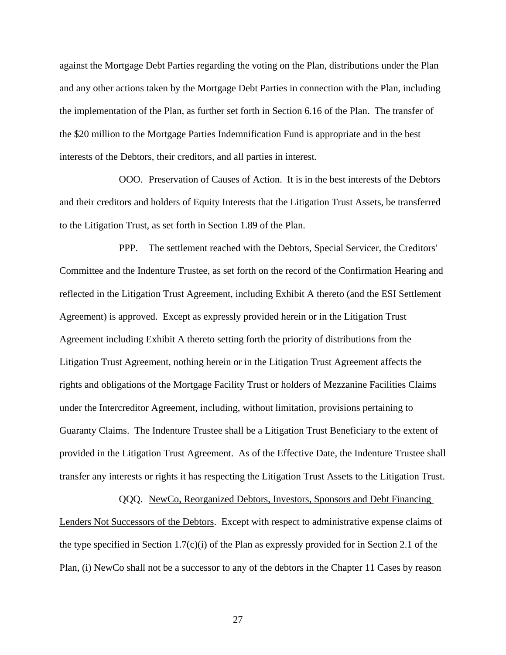against the Mortgage Debt Parties regarding the voting on the Plan, distributions under the Plan and any other actions taken by the Mortgage Debt Parties in connection with the Plan, including the implementation of the Plan, as further set forth in Section 6.16 of the Plan. The transfer of the \$20 million to the Mortgage Parties Indemnification Fund is appropriate and in the best interests of the Debtors, their creditors, and all parties in interest.

OOO. Preservation of Causes of Action. It is in the best interests of the Debtors and their creditors and holders of Equity Interests that the Litigation Trust Assets, be transferred to the Litigation Trust, as set forth in Section 1.89 of the Plan.

PPP. The settlement reached with the Debtors, Special Servicer, the Creditors' Committee and the Indenture Trustee, as set forth on the record of the Confirmation Hearing and reflected in the Litigation Trust Agreement, including Exhibit A thereto (and the ESI Settlement Agreement) is approved. Except as expressly provided herein or in the Litigation Trust Agreement including Exhibit A thereto setting forth the priority of distributions from the Litigation Trust Agreement, nothing herein or in the Litigation Trust Agreement affects the rights and obligations of the Mortgage Facility Trust or holders of Mezzanine Facilities Claims under the Intercreditor Agreement, including, without limitation, provisions pertaining to Guaranty Claims. The Indenture Trustee shall be a Litigation Trust Beneficiary to the extent of provided in the Litigation Trust Agreement. As of the Effective Date, the Indenture Trustee shall transfer any interests or rights it has respecting the Litigation Trust Assets to the Litigation Trust.

QQQ. NewCo, Reorganized Debtors, Investors, Sponsors and Debt Financing Lenders Not Successors of the Debtors. Except with respect to administrative expense claims of the type specified in Section 1.7(c)(i) of the Plan as expressly provided for in Section 2.1 of the Plan, (i) NewCo shall not be a successor to any of the debtors in the Chapter 11 Cases by reason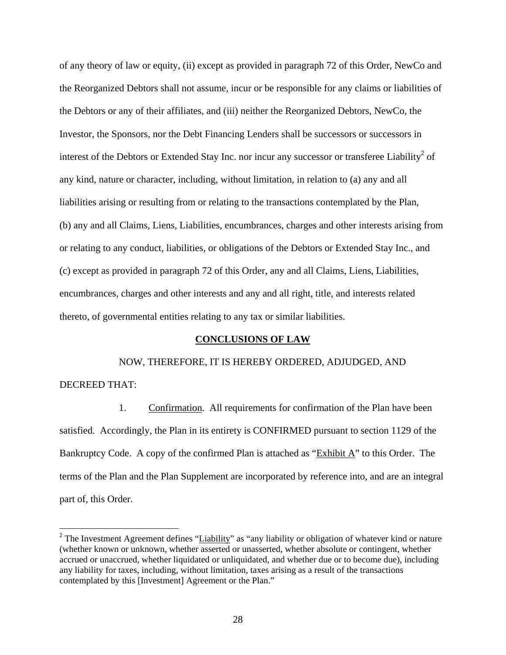of any theory of law or equity, (ii) except as provided in paragraph 72 of this Order, NewCo and the Reorganized Debtors shall not assume, incur or be responsible for any claims or liabilities of the Debtors or any of their affiliates, and (iii) neither the Reorganized Debtors, NewCo, the Investor, the Sponsors, nor the Debt Financing Lenders shall be successors or successors in interest of the Debtors or Extended Stay Inc. nor incur any successor or transferee Liability<sup>2</sup> of any kind, nature or character, including, without limitation, in relation to (a) any and all liabilities arising or resulting from or relating to the transactions contemplated by the Plan, (b) any and all Claims, Liens, Liabilities, encumbrances, charges and other interests arising from or relating to any conduct, liabilities, or obligations of the Debtors or Extended Stay Inc., and (c) except as provided in paragraph 72 of this Order, any and all Claims, Liens, Liabilities, encumbrances, charges and other interests and any and all right, title, and interests related thereto, of governmental entities relating to any tax or similar liabilities.

### **CONCLUSIONS OF LAW**

 NOW, THEREFORE, IT IS HEREBY ORDERED, ADJUDGED, AND DECREED THAT:

1. Confirmation. All requirements for confirmation of the Plan have been satisfied. Accordingly, the Plan in its entirety is CONFIRMED pursuant to section 1129 of the Bankruptcy Code. A copy of the confirmed Plan is attached as "Exhibit A" to this Order. The terms of the Plan and the Plan Supplement are incorporated by reference into, and are an integral part of, this Order.

<u>.</u>

<sup>&</sup>lt;sup>2</sup> The Investment Agreement defines "Liability" as "any liability or obligation of whatever kind or nature (whether known or unknown, whether asserted or unasserted, whether absolute or contingent, whether accrued or unaccrued, whether liquidated or unliquidated, and whether due or to become due), including any liability for taxes, including, without limitation, taxes arising as a result of the transactions contemplated by this [Investment] Agreement or the Plan."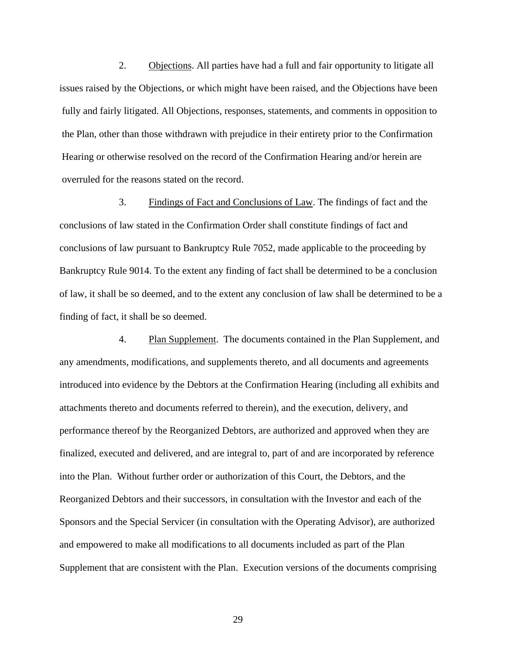2. Objections. All parties have had a full and fair opportunity to litigate all issues raised by the Objections, or which might have been raised, and the Objections have been fully and fairly litigated. All Objections, responses, statements, and comments in opposition to the Plan, other than those withdrawn with prejudice in their entirety prior to the Confirmation Hearing or otherwise resolved on the record of the Confirmation Hearing and/or herein are overruled for the reasons stated on the record.

3. Findings of Fact and Conclusions of Law. The findings of fact and the conclusions of law stated in the Confirmation Order shall constitute findings of fact and conclusions of law pursuant to Bankruptcy Rule 7052, made applicable to the proceeding by Bankruptcy Rule 9014. To the extent any finding of fact shall be determined to be a conclusion of law, it shall be so deemed, and to the extent any conclusion of law shall be determined to be a finding of fact, it shall be so deemed.

4. Plan Supplement. The documents contained in the Plan Supplement, and any amendments, modifications, and supplements thereto, and all documents and agreements introduced into evidence by the Debtors at the Confirmation Hearing (including all exhibits and attachments thereto and documents referred to therein), and the execution, delivery, and performance thereof by the Reorganized Debtors, are authorized and approved when they are finalized, executed and delivered, and are integral to, part of and are incorporated by reference into the Plan. Without further order or authorization of this Court, the Debtors, and the Reorganized Debtors and their successors, in consultation with the Investor and each of the Sponsors and the Special Servicer (in consultation with the Operating Advisor), are authorized and empowered to make all modifications to all documents included as part of the Plan Supplement that are consistent with the Plan. Execution versions of the documents comprising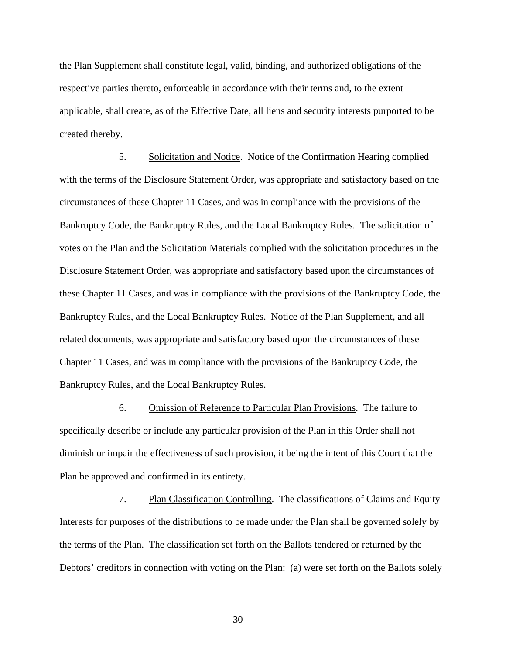the Plan Supplement shall constitute legal, valid, binding, and authorized obligations of the respective parties thereto, enforceable in accordance with their terms and, to the extent applicable, shall create, as of the Effective Date, all liens and security interests purported to be created thereby.

5. Solicitation and Notice. Notice of the Confirmation Hearing complied with the terms of the Disclosure Statement Order, was appropriate and satisfactory based on the circumstances of these Chapter 11 Cases, and was in compliance with the provisions of the Bankruptcy Code, the Bankruptcy Rules, and the Local Bankruptcy Rules. The solicitation of votes on the Plan and the Solicitation Materials complied with the solicitation procedures in the Disclosure Statement Order, was appropriate and satisfactory based upon the circumstances of these Chapter 11 Cases, and was in compliance with the provisions of the Bankruptcy Code, the Bankruptcy Rules, and the Local Bankruptcy Rules. Notice of the Plan Supplement, and all related documents, was appropriate and satisfactory based upon the circumstances of these Chapter 11 Cases, and was in compliance with the provisions of the Bankruptcy Code, the Bankruptcy Rules, and the Local Bankruptcy Rules.

6. Omission of Reference to Particular Plan Provisions. The failure to specifically describe or include any particular provision of the Plan in this Order shall not diminish or impair the effectiveness of such provision, it being the intent of this Court that the Plan be approved and confirmed in its entirety.

7. Plan Classification Controlling. The classifications of Claims and Equity Interests for purposes of the distributions to be made under the Plan shall be governed solely by the terms of the Plan. The classification set forth on the Ballots tendered or returned by the Debtors' creditors in connection with voting on the Plan: (a) were set forth on the Ballots solely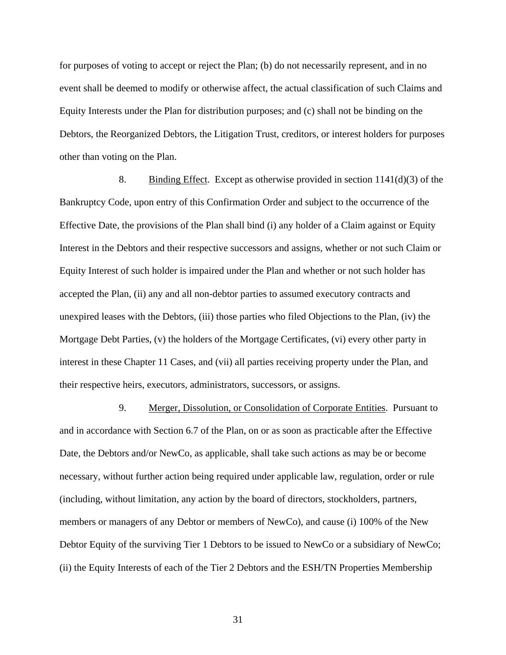for purposes of voting to accept or reject the Plan; (b) do not necessarily represent, and in no event shall be deemed to modify or otherwise affect, the actual classification of such Claims and Equity Interests under the Plan for distribution purposes; and (c) shall not be binding on the Debtors, the Reorganized Debtors, the Litigation Trust, creditors, or interest holders for purposes other than voting on the Plan.

8. Binding Effect. Except as otherwise provided in section  $1141(d)(3)$  of the Bankruptcy Code, upon entry of this Confirmation Order and subject to the occurrence of the Effective Date, the provisions of the Plan shall bind (i) any holder of a Claim against or Equity Interest in the Debtors and their respective successors and assigns, whether or not such Claim or Equity Interest of such holder is impaired under the Plan and whether or not such holder has accepted the Plan, (ii) any and all non-debtor parties to assumed executory contracts and unexpired leases with the Debtors, (iii) those parties who filed Objections to the Plan, (iv) the Mortgage Debt Parties, (v) the holders of the Mortgage Certificates, (vi) every other party in interest in these Chapter 11 Cases, and (vii) all parties receiving property under the Plan, and their respective heirs, executors, administrators, successors, or assigns.

9. Merger, Dissolution, or Consolidation of Corporate Entities. Pursuant to and in accordance with Section 6.7 of the Plan, on or as soon as practicable after the Effective Date, the Debtors and/or NewCo, as applicable, shall take such actions as may be or become necessary, without further action being required under applicable law, regulation, order or rule (including, without limitation, any action by the board of directors, stockholders, partners, members or managers of any Debtor or members of NewCo), and cause (i) 100% of the New Debtor Equity of the surviving Tier 1 Debtors to be issued to NewCo or a subsidiary of NewCo; (ii) the Equity Interests of each of the Tier 2 Debtors and the ESH/TN Properties Membership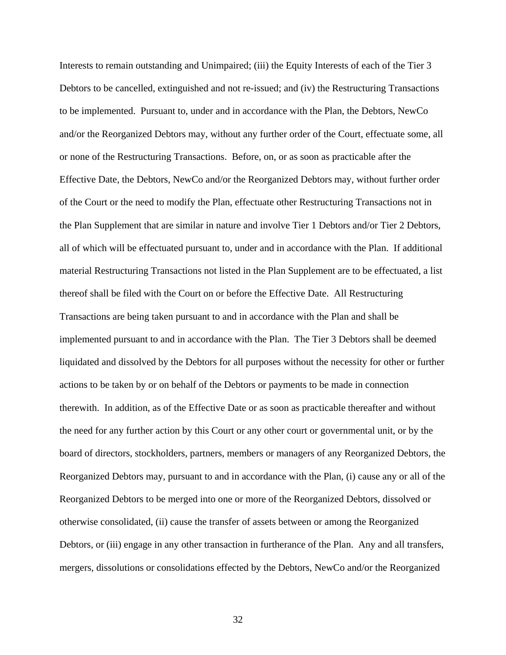Interests to remain outstanding and Unimpaired; (iii) the Equity Interests of each of the Tier 3 Debtors to be cancelled, extinguished and not re-issued; and (iv) the Restructuring Transactions to be implemented. Pursuant to, under and in accordance with the Plan, the Debtors, NewCo and/or the Reorganized Debtors may, without any further order of the Court, effectuate some, all or none of the Restructuring Transactions. Before, on, or as soon as practicable after the Effective Date, the Debtors, NewCo and/or the Reorganized Debtors may, without further order of the Court or the need to modify the Plan, effectuate other Restructuring Transactions not in the Plan Supplement that are similar in nature and involve Tier 1 Debtors and/or Tier 2 Debtors, all of which will be effectuated pursuant to, under and in accordance with the Plan. If additional material Restructuring Transactions not listed in the Plan Supplement are to be effectuated, a list thereof shall be filed with the Court on or before the Effective Date. All Restructuring Transactions are being taken pursuant to and in accordance with the Plan and shall be implemented pursuant to and in accordance with the Plan. The Tier 3 Debtors shall be deemed liquidated and dissolved by the Debtors for all purposes without the necessity for other or further actions to be taken by or on behalf of the Debtors or payments to be made in connection therewith. In addition, as of the Effective Date or as soon as practicable thereafter and without the need for any further action by this Court or any other court or governmental unit, or by the board of directors, stockholders, partners, members or managers of any Reorganized Debtors, the Reorganized Debtors may, pursuant to and in accordance with the Plan, (i) cause any or all of the Reorganized Debtors to be merged into one or more of the Reorganized Debtors, dissolved or otherwise consolidated, (ii) cause the transfer of assets between or among the Reorganized Debtors, or (iii) engage in any other transaction in furtherance of the Plan. Any and all transfers, mergers, dissolutions or consolidations effected by the Debtors, NewCo and/or the Reorganized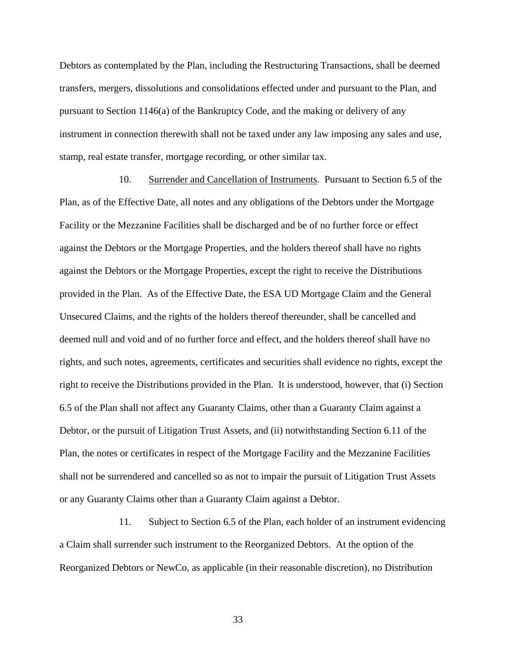Debtors as contemplated by the Plan, including the Restructuring Transactions, shall be deemed transfers, mergers, dissolutions and consolidations effected under and pursuant to the Plan, and pursuant to Section 1146(a) of the Bankruptcy Code, and the making or delivery of any instrument in connection therewith shall not be taxed under any law imposing any sales and use, stamp, real estate transfer, mortgage recording, or other similar tax.

10. Surrender and Cancellation of Instruments. Pursuant to Section 6.5 of the Plan, as of the Effective Date, all notes and any obligations of the Debtors under the Mortgage Facility or the Mezzanine Facilities shall be discharged and be of no further force or effect against the Debtors or the Mortgage Properties, and the holders thereof shall have no rights against the Debtors or the Mortgage Properties, except the right to receive the Distributions provided in the Plan. As of the Effective Date, the ESA UD Mortgage Claim and the General Unsecured Claims, and the rights of the holders thereof thereunder, shall be cancelled and deemed null and void and of no further force and effect, and the holders thereof shall have no rights, and such notes, agreements, certificates and securities shall evidence no rights, except the right to receive the Distributions provided in the Plan. It is understood, however, that (i) Section 6.5 of the Plan shall not affect any Guaranty Claims, other than a Guaranty Claim against a Debtor, or the pursuit of Litigation Trust Assets, and (ii) notwithstanding Section 6.11 of the Plan, the notes or certificates in respect of the Mortgage Facility and the Mezzanine Facilities shall not be surrendered and cancelled so as not to impair the pursuit of Litigation Trust Assets or any Guaranty Claims other than a Guaranty Claim against a Debtor.

11. Subject to Section 6.5 of the Plan, each holder of an instrument evidencing a Claim shall surrender such instrument to the Reorganized Debtors. At the option of the Reorganized Debtors or NewCo, as applicable (in their reasonable discretion), no Distribution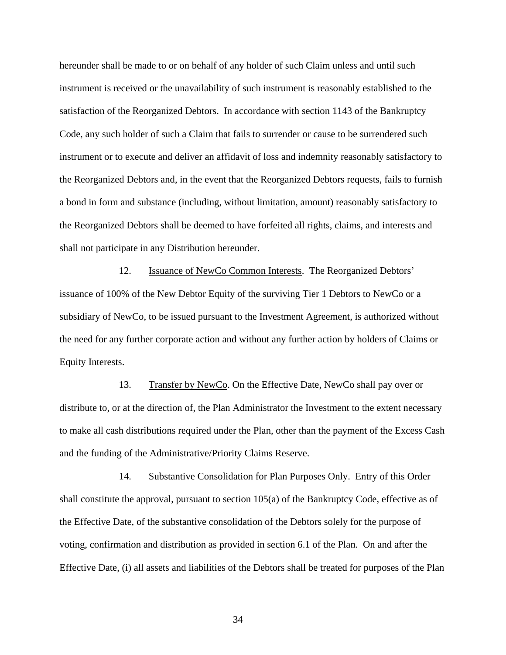hereunder shall be made to or on behalf of any holder of such Claim unless and until such instrument is received or the unavailability of such instrument is reasonably established to the satisfaction of the Reorganized Debtors. In accordance with section 1143 of the Bankruptcy Code, any such holder of such a Claim that fails to surrender or cause to be surrendered such instrument or to execute and deliver an affidavit of loss and indemnity reasonably satisfactory to the Reorganized Debtors and, in the event that the Reorganized Debtors requests, fails to furnish a bond in form and substance (including, without limitation, amount) reasonably satisfactory to the Reorganized Debtors shall be deemed to have forfeited all rights, claims, and interests and shall not participate in any Distribution hereunder.

12. Issuance of NewCo Common Interests. The Reorganized Debtors' issuance of 100% of the New Debtor Equity of the surviving Tier 1 Debtors to NewCo or a subsidiary of NewCo, to be issued pursuant to the Investment Agreement, is authorized without the need for any further corporate action and without any further action by holders of Claims or Equity Interests.

13. Transfer by NewCo. On the Effective Date, NewCo shall pay over or distribute to, or at the direction of, the Plan Administrator the Investment to the extent necessary to make all cash distributions required under the Plan, other than the payment of the Excess Cash and the funding of the Administrative/Priority Claims Reserve.

14. Substantive Consolidation for Plan Purposes Only. Entry of this Order shall constitute the approval, pursuant to section 105(a) of the Bankruptcy Code, effective as of the Effective Date, of the substantive consolidation of the Debtors solely for the purpose of voting, confirmation and distribution as provided in section 6.1 of the Plan. On and after the Effective Date, (i) all assets and liabilities of the Debtors shall be treated for purposes of the Plan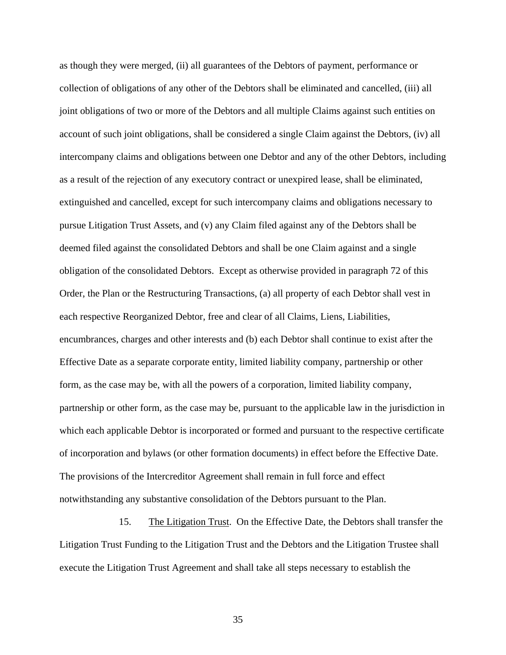as though they were merged, (ii) all guarantees of the Debtors of payment, performance or collection of obligations of any other of the Debtors shall be eliminated and cancelled, (iii) all joint obligations of two or more of the Debtors and all multiple Claims against such entities on account of such joint obligations, shall be considered a single Claim against the Debtors, (iv) all intercompany claims and obligations between one Debtor and any of the other Debtors, including as a result of the rejection of any executory contract or unexpired lease, shall be eliminated, extinguished and cancelled, except for such intercompany claims and obligations necessary to pursue Litigation Trust Assets, and (v) any Claim filed against any of the Debtors shall be deemed filed against the consolidated Debtors and shall be one Claim against and a single obligation of the consolidated Debtors. Except as otherwise provided in paragraph 72 of this Order, the Plan or the Restructuring Transactions, (a) all property of each Debtor shall vest in each respective Reorganized Debtor, free and clear of all Claims, Liens, Liabilities, encumbrances, charges and other interests and (b) each Debtor shall continue to exist after the Effective Date as a separate corporate entity, limited liability company, partnership or other form, as the case may be, with all the powers of a corporation, limited liability company, partnership or other form, as the case may be, pursuant to the applicable law in the jurisdiction in which each applicable Debtor is incorporated or formed and pursuant to the respective certificate of incorporation and bylaws (or other formation documents) in effect before the Effective Date. The provisions of the Intercreditor Agreement shall remain in full force and effect notwithstanding any substantive consolidation of the Debtors pursuant to the Plan.

15. The Litigation Trust. On the Effective Date, the Debtors shall transfer the Litigation Trust Funding to the Litigation Trust and the Debtors and the Litigation Trustee shall execute the Litigation Trust Agreement and shall take all steps necessary to establish the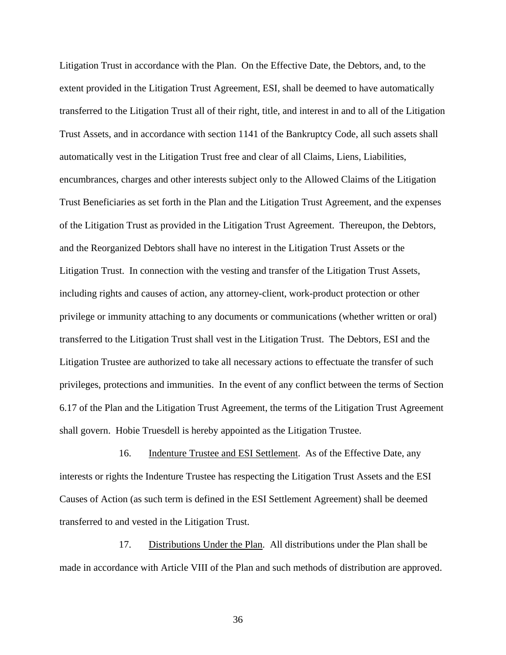Litigation Trust in accordance with the Plan. On the Effective Date, the Debtors, and, to the extent provided in the Litigation Trust Agreement, ESI, shall be deemed to have automatically transferred to the Litigation Trust all of their right, title, and interest in and to all of the Litigation Trust Assets, and in accordance with section 1141 of the Bankruptcy Code, all such assets shall automatically vest in the Litigation Trust free and clear of all Claims, Liens, Liabilities, encumbrances, charges and other interests subject only to the Allowed Claims of the Litigation Trust Beneficiaries as set forth in the Plan and the Litigation Trust Agreement, and the expenses of the Litigation Trust as provided in the Litigation Trust Agreement. Thereupon, the Debtors, and the Reorganized Debtors shall have no interest in the Litigation Trust Assets or the Litigation Trust. In connection with the vesting and transfer of the Litigation Trust Assets, including rights and causes of action, any attorney-client, work-product protection or other privilege or immunity attaching to any documents or communications (whether written or oral) transferred to the Litigation Trust shall vest in the Litigation Trust. The Debtors, ESI and the Litigation Trustee are authorized to take all necessary actions to effectuate the transfer of such privileges, protections and immunities. In the event of any conflict between the terms of Section 6.17 of the Plan and the Litigation Trust Agreement, the terms of the Litigation Trust Agreement shall govern. Hobie Truesdell is hereby appointed as the Litigation Trustee.

16. Indenture Trustee and ESI Settlement. As of the Effective Date, any interests or rights the Indenture Trustee has respecting the Litigation Trust Assets and the ESI Causes of Action (as such term is defined in the ESI Settlement Agreement) shall be deemed transferred to and vested in the Litigation Trust.

17. Distributions Under the Plan. All distributions under the Plan shall be made in accordance with Article VIII of the Plan and such methods of distribution are approved.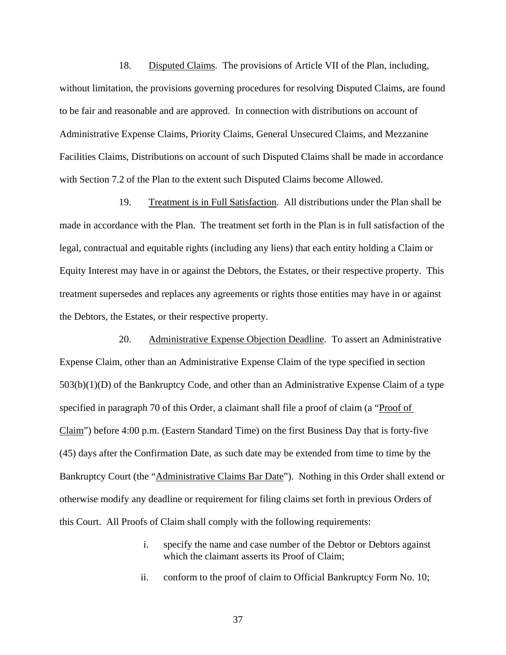18. Disputed Claims. The provisions of Article VII of the Plan, including, without limitation, the provisions governing procedures for resolving Disputed Claims, are found to be fair and reasonable and are approved. In connection with distributions on account of Administrative Expense Claims, Priority Claims, General Unsecured Claims, and Mezzanine Facilities Claims, Distributions on account of such Disputed Claims shall be made in accordance with Section 7.2 of the Plan to the extent such Disputed Claims become Allowed.

19. Treatment is in Full Satisfaction. All distributions under the Plan shall be made in accordance with the Plan. The treatment set forth in the Plan is in full satisfaction of the legal, contractual and equitable rights (including any liens) that each entity holding a Claim or Equity Interest may have in or against the Debtors, the Estates, or their respective property. This treatment supersedes and replaces any agreements or rights those entities may have in or against the Debtors, the Estates, or their respective property.

20. Administrative Expense Objection Deadline. To assert an Administrative Expense Claim, other than an Administrative Expense Claim of the type specified in section 503(b)(1)(D) of the Bankruptcy Code, and other than an Administrative Expense Claim of a type specified in paragraph 70 of this Order, a claimant shall file a proof of claim (a "Proof of Claim") before 4:00 p.m. (Eastern Standard Time) on the first Business Day that is forty-five (45) days after the Confirmation Date, as such date may be extended from time to time by the Bankruptcy Court (the "Administrative Claims Bar Date"). Nothing in this Order shall extend or otherwise modify any deadline or requirement for filing claims set forth in previous Orders of this Court. All Proofs of Claim shall comply with the following requirements:

- i. specify the name and case number of the Debtor or Debtors against which the claimant asserts its Proof of Claim;
- ii. conform to the proof of claim to Official Bankruptcy Form No. 10;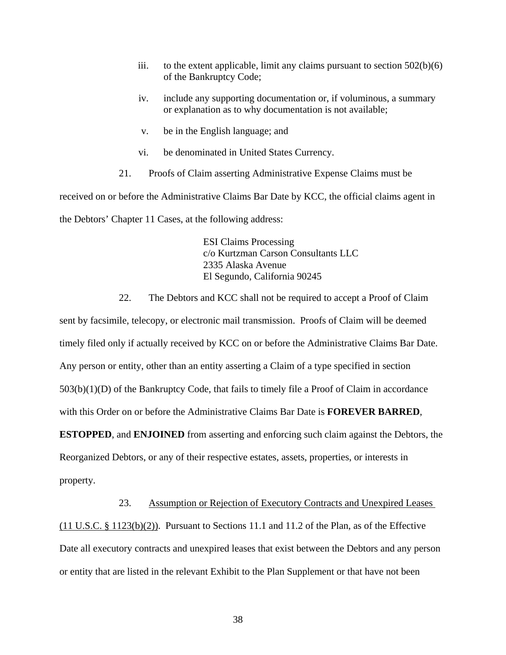- iii. to the extent applicable, limit any claims pursuant to section  $502(b)(6)$ of the Bankruptcy Code;
- iv. include any supporting documentation or, if voluminous, a summary or explanation as to why documentation is not available;
- v. be in the English language; and
- vi. be denominated in United States Currency.
- 21. Proofs of Claim asserting Administrative Expense Claims must be

received on or before the Administrative Claims Bar Date by KCC, the official claims agent in the Debtors' Chapter 11 Cases, at the following address:

> ESI Claims Processing c/o Kurtzman Carson Consultants LLC 2335 Alaska Avenue El Segundo, California 90245

22. The Debtors and KCC shall not be required to accept a Proof of Claim

sent by facsimile, telecopy, or electronic mail transmission. Proofs of Claim will be deemed timely filed only if actually received by KCC on or before the Administrative Claims Bar Date. Any person or entity, other than an entity asserting a Claim of a type specified in section 503(b)(1)(D) of the Bankruptcy Code, that fails to timely file a Proof of Claim in accordance with this Order on or before the Administrative Claims Bar Date is **FOREVER BARRED**, **ESTOPPED**, and **ENJOINED** from asserting and enforcing such claim against the Debtors, the Reorganized Debtors, or any of their respective estates, assets, properties, or interests in property.

23. Assumption or Rejection of Executory Contracts and Unexpired Leases  $(11 \text{ U.S.C.} \text{ § } 1123(b)(2))$ . Pursuant to Sections 11.1 and 11.2 of the Plan, as of the Effective Date all executory contracts and unexpired leases that exist between the Debtors and any person or entity that are listed in the relevant Exhibit to the Plan Supplement or that have not been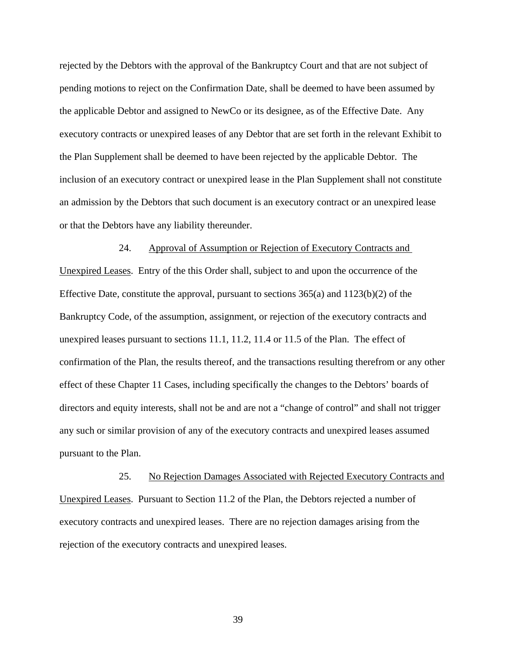rejected by the Debtors with the approval of the Bankruptcy Court and that are not subject of pending motions to reject on the Confirmation Date, shall be deemed to have been assumed by the applicable Debtor and assigned to NewCo or its designee, as of the Effective Date. Any executory contracts or unexpired leases of any Debtor that are set forth in the relevant Exhibit to the Plan Supplement shall be deemed to have been rejected by the applicable Debtor. The inclusion of an executory contract or unexpired lease in the Plan Supplement shall not constitute an admission by the Debtors that such document is an executory contract or an unexpired lease or that the Debtors have any liability thereunder.

24. Approval of Assumption or Rejection of Executory Contracts and Unexpired Leases. Entry of the this Order shall, subject to and upon the occurrence of the Effective Date, constitute the approval, pursuant to sections  $365(a)$  and  $1123(b)(2)$  of the Bankruptcy Code, of the assumption, assignment, or rejection of the executory contracts and unexpired leases pursuant to sections 11.1, 11.2, 11.4 or 11.5 of the Plan. The effect of confirmation of the Plan, the results thereof, and the transactions resulting therefrom or any other effect of these Chapter 11 Cases, including specifically the changes to the Debtors' boards of directors and equity interests, shall not be and are not a "change of control" and shall not trigger any such or similar provision of any of the executory contracts and unexpired leases assumed pursuant to the Plan.

25. No Rejection Damages Associated with Rejected Executory Contracts and Unexpired Leases. Pursuant to Section 11.2 of the Plan, the Debtors rejected a number of executory contracts and unexpired leases. There are no rejection damages arising from the rejection of the executory contracts and unexpired leases.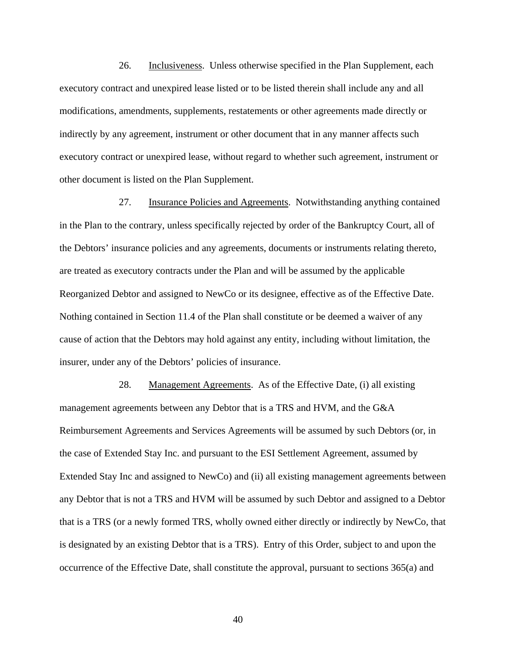26. Inclusiveness. Unless otherwise specified in the Plan Supplement, each executory contract and unexpired lease listed or to be listed therein shall include any and all modifications, amendments, supplements, restatements or other agreements made directly or indirectly by any agreement, instrument or other document that in any manner affects such executory contract or unexpired lease, without regard to whether such agreement, instrument or other document is listed on the Plan Supplement.

27. Insurance Policies and Agreements. Notwithstanding anything contained in the Plan to the contrary, unless specifically rejected by order of the Bankruptcy Court, all of the Debtors' insurance policies and any agreements, documents or instruments relating thereto, are treated as executory contracts under the Plan and will be assumed by the applicable Reorganized Debtor and assigned to NewCo or its designee, effective as of the Effective Date. Nothing contained in Section 11.4 of the Plan shall constitute or be deemed a waiver of any cause of action that the Debtors may hold against any entity, including without limitation, the insurer, under any of the Debtors' policies of insurance.

28. Management Agreements. As of the Effective Date, (i) all existing management agreements between any Debtor that is a TRS and HVM, and the G&A Reimbursement Agreements and Services Agreements will be assumed by such Debtors (or, in the case of Extended Stay Inc. and pursuant to the ESI Settlement Agreement, assumed by Extended Stay Inc and assigned to NewCo) and (ii) all existing management agreements between any Debtor that is not a TRS and HVM will be assumed by such Debtor and assigned to a Debtor that is a TRS (or a newly formed TRS, wholly owned either directly or indirectly by NewCo, that is designated by an existing Debtor that is a TRS). Entry of this Order, subject to and upon the occurrence of the Effective Date, shall constitute the approval, pursuant to sections 365(a) and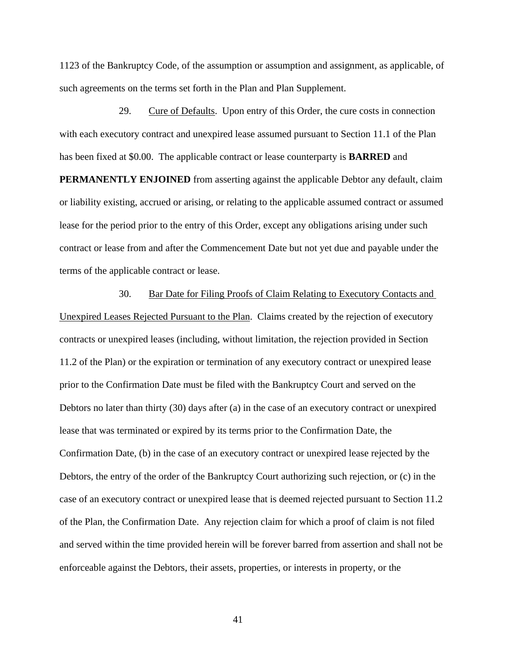1123 of the Bankruptcy Code, of the assumption or assumption and assignment, as applicable, of such agreements on the terms set forth in the Plan and Plan Supplement.

29. Cure of Defaults. Upon entry of this Order, the cure costs in connection with each executory contract and unexpired lease assumed pursuant to Section 11.1 of the Plan has been fixed at \$0.00. The applicable contract or lease counterparty is **BARRED** and **PERMANENTLY ENJOINED** from asserting against the applicable Debtor any default, claim or liability existing, accrued or arising, or relating to the applicable assumed contract or assumed lease for the period prior to the entry of this Order, except any obligations arising under such contract or lease from and after the Commencement Date but not yet due and payable under the terms of the applicable contract or lease.

30. Bar Date for Filing Proofs of Claim Relating to Executory Contacts and Unexpired Leases Rejected Pursuant to the Plan. Claims created by the rejection of executory contracts or unexpired leases (including, without limitation, the rejection provided in Section 11.2 of the Plan) or the expiration or termination of any executory contract or unexpired lease prior to the Confirmation Date must be filed with the Bankruptcy Court and served on the Debtors no later than thirty (30) days after (a) in the case of an executory contract or unexpired lease that was terminated or expired by its terms prior to the Confirmation Date, the Confirmation Date, (b) in the case of an executory contract or unexpired lease rejected by the Debtors, the entry of the order of the Bankruptcy Court authorizing such rejection, or (c) in the case of an executory contract or unexpired lease that is deemed rejected pursuant to Section 11.2 of the Plan, the Confirmation Date. Any rejection claim for which a proof of claim is not filed and served within the time provided herein will be forever barred from assertion and shall not be enforceable against the Debtors, their assets, properties, or interests in property, or the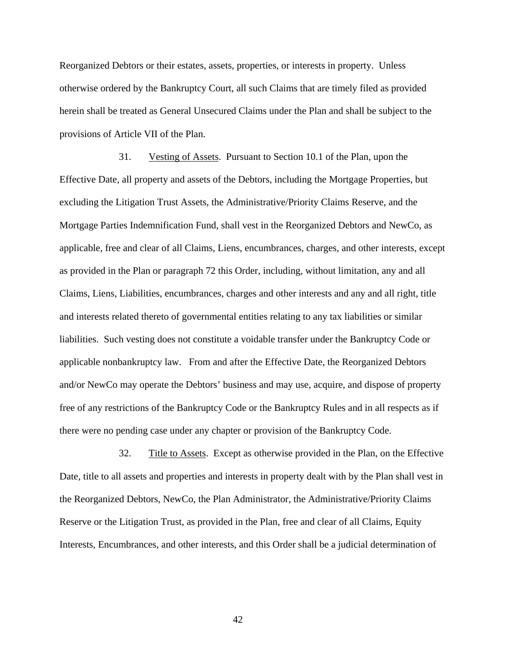Reorganized Debtors or their estates, assets, properties, or interests in property. Unless otherwise ordered by the Bankruptcy Court, all such Claims that are timely filed as provided herein shall be treated as General Unsecured Claims under the Plan and shall be subject to the provisions of Article VII of the Plan.

31. Vesting of Assets. Pursuant to Section 10.1 of the Plan, upon the Effective Date, all property and assets of the Debtors, including the Mortgage Properties, but excluding the Litigation Trust Assets, the Administrative/Priority Claims Reserve, and the Mortgage Parties Indemnification Fund, shall vest in the Reorganized Debtors and NewCo, as applicable, free and clear of all Claims, Liens, encumbrances, charges, and other interests, except as provided in the Plan or paragraph 72 this Order, including, without limitation, any and all Claims, Liens, Liabilities, encumbrances, charges and other interests and any and all right, title and interests related thereto of governmental entities relating to any tax liabilities or similar liabilities. Such vesting does not constitute a voidable transfer under the Bankruptcy Code or applicable nonbankruptcy law. From and after the Effective Date, the Reorganized Debtors and/or NewCo may operate the Debtors' business and may use, acquire, and dispose of property free of any restrictions of the Bankruptcy Code or the Bankruptcy Rules and in all respects as if there were no pending case under any chapter or provision of the Bankruptcy Code.

32. Title to Assets. Except as otherwise provided in the Plan, on the Effective Date, title to all assets and properties and interests in property dealt with by the Plan shall vest in the Reorganized Debtors, NewCo, the Plan Administrator, the Administrative/Priority Claims Reserve or the Litigation Trust, as provided in the Plan, free and clear of all Claims, Equity Interests, Encumbrances, and other interests, and this Order shall be a judicial determination of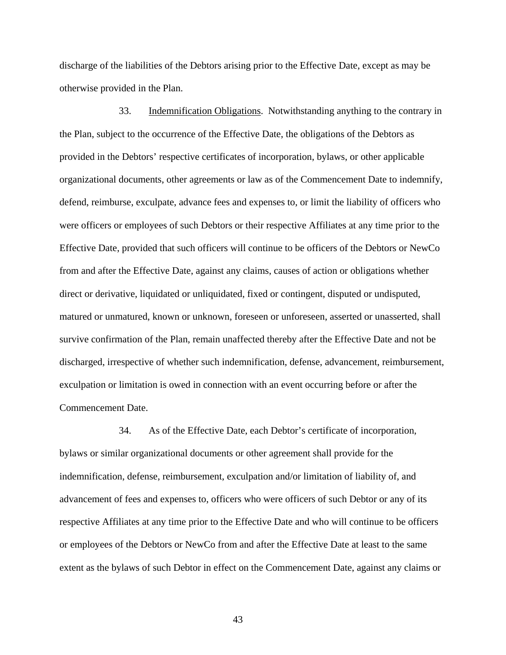discharge of the liabilities of the Debtors arising prior to the Effective Date, except as may be otherwise provided in the Plan.

33. Indemnification Obligations. Notwithstanding anything to the contrary in the Plan, subject to the occurrence of the Effective Date, the obligations of the Debtors as provided in the Debtors' respective certificates of incorporation, bylaws, or other applicable organizational documents, other agreements or law as of the Commencement Date to indemnify, defend, reimburse, exculpate, advance fees and expenses to, or limit the liability of officers who were officers or employees of such Debtors or their respective Affiliates at any time prior to the Effective Date, provided that such officers will continue to be officers of the Debtors or NewCo from and after the Effective Date, against any claims, causes of action or obligations whether direct or derivative, liquidated or unliquidated, fixed or contingent, disputed or undisputed, matured or unmatured, known or unknown, foreseen or unforeseen, asserted or unasserted, shall survive confirmation of the Plan, remain unaffected thereby after the Effective Date and not be discharged, irrespective of whether such indemnification, defense, advancement, reimbursement, exculpation or limitation is owed in connection with an event occurring before or after the Commencement Date.

34. As of the Effective Date, each Debtor's certificate of incorporation, bylaws or similar organizational documents or other agreement shall provide for the indemnification, defense, reimbursement, exculpation and/or limitation of liability of, and advancement of fees and expenses to, officers who were officers of such Debtor or any of its respective Affiliates at any time prior to the Effective Date and who will continue to be officers or employees of the Debtors or NewCo from and after the Effective Date at least to the same extent as the bylaws of such Debtor in effect on the Commencement Date, against any claims or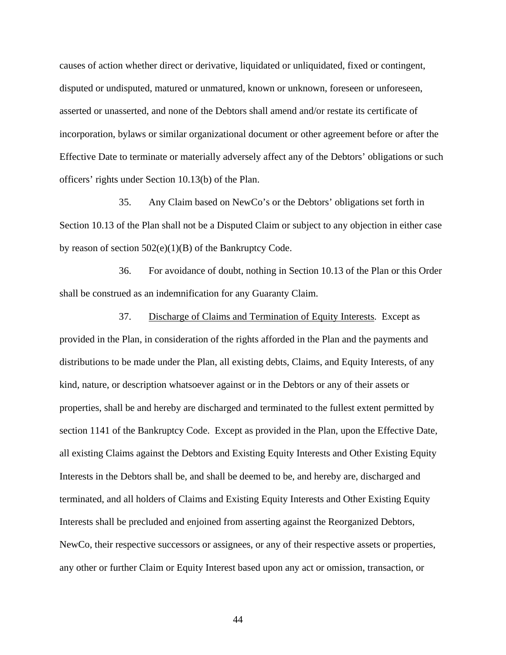causes of action whether direct or derivative, liquidated or unliquidated, fixed or contingent, disputed or undisputed, matured or unmatured, known or unknown, foreseen or unforeseen, asserted or unasserted, and none of the Debtors shall amend and/or restate its certificate of incorporation, bylaws or similar organizational document or other agreement before or after the Effective Date to terminate or materially adversely affect any of the Debtors' obligations or such officers' rights under Section 10.13(b) of the Plan.

35. Any Claim based on NewCo's or the Debtors' obligations set forth in Section 10.13 of the Plan shall not be a Disputed Claim or subject to any objection in either case by reason of section  $502(e)(1)(B)$  of the Bankruptcy Code.

36. For avoidance of doubt, nothing in Section 10.13 of the Plan or this Order shall be construed as an indemnification for any Guaranty Claim.

37. Discharge of Claims and Termination of Equity Interests. Except as provided in the Plan, in consideration of the rights afforded in the Plan and the payments and distributions to be made under the Plan, all existing debts, Claims, and Equity Interests, of any kind, nature, or description whatsoever against or in the Debtors or any of their assets or properties, shall be and hereby are discharged and terminated to the fullest extent permitted by section 1141 of the Bankruptcy Code. Except as provided in the Plan, upon the Effective Date, all existing Claims against the Debtors and Existing Equity Interests and Other Existing Equity Interests in the Debtors shall be, and shall be deemed to be, and hereby are, discharged and terminated, and all holders of Claims and Existing Equity Interests and Other Existing Equity Interests shall be precluded and enjoined from asserting against the Reorganized Debtors, NewCo, their respective successors or assignees, or any of their respective assets or properties, any other or further Claim or Equity Interest based upon any act or omission, transaction, or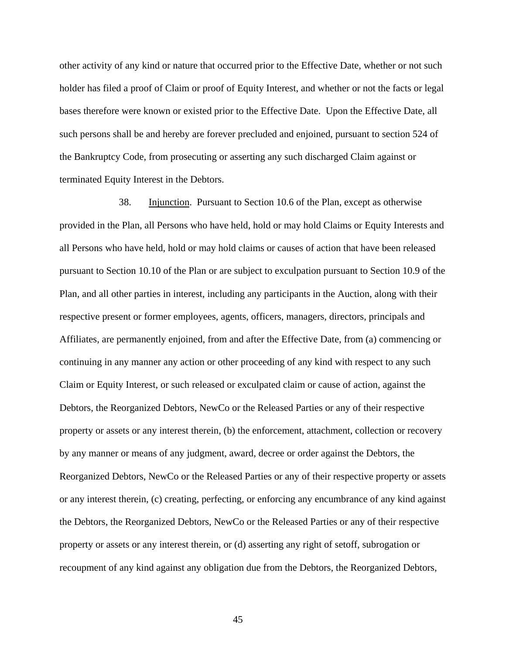other activity of any kind or nature that occurred prior to the Effective Date, whether or not such holder has filed a proof of Claim or proof of Equity Interest, and whether or not the facts or legal bases therefore were known or existed prior to the Effective Date. Upon the Effective Date, all such persons shall be and hereby are forever precluded and enjoined, pursuant to section 524 of the Bankruptcy Code, from prosecuting or asserting any such discharged Claim against or terminated Equity Interest in the Debtors.

38. Injunction. Pursuant to Section 10.6 of the Plan, except as otherwise provided in the Plan, all Persons who have held, hold or may hold Claims or Equity Interests and all Persons who have held, hold or may hold claims or causes of action that have been released pursuant to Section 10.10 of the Plan or are subject to exculpation pursuant to Section 10.9 of the Plan, and all other parties in interest, including any participants in the Auction, along with their respective present or former employees, agents, officers, managers, directors, principals and Affiliates, are permanently enjoined, from and after the Effective Date, from (a) commencing or continuing in any manner any action or other proceeding of any kind with respect to any such Claim or Equity Interest, or such released or exculpated claim or cause of action, against the Debtors, the Reorganized Debtors, NewCo or the Released Parties or any of their respective property or assets or any interest therein, (b) the enforcement, attachment, collection or recovery by any manner or means of any judgment, award, decree or order against the Debtors, the Reorganized Debtors, NewCo or the Released Parties or any of their respective property or assets or any interest therein, (c) creating, perfecting, or enforcing any encumbrance of any kind against the Debtors, the Reorganized Debtors, NewCo or the Released Parties or any of their respective property or assets or any interest therein, or (d) asserting any right of setoff, subrogation or recoupment of any kind against any obligation due from the Debtors, the Reorganized Debtors,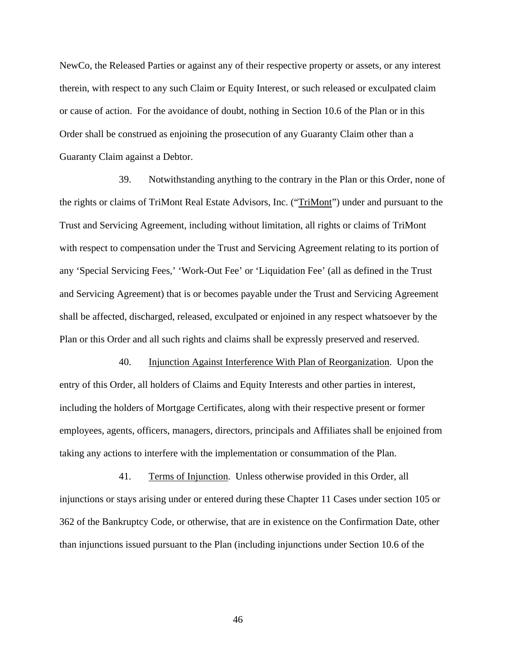NewCo, the Released Parties or against any of their respective property or assets, or any interest therein, with respect to any such Claim or Equity Interest, or such released or exculpated claim or cause of action. For the avoidance of doubt, nothing in Section 10.6 of the Plan or in this Order shall be construed as enjoining the prosecution of any Guaranty Claim other than a Guaranty Claim against a Debtor.

39. Notwithstanding anything to the contrary in the Plan or this Order, none of the rights or claims of TriMont Real Estate Advisors, Inc. ("TriMont") under and pursuant to the Trust and Servicing Agreement, including without limitation, all rights or claims of TriMont with respect to compensation under the Trust and Servicing Agreement relating to its portion of any 'Special Servicing Fees,' 'Work-Out Fee' or 'Liquidation Fee' (all as defined in the Trust and Servicing Agreement) that is or becomes payable under the Trust and Servicing Agreement shall be affected, discharged, released, exculpated or enjoined in any respect whatsoever by the Plan or this Order and all such rights and claims shall be expressly preserved and reserved.

40. Injunction Against Interference With Plan of Reorganization. Upon the entry of this Order, all holders of Claims and Equity Interests and other parties in interest, including the holders of Mortgage Certificates, along with their respective present or former employees, agents, officers, managers, directors, principals and Affiliates shall be enjoined from taking any actions to interfere with the implementation or consummation of the Plan.

41. Terms of Injunction. Unless otherwise provided in this Order, all injunctions or stays arising under or entered during these Chapter 11 Cases under section 105 or 362 of the Bankruptcy Code, or otherwise, that are in existence on the Confirmation Date, other than injunctions issued pursuant to the Plan (including injunctions under Section 10.6 of the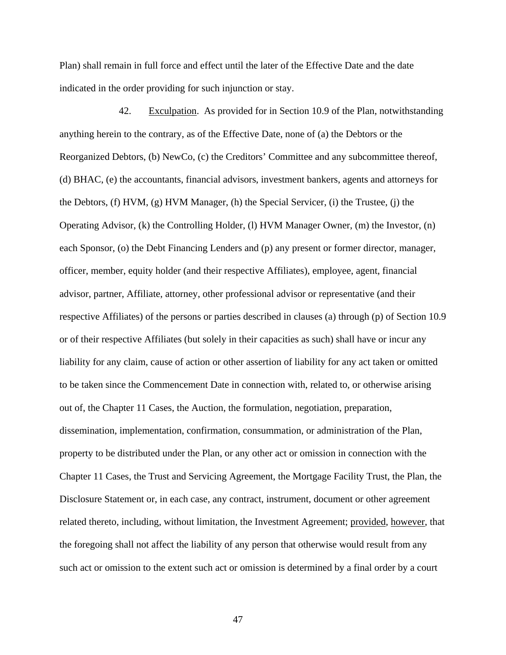Plan) shall remain in full force and effect until the later of the Effective Date and the date indicated in the order providing for such injunction or stay.

42. Exculpation. As provided for in Section 10.9 of the Plan, notwithstanding anything herein to the contrary, as of the Effective Date, none of (a) the Debtors or the Reorganized Debtors, (b) NewCo, (c) the Creditors' Committee and any subcommittee thereof, (d) BHAC, (e) the accountants, financial advisors, investment bankers, agents and attorneys for the Debtors, (f) HVM, (g) HVM Manager, (h) the Special Servicer, (i) the Trustee, (j) the Operating Advisor, (k) the Controlling Holder, (l) HVM Manager Owner, (m) the Investor, (n) each Sponsor, (o) the Debt Financing Lenders and (p) any present or former director, manager, officer, member, equity holder (and their respective Affiliates), employee, agent, financial advisor, partner, Affiliate, attorney, other professional advisor or representative (and their respective Affiliates) of the persons or parties described in clauses (a) through (p) of Section 10.9 or of their respective Affiliates (but solely in their capacities as such) shall have or incur any liability for any claim, cause of action or other assertion of liability for any act taken or omitted to be taken since the Commencement Date in connection with, related to, or otherwise arising out of, the Chapter 11 Cases, the Auction, the formulation, negotiation, preparation, dissemination, implementation, confirmation, consummation, or administration of the Plan, property to be distributed under the Plan, or any other act or omission in connection with the Chapter 11 Cases, the Trust and Servicing Agreement, the Mortgage Facility Trust, the Plan, the Disclosure Statement or, in each case, any contract, instrument, document or other agreement related thereto, including, without limitation, the Investment Agreement; provided, however, that the foregoing shall not affect the liability of any person that otherwise would result from any such act or omission to the extent such act or omission is determined by a final order by a court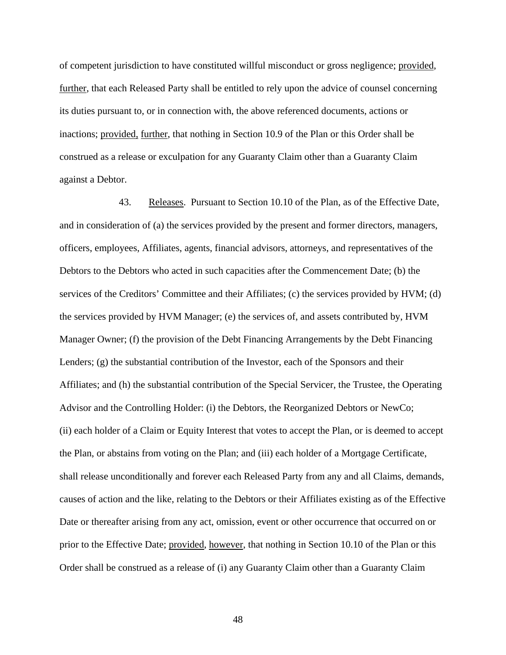of competent jurisdiction to have constituted willful misconduct or gross negligence; provided, further, that each Released Party shall be entitled to rely upon the advice of counsel concerning its duties pursuant to, or in connection with, the above referenced documents, actions or inactions; provided, further, that nothing in Section 10.9 of the Plan or this Order shall be construed as a release or exculpation for any Guaranty Claim other than a Guaranty Claim against a Debtor.

43. Releases. Pursuant to Section 10.10 of the Plan, as of the Effective Date, and in consideration of (a) the services provided by the present and former directors, managers, officers, employees, Affiliates, agents, financial advisors, attorneys, and representatives of the Debtors to the Debtors who acted in such capacities after the Commencement Date; (b) the services of the Creditors' Committee and their Affiliates; (c) the services provided by HVM; (d) the services provided by HVM Manager; (e) the services of, and assets contributed by, HVM Manager Owner; (f) the provision of the Debt Financing Arrangements by the Debt Financing Lenders; (g) the substantial contribution of the Investor, each of the Sponsors and their Affiliates; and (h) the substantial contribution of the Special Servicer, the Trustee, the Operating Advisor and the Controlling Holder: (i) the Debtors, the Reorganized Debtors or NewCo; (ii) each holder of a Claim or Equity Interest that votes to accept the Plan, or is deemed to accept the Plan, or abstains from voting on the Plan; and (iii) each holder of a Mortgage Certificate, shall release unconditionally and forever each Released Party from any and all Claims, demands, causes of action and the like, relating to the Debtors or their Affiliates existing as of the Effective Date or thereafter arising from any act, omission, event or other occurrence that occurred on or prior to the Effective Date; provided, however, that nothing in Section 10.10 of the Plan or this Order shall be construed as a release of (i) any Guaranty Claim other than a Guaranty Claim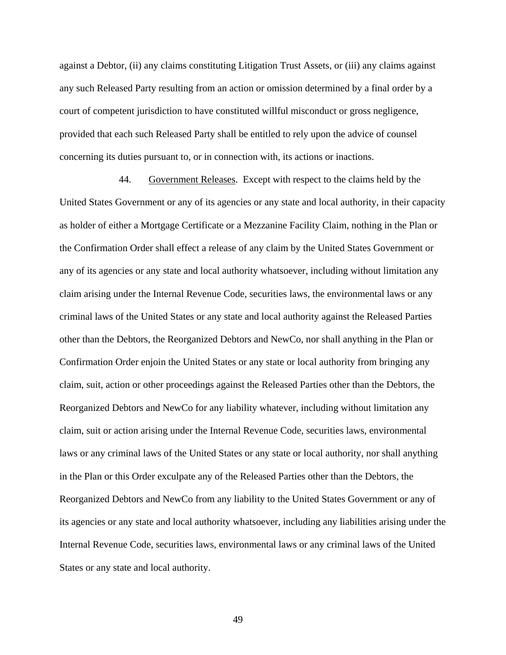against a Debtor, (ii) any claims constituting Litigation Trust Assets, or (iii) any claims against any such Released Party resulting from an action or omission determined by a final order by a court of competent jurisdiction to have constituted willful misconduct or gross negligence, provided that each such Released Party shall be entitled to rely upon the advice of counsel concerning its duties pursuant to, or in connection with, its actions or inactions.

44. Government Releases. Except with respect to the claims held by the United States Government or any of its agencies or any state and local authority, in their capacity as holder of either a Mortgage Certificate or a Mezzanine Facility Claim, nothing in the Plan or the Confirmation Order shall effect a release of any claim by the United States Government or any of its agencies or any state and local authority whatsoever, including without limitation any claim arising under the Internal Revenue Code, securities laws, the environmental laws or any criminal laws of the United States or any state and local authority against the Released Parties other than the Debtors, the Reorganized Debtors and NewCo, nor shall anything in the Plan or Confirmation Order enjoin the United States or any state or local authority from bringing any claim, suit, action or other proceedings against the Released Parties other than the Debtors, the Reorganized Debtors and NewCo for any liability whatever, including without limitation any claim, suit or action arising under the Internal Revenue Code, securities laws, environmental laws or any criminal laws of the United States or any state or local authority, nor shall anything in the Plan or this Order exculpate any of the Released Parties other than the Debtors, the Reorganized Debtors and NewCo from any liability to the United States Government or any of its agencies or any state and local authority whatsoever, including any liabilities arising under the Internal Revenue Code, securities laws, environmental laws or any criminal laws of the United States or any state and local authority.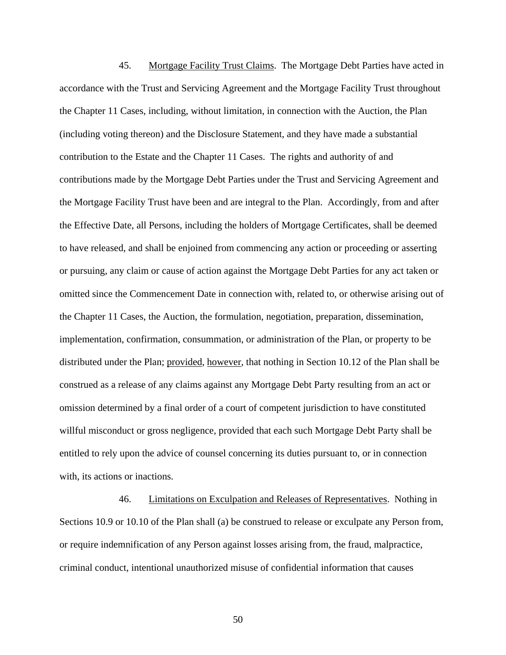45. Mortgage Facility Trust Claims. The Mortgage Debt Parties have acted in accordance with the Trust and Servicing Agreement and the Mortgage Facility Trust throughout the Chapter 11 Cases, including, without limitation, in connection with the Auction, the Plan (including voting thereon) and the Disclosure Statement, and they have made a substantial contribution to the Estate and the Chapter 11 Cases. The rights and authority of and contributions made by the Mortgage Debt Parties under the Trust and Servicing Agreement and the Mortgage Facility Trust have been and are integral to the Plan. Accordingly, from and after the Effective Date, all Persons, including the holders of Mortgage Certificates, shall be deemed to have released, and shall be enjoined from commencing any action or proceeding or asserting or pursuing, any claim or cause of action against the Mortgage Debt Parties for any act taken or omitted since the Commencement Date in connection with, related to, or otherwise arising out of the Chapter 11 Cases, the Auction, the formulation, negotiation, preparation, dissemination, implementation, confirmation, consummation, or administration of the Plan, or property to be distributed under the Plan; provided, however, that nothing in Section 10.12 of the Plan shall be construed as a release of any claims against any Mortgage Debt Party resulting from an act or omission determined by a final order of a court of competent jurisdiction to have constituted willful misconduct or gross negligence, provided that each such Mortgage Debt Party shall be entitled to rely upon the advice of counsel concerning its duties pursuant to, or in connection with, its actions or inactions.

46. Limitations on Exculpation and Releases of Representatives. Nothing in Sections 10.9 or 10.10 of the Plan shall (a) be construed to release or exculpate any Person from, or require indemnification of any Person against losses arising from, the fraud, malpractice, criminal conduct, intentional unauthorized misuse of confidential information that causes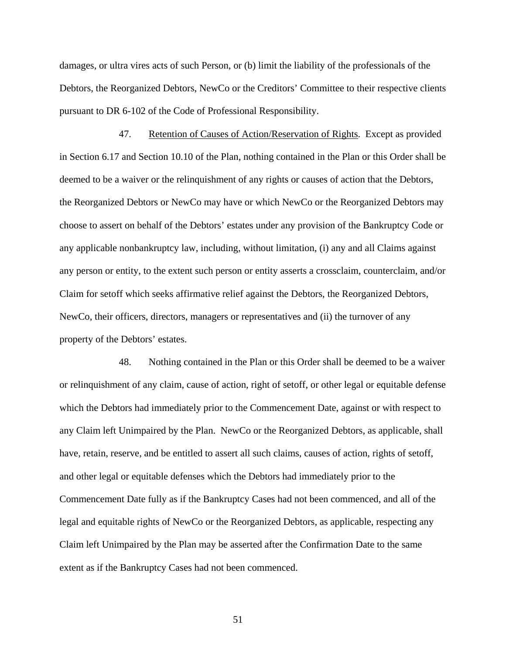damages, or ultra vires acts of such Person, or (b) limit the liability of the professionals of the Debtors, the Reorganized Debtors, NewCo or the Creditors' Committee to their respective clients pursuant to DR 6-102 of the Code of Professional Responsibility.

47. Retention of Causes of Action/Reservation of Rights. Except as provided in Section 6.17 and Section 10.10 of the Plan, nothing contained in the Plan or this Order shall be deemed to be a waiver or the relinquishment of any rights or causes of action that the Debtors, the Reorganized Debtors or NewCo may have or which NewCo or the Reorganized Debtors may choose to assert on behalf of the Debtors' estates under any provision of the Bankruptcy Code or any applicable nonbankruptcy law, including, without limitation, (i) any and all Claims against any person or entity, to the extent such person or entity asserts a crossclaim, counterclaim, and/or Claim for setoff which seeks affirmative relief against the Debtors, the Reorganized Debtors, NewCo, their officers, directors, managers or representatives and (ii) the turnover of any property of the Debtors' estates.

48. Nothing contained in the Plan or this Order shall be deemed to be a waiver or relinquishment of any claim, cause of action, right of setoff, or other legal or equitable defense which the Debtors had immediately prior to the Commencement Date, against or with respect to any Claim left Unimpaired by the Plan. NewCo or the Reorganized Debtors, as applicable, shall have, retain, reserve, and be entitled to assert all such claims, causes of action, rights of setoff, and other legal or equitable defenses which the Debtors had immediately prior to the Commencement Date fully as if the Bankruptcy Cases had not been commenced, and all of the legal and equitable rights of NewCo or the Reorganized Debtors, as applicable, respecting any Claim left Unimpaired by the Plan may be asserted after the Confirmation Date to the same extent as if the Bankruptcy Cases had not been commenced.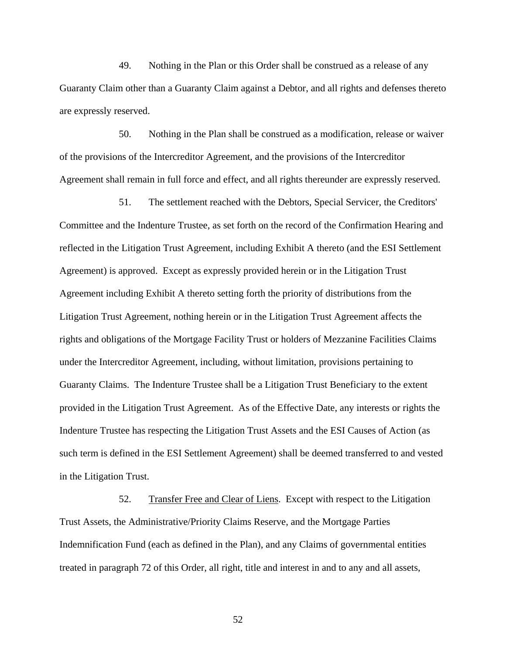49. Nothing in the Plan or this Order shall be construed as a release of any Guaranty Claim other than a Guaranty Claim against a Debtor, and all rights and defenses thereto are expressly reserved.

50. Nothing in the Plan shall be construed as a modification, release or waiver of the provisions of the Intercreditor Agreement, and the provisions of the Intercreditor Agreement shall remain in full force and effect, and all rights thereunder are expressly reserved.

51. The settlement reached with the Debtors, Special Servicer, the Creditors' Committee and the Indenture Trustee, as set forth on the record of the Confirmation Hearing and reflected in the Litigation Trust Agreement, including Exhibit A thereto (and the ESI Settlement Agreement) is approved. Except as expressly provided herein or in the Litigation Trust Agreement including Exhibit A thereto setting forth the priority of distributions from the Litigation Trust Agreement, nothing herein or in the Litigation Trust Agreement affects the rights and obligations of the Mortgage Facility Trust or holders of Mezzanine Facilities Claims under the Intercreditor Agreement, including, without limitation, provisions pertaining to Guaranty Claims. The Indenture Trustee shall be a Litigation Trust Beneficiary to the extent provided in the Litigation Trust Agreement. As of the Effective Date, any interests or rights the Indenture Trustee has respecting the Litigation Trust Assets and the ESI Causes of Action (as such term is defined in the ESI Settlement Agreement) shall be deemed transferred to and vested in the Litigation Trust.

52. Transfer Free and Clear of Liens. Except with respect to the Litigation Trust Assets, the Administrative/Priority Claims Reserve, and the Mortgage Parties Indemnification Fund (each as defined in the Plan), and any Claims of governmental entities treated in paragraph 72 of this Order, all right, title and interest in and to any and all assets,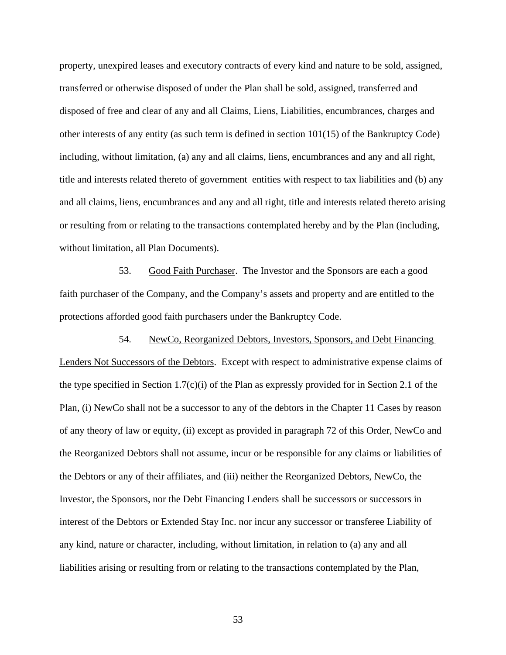property, unexpired leases and executory contracts of every kind and nature to be sold, assigned, transferred or otherwise disposed of under the Plan shall be sold, assigned, transferred and disposed of free and clear of any and all Claims, Liens, Liabilities, encumbrances, charges and other interests of any entity (as such term is defined in section 101(15) of the Bankruptcy Code) including, without limitation, (a) any and all claims, liens, encumbrances and any and all right, title and interests related thereto of government entities with respect to tax liabilities and (b) any and all claims, liens, encumbrances and any and all right, title and interests related thereto arising or resulting from or relating to the transactions contemplated hereby and by the Plan (including, without limitation, all Plan Documents).

53. Good Faith Purchaser. The Investor and the Sponsors are each a good faith purchaser of the Company, and the Company's assets and property and are entitled to the protections afforded good faith purchasers under the Bankruptcy Code.

54. NewCo, Reorganized Debtors, Investors, Sponsors, and Debt Financing Lenders Not Successors of the Debtors. Except with respect to administrative expense claims of the type specified in Section 1.7(c)(i) of the Plan as expressly provided for in Section 2.1 of the Plan, (i) NewCo shall not be a successor to any of the debtors in the Chapter 11 Cases by reason of any theory of law or equity, (ii) except as provided in paragraph 72 of this Order, NewCo and the Reorganized Debtors shall not assume, incur or be responsible for any claims or liabilities of the Debtors or any of their affiliates, and (iii) neither the Reorganized Debtors, NewCo, the Investor, the Sponsors, nor the Debt Financing Lenders shall be successors or successors in interest of the Debtors or Extended Stay Inc. nor incur any successor or transferee Liability of any kind, nature or character, including, without limitation, in relation to (a) any and all liabilities arising or resulting from or relating to the transactions contemplated by the Plan,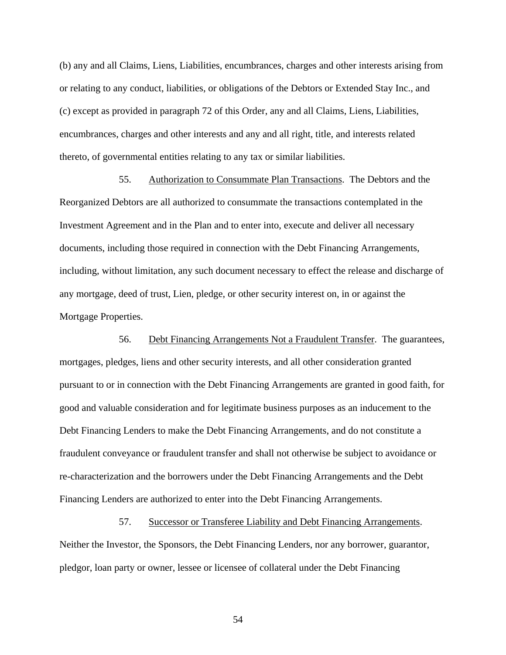(b) any and all Claims, Liens, Liabilities, encumbrances, charges and other interests arising from or relating to any conduct, liabilities, or obligations of the Debtors or Extended Stay Inc., and (c) except as provided in paragraph 72 of this Order, any and all Claims, Liens, Liabilities, encumbrances, charges and other interests and any and all right, title, and interests related thereto, of governmental entities relating to any tax or similar liabilities.

55. Authorization to Consummate Plan Transactions. The Debtors and the Reorganized Debtors are all authorized to consummate the transactions contemplated in the Investment Agreement and in the Plan and to enter into, execute and deliver all necessary documents, including those required in connection with the Debt Financing Arrangements, including, without limitation, any such document necessary to effect the release and discharge of any mortgage, deed of trust, Lien, pledge, or other security interest on, in or against the Mortgage Properties.

56. Debt Financing Arrangements Not a Fraudulent Transfer. The guarantees, mortgages, pledges, liens and other security interests, and all other consideration granted pursuant to or in connection with the Debt Financing Arrangements are granted in good faith, for good and valuable consideration and for legitimate business purposes as an inducement to the Debt Financing Lenders to make the Debt Financing Arrangements, and do not constitute a fraudulent conveyance or fraudulent transfer and shall not otherwise be subject to avoidance or re-characterization and the borrowers under the Debt Financing Arrangements and the Debt Financing Lenders are authorized to enter into the Debt Financing Arrangements.

57. Successor or Transferee Liability and Debt Financing Arrangements. Neither the Investor, the Sponsors, the Debt Financing Lenders, nor any borrower, guarantor, pledgor, loan party or owner, lessee or licensee of collateral under the Debt Financing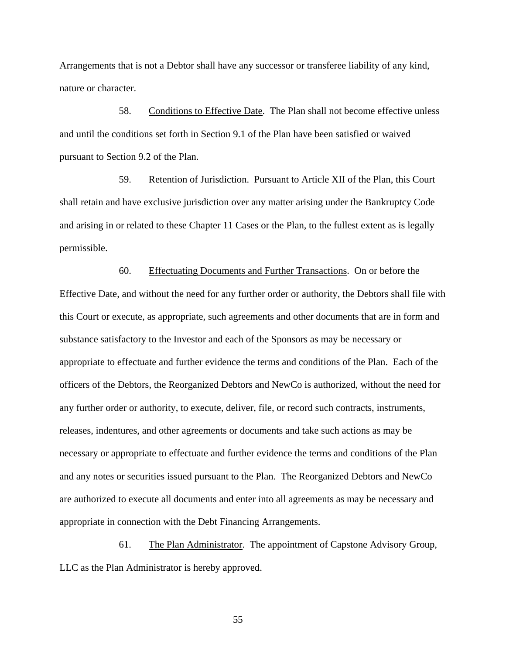Arrangements that is not a Debtor shall have any successor or transferee liability of any kind, nature or character.

58. Conditions to Effective Date. The Plan shall not become effective unless and until the conditions set forth in Section 9.1 of the Plan have been satisfied or waived pursuant to Section 9.2 of the Plan.

59. Retention of Jurisdiction. Pursuant to Article XII of the Plan, this Court shall retain and have exclusive jurisdiction over any matter arising under the Bankruptcy Code and arising in or related to these Chapter 11 Cases or the Plan, to the fullest extent as is legally permissible.

60. Effectuating Documents and Further Transactions. On or before the Effective Date, and without the need for any further order or authority, the Debtors shall file with this Court or execute, as appropriate, such agreements and other documents that are in form and substance satisfactory to the Investor and each of the Sponsors as may be necessary or appropriate to effectuate and further evidence the terms and conditions of the Plan. Each of the officers of the Debtors, the Reorganized Debtors and NewCo is authorized, without the need for any further order or authority, to execute, deliver, file, or record such contracts, instruments, releases, indentures, and other agreements or documents and take such actions as may be necessary or appropriate to effectuate and further evidence the terms and conditions of the Plan and any notes or securities issued pursuant to the Plan. The Reorganized Debtors and NewCo are authorized to execute all documents and enter into all agreements as may be necessary and appropriate in connection with the Debt Financing Arrangements.

61. The Plan Administrator. The appointment of Capstone Advisory Group, LLC as the Plan Administrator is hereby approved.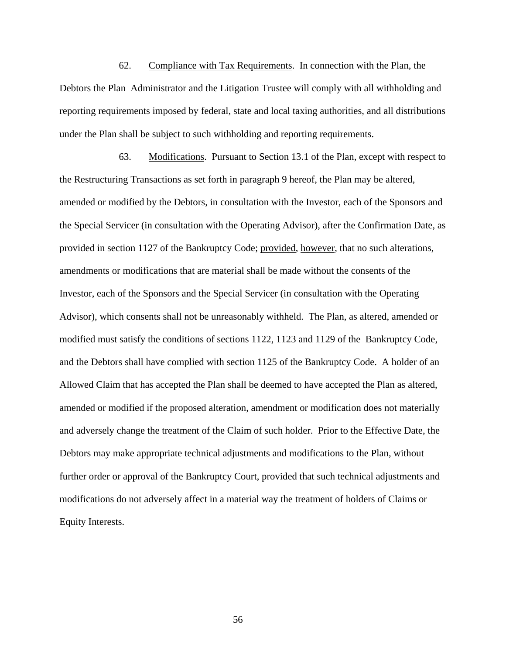62. Compliance with Tax Requirements. In connection with the Plan, the Debtors the Plan Administrator and the Litigation Trustee will comply with all withholding and reporting requirements imposed by federal, state and local taxing authorities, and all distributions under the Plan shall be subject to such withholding and reporting requirements.

63. Modifications. Pursuant to Section 13.1 of the Plan, except with respect to the Restructuring Transactions as set forth in paragraph 9 hereof, the Plan may be altered, amended or modified by the Debtors, in consultation with the Investor, each of the Sponsors and the Special Servicer (in consultation with the Operating Advisor), after the Confirmation Date, as provided in section 1127 of the Bankruptcy Code; provided, however, that no such alterations, amendments or modifications that are material shall be made without the consents of the Investor, each of the Sponsors and the Special Servicer (in consultation with the Operating Advisor), which consents shall not be unreasonably withheld. The Plan, as altered, amended or modified must satisfy the conditions of sections 1122, 1123 and 1129 of the Bankruptcy Code, and the Debtors shall have complied with section 1125 of the Bankruptcy Code. A holder of an Allowed Claim that has accepted the Plan shall be deemed to have accepted the Plan as altered, amended or modified if the proposed alteration, amendment or modification does not materially and adversely change the treatment of the Claim of such holder. Prior to the Effective Date, the Debtors may make appropriate technical adjustments and modifications to the Plan, without further order or approval of the Bankruptcy Court, provided that such technical adjustments and modifications do not adversely affect in a material way the treatment of holders of Claims or Equity Interests.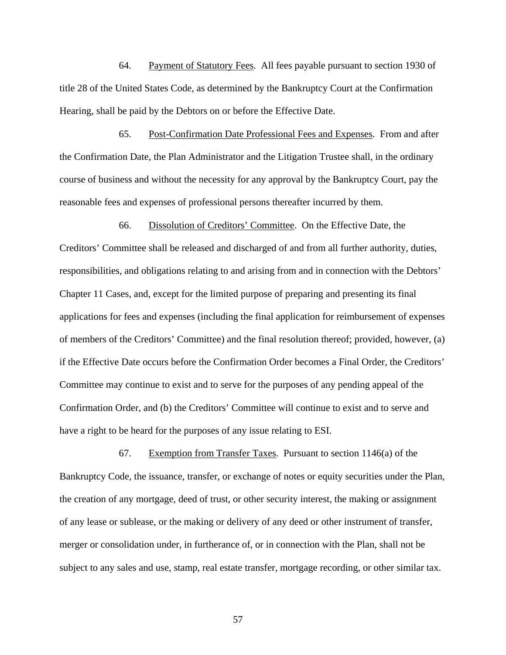64. Payment of Statutory Fees. All fees payable pursuant to section 1930 of title 28 of the United States Code, as determined by the Bankruptcy Court at the Confirmation Hearing, shall be paid by the Debtors on or before the Effective Date.

65. Post-Confirmation Date Professional Fees and Expenses. From and after the Confirmation Date, the Plan Administrator and the Litigation Trustee shall, in the ordinary course of business and without the necessity for any approval by the Bankruptcy Court, pay the reasonable fees and expenses of professional persons thereafter incurred by them.

66. Dissolution of Creditors' Committee. On the Effective Date, the Creditors' Committee shall be released and discharged of and from all further authority, duties, responsibilities, and obligations relating to and arising from and in connection with the Debtors' Chapter 11 Cases, and, except for the limited purpose of preparing and presenting its final applications for fees and expenses (including the final application for reimbursement of expenses of members of the Creditors' Committee) and the final resolution thereof; provided, however, (a) if the Effective Date occurs before the Confirmation Order becomes a Final Order, the Creditors' Committee may continue to exist and to serve for the purposes of any pending appeal of the Confirmation Order, and (b) the Creditors' Committee will continue to exist and to serve and have a right to be heard for the purposes of any issue relating to ESI.

67. Exemption from Transfer Taxes. Pursuant to section 1146(a) of the Bankruptcy Code, the issuance, transfer, or exchange of notes or equity securities under the Plan, the creation of any mortgage, deed of trust, or other security interest, the making or assignment of any lease or sublease, or the making or delivery of any deed or other instrument of transfer, merger or consolidation under, in furtherance of, or in connection with the Plan, shall not be subject to any sales and use, stamp, real estate transfer, mortgage recording, or other similar tax.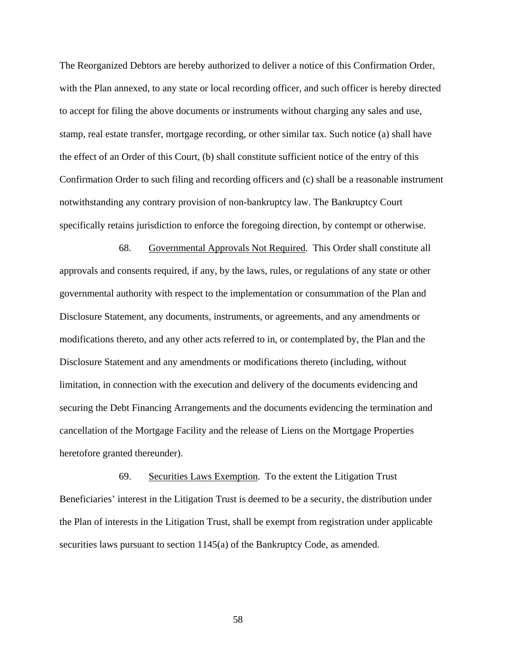The Reorganized Debtors are hereby authorized to deliver a notice of this Confirmation Order, with the Plan annexed, to any state or local recording officer, and such officer is hereby directed to accept for filing the above documents or instruments without charging any sales and use, stamp, real estate transfer, mortgage recording, or other similar tax. Such notice (a) shall have the effect of an Order of this Court, (b) shall constitute sufficient notice of the entry of this Confirmation Order to such filing and recording officers and (c) shall be a reasonable instrument notwithstanding any contrary provision of non-bankruptcy law. The Bankruptcy Court specifically retains jurisdiction to enforce the foregoing direction, by contempt or otherwise.

68. Governmental Approvals Not Required. This Order shall constitute all approvals and consents required, if any, by the laws, rules, or regulations of any state or other governmental authority with respect to the implementation or consummation of the Plan and Disclosure Statement, any documents, instruments, or agreements, and any amendments or modifications thereto, and any other acts referred to in, or contemplated by, the Plan and the Disclosure Statement and any amendments or modifications thereto (including, without limitation, in connection with the execution and delivery of the documents evidencing and securing the Debt Financing Arrangements and the documents evidencing the termination and cancellation of the Mortgage Facility and the release of Liens on the Mortgage Properties heretofore granted thereunder).

69. Securities Laws Exemption. To the extent the Litigation Trust Beneficiaries' interest in the Litigation Trust is deemed to be a security, the distribution under the Plan of interests in the Litigation Trust, shall be exempt from registration under applicable securities laws pursuant to section 1145(a) of the Bankruptcy Code, as amended.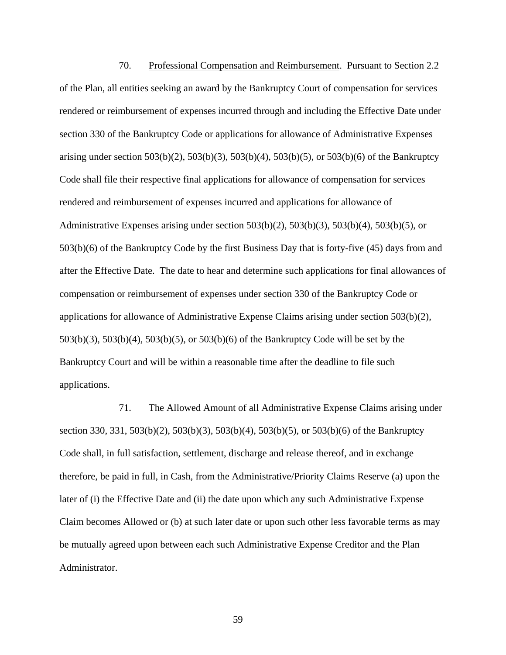70. Professional Compensation and Reimbursement. Pursuant to Section 2.2 of the Plan, all entities seeking an award by the Bankruptcy Court of compensation for services rendered or reimbursement of expenses incurred through and including the Effective Date under section 330 of the Bankruptcy Code or applications for allowance of Administrative Expenses arising under section 503(b)(2), 503(b)(3), 503(b)(4), 503(b)(5), or 503(b)(6) of the Bankruptcy Code shall file their respective final applications for allowance of compensation for services rendered and reimbursement of expenses incurred and applications for allowance of Administrative Expenses arising under section  $503(b)(2)$ ,  $503(b)(3)$ ,  $503(b)(4)$ ,  $503(b)(5)$ , or 503(b)(6) of the Bankruptcy Code by the first Business Day that is forty-five (45) days from and after the Effective Date. The date to hear and determine such applications for final allowances of compensation or reimbursement of expenses under section 330 of the Bankruptcy Code or applications for allowance of Administrative Expense Claims arising under section 503(b)(2), 503(b)(3), 503(b)(4), 503(b)(5), or 503(b)(6) of the Bankruptcy Code will be set by the Bankruptcy Court and will be within a reasonable time after the deadline to file such applications.

71. The Allowed Amount of all Administrative Expense Claims arising under section 330, 331, 503(b)(2), 503(b)(3), 503(b)(4), 503(b)(5), or 503(b)(6) of the Bankruptcy Code shall, in full satisfaction, settlement, discharge and release thereof, and in exchange therefore, be paid in full, in Cash, from the Administrative/Priority Claims Reserve (a) upon the later of (i) the Effective Date and (ii) the date upon which any such Administrative Expense Claim becomes Allowed or (b) at such later date or upon such other less favorable terms as may be mutually agreed upon between each such Administrative Expense Creditor and the Plan Administrator.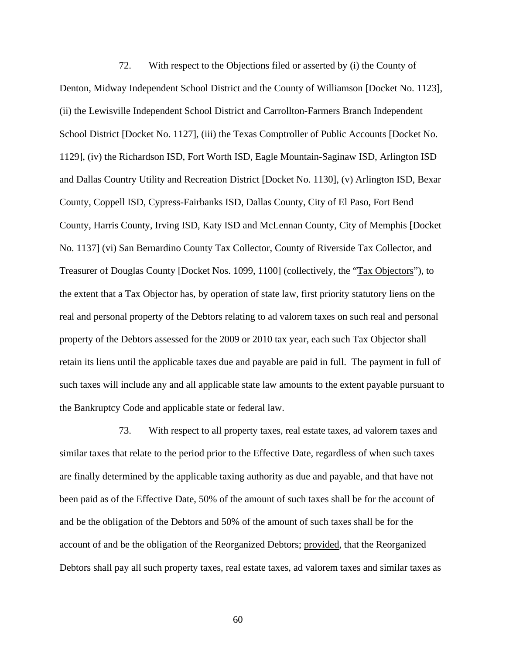72. With respect to the Objections filed or asserted by (i) the County of Denton, Midway Independent School District and the County of Williamson [Docket No. 1123], (ii) the Lewisville Independent School District and Carrollton-Farmers Branch Independent School District [Docket No. 1127], (iii) the Texas Comptroller of Public Accounts [Docket No. 1129], (iv) the Richardson ISD, Fort Worth ISD, Eagle Mountain-Saginaw ISD, Arlington ISD and Dallas Country Utility and Recreation District [Docket No. 1130], (v) Arlington ISD, Bexar County, Coppell ISD, Cypress-Fairbanks ISD, Dallas County, City of El Paso, Fort Bend County, Harris County, Irving ISD, Katy ISD and McLennan County, City of Memphis [Docket No. 1137] (vi) San Bernardino County Tax Collector, County of Riverside Tax Collector, and Treasurer of Douglas County [Docket Nos. 1099, 1100] (collectively, the "Tax Objectors"), to the extent that a Tax Objector has, by operation of state law, first priority statutory liens on the real and personal property of the Debtors relating to ad valorem taxes on such real and personal property of the Debtors assessed for the 2009 or 2010 tax year, each such Tax Objector shall retain its liens until the applicable taxes due and payable are paid in full. The payment in full of such taxes will include any and all applicable state law amounts to the extent payable pursuant to the Bankruptcy Code and applicable state or federal law.

73. With respect to all property taxes, real estate taxes, ad valorem taxes and similar taxes that relate to the period prior to the Effective Date, regardless of when such taxes are finally determined by the applicable taxing authority as due and payable, and that have not been paid as of the Effective Date, 50% of the amount of such taxes shall be for the account of and be the obligation of the Debtors and 50% of the amount of such taxes shall be for the account of and be the obligation of the Reorganized Debtors; provided, that the Reorganized Debtors shall pay all such property taxes, real estate taxes, ad valorem taxes and similar taxes as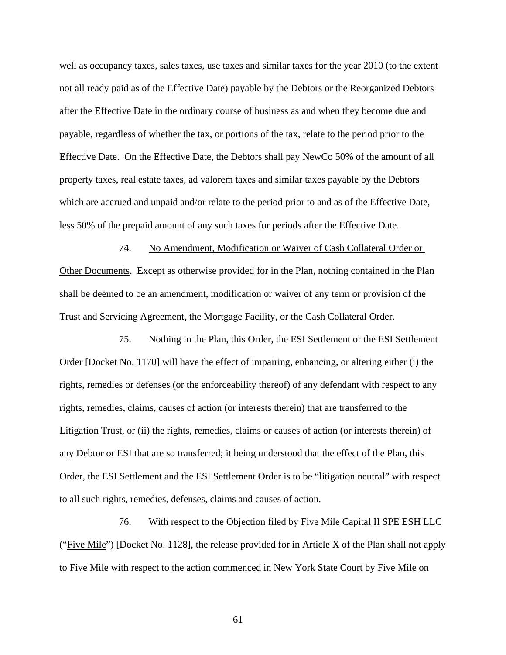well as occupancy taxes, sales taxes, use taxes and similar taxes for the year 2010 (to the extent not all ready paid as of the Effective Date) payable by the Debtors or the Reorganized Debtors after the Effective Date in the ordinary course of business as and when they become due and payable, regardless of whether the tax, or portions of the tax, relate to the period prior to the Effective Date. On the Effective Date, the Debtors shall pay NewCo 50% of the amount of all property taxes, real estate taxes, ad valorem taxes and similar taxes payable by the Debtors which are accrued and unpaid and/or relate to the period prior to and as of the Effective Date, less 50% of the prepaid amount of any such taxes for periods after the Effective Date.

74. No Amendment, Modification or Waiver of Cash Collateral Order or Other Documents. Except as otherwise provided for in the Plan, nothing contained in the Plan shall be deemed to be an amendment, modification or waiver of any term or provision of the Trust and Servicing Agreement, the Mortgage Facility, or the Cash Collateral Order.

75. Nothing in the Plan, this Order, the ESI Settlement or the ESI Settlement Order [Docket No. 1170] will have the effect of impairing, enhancing, or altering either (i) the rights, remedies or defenses (or the enforceability thereof) of any defendant with respect to any rights, remedies, claims, causes of action (or interests therein) that are transferred to the Litigation Trust, or (ii) the rights, remedies, claims or causes of action (or interests therein) of any Debtor or ESI that are so transferred; it being understood that the effect of the Plan, this Order, the ESI Settlement and the ESI Settlement Order is to be "litigation neutral" with respect to all such rights, remedies, defenses, claims and causes of action.

76. With respect to the Objection filed by Five Mile Capital II SPE ESH LLC ("Five Mile") [Docket No. 1128], the release provided for in Article X of the Plan shall not apply to Five Mile with respect to the action commenced in New York State Court by Five Mile on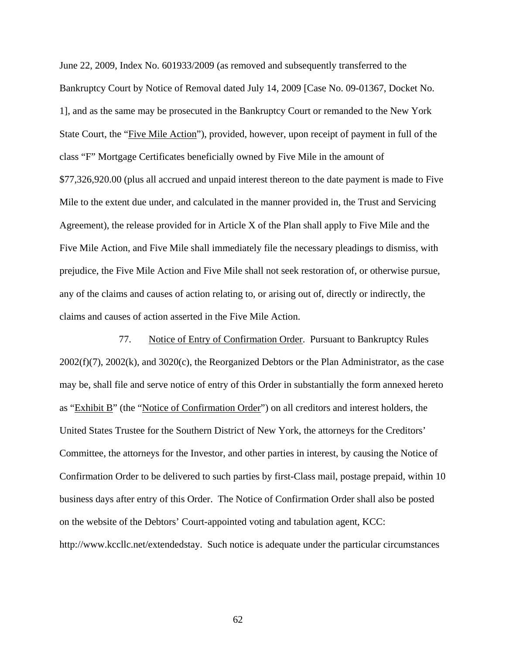June 22, 2009, Index No. 601933/2009 (as removed and subsequently transferred to the Bankruptcy Court by Notice of Removal dated July 14, 2009 [Case No. 09-01367, Docket No. 1], and as the same may be prosecuted in the Bankruptcy Court or remanded to the New York State Court, the "Five Mile Action"), provided, however, upon receipt of payment in full of the class "F" Mortgage Certificates beneficially owned by Five Mile in the amount of \$77,326,920.00 (plus all accrued and unpaid interest thereon to the date payment is made to Five Mile to the extent due under, and calculated in the manner provided in, the Trust and Servicing Agreement), the release provided for in Article X of the Plan shall apply to Five Mile and the Five Mile Action, and Five Mile shall immediately file the necessary pleadings to dismiss, with prejudice, the Five Mile Action and Five Mile shall not seek restoration of, or otherwise pursue, any of the claims and causes of action relating to, or arising out of, directly or indirectly, the claims and causes of action asserted in the Five Mile Action.

77. Notice of Entry of Confirmation Order. Pursuant to Bankruptcy Rules  $2002(f)(7)$ ,  $2002(k)$ , and  $3020(c)$ , the Reorganized Debtors or the Plan Administrator, as the case may be, shall file and serve notice of entry of this Order in substantially the form annexed hereto as "Exhibit B" (the "Notice of Confirmation Order") on all creditors and interest holders, the United States Trustee for the Southern District of New York, the attorneys for the Creditors' Committee, the attorneys for the Investor, and other parties in interest, by causing the Notice of Confirmation Order to be delivered to such parties by first-Class mail, postage prepaid, within 10 business days after entry of this Order. The Notice of Confirmation Order shall also be posted on the website of the Debtors' Court-appointed voting and tabulation agent, KCC: http://www.kccllc.net/extendedstay. Such notice is adequate under the particular circumstances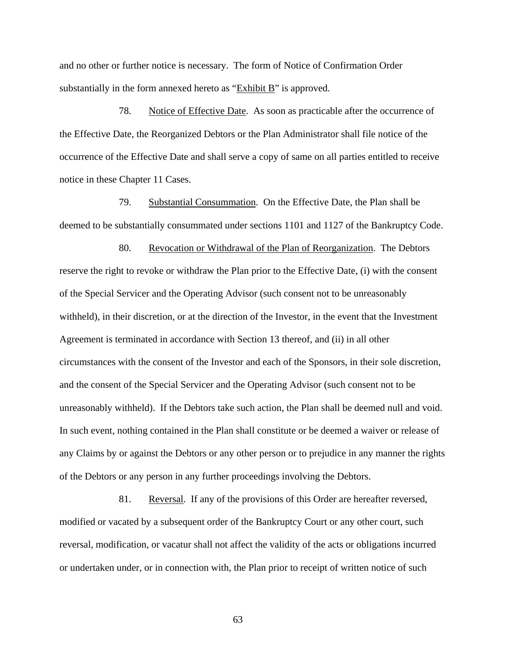and no other or further notice is necessary. The form of Notice of Confirmation Order substantially in the form annexed hereto as "Exhibit B" is approved.

78. Notice of Effective Date. As soon as practicable after the occurrence of the Effective Date, the Reorganized Debtors or the Plan Administrator shall file notice of the occurrence of the Effective Date and shall serve a copy of same on all parties entitled to receive notice in these Chapter 11 Cases.

79. Substantial Consummation. On the Effective Date, the Plan shall be deemed to be substantially consummated under sections 1101 and 1127 of the Bankruptcy Code.

80. Revocation or Withdrawal of the Plan of Reorganization. The Debtors reserve the right to revoke or withdraw the Plan prior to the Effective Date, (i) with the consent of the Special Servicer and the Operating Advisor (such consent not to be unreasonably withheld), in their discretion, or at the direction of the Investor, in the event that the Investment Agreement is terminated in accordance with Section 13 thereof, and (ii) in all other circumstances with the consent of the Investor and each of the Sponsors, in their sole discretion, and the consent of the Special Servicer and the Operating Advisor (such consent not to be unreasonably withheld). If the Debtors take such action, the Plan shall be deemed null and void. In such event, nothing contained in the Plan shall constitute or be deemed a waiver or release of any Claims by or against the Debtors or any other person or to prejudice in any manner the rights of the Debtors or any person in any further proceedings involving the Debtors.

81. Reversal. If any of the provisions of this Order are hereafter reversed, modified or vacated by a subsequent order of the Bankruptcy Court or any other court, such reversal, modification, or vacatur shall not affect the validity of the acts or obligations incurred or undertaken under, or in connection with, the Plan prior to receipt of written notice of such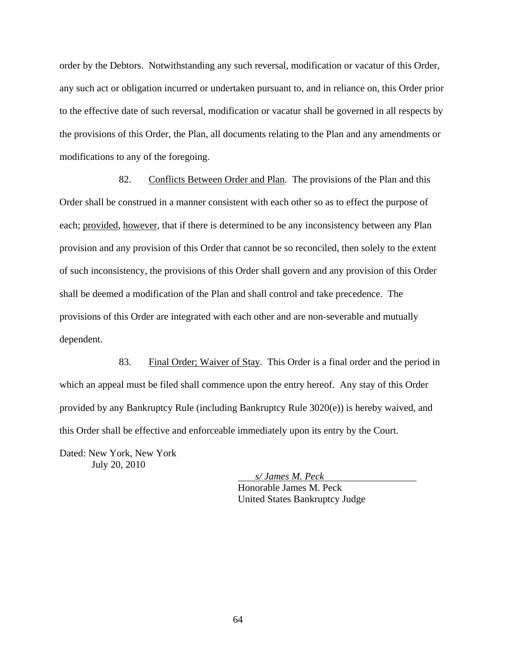order by the Debtors. Notwithstanding any such reversal, modification or vacatur of this Order, any such act or obligation incurred or undertaken pursuant to, and in reliance on, this Order prior to the effective date of such reversal, modification or vacatur shall be governed in all respects by the provisions of this Order, the Plan, all documents relating to the Plan and any amendments or modifications to any of the foregoing.

82. Conflicts Between Order and Plan. The provisions of the Plan and this Order shall be construed in a manner consistent with each other so as to effect the purpose of each; provided, however, that if there is determined to be any inconsistency between any Plan provision and any provision of this Order that cannot be so reconciled, then solely to the extent of such inconsistency, the provisions of this Order shall govern and any provision of this Order shall be deemed a modification of the Plan and shall control and take precedence. The provisions of this Order are integrated with each other and are non-severable and mutually dependent.

83. Final Order; Waiver of Stay. This Order is a final order and the period in which an appeal must be filed shall commence upon the entry hereof. Any stay of this Order provided by any Bankruptcy Rule (including Bankruptcy Rule 3020(e)) is hereby waived, and this Order shall be effective and enforceable immediately upon its entry by the Court.

Dated: New York, New York July 20, 2010

> *s/ James M. Peck*  Honorable James M. Peck United States Bankruptcy Judge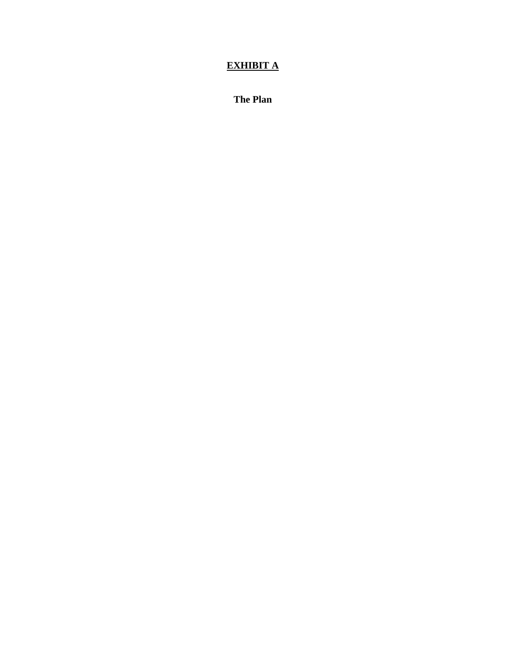# **EXHIBIT A**

**The Plan**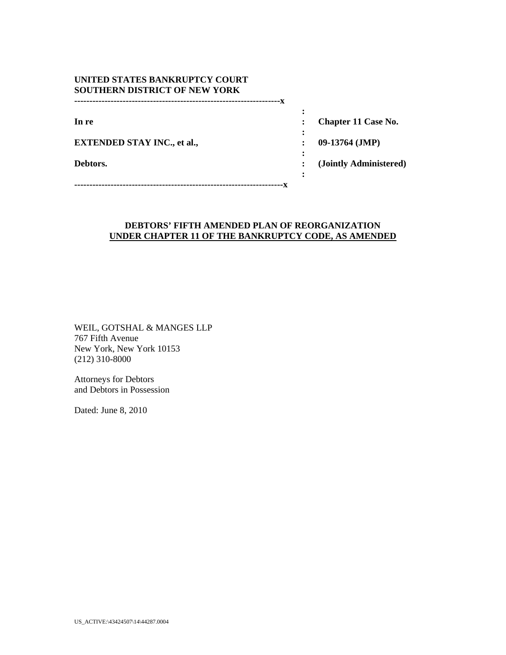| UNITED STATES BANKRUPTCY COURT       |
|--------------------------------------|
| <b>SOUTHERN DISTRICT OF NEW YORK</b> |
|                                      |

**EXTENDED STAY INC., et al., : 09-13764 (JMP)** 

**In re** : **Chapter 11 Case No. : Chapter 11 Case No.** 

**Debtors. : (Jointly Administered)** 

*x*  $\mathbf{r}$   $\mathbf{r}$   $\mathbf{r}$   $\mathbf{r}$   $\mathbf{r}$   $\mathbf{r}$   $\mathbf{r}$   $\mathbf{r}$   $\mathbf{r}$   $\mathbf{r}$   $\mathbf{r}$   $\mathbf{r}$   $\mathbf{r}$   $\mathbf{r}$   $\mathbf{r}$   $\mathbf{r}$   $\mathbf{r}$   $\mathbf{r}$   $\mathbf{r}$   $\mathbf{r}$   $\mathbf{r}$   $\mathbf{r}$   $\mathbf{r}$   $\mathbf{r}$  **---------------------------------------------------------------------x** 

*x* :  $\mathbf{r}$  **:**  $\mathbf{r}$  **:**  $\mathbf{r}$  **:**  $\mathbf{r}$  **:**  $\mathbf{r}$  **:**  $\mathbf{r}$  **:**  $\mathbf{r}$  **:**  $\mathbf{r}$  **:**  $\mathbf{r}$  **:**  $\mathbf{r}$  **:**  $\mathbf{r}$  **:**  $\mathbf{r}$  **:**  $\mathbf{r}$  **:**  $\mathbf{r}$  **:**  $\mathbf{r}$  **:**  $\mathbf{r}$  **:**  $\mathbf{r}$  **:**  $\mathbf{r}$  **:**  $\mathbf{r}$  **:** 

*x*  $\mathbf{r}$   $\mathbf{r}$   $\mathbf{r}$   $\mathbf{r}$   $\mathbf{r}$   $\mathbf{r}$   $\mathbf{r}$   $\mathbf{r}$   $\mathbf{r}$   $\mathbf{r}$   $\mathbf{r}$   $\mathbf{r}$   $\mathbf{r}$   $\mathbf{r}$   $\mathbf{r}$   $\mathbf{r}$   $\mathbf{r}$   $\mathbf{r}$   $\mathbf{r}$   $\mathbf{r}$   $\mathbf{r}$   $\mathbf{r}$   $\mathbf{r}$   $\mathbf{r}$ 

*x* :  $\mathbf{r}$  **:**  $\mathbf{r}$  **:**  $\mathbf{r}$  **:**  $\mathbf{r}$  **:**  $\mathbf{r}$  **:**  $\mathbf{r}$  **:**  $\mathbf{r}$  **:**  $\mathbf{r}$  **:**  $\mathbf{r}$  **:**  $\mathbf{r}$  **:**  $\mathbf{r}$  **:**  $\mathbf{r}$  **:**  $\mathbf{r}$  **:**  $\mathbf{r}$  **:**  $\mathbf{r}$  **:**  $\mathbf{r}$  **:**  $\mathbf{r}$  **:**  $\mathbf{r}$  **:**  $\mathbf{r}$  **:** 

#### **DEBTORS' FIFTH AMENDED PLAN OF REORGANIZATION UNDER CHAPTER 11 OF THE BANKRUPTCY CODE, AS AMENDED**

WEIL, GOTSHAL & MANGES LLP 767 Fifth Avenue New York, New York 10153 (212) 310-8000

Attorneys for Debtors and Debtors in Possession

Dated: June 8, 2010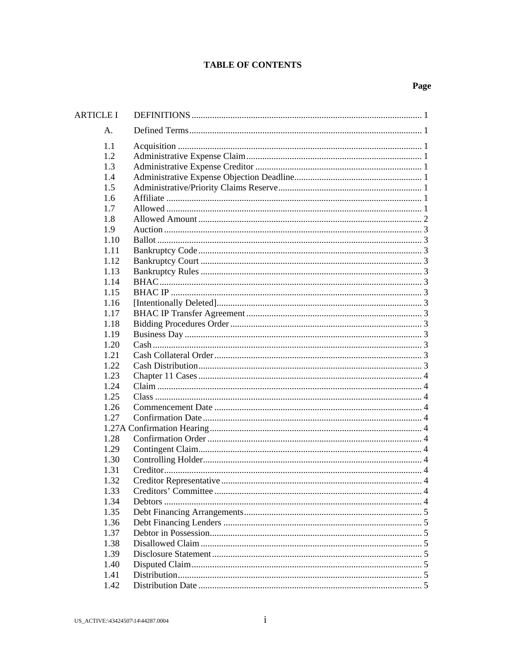## **TABLE OF CONTENTS**

| <b>ARTICLE I</b> |  |
|------------------|--|
| Α.               |  |
| 1.1              |  |
| 1.2              |  |
| 1.3              |  |
| 1.4              |  |
| 1.5              |  |
| 1.6              |  |
| 1.7              |  |
| 1.8              |  |
| 1.9              |  |
| 1.10             |  |
| 1.11             |  |
| 1.12             |  |
| 1.13             |  |
| 1.14             |  |
| 1.15             |  |
| 1.16             |  |
| 1.17             |  |
| 1.18             |  |
| 1.19             |  |
| 1.20             |  |
| 1.21             |  |
| 1.22             |  |
| 1.23             |  |
| 1.24             |  |
| 1.25             |  |
| 1.26             |  |
| 1.27             |  |
|                  |  |
| 1.28             |  |
| 1.29             |  |
| 1.30             |  |
| 1.31             |  |
| 1.32             |  |
| 1.33             |  |
| 1.34             |  |
| 1.35             |  |
| 1.36             |  |
| 1.37             |  |
| 1.38             |  |
| 1.39             |  |
| 1.40             |  |
| 1.41             |  |
| 1.42             |  |
|                  |  |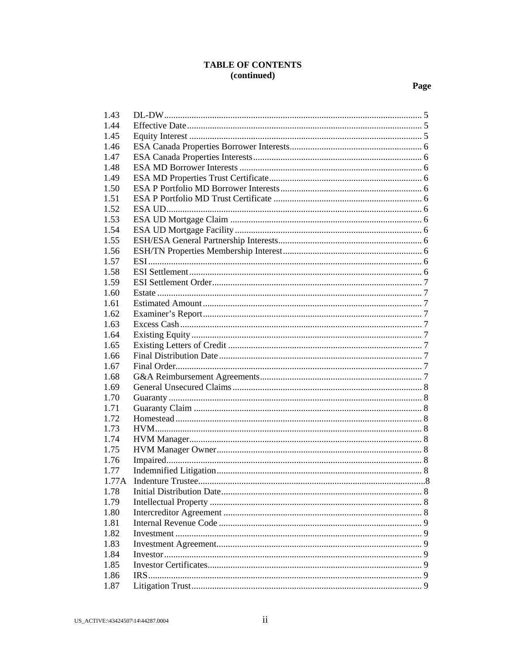# TABLE OF CONTENTS (continued)

| 1.43  |      |  |
|-------|------|--|
| 1.44  |      |  |
| 1.45  |      |  |
| 1.46  |      |  |
| 1.47  |      |  |
| 1.48  |      |  |
| 1.49  |      |  |
| 1.50  |      |  |
| 1.51  |      |  |
| 1.52  |      |  |
| 1.53  |      |  |
| 1.54  |      |  |
| 1.55  |      |  |
| 1.56  |      |  |
| 1.57  |      |  |
| 1.58  |      |  |
| 1.59  |      |  |
| 1.60  |      |  |
| 1.61  |      |  |
| 1.62  |      |  |
| 1.63  |      |  |
| 1.64  |      |  |
| 1.65  |      |  |
| 1.66  |      |  |
| 1.67  |      |  |
| 1.68  |      |  |
| 1.69  |      |  |
| 1.70  |      |  |
| 1.71  |      |  |
| 1.72  |      |  |
|       |      |  |
| 1.73  |      |  |
| 1.74  |      |  |
| 1.75  |      |  |
| 1.76  |      |  |
| 1.77  |      |  |
| 1.77A |      |  |
| 1.78  |      |  |
| 1.79  |      |  |
| 1.80  |      |  |
| 1.81  |      |  |
| 1.82  |      |  |
| 1.83  |      |  |
| 1.84  |      |  |
| 1.85  |      |  |
| 1.86  | IRS. |  |
| 1.87  |      |  |
|       |      |  |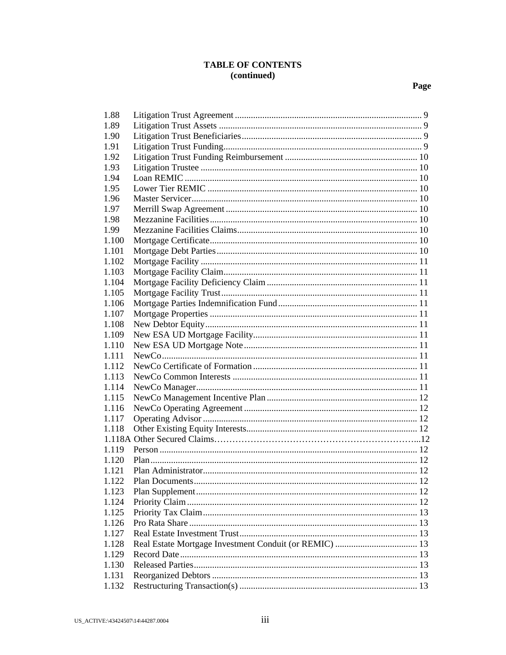# **TABLE OF CONTENTS** (continued)

| 1.88  |  |
|-------|--|
| 1.89  |  |
| 1.90  |  |
| 1.91  |  |
| 1.92  |  |
| 1.93  |  |
| 1.94  |  |
| 1.95  |  |
| 1.96  |  |
| 1.97  |  |
| 1.98  |  |
| 1.99  |  |
| 1.100 |  |
| 1.101 |  |
| 1.102 |  |
| 1.103 |  |
| 1.104 |  |
| 1.105 |  |
| 1.106 |  |
| 1.107 |  |
| 1.108 |  |
| 1.109 |  |
| 1.110 |  |
| 1.111 |  |
| 1.112 |  |
| 1.113 |  |
| 1.114 |  |
| 1.115 |  |
| 1.116 |  |
| 1.117 |  |
| 1.118 |  |
|       |  |
| 1.119 |  |
| 1.120 |  |
| 1.121 |  |
| 1.122 |  |
| 1.123 |  |
| 1.124 |  |
| 1.125 |  |
| 1.126 |  |
| 1.127 |  |
| 1.128 |  |
| 1.129 |  |
| 1.130 |  |
| 1.131 |  |
| 1.132 |  |
|       |  |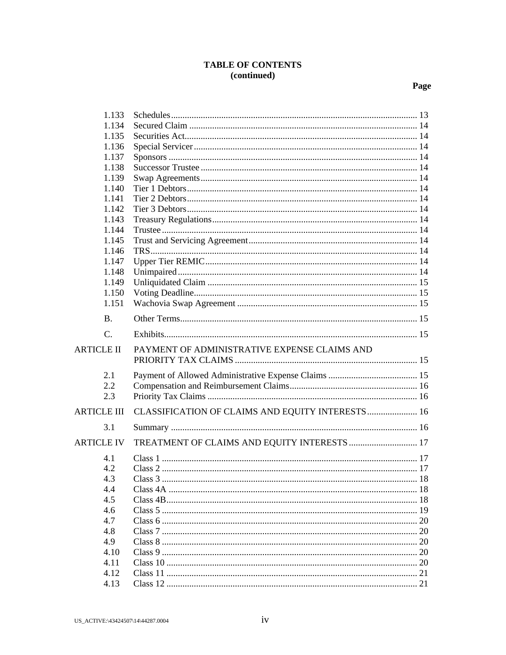# TABLE OF CONTENTS<br>(continued)

| 1.133              |                                                   |  |
|--------------------|---------------------------------------------------|--|
| 1.134              |                                                   |  |
| 1.135              |                                                   |  |
| 1.136              |                                                   |  |
| 1.137              |                                                   |  |
| 1.138              |                                                   |  |
| 1.139              |                                                   |  |
| 1.140              |                                                   |  |
| 1.141              |                                                   |  |
| 1.142              |                                                   |  |
| 1.143              |                                                   |  |
| 1.144              |                                                   |  |
| 1.145              |                                                   |  |
| 1.146              |                                                   |  |
| 1.147              |                                                   |  |
| 1.148              |                                                   |  |
| 1.149              |                                                   |  |
| 1.150              |                                                   |  |
| 1.151              |                                                   |  |
| <b>B.</b>          |                                                   |  |
| $\mathcal{C}$ .    |                                                   |  |
| <b>ARTICLE II</b>  | PAYMENT OF ADMINISTRATIVE EXPENSE CLAIMS AND      |  |
| 2.1                |                                                   |  |
| 2.2                |                                                   |  |
| 2.3                |                                                   |  |
|                    |                                                   |  |
| <b>ARTICLE III</b> | CLASSIFICATION OF CLAIMS AND EQUITY INTERESTS  16 |  |
| 3.1                |                                                   |  |
| <b>ARTICLE IV</b>  | TREATMENT OF CLAIMS AND EQUITY INTERESTS  17      |  |
| 4.1                |                                                   |  |
| 4.2                |                                                   |  |
| 4.3                |                                                   |  |
| 4.4                |                                                   |  |
| 4.5                |                                                   |  |
| 4.6                |                                                   |  |
| 4.7                |                                                   |  |
| 4.8                |                                                   |  |
| 4.9                |                                                   |  |
| 4.10               |                                                   |  |
| 4.11               |                                                   |  |
| 4.12               |                                                   |  |
|                    |                                                   |  |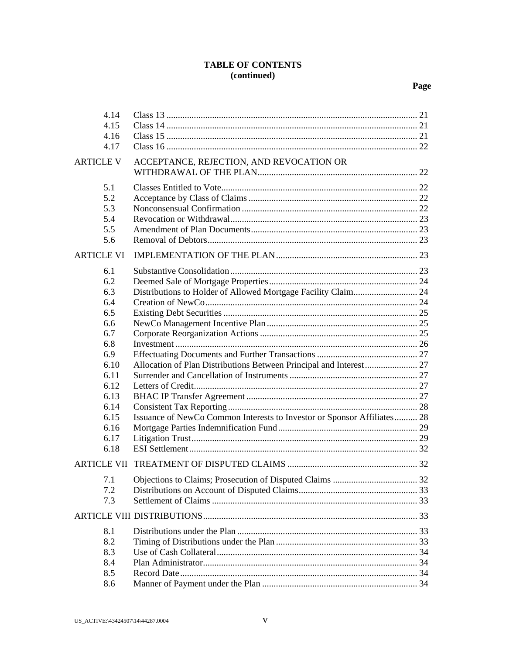# TABLE OF CONTENTS (continued)

| 4.14<br>4.15<br>4.16<br>4.17                                                                                                        |                                                                                                                                               |  |
|-------------------------------------------------------------------------------------------------------------------------------------|-----------------------------------------------------------------------------------------------------------------------------------------------|--|
| <b>ARTICLE V</b>                                                                                                                    | ACCEPTANCE, REJECTION, AND REVOCATION OR                                                                                                      |  |
| 5.1<br>5.2<br>5.3<br>5.4<br>5.5<br>5.6                                                                                              |                                                                                                                                               |  |
| <b>ARTICLE VI</b>                                                                                                                   |                                                                                                                                               |  |
| 6.1<br>6.2<br>6.3<br>6.4<br>6.5<br>6.6<br>6.7<br>6.8<br>6.9<br>6.10<br>6.11<br>6.12<br>6.13<br>6.14<br>6.15<br>6.16<br>6.17<br>6.18 | Allocation of Plan Distributions Between Principal and Interest 27<br>Issuance of NewCo Common Interests to Investor or Sponsor Affiliates 28 |  |
|                                                                                                                                     |                                                                                                                                               |  |
| 7.2<br>7.3                                                                                                                          |                                                                                                                                               |  |
| 8.1                                                                                                                                 |                                                                                                                                               |  |
| 8.2                                                                                                                                 |                                                                                                                                               |  |
| 8.3                                                                                                                                 |                                                                                                                                               |  |
| 8.4                                                                                                                                 |                                                                                                                                               |  |
| 8.5                                                                                                                                 |                                                                                                                                               |  |
| 8.6                                                                                                                                 |                                                                                                                                               |  |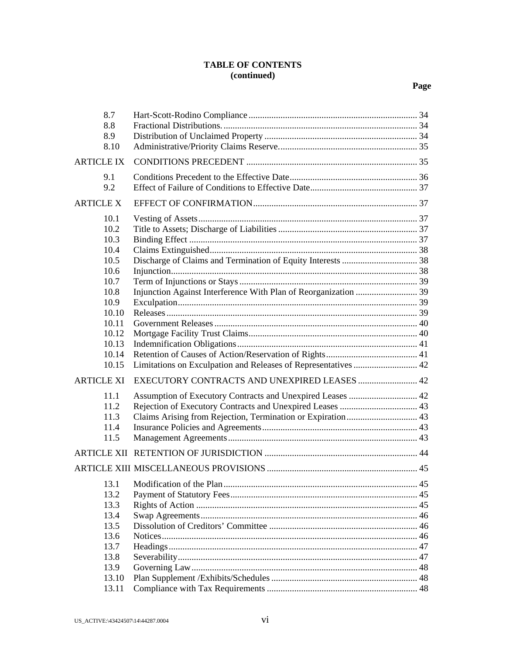## **TABLE OF CONTENTS (continued)**

| 8.7<br>8.8<br>8.9<br>8.10                                                                                                  |                                                                |  |
|----------------------------------------------------------------------------------------------------------------------------|----------------------------------------------------------------|--|
| <b>ARTICLE IX</b>                                                                                                          |                                                                |  |
| 9.1<br>9.2                                                                                                                 |                                                                |  |
| <b>ARTICLE X</b>                                                                                                           |                                                                |  |
| 10.1<br>10.2<br>10.3<br>10.4<br>10.5<br>10.6<br>10.7<br>10.8<br>10.9<br>10.10<br>10.11<br>10.12<br>10.13<br>10.14<br>10.15 | Limitations on Exculpation and Releases of Representatives  42 |  |
| <b>ARTICLE XI</b>                                                                                                          | EXECUTORY CONTRACTS AND UNEXPIRED LEASES  42                   |  |
| 11.1<br>11.2<br>11.3<br>11.4<br>11.5                                                                                       | Assumption of Executory Contracts and Unexpired Leases  42     |  |
|                                                                                                                            |                                                                |  |
|                                                                                                                            |                                                                |  |
| 13.1<br>13.2<br>13.3<br>13.4<br>13.5<br>13.6<br>13.7<br>13.8<br>13.9                                                       |                                                                |  |
| 13.10<br>13.11                                                                                                             |                                                                |  |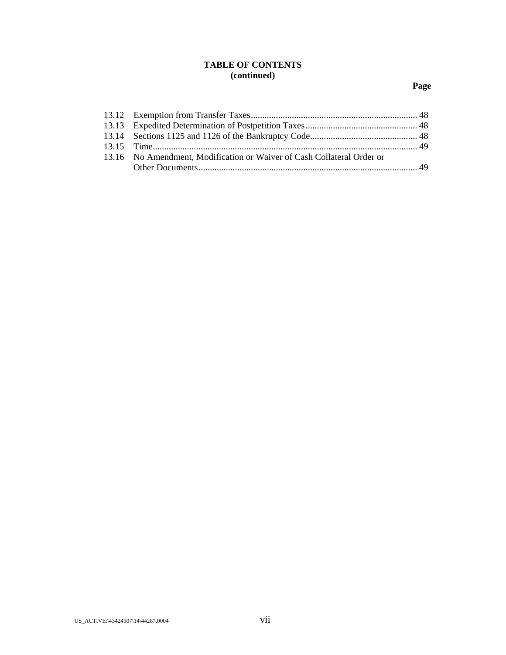# **TABLE OF CONTENTS (continued)**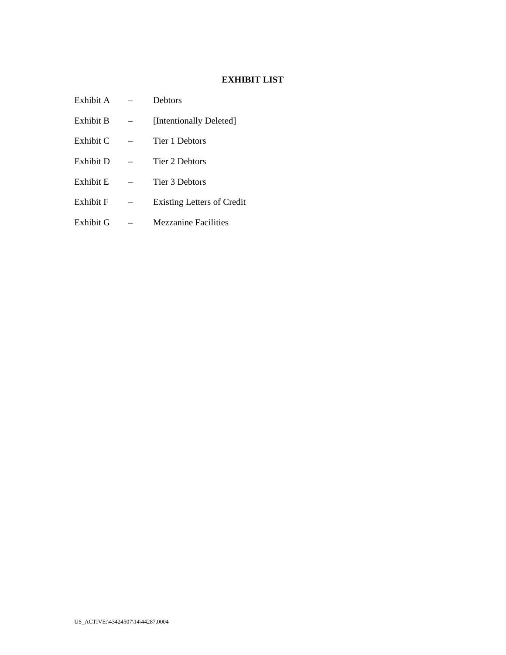# **EXHIBIT LIST**

| Exhibit A | <b>Debtors</b>                    |
|-----------|-----------------------------------|
| Exhibit B | [Intentionally Deleted]           |
| Exhibit C | Tier 1 Debtors                    |
| Exhibit D | Tier 2 Debtors                    |
| Exhibit E | Tier 3 Debtors                    |
| Exhibit F | <b>Existing Letters of Credit</b> |
| Exhibit G | <b>Mezzanine Facilities</b>       |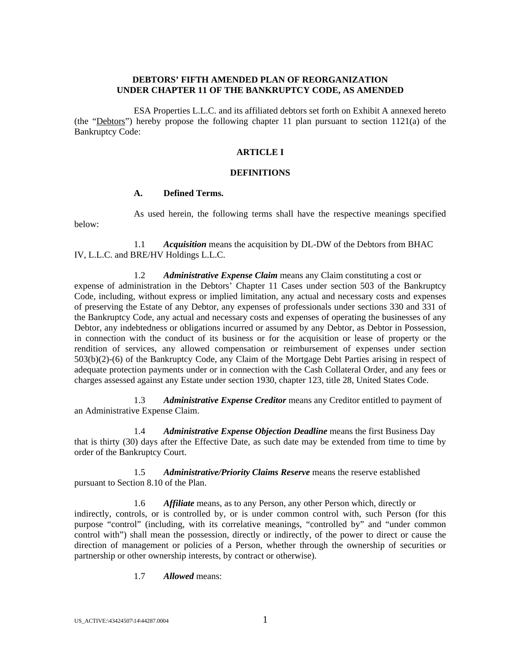#### **DEBTORS' FIFTH AMENDED PLAN OF REORGANIZATION UNDER CHAPTER 11 OF THE BANKRUPTCY CODE, AS AMENDED**

ESA Properties L.L.C. and its affiliated debtors set forth on Exhibit A annexed hereto (the "Debtors") hereby propose the following chapter 11 plan pursuant to section 1121(a) of the Bankruptcy Code:

### **ARTICLE I**

### **DEFINITIONS**

#### **A. Defined Terms.**

As used herein, the following terms shall have the respective meanings specified below:

1.1 *Acquisition* means the acquisition by DL-DW of the Debtors from BHAC IV, L.L.C. and BRE/HV Holdings L.L.C.

1.2 *Administrative Expense Claim* means any Claim constituting a cost or expense of administration in the Debtors' Chapter 11 Cases under section 503 of the Bankruptcy Code, including, without express or implied limitation, any actual and necessary costs and expenses of preserving the Estate of any Debtor, any expenses of professionals under sections 330 and 331 of the Bankruptcy Code, any actual and necessary costs and expenses of operating the businesses of any Debtor, any indebtedness or obligations incurred or assumed by any Debtor, as Debtor in Possession, in connection with the conduct of its business or for the acquisition or lease of property or the rendition of services, any allowed compensation or reimbursement of expenses under section 503(b)(2)-(6) of the Bankruptcy Code, any Claim of the Mortgage Debt Parties arising in respect of adequate protection payments under or in connection with the Cash Collateral Order, and any fees or charges assessed against any Estate under section 1930, chapter 123, title 28, United States Code.

1.3 *Administrative Expense Creditor* means any Creditor entitled to payment of an Administrative Expense Claim.

1.4 *Administrative Expense Objection Deadline* means the first Business Day that is thirty (30) days after the Effective Date, as such date may be extended from time to time by order of the Bankruptcy Court.

1.5 *Administrative/Priority Claims Reserve* means the reserve established pursuant to Section 8.10 of the Plan.

1.6 *Affiliate* means, as to any Person, any other Person which, directly or indirectly, controls, or is controlled by, or is under common control with, such Person (for this purpose "control" (including, with its correlative meanings, "controlled by" and "under common control with") shall mean the possession, directly or indirectly, of the power to direct or cause the direction of management or policies of a Person, whether through the ownership of securities or partnership or other ownership interests, by contract or otherwise).

1.7 *Allowed* means: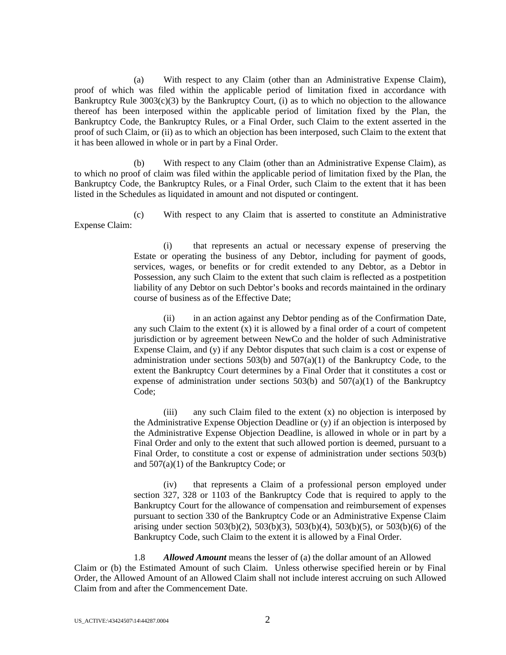(a) With respect to any Claim (other than an Administrative Expense Claim), proof of which was filed within the applicable period of limitation fixed in accordance with Bankruptcy Rule  $3003(c)(3)$  by the Bankruptcy Court, (i) as to which no objection to the allowance thereof has been interposed within the applicable period of limitation fixed by the Plan, the Bankruptcy Code, the Bankruptcy Rules, or a Final Order, such Claim to the extent asserted in the proof of such Claim, or (ii) as to which an objection has been interposed, such Claim to the extent that it has been allowed in whole or in part by a Final Order.

(b) With respect to any Claim (other than an Administrative Expense Claim), as to which no proof of claim was filed within the applicable period of limitation fixed by the Plan, the Bankruptcy Code, the Bankruptcy Rules, or a Final Order, such Claim to the extent that it has been listed in the Schedules as liquidated in amount and not disputed or contingent.

(c) With respect to any Claim that is asserted to constitute an Administrative Expense Claim:

> (i) that represents an actual or necessary expense of preserving the Estate or operating the business of any Debtor, including for payment of goods, services, wages, or benefits or for credit extended to any Debtor, as a Debtor in Possession, any such Claim to the extent that such claim is reflected as a postpetition liability of any Debtor on such Debtor's books and records maintained in the ordinary course of business as of the Effective Date;

> (ii) in an action against any Debtor pending as of the Confirmation Date, any such Claim to the extent  $(x)$  it is allowed by a final order of a court of competent jurisdiction or by agreement between NewCo and the holder of such Administrative Expense Claim, and (y) if any Debtor disputes that such claim is a cost or expense of administration under sections  $503(b)$  and  $507(a)(1)$  of the Bankruptcy Code, to the extent the Bankruptcy Court determines by a Final Order that it constitutes a cost or expense of administration under sections  $503(b)$  and  $507(a)(1)$  of the Bankruptcy Code;

> (iii) any such Claim filed to the extent (x) no objection is interposed by the Administrative Expense Objection Deadline or (y) if an objection is interposed by the Administrative Expense Objection Deadline, is allowed in whole or in part by a Final Order and only to the extent that such allowed portion is deemed, pursuant to a Final Order, to constitute a cost or expense of administration under sections 503(b) and 507(a)(1) of the Bankruptcy Code; or

> (iv) that represents a Claim of a professional person employed under section 327, 328 or 1103 of the Bankruptcy Code that is required to apply to the Bankruptcy Court for the allowance of compensation and reimbursement of expenses pursuant to section 330 of the Bankruptcy Code or an Administrative Expense Claim arising under section 503(b)(2), 503(b)(3), 503(b)(4), 503(b)(5), or 503(b)(6) of the Bankruptcy Code, such Claim to the extent it is allowed by a Final Order.

1.8 *Allowed Amount* means the lesser of (a) the dollar amount of an Allowed Claim or (b) the Estimated Amount of such Claim. Unless otherwise specified herein or by Final Order, the Allowed Amount of an Allowed Claim shall not include interest accruing on such Allowed Claim from and after the Commencement Date.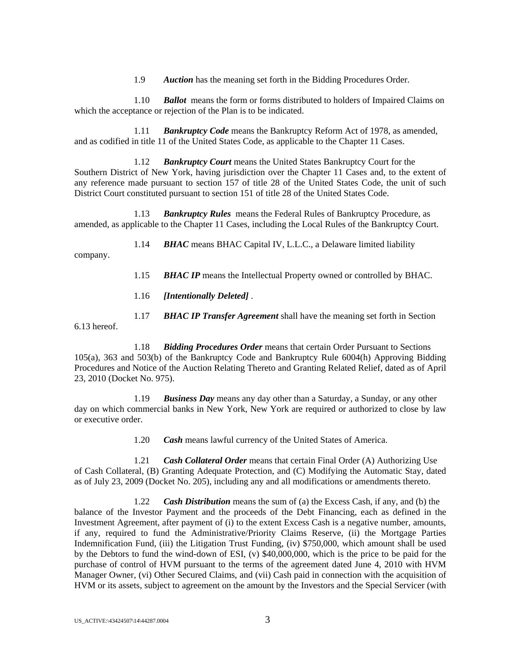1.9 *Auction* has the meaning set forth in the Bidding Procedures Order.

1.10 *Ballot* means the form or forms distributed to holders of Impaired Claims on which the acceptance or rejection of the Plan is to be indicated.

1.11 *Bankruptcy Code* means the Bankruptcy Reform Act of 1978, as amended, and as codified in title 11 of the United States Code, as applicable to the Chapter 11 Cases.

1.12 *Bankruptcy Court* means the United States Bankruptcy Court for the Southern District of New York, having jurisdiction over the Chapter 11 Cases and, to the extent of any reference made pursuant to section 157 of title 28 of the United States Code, the unit of such District Court constituted pursuant to section 151 of title 28 of the United States Code.

1.13 *Bankruptcy Rules* means the Federal Rules of Bankruptcy Procedure, as amended, as applicable to the Chapter 11 Cases, including the Local Rules of the Bankruptcy Court.

1.14 *BHAC* means BHAC Capital IV, L.L.C., a Delaware limited liability company.

- 1.15 *BHAC IP* means the Intellectual Property owned or controlled by BHAC.
- 1.16 *[Intentionally Deleted]* .
- 1.17 *BHAC IP Transfer Agreement* shall have the meaning set forth in Section

1.18 *Bidding Procedures Order* means that certain Order Pursuant to Sections 105(a), 363 and 503(b) of the Bankruptcy Code and Bankruptcy Rule 6004(h) Approving Bidding Procedures and Notice of the Auction Relating Thereto and Granting Related Relief, dated as of April 23, 2010 (Docket No. 975).

1.19 *Business Day* means any day other than a Saturday, a Sunday, or any other day on which commercial banks in New York, New York are required or authorized to close by law or executive order.

1.20 *Cash* means lawful currency of the United States of America.

1.21 *Cash Collateral Order* means that certain Final Order (A) Authorizing Use of Cash Collateral, (B) Granting Adequate Protection, and (C) Modifying the Automatic Stay, dated as of July 23, 2009 (Docket No. 205), including any and all modifications or amendments thereto.

1.22 *Cash Distribution* means the sum of (a) the Excess Cash, if any, and (b) the balance of the Investor Payment and the proceeds of the Debt Financing, each as defined in the Investment Agreement, after payment of (i) to the extent Excess Cash is a negative number, amounts, if any, required to fund the Administrative/Priority Claims Reserve, (ii) the Mortgage Parties Indemnification Fund, (iii) the Litigation Trust Funding, (iv) \$750,000, which amount shall be used by the Debtors to fund the wind-down of ESI, (v) \$40,000,000, which is the price to be paid for the purchase of control of HVM pursuant to the terms of the agreement dated June 4, 2010 with HVM Manager Owner, (vi) Other Secured Claims, and (vii) Cash paid in connection with the acquisition of HVM or its assets, subject to agreement on the amount by the Investors and the Special Servicer (with

6.13 hereof.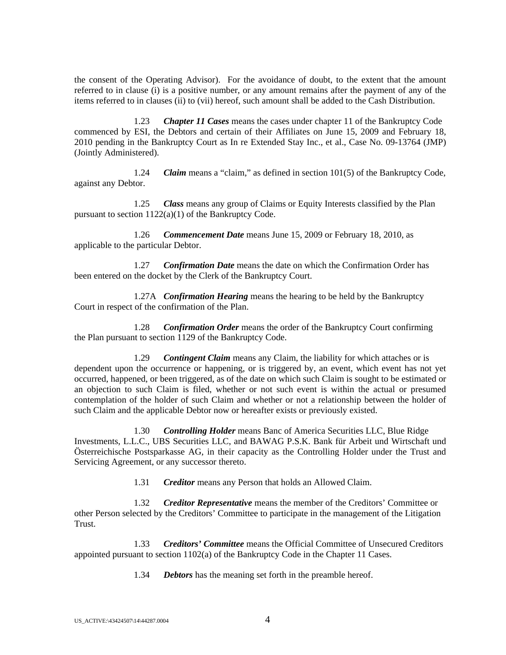the consent of the Operating Advisor). For the avoidance of doubt, to the extent that the amount referred to in clause (i) is a positive number, or any amount remains after the payment of any of the items referred to in clauses (ii) to (vii) hereof, such amount shall be added to the Cash Distribution.

1.23 *Chapter 11 Cases* means the cases under chapter 11 of the Bankruptcy Code commenced by ESI, the Debtors and certain of their Affiliates on June 15, 2009 and February 18, 2010 pending in the Bankruptcy Court as In re Extended Stay Inc., et al., Case No. 09-13764 (JMP) (Jointly Administered).

1.24 *Claim* means a "claim," as defined in section 101(5) of the Bankruptcy Code, against any Debtor.

1.25 *Class* means any group of Claims or Equity Interests classified by the Plan pursuant to section  $1122(a)(1)$  of the Bankruptcy Code.

1.26 *Commencement Date* means June 15, 2009 or February 18, 2010, as applicable to the particular Debtor.

1.27 *Confirmation Date* means the date on which the Confirmation Order has been entered on the docket by the Clerk of the Bankruptcy Court.

1.27A *Confirmation Hearing* means the hearing to be held by the Bankruptcy Court in respect of the confirmation of the Plan.

1.28 *Confirmation Order* means the order of the Bankruptcy Court confirming the Plan pursuant to section 1129 of the Bankruptcy Code.

1.29 *Contingent Claim* means any Claim, the liability for which attaches or is dependent upon the occurrence or happening, or is triggered by, an event, which event has not yet occurred, happened, or been triggered, as of the date on which such Claim is sought to be estimated or an objection to such Claim is filed, whether or not such event is within the actual or presumed contemplation of the holder of such Claim and whether or not a relationship between the holder of such Claim and the applicable Debtor now or hereafter exists or previously existed.

1.30 *Controlling Holder* means Banc of America Securities LLC, Blue Ridge Investments, L.L.C., UBS Securities LLC, and BAWAG P.S.K. Bank für Arbeit und Wirtschaft und Österreichische Postsparkasse AG, in their capacity as the Controlling Holder under the Trust and Servicing Agreement, or any successor thereto.

1.31 *Creditor* means any Person that holds an Allowed Claim.

1.32 *Creditor Representative* means the member of the Creditors' Committee or other Person selected by the Creditors' Committee to participate in the management of the Litigation Trust.

1.33 *Creditors' Committee* means the Official Committee of Unsecured Creditors appointed pursuant to section 1102(a) of the Bankruptcy Code in the Chapter 11 Cases.

1.34 *Debtors* has the meaning set forth in the preamble hereof.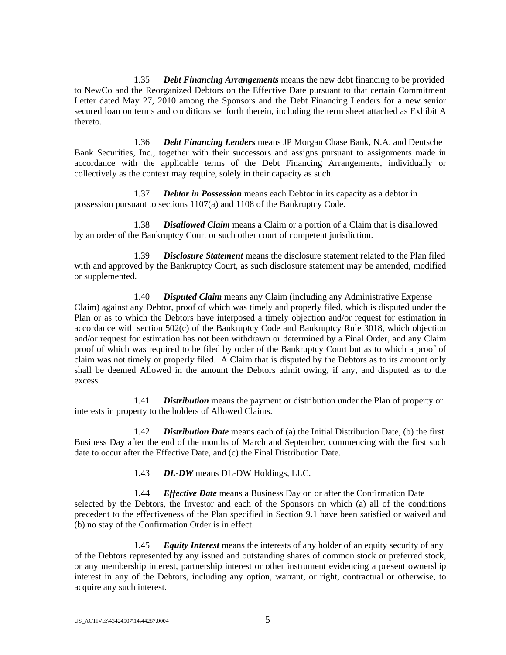1.35 *Debt Financing Arrangements* means the new debt financing to be provided to NewCo and the Reorganized Debtors on the Effective Date pursuant to that certain Commitment Letter dated May 27, 2010 among the Sponsors and the Debt Financing Lenders for a new senior secured loan on terms and conditions set forth therein, including the term sheet attached as Exhibit A thereto.

1.36 *Debt Financing Lenders* means JP Morgan Chase Bank, N.A. and Deutsche Bank Securities, Inc., together with their successors and assigns pursuant to assignments made in accordance with the applicable terms of the Debt Financing Arrangements, individually or collectively as the context may require, solely in their capacity as such.

1.37 *Debtor in Possession* means each Debtor in its capacity as a debtor in possession pursuant to sections 1107(a) and 1108 of the Bankruptcy Code.

1.38 *Disallowed Claim* means a Claim or a portion of a Claim that is disallowed by an order of the Bankruptcy Court or such other court of competent jurisdiction.

1.39 *Disclosure Statement* means the disclosure statement related to the Plan filed with and approved by the Bankruptcy Court, as such disclosure statement may be amended, modified or supplemented.

1.40 *Disputed Claim* means any Claim (including any Administrative Expense Claim) against any Debtor, proof of which was timely and properly filed, which is disputed under the Plan or as to which the Debtors have interposed a timely objection and/or request for estimation in accordance with section 502(c) of the Bankruptcy Code and Bankruptcy Rule 3018, which objection and/or request for estimation has not been withdrawn or determined by a Final Order, and any Claim proof of which was required to be filed by order of the Bankruptcy Court but as to which a proof of claim was not timely or properly filed. A Claim that is disputed by the Debtors as to its amount only shall be deemed Allowed in the amount the Debtors admit owing, if any, and disputed as to the excess.

1.41 *Distribution* means the payment or distribution under the Plan of property or interests in property to the holders of Allowed Claims.

1.42 *Distribution Date* means each of (a) the Initial Distribution Date, (b) the first Business Day after the end of the months of March and September, commencing with the first such date to occur after the Effective Date, and (c) the Final Distribution Date.

1.43 *DL-DW* means DL-DW Holdings, LLC.

1.44 *Effective Date* means a Business Day on or after the Confirmation Date selected by the Debtors, the Investor and each of the Sponsors on which (a) all of the conditions precedent to the effectiveness of the Plan specified in Section 9.1 have been satisfied or waived and (b) no stay of the Confirmation Order is in effect.

1.45 *Equity Interest* means the interests of any holder of an equity security of any of the Debtors represented by any issued and outstanding shares of common stock or preferred stock, or any membership interest, partnership interest or other instrument evidencing a present ownership interest in any of the Debtors, including any option, warrant, or right, contractual or otherwise, to acquire any such interest.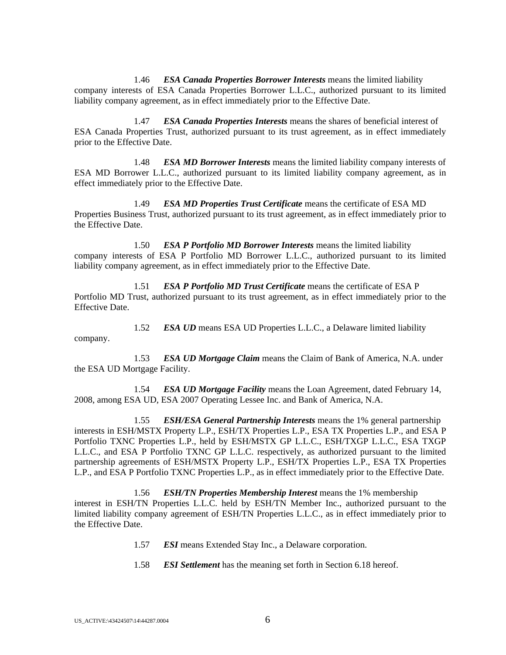1.46 *ESA Canada Properties Borrower Interests* means the limited liability company interests of ESA Canada Properties Borrower L.L.C., authorized pursuant to its limited liability company agreement, as in effect immediately prior to the Effective Date.

1.47 *ESA Canada Properties Interests* means the shares of beneficial interest of ESA Canada Properties Trust, authorized pursuant to its trust agreement, as in effect immediately prior to the Effective Date.

1.48 *ESA MD Borrower Interests* means the limited liability company interests of ESA MD Borrower L.L.C., authorized pursuant to its limited liability company agreement, as in effect immediately prior to the Effective Date.

1.49 *ESA MD Properties Trust Certificate* means the certificate of ESA MD Properties Business Trust, authorized pursuant to its trust agreement, as in effect immediately prior to the Effective Date.

1.50 *ESA P Portfolio MD Borrower Interests* means the limited liability company interests of ESA P Portfolio MD Borrower L.L.C., authorized pursuant to its limited liability company agreement, as in effect immediately prior to the Effective Date.

1.51 *ESA P Portfolio MD Trust Certificate* means the certificate of ESA P Portfolio MD Trust, authorized pursuant to its trust agreement, as in effect immediately prior to the Effective Date.

1.52 *ESA UD* means ESA UD Properties L.L.C., a Delaware limited liability company.

1.53 *ESA UD Mortgage Claim* means the Claim of Bank of America, N.A. under the ESA UD Mortgage Facility.

1.54 *ESA UD Mortgage Facility* means the Loan Agreement, dated February 14, 2008, among ESA UD, ESA 2007 Operating Lessee Inc. and Bank of America, N.A.

1.55 *ESH/ESA General Partnership Interests* means the 1% general partnership interests in ESH/MSTX Property L.P., ESH/TX Properties L.P., ESA TX Properties L.P., and ESA P Portfolio TXNC Properties L.P., held by ESH/MSTX GP L.L.C., ESH/TXGP L.L.C., ESA TXGP L.L.C., and ESA P Portfolio TXNC GP L.L.C. respectively, as authorized pursuant to the limited partnership agreements of ESH/MSTX Property L.P., ESH/TX Properties L.P., ESA TX Properties L.P., and ESA P Portfolio TXNC Properties L.P., as in effect immediately prior to the Effective Date.

1.56 *ESH/TN Properties Membership Interest* means the 1% membership interest in ESH/TN Properties L.L.C. held by ESH/TN Member Inc., authorized pursuant to the limited liability company agreement of ESH/TN Properties L.L.C., as in effect immediately prior to the Effective Date.

- 1.57 *ESI* means Extended Stay Inc., a Delaware corporation.
- 1.58 *ESI Settlement* has the meaning set forth in Section 6.18 hereof.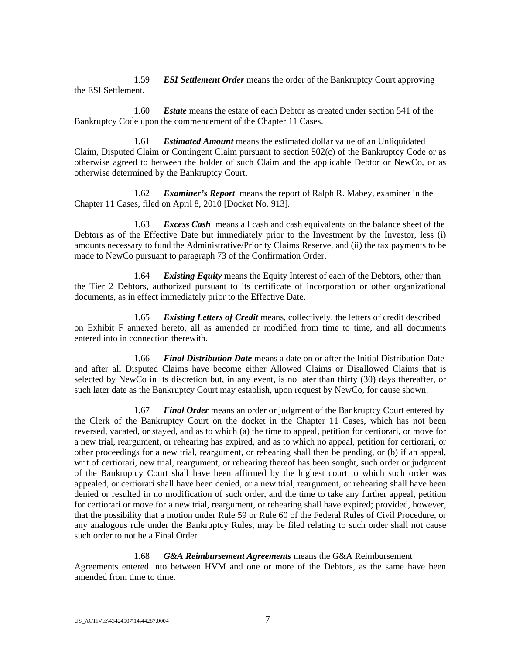1.59 *ESI Settlement Order* means the order of the Bankruptcy Court approving the ESI Settlement.

1.60 *Estate* means the estate of each Debtor as created under section 541 of the Bankruptcy Code upon the commencement of the Chapter 11 Cases.

1.61 *Estimated Amount* means the estimated dollar value of an Unliquidated Claim, Disputed Claim or Contingent Claim pursuant to section 502(c) of the Bankruptcy Code or as otherwise agreed to between the holder of such Claim and the applicable Debtor or NewCo, or as otherwise determined by the Bankruptcy Court.

1.62 *Examiner's Report* means the report of Ralph R. Mabey, examiner in the Chapter 11 Cases, filed on April 8, 2010 [Docket No. 913].

1.63 *Excess Cash* means all cash and cash equivalents on the balance sheet of the Debtors as of the Effective Date but immediately prior to the Investment by the Investor, less (i) amounts necessary to fund the Administrative/Priority Claims Reserve, and (ii) the tax payments to be made to NewCo pursuant to paragraph 73 of the Confirmation Order.

1.64 *Existing Equity* means the Equity Interest of each of the Debtors, other than the Tier 2 Debtors, authorized pursuant to its certificate of incorporation or other organizational documents, as in effect immediately prior to the Effective Date.

1.65 *Existing Letters of Credit* means, collectively, the letters of credit described on Exhibit F annexed hereto, all as amended or modified from time to time, and all documents entered into in connection therewith.

1.66 *Final Distribution Date* means a date on or after the Initial Distribution Date and after all Disputed Claims have become either Allowed Claims or Disallowed Claims that is selected by NewCo in its discretion but, in any event, is no later than thirty (30) days thereafter, or such later date as the Bankruptcy Court may establish, upon request by NewCo, for cause shown.

1.67 *Final Order* means an order or judgment of the Bankruptcy Court entered by the Clerk of the Bankruptcy Court on the docket in the Chapter 11 Cases, which has not been reversed, vacated, or stayed, and as to which (a) the time to appeal, petition for certiorari, or move for a new trial, reargument, or rehearing has expired, and as to which no appeal, petition for certiorari, or other proceedings for a new trial, reargument, or rehearing shall then be pending, or (b) if an appeal, writ of certiorari, new trial, reargument, or rehearing thereof has been sought, such order or judgment of the Bankruptcy Court shall have been affirmed by the highest court to which such order was appealed, or certiorari shall have been denied, or a new trial, reargument, or rehearing shall have been denied or resulted in no modification of such order, and the time to take any further appeal, petition for certiorari or move for a new trial, reargument, or rehearing shall have expired; provided, however, that the possibility that a motion under Rule 59 or Rule 60 of the Federal Rules of Civil Procedure, or any analogous rule under the Bankruptcy Rules, may be filed relating to such order shall not cause such order to not be a Final Order.

1.68 *G&A Reimbursement Agreements* means the G&A Reimbursement Agreements entered into between HVM and one or more of the Debtors, as the same have been amended from time to time.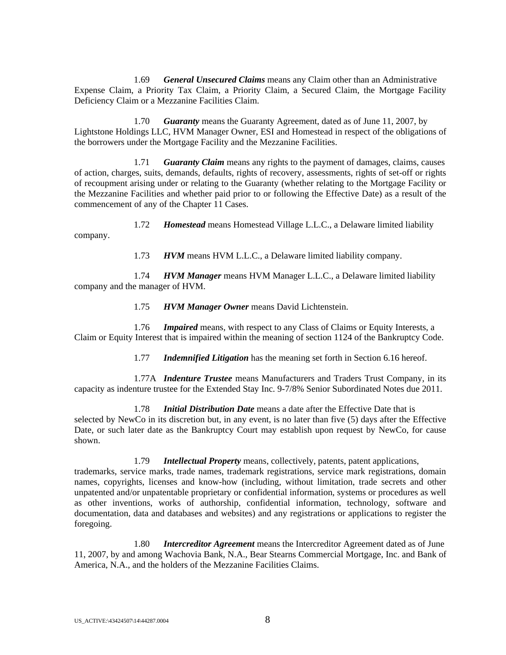1.69 *General Unsecured Claims* means any Claim other than an Administrative Expense Claim, a Priority Tax Claim, a Priority Claim, a Secured Claim, the Mortgage Facility Deficiency Claim or a Mezzanine Facilities Claim.

1.70 *Guaranty* means the Guaranty Agreement, dated as of June 11, 2007, by Lightstone Holdings LLC, HVM Manager Owner, ESI and Homestead in respect of the obligations of the borrowers under the Mortgage Facility and the Mezzanine Facilities.

1.71 *Guaranty Claim* means any rights to the payment of damages, claims, causes of action, charges, suits, demands, defaults, rights of recovery, assessments, rights of set-off or rights of recoupment arising under or relating to the Guaranty (whether relating to the Mortgage Facility or the Mezzanine Facilities and whether paid prior to or following the Effective Date) as a result of the commencement of any of the Chapter 11 Cases.

1.72 *Homestead* means Homestead Village L.L.C., a Delaware limited liability company.

1.73 *HVM* means HVM L.L.C., a Delaware limited liability company.

1.74 *HVM Manager* means HVM Manager L.L.C., a Delaware limited liability company and the manager of HVM.

1.75 *HVM Manager Owner* means David Lichtenstein.

1.76 *Impaired* means, with respect to any Class of Claims or Equity Interests, a Claim or Equity Interest that is impaired within the meaning of section 1124 of the Bankruptcy Code.

1.77 *Indemnified Litigation* has the meaning set forth in Section 6.16 hereof.

1.77A *Indenture Trustee* means Manufacturers and Traders Trust Company, in its capacity as indenture trustee for the Extended Stay Inc. 9-7/8% Senior Subordinated Notes due 2011.

1.78 *Initial Distribution Date* means a date after the Effective Date that is selected by NewCo in its discretion but, in any event, is no later than five (5) days after the Effective Date, or such later date as the Bankruptcy Court may establish upon request by NewCo, for cause shown.

1.79 *Intellectual Property* means, collectively, patents, patent applications, trademarks, service marks, trade names, trademark registrations, service mark registrations, domain names, copyrights, licenses and know-how (including, without limitation, trade secrets and other unpatented and/or unpatentable proprietary or confidential information, systems or procedures as well as other inventions, works of authorship, confidential information, technology, software and documentation, data and databases and websites) and any registrations or applications to register the foregoing.

1.80 *Intercreditor Agreement* means the Intercreditor Agreement dated as of June 11, 2007, by and among Wachovia Bank, N.A., Bear Stearns Commercial Mortgage, Inc. and Bank of America, N.A., and the holders of the Mezzanine Facilities Claims.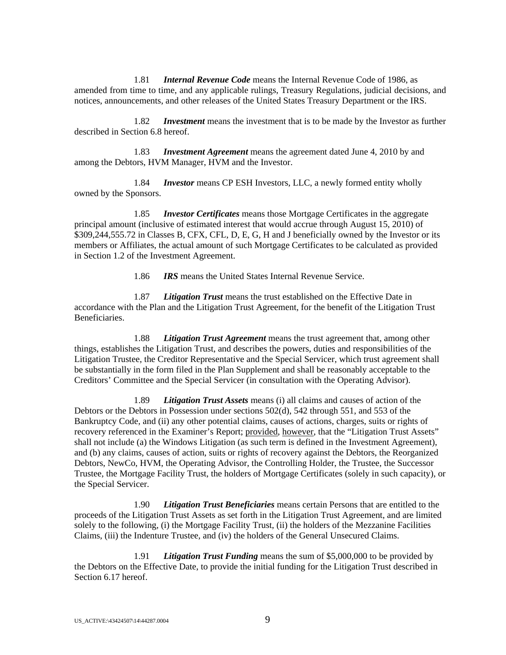1.81 *Internal Revenue Code* means the Internal Revenue Code of 1986, as amended from time to time, and any applicable rulings, Treasury Regulations, judicial decisions, and notices, announcements, and other releases of the United States Treasury Department or the IRS.

1.82 *Investment* means the investment that is to be made by the Investor as further described in Section 6.8 hereof.

1.83 *Investment Agreement* means the agreement dated June 4, 2010 by and among the Debtors, HVM Manager, HVM and the Investor.

1.84 *Investor* means CP ESH Investors, LLC, a newly formed entity wholly owned by the Sponsors.

1.85 *Investor Certificates* means those Mortgage Certificates in the aggregate principal amount (inclusive of estimated interest that would accrue through August 15, 2010) of \$309,244,555.72 in Classes B, CFX, CFL, D, E, G, H and J beneficially owned by the Investor or its members or Affiliates, the actual amount of such Mortgage Certificates to be calculated as provided in Section 1.2 of the Investment Agreement.

1.86 *IRS* means the United States Internal Revenue Service.

1.87 *Litigation Trust* means the trust established on the Effective Date in accordance with the Plan and the Litigation Trust Agreement, for the benefit of the Litigation Trust Beneficiaries.

1.88 *Litigation Trust Agreement* means the trust agreement that, among other things, establishes the Litigation Trust, and describes the powers, duties and responsibilities of the Litigation Trustee, the Creditor Representative and the Special Servicer, which trust agreement shall be substantially in the form filed in the Plan Supplement and shall be reasonably acceptable to the Creditors' Committee and the Special Servicer (in consultation with the Operating Advisor).

1.89 *Litigation Trust Assets* means (i) all claims and causes of action of the Debtors or the Debtors in Possession under sections 502(d), 542 through 551, and 553 of the Bankruptcy Code, and (ii) any other potential claims, causes of actions, charges, suits or rights of recovery referenced in the Examiner's Report; provided, however, that the "Litigation Trust Assets" shall not include (a) the Windows Litigation (as such term is defined in the Investment Agreement), and (b) any claims, causes of action, suits or rights of recovery against the Debtors, the Reorganized Debtors, NewCo, HVM, the Operating Advisor, the Controlling Holder, the Trustee, the Successor Trustee, the Mortgage Facility Trust, the holders of Mortgage Certificates (solely in such capacity), or the Special Servicer.

1.90 *Litigation Trust Beneficiaries* means certain Persons that are entitled to the proceeds of the Litigation Trust Assets as set forth in the Litigation Trust Agreement, and are limited solely to the following, (i) the Mortgage Facility Trust, (ii) the holders of the Mezzanine Facilities Claims, (iii) the Indenture Trustee, and (iv) the holders of the General Unsecured Claims.

1.91 *Litigation Trust Funding* means the sum of \$5,000,000 to be provided by the Debtors on the Effective Date, to provide the initial funding for the Litigation Trust described in Section 6.17 hereof.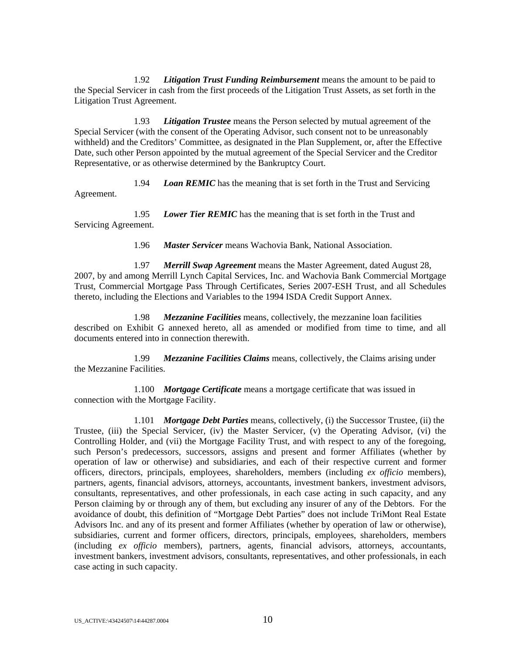1.92 *Litigation Trust Funding Reimbursement* means the amount to be paid to the Special Servicer in cash from the first proceeds of the Litigation Trust Assets, as set forth in the Litigation Trust Agreement.

1.93 *Litigation Trustee* means the Person selected by mutual agreement of the Special Servicer (with the consent of the Operating Advisor, such consent not to be unreasonably withheld) and the Creditors' Committee, as designated in the Plan Supplement, or, after the Effective Date, such other Person appointed by the mutual agreement of the Special Servicer and the Creditor Representative, or as otherwise determined by the Bankruptcy Court.

1.94 *Loan REMIC* has the meaning that is set forth in the Trust and Servicing Agreement.

1.95 *Lower Tier REMIC* has the meaning that is set forth in the Trust and Servicing Agreement.

1.96 *Master Servicer* means Wachovia Bank, National Association.

1.97 *Merrill Swap Agreement* means the Master Agreement, dated August 28, 2007, by and among Merrill Lynch Capital Services, Inc. and Wachovia Bank Commercial Mortgage Trust, Commercial Mortgage Pass Through Certificates, Series 2007-ESH Trust, and all Schedules thereto, including the Elections and Variables to the 1994 ISDA Credit Support Annex.

1.98 *Mezzanine Facilities* means, collectively, the mezzanine loan facilities described on Exhibit G annexed hereto, all as amended or modified from time to time, and all documents entered into in connection therewith.

1.99 *Mezzanine Facilities Claims* means, collectively, the Claims arising under the Mezzanine Facilities.

1.100 *Mortgage Certificate* means a mortgage certificate that was issued in connection with the Mortgage Facility.

1.101 *Mortgage Debt Parties* means, collectively, (i) the Successor Trustee, (ii) the Trustee, (iii) the Special Servicer, (iv) the Master Servicer, (v) the Operating Advisor, (vi) the Controlling Holder, and (vii) the Mortgage Facility Trust, and with respect to any of the foregoing, such Person's predecessors, successors, assigns and present and former Affiliates (whether by operation of law or otherwise) and subsidiaries, and each of their respective current and former officers, directors, principals, employees, shareholders, members (including *ex officio* members), partners, agents, financial advisors, attorneys, accountants, investment bankers, investment advisors, consultants, representatives, and other professionals, in each case acting in such capacity, and any Person claiming by or through any of them, but excluding any insurer of any of the Debtors. For the avoidance of doubt, this definition of "Mortgage Debt Parties" does not include TriMont Real Estate Advisors Inc. and any of its present and former Affiliates (whether by operation of law or otherwise), subsidiaries, current and former officers, directors, principals, employees, shareholders, members (including *ex officio* members), partners, agents, financial advisors, attorneys, accountants, investment bankers, investment advisors, consultants, representatives, and other professionals, in each case acting in such capacity.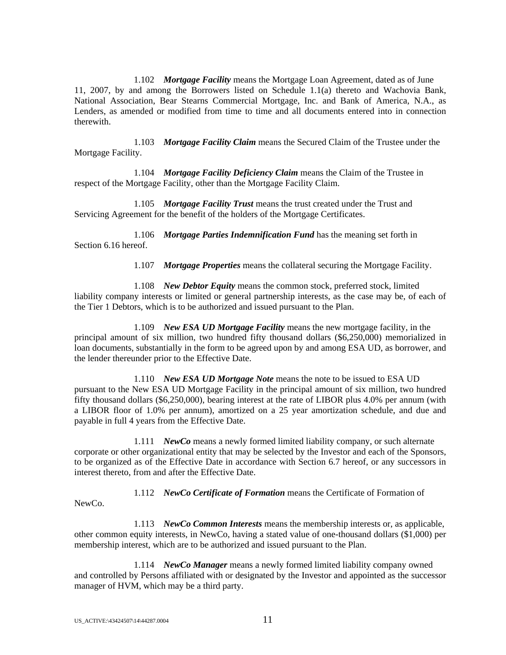1.102 *Mortgage Facility* means the Mortgage Loan Agreement, dated as of June 11, 2007, by and among the Borrowers listed on Schedule 1.1(a) thereto and Wachovia Bank, National Association, Bear Stearns Commercial Mortgage, Inc. and Bank of America, N.A., as Lenders, as amended or modified from time to time and all documents entered into in connection therewith.

1.103 *Mortgage Facility Claim* means the Secured Claim of the Trustee under the Mortgage Facility.

1.104 *Mortgage Facility Deficiency Claim* means the Claim of the Trustee in respect of the Mortgage Facility, other than the Mortgage Facility Claim.

1.105 *Mortgage Facility Trust* means the trust created under the Trust and Servicing Agreement for the benefit of the holders of the Mortgage Certificates.

1.106 *Mortgage Parties Indemnification Fund* has the meaning set forth in Section 6.16 hereof.

1.107 *Mortgage Properties* means the collateral securing the Mortgage Facility.

1.108 *New Debtor Equity* means the common stock, preferred stock, limited liability company interests or limited or general partnership interests, as the case may be, of each of the Tier 1 Debtors, which is to be authorized and issued pursuant to the Plan.

1.109 *New ESA UD Mortgage Facility* means the new mortgage facility, in the principal amount of six million, two hundred fifty thousand dollars (\$6,250,000) memorialized in loan documents, substantially in the form to be agreed upon by and among ESA UD, as borrower, and the lender thereunder prior to the Effective Date.

1.110 *New ESA UD Mortgage Note* means the note to be issued to ESA UD pursuant to the New ESA UD Mortgage Facility in the principal amount of six million, two hundred fifty thousand dollars (\$6,250,000), bearing interest at the rate of LIBOR plus 4.0% per annum (with a LIBOR floor of 1.0% per annum), amortized on a 25 year amortization schedule, and due and payable in full 4 years from the Effective Date.

1.111 *NewCo* means a newly formed limited liability company, or such alternate corporate or other organizational entity that may be selected by the Investor and each of the Sponsors, to be organized as of the Effective Date in accordance with Section 6.7 hereof, or any successors in interest thereto, from and after the Effective Date.

1.112 *NewCo Certificate of Formation* means the Certificate of Formation of

NewCo.

1.113 *NewCo Common Interests* means the membership interests or, as applicable, other common equity interests, in NewCo, having a stated value of one-thousand dollars (\$1,000) per membership interest, which are to be authorized and issued pursuant to the Plan.

1.114 *NewCo Manager* means a newly formed limited liability company owned and controlled by Persons affiliated with or designated by the Investor and appointed as the successor manager of HVM, which may be a third party.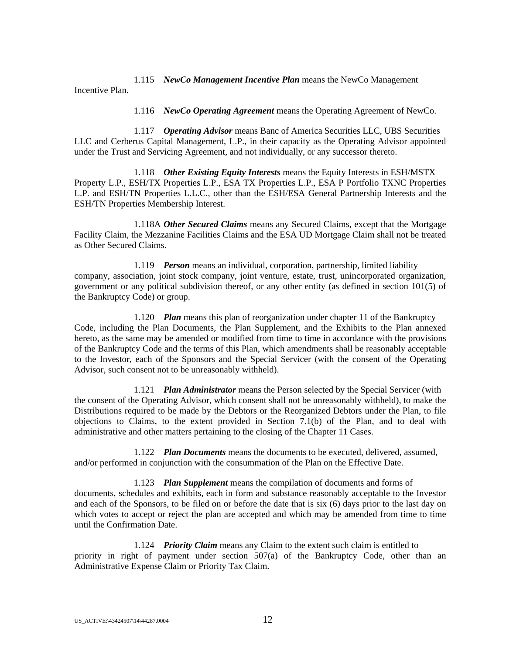1.115 *NewCo Management Incentive Plan* means the NewCo Management Incentive Plan.

1.116 *NewCo Operating Agreement* means the Operating Agreement of NewCo.

1.117 *Operating Advisor* means Banc of America Securities LLC, UBS Securities LLC and Cerberus Capital Management, L.P., in their capacity as the Operating Advisor appointed under the Trust and Servicing Agreement, and not individually, or any successor thereto.

1.118 *Other Existing Equity Interests* means the Equity Interests in ESH/MSTX Property L.P., ESH/TX Properties L.P., ESA TX Properties L.P., ESA P Portfolio TXNC Properties L.P. and ESH/TN Properties L.L.C., other than the ESH/ESA General Partnership Interests and the ESH/TN Properties Membership Interest.

1.118A *Other Secured Claims* means any Secured Claims, except that the Mortgage Facility Claim, the Mezzanine Facilities Claims and the ESA UD Mortgage Claim shall not be treated as Other Secured Claims.

1.119 *Person* means an individual, corporation, partnership, limited liability company, association, joint stock company, joint venture, estate, trust, unincorporated organization, government or any political subdivision thereof, or any other entity (as defined in section 101(5) of the Bankruptcy Code) or group.

1.120 *Plan* means this plan of reorganization under chapter 11 of the Bankruptcy Code, including the Plan Documents, the Plan Supplement, and the Exhibits to the Plan annexed hereto, as the same may be amended or modified from time to time in accordance with the provisions of the Bankruptcy Code and the terms of this Plan, which amendments shall be reasonably acceptable to the Investor, each of the Sponsors and the Special Servicer (with the consent of the Operating Advisor, such consent not to be unreasonably withheld).

1.121 *Plan Administrator* means the Person selected by the Special Servicer (with the consent of the Operating Advisor, which consent shall not be unreasonably withheld), to make the Distributions required to be made by the Debtors or the Reorganized Debtors under the Plan, to file objections to Claims, to the extent provided in Section 7.1(b) of the Plan, and to deal with administrative and other matters pertaining to the closing of the Chapter 11 Cases.

1.122 *Plan Documents* means the documents to be executed, delivered, assumed, and/or performed in conjunction with the consummation of the Plan on the Effective Date.

1.123 *Plan Supplement* means the compilation of documents and forms of documents, schedules and exhibits, each in form and substance reasonably acceptable to the Investor and each of the Sponsors, to be filed on or before the date that is six (6) days prior to the last day on which votes to accept or reject the plan are accepted and which may be amended from time to time until the Confirmation Date.

1.124 *Priority Claim* means any Claim to the extent such claim is entitled to priority in right of payment under section 507(a) of the Bankruptcy Code, other than an Administrative Expense Claim or Priority Tax Claim.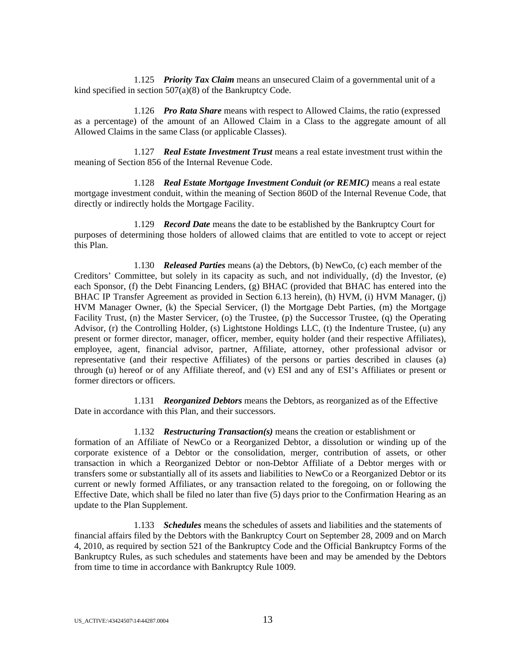1.125 *Priority Tax Claim* means an unsecured Claim of a governmental unit of a kind specified in section 507(a)(8) of the Bankruptcy Code.

1.126 *Pro Rata Share* means with respect to Allowed Claims, the ratio (expressed as a percentage) of the amount of an Allowed Claim in a Class to the aggregate amount of all Allowed Claims in the same Class (or applicable Classes).

1.127 *Real Estate Investment Trust* means a real estate investment trust within the meaning of Section 856 of the Internal Revenue Code.

1.128 *Real Estate Mortgage Investment Conduit (or REMIC)* means a real estate mortgage investment conduit, within the meaning of Section 860D of the Internal Revenue Code, that directly or indirectly holds the Mortgage Facility.

1.129 *Record Date* means the date to be established by the Bankruptcy Court for purposes of determining those holders of allowed claims that are entitled to vote to accept or reject this Plan.

1.130 *Released Parties* means (a) the Debtors, (b) NewCo, (c) each member of the Creditors' Committee, but solely in its capacity as such, and not individually, (d) the Investor, (e) each Sponsor, (f) the Debt Financing Lenders, (g) BHAC (provided that BHAC has entered into the BHAC IP Transfer Agreement as provided in Section 6.13 herein), (h) HVM, (i) HVM Manager, (j) HVM Manager Owner, (k) the Special Servicer, (l) the Mortgage Debt Parties, (m) the Mortgage Facility Trust, (n) the Master Servicer, (o) the Trustee, (p) the Successor Trustee, (q) the Operating Advisor, (r) the Controlling Holder, (s) Lightstone Holdings LLC, (t) the Indenture Trustee, (u) any present or former director, manager, officer, member, equity holder (and their respective Affiliates), employee, agent, financial advisor, partner, Affiliate, attorney, other professional advisor or representative (and their respective Affiliates) of the persons or parties described in clauses (a) through (u) hereof or of any Affiliate thereof, and (v) ESI and any of ESI's Affiliates or present or former directors or officers.

1.131 *Reorganized Debtors* means the Debtors, as reorganized as of the Effective Date in accordance with this Plan, and their successors.

1.132 *Restructuring Transaction(s)* means the creation or establishment or formation of an Affiliate of NewCo or a Reorganized Debtor, a dissolution or winding up of the corporate existence of a Debtor or the consolidation, merger, contribution of assets, or other transaction in which a Reorganized Debtor or non-Debtor Affiliate of a Debtor merges with or transfers some or substantially all of its assets and liabilities to NewCo or a Reorganized Debtor or its current or newly formed Affiliates, or any transaction related to the foregoing, on or following the Effective Date, which shall be filed no later than five (5) days prior to the Confirmation Hearing as an update to the Plan Supplement.

1.133 *Schedules* means the schedules of assets and liabilities and the statements of financial affairs filed by the Debtors with the Bankruptcy Court on September 28, 2009 and on March 4, 2010, as required by section 521 of the Bankruptcy Code and the Official Bankruptcy Forms of the Bankruptcy Rules, as such schedules and statements have been and may be amended by the Debtors from time to time in accordance with Bankruptcy Rule 1009.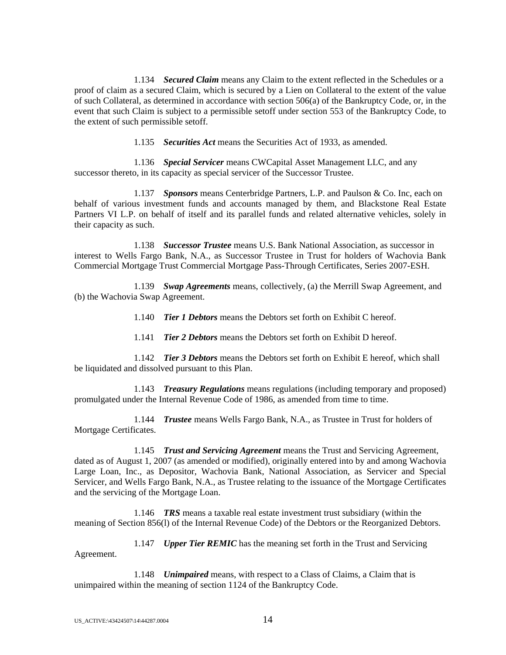1.134 *Secured Claim* means any Claim to the extent reflected in the Schedules or a proof of claim as a secured Claim, which is secured by a Lien on Collateral to the extent of the value of such Collateral, as determined in accordance with section 506(a) of the Bankruptcy Code, or, in the event that such Claim is subject to a permissible setoff under section 553 of the Bankruptcy Code, to the extent of such permissible setoff.

1.135 *Securities Act* means the Securities Act of 1933, as amended.

1.136 *Special Servicer* means CWCapital Asset Management LLC, and any successor thereto, in its capacity as special servicer of the Successor Trustee.

1.137 *Sponsors* means Centerbridge Partners, L.P. and Paulson & Co. Inc, each on behalf of various investment funds and accounts managed by them, and Blackstone Real Estate Partners VI L.P. on behalf of itself and its parallel funds and related alternative vehicles, solely in their capacity as such.

1.138 *Successor Trustee* means U.S. Bank National Association, as successor in interest to Wells Fargo Bank, N.A., as Successor Trustee in Trust for holders of Wachovia Bank Commercial Mortgage Trust Commercial Mortgage Pass-Through Certificates, Series 2007-ESH.

1.139 *Swap Agreements* means, collectively, (a) the Merrill Swap Agreement, and (b) the Wachovia Swap Agreement.

1.140 *Tier 1 Debtors* means the Debtors set forth on Exhibit C hereof.

1.141 *Tier 2 Debtors* means the Debtors set forth on Exhibit D hereof.

1.142 *Tier 3 Debtors* means the Debtors set forth on Exhibit E hereof, which shall be liquidated and dissolved pursuant to this Plan.

1.143 *Treasury Regulations* means regulations (including temporary and proposed) promulgated under the Internal Revenue Code of 1986, as amended from time to time.

1.144 *Trustee* means Wells Fargo Bank, N.A., as Trustee in Trust for holders of Mortgage Certificates.

1.145 *Trust and Servicing Agreement* means the Trust and Servicing Agreement, dated as of August 1, 2007 (as amended or modified), originally entered into by and among Wachovia Large Loan, Inc., as Depositor, Wachovia Bank, National Association, as Servicer and Special Servicer, and Wells Fargo Bank, N.A., as Trustee relating to the issuance of the Mortgage Certificates and the servicing of the Mortgage Loan.

1.146 *TRS* means a taxable real estate investment trust subsidiary (within the meaning of Section 856(l) of the Internal Revenue Code) of the Debtors or the Reorganized Debtors.

1.147 *Upper Tier REMIC* has the meaning set forth in the Trust and Servicing Agreement.

1.148 *Unimpaired* means, with respect to a Class of Claims, a Claim that is unimpaired within the meaning of section 1124 of the Bankruptcy Code.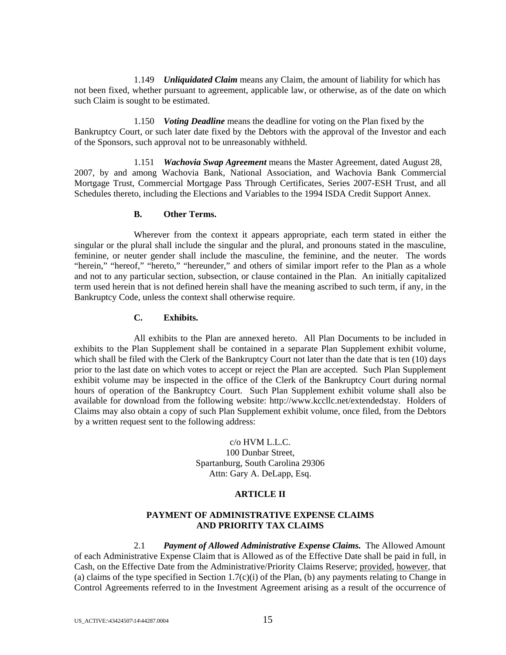1.149 *Unliquidated Claim* means any Claim, the amount of liability for which has not been fixed, whether pursuant to agreement, applicable law, or otherwise, as of the date on which such Claim is sought to be estimated.

1.150 *Voting Deadline* means the deadline for voting on the Plan fixed by the Bankruptcy Court, or such later date fixed by the Debtors with the approval of the Investor and each of the Sponsors, such approval not to be unreasonably withheld.

1.151 *Wachovia Swap Agreement* means the Master Agreement, dated August 28, 2007, by and among Wachovia Bank, National Association, and Wachovia Bank Commercial Mortgage Trust, Commercial Mortgage Pass Through Certificates, Series 2007-ESH Trust, and all Schedules thereto, including the Elections and Variables to the 1994 ISDA Credit Support Annex.

## **B. Other Terms.**

Wherever from the context it appears appropriate, each term stated in either the singular or the plural shall include the singular and the plural, and pronouns stated in the masculine, feminine, or neuter gender shall include the masculine, the feminine, and the neuter. The words "herein," "hereof," "hereto," "hereunder," and others of similar import refer to the Plan as a whole and not to any particular section, subsection, or clause contained in the Plan. An initially capitalized term used herein that is not defined herein shall have the meaning ascribed to such term, if any, in the Bankruptcy Code, unless the context shall otherwise require.

### **C. Exhibits.**

All exhibits to the Plan are annexed hereto. All Plan Documents to be included in exhibits to the Plan Supplement shall be contained in a separate Plan Supplement exhibit volume, which shall be filed with the Clerk of the Bankruptcy Court not later than the date that is ten (10) days prior to the last date on which votes to accept or reject the Plan are accepted. Such Plan Supplement exhibit volume may be inspected in the office of the Clerk of the Bankruptcy Court during normal hours of operation of the Bankruptcy Court. Such Plan Supplement exhibit volume shall also be available for download from the following website: http://www.kccllc.net/extendedstay. Holders of Claims may also obtain a copy of such Plan Supplement exhibit volume, once filed, from the Debtors by a written request sent to the following address:

> c/o HVM L.L.C. 100 Dunbar Street, Spartanburg, South Carolina 29306 Attn: Gary A. DeLapp, Esq.

## **ARTICLE II**

## **PAYMENT OF ADMINISTRATIVE EXPENSE CLAIMS AND PRIORITY TAX CLAIMS**

2.1 *Payment of Allowed Administrative Expense Claims.* The Allowed Amount of each Administrative Expense Claim that is Allowed as of the Effective Date shall be paid in full, in Cash, on the Effective Date from the Administrative/Priority Claims Reserve; provided, however, that (a) claims of the type specified in Section 1.7(c)(i) of the Plan, (b) any payments relating to Change in Control Agreements referred to in the Investment Agreement arising as a result of the occurrence of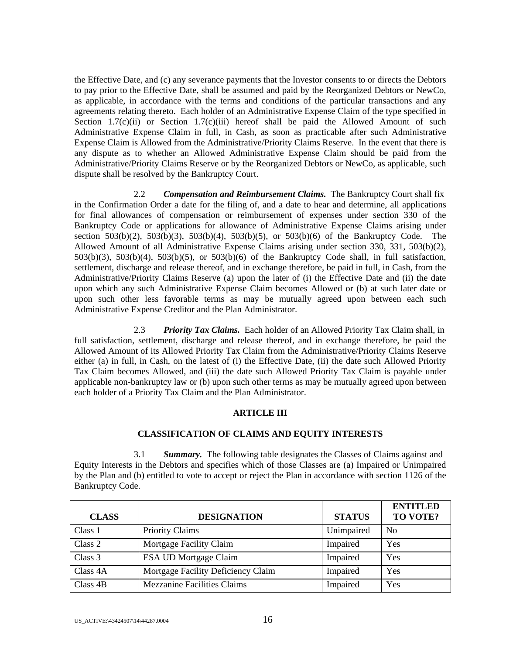the Effective Date, and (c) any severance payments that the Investor consents to or directs the Debtors to pay prior to the Effective Date, shall be assumed and paid by the Reorganized Debtors or NewCo, as applicable, in accordance with the terms and conditions of the particular transactions and any agreements relating thereto. Each holder of an Administrative Expense Claim of the type specified in Section 1.7(c)(ii) or Section 1.7(c)(iii) hereof shall be paid the Allowed Amount of such Administrative Expense Claim in full, in Cash, as soon as practicable after such Administrative Expense Claim is Allowed from the Administrative/Priority Claims Reserve. In the event that there is any dispute as to whether an Allowed Administrative Expense Claim should be paid from the Administrative/Priority Claims Reserve or by the Reorganized Debtors or NewCo, as applicable, such dispute shall be resolved by the Bankruptcy Court.

2.2 *Compensation and Reimbursement Claims.* The Bankruptcy Court shall fix in the Confirmation Order a date for the filing of, and a date to hear and determine, all applications for final allowances of compensation or reimbursement of expenses under section 330 of the Bankruptcy Code or applications for allowance of Administrative Expense Claims arising under section  $503(b)(2)$ ,  $503(b)(3)$ ,  $503(b)(4)$ ,  $503(b)(5)$ , or  $503(b)(6)$  of the Bankruptcy Code. The Allowed Amount of all Administrative Expense Claims arising under section 330, 331, 503(b)(2), 503(b)(3), 503(b)(4), 503(b)(5), or 503(b)(6) of the Bankruptcy Code shall, in full satisfaction, settlement, discharge and release thereof, and in exchange therefore, be paid in full, in Cash, from the Administrative/Priority Claims Reserve (a) upon the later of (i) the Effective Date and (ii) the date upon which any such Administrative Expense Claim becomes Allowed or (b) at such later date or upon such other less favorable terms as may be mutually agreed upon between each such Administrative Expense Creditor and the Plan Administrator.

2.3 *Priority Tax Claims.* Each holder of an Allowed Priority Tax Claim shall, in full satisfaction, settlement, discharge and release thereof, and in exchange therefore, be paid the Allowed Amount of its Allowed Priority Tax Claim from the Administrative/Priority Claims Reserve either (a) in full, in Cash, on the latest of (i) the Effective Date, (ii) the date such Allowed Priority Tax Claim becomes Allowed, and (iii) the date such Allowed Priority Tax Claim is payable under applicable non-bankruptcy law or (b) upon such other terms as may be mutually agreed upon between each holder of a Priority Tax Claim and the Plan Administrator.

## **ARTICLE III**

## **CLASSIFICATION OF CLAIMS AND EQUITY INTERESTS**

3.1 *Summary.* The following table designates the Classes of Claims against and Equity Interests in the Debtors and specifies which of those Classes are (a) Impaired or Unimpaired by the Plan and (b) entitled to vote to accept or reject the Plan in accordance with section 1126 of the Bankruptcy Code.

| <b>CLASS</b> | <b>DESIGNATION</b>                 | <b>STATUS</b> | <b>ENTITLED</b><br>TO VOTE? |
|--------------|------------------------------------|---------------|-----------------------------|
| Class 1      | <b>Priority Claims</b>             | Unimpaired    | No                          |
| Class 2      | Mortgage Facility Claim            | Impaired      | Yes                         |
| Class 3      | <b>ESA UD Mortgage Claim</b>       | Impaired      | Yes                         |
| Class 4A     | Mortgage Facility Deficiency Claim | Impaired      | Yes                         |
| Class 4B     | <b>Mezzanine Facilities Claims</b> | Impaired      | Yes                         |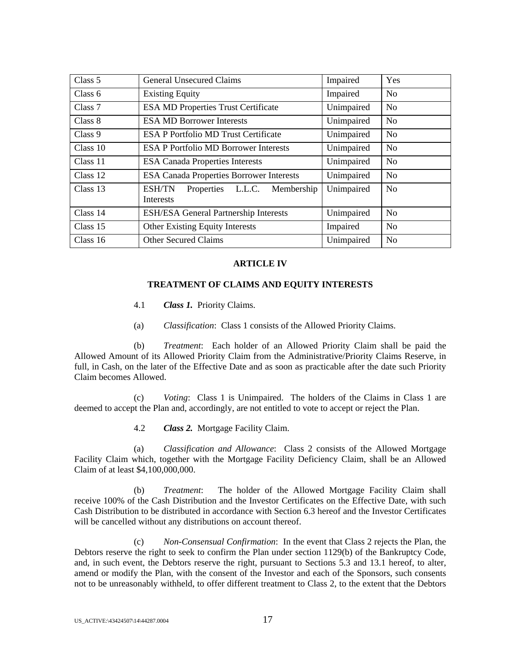| Class 5  | <b>General Unsecured Claims</b>                                      | Impaired   | Yes            |
|----------|----------------------------------------------------------------------|------------|----------------|
| Class 6  | <b>Existing Equity</b>                                               | Impaired   | N <sub>o</sub> |
| Class 7  | <b>ESA MD Properties Trust Certificate</b>                           | Unimpaired | N <sub>0</sub> |
| Class 8  | <b>ESA MD Borrower Interests</b>                                     | Unimpaired | N <sub>o</sub> |
| Class 9  | <b>ESA P Portfolio MD Trust Certificate</b>                          | Unimpaired | N <sub>0</sub> |
| Class 10 | <b>ESA P Portfolio MD Borrower Interests</b>                         | Unimpaired | N <sub>o</sub> |
| Class 11 | <b>ESA Canada Properties Interests</b>                               | Unimpaired | N <sub>0</sub> |
| Class 12 | <b>ESA Canada Properties Borrower Interests</b>                      | Unimpaired | N <sub>o</sub> |
| Class 13 | <b>ESH/TN</b><br>L.L.C. Membership<br>Properties<br><b>Interests</b> | Unimpaired | N <sub>o</sub> |
| Class 14 | <b>ESH/ESA General Partnership Interests</b>                         | Unimpaired | N <sub>o</sub> |
| Class 15 | <b>Other Existing Equity Interests</b>                               | Impaired   | N <sub>o</sub> |
| Class 16 | <b>Other Secured Claims</b>                                          | Unimpaired | N <sub>o</sub> |

### **ARTICLE IV**

### **TREATMENT OF CLAIMS AND EQUITY INTERESTS**

- 4.1 *Class 1.* Priority Claims.
- (a) *Classification*: Class 1 consists of the Allowed Priority Claims.

(b) *Treatment*: Each holder of an Allowed Priority Claim shall be paid the Allowed Amount of its Allowed Priority Claim from the Administrative/Priority Claims Reserve, in full, in Cash, on the later of the Effective Date and as soon as practicable after the date such Priority Claim becomes Allowed.

(c) *Voting*: Class 1 is Unimpaired. The holders of the Claims in Class 1 are deemed to accept the Plan and, accordingly, are not entitled to vote to accept or reject the Plan.

4.2 *Class 2.* Mortgage Facility Claim.

(a) *Classification and Allowance*: Class 2 consists of the Allowed Mortgage Facility Claim which, together with the Mortgage Facility Deficiency Claim, shall be an Allowed Claim of at least \$4,100,000,000.

(b) *Treatment*: The holder of the Allowed Mortgage Facility Claim shall receive 100% of the Cash Distribution and the Investor Certificates on the Effective Date, with such Cash Distribution to be distributed in accordance with Section 6.3 hereof and the Investor Certificates will be cancelled without any distributions on account thereof.

(c) *Non-Consensual Confirmation*: In the event that Class 2 rejects the Plan, the Debtors reserve the right to seek to confirm the Plan under section 1129(b) of the Bankruptcy Code, and, in such event, the Debtors reserve the right, pursuant to Sections 5.3 and 13.1 hereof, to alter, amend or modify the Plan, with the consent of the Investor and each of the Sponsors, such consents not to be unreasonably withheld, to offer different treatment to Class 2, to the extent that the Debtors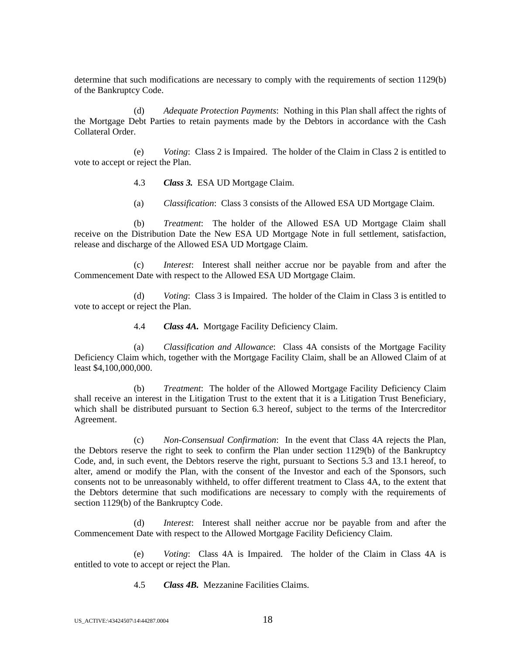determine that such modifications are necessary to comply with the requirements of section 1129(b) of the Bankruptcy Code.

(d) *Adequate Protection Payments*: Nothing in this Plan shall affect the rights of the Mortgage Debt Parties to retain payments made by the Debtors in accordance with the Cash Collateral Order.

(e) *Voting*: Class 2 is Impaired. The holder of the Claim in Class 2 is entitled to vote to accept or reject the Plan.

- 4.3 *Class 3.* ESA UD Mortgage Claim.
- (a) *Classification*: Class 3 consists of the Allowed ESA UD Mortgage Claim.

(b) *Treatment*: The holder of the Allowed ESA UD Mortgage Claim shall receive on the Distribution Date the New ESA UD Mortgage Note in full settlement, satisfaction, release and discharge of the Allowed ESA UD Mortgage Claim.

(c) *Interest*: Interest shall neither accrue nor be payable from and after the Commencement Date with respect to the Allowed ESA UD Mortgage Claim.

(d) *Voting*: Class 3 is Impaired. The holder of the Claim in Class 3 is entitled to vote to accept or reject the Plan.

4.4 *Class 4A.* Mortgage Facility Deficiency Claim.

(a) *Classification and Allowance*: Class 4A consists of the Mortgage Facility Deficiency Claim which, together with the Mortgage Facility Claim, shall be an Allowed Claim of at least \$4,100,000,000.

(b) *Treatment*: The holder of the Allowed Mortgage Facility Deficiency Claim shall receive an interest in the Litigation Trust to the extent that it is a Litigation Trust Beneficiary, which shall be distributed pursuant to Section 6.3 hereof, subject to the terms of the Intercreditor Agreement.

(c) *Non-Consensual Confirmation*: In the event that Class 4A rejects the Plan, the Debtors reserve the right to seek to confirm the Plan under section 1129(b) of the Bankruptcy Code, and, in such event, the Debtors reserve the right, pursuant to Sections 5.3 and 13.1 hereof, to alter, amend or modify the Plan, with the consent of the Investor and each of the Sponsors, such consents not to be unreasonably withheld, to offer different treatment to Class 4A, to the extent that the Debtors determine that such modifications are necessary to comply with the requirements of section 1129(b) of the Bankruptcy Code.

(d) *Interest*: Interest shall neither accrue nor be payable from and after the Commencement Date with respect to the Allowed Mortgage Facility Deficiency Claim.

(e) *Voting*: Class 4A is Impaired. The holder of the Claim in Class 4A is entitled to vote to accept or reject the Plan.

4.5 *Class 4B.* Mezzanine Facilities Claims.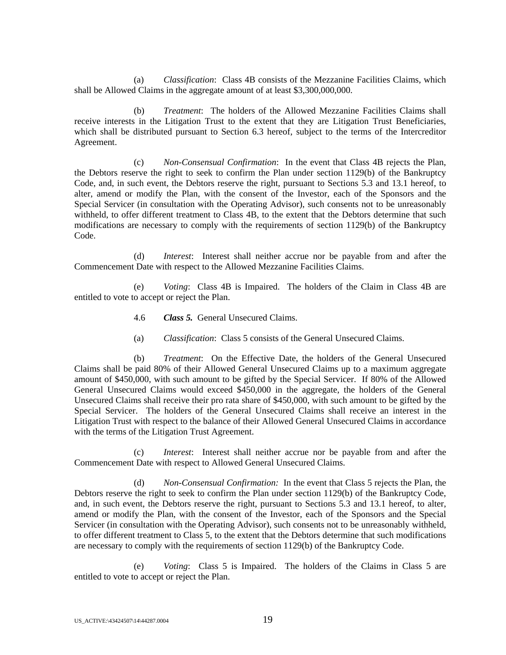(a) *Classification*: Class 4B consists of the Mezzanine Facilities Claims, which shall be Allowed Claims in the aggregate amount of at least \$3,300,000,000.

(b) *Treatment*: The holders of the Allowed Mezzanine Facilities Claims shall receive interests in the Litigation Trust to the extent that they are Litigation Trust Beneficiaries, which shall be distributed pursuant to Section 6.3 hereof, subject to the terms of the Intercreditor Agreement.

(c) *Non-Consensual Confirmation*: In the event that Class 4B rejects the Plan, the Debtors reserve the right to seek to confirm the Plan under section 1129(b) of the Bankruptcy Code, and, in such event, the Debtors reserve the right, pursuant to Sections 5.3 and 13.1 hereof, to alter, amend or modify the Plan, with the consent of the Investor, each of the Sponsors and the Special Servicer (in consultation with the Operating Advisor), such consents not to be unreasonably withheld, to offer different treatment to Class 4B, to the extent that the Debtors determine that such modifications are necessary to comply with the requirements of section 1129(b) of the Bankruptcy Code.

(d) *Interest*: Interest shall neither accrue nor be payable from and after the Commencement Date with respect to the Allowed Mezzanine Facilities Claims.

(e) *Voting*: Class 4B is Impaired. The holders of the Claim in Class 4B are entitled to vote to accept or reject the Plan.

- 4.6 *Class 5.* General Unsecured Claims.
- (a) *Classification*: Class 5 consists of the General Unsecured Claims.

(b) *Treatment*: On the Effective Date, the holders of the General Unsecured Claims shall be paid 80% of their Allowed General Unsecured Claims up to a maximum aggregate amount of \$450,000, with such amount to be gifted by the Special Servicer. If 80% of the Allowed General Unsecured Claims would exceed \$450,000 in the aggregate, the holders of the General Unsecured Claims shall receive their pro rata share of \$450,000, with such amount to be gifted by the Special Servicer. The holders of the General Unsecured Claims shall receive an interest in the Litigation Trust with respect to the balance of their Allowed General Unsecured Claims in accordance with the terms of the Litigation Trust Agreement.

(c) *Interest*: Interest shall neither accrue nor be payable from and after the Commencement Date with respect to Allowed General Unsecured Claims.

(d) *Non-Consensual Confirmation:* In the event that Class 5 rejects the Plan, the Debtors reserve the right to seek to confirm the Plan under section 1129(b) of the Bankruptcy Code, and, in such event, the Debtors reserve the right, pursuant to Sections 5.3 and 13.1 hereof, to alter, amend or modify the Plan, with the consent of the Investor, each of the Sponsors and the Special Servicer (in consultation with the Operating Advisor), such consents not to be unreasonably withheld, to offer different treatment to Class 5, to the extent that the Debtors determine that such modifications are necessary to comply with the requirements of section 1129(b) of the Bankruptcy Code.

(e) *Voting*: Class 5 is Impaired. The holders of the Claims in Class 5 are entitled to vote to accept or reject the Plan.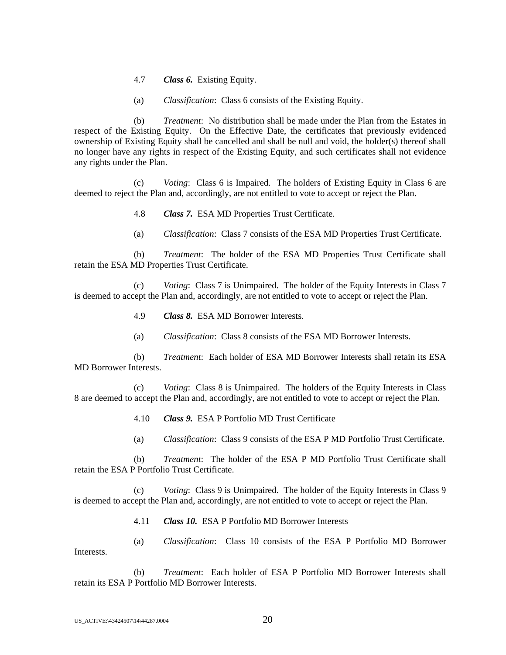- 4.7 *Class 6.* Existing Equity.
- (a) *Classification*: Class 6 consists of the Existing Equity.

(b) *Treatment*: No distribution shall be made under the Plan from the Estates in respect of the Existing Equity. On the Effective Date, the certificates that previously evidenced ownership of Existing Equity shall be cancelled and shall be null and void, the holder(s) thereof shall no longer have any rights in respect of the Existing Equity, and such certificates shall not evidence any rights under the Plan.

(c) *Voting*: Class 6 is Impaired. The holders of Existing Equity in Class 6 are deemed to reject the Plan and, accordingly, are not entitled to vote to accept or reject the Plan.

- 4.8 *Class 7.* ESA MD Properties Trust Certificate.
- (a) *Classification*: Class 7 consists of the ESA MD Properties Trust Certificate.

(b) *Treatment*: The holder of the ESA MD Properties Trust Certificate shall retain the ESA MD Properties Trust Certificate.

(c) *Voting*: Class 7 is Unimpaired. The holder of the Equity Interests in Class 7 is deemed to accept the Plan and, accordingly, are not entitled to vote to accept or reject the Plan.

- 4.9 *Class 8.* ESA MD Borrower Interests.
- (a) *Classification*: Class 8 consists of the ESA MD Borrower Interests.

(b) *Treatment*: Each holder of ESA MD Borrower Interests shall retain its ESA MD Borrower Interests.

(c) *Voting*: Class 8 is Unimpaired. The holders of the Equity Interests in Class 8 are deemed to accept the Plan and, accordingly, are not entitled to vote to accept or reject the Plan.

- 4.10 *Class 9.* ESA P Portfolio MD Trust Certificate
- (a) *Classification*: Class 9 consists of the ESA P MD Portfolio Trust Certificate.

(b) *Treatment*: The holder of the ESA P MD Portfolio Trust Certificate shall retain the ESA P Portfolio Trust Certificate.

(c) *Voting*: Class 9 is Unimpaired. The holder of the Equity Interests in Class 9 is deemed to accept the Plan and, accordingly, are not entitled to vote to accept or reject the Plan.

- 4.11 *Class 10.* ESA P Portfolio MD Borrower Interests
- (a) *Classification*: Class 10 consists of the ESA P Portfolio MD Borrower

(b) *Treatment*: Each holder of ESA P Portfolio MD Borrower Interests shall retain its ESA P Portfolio MD Borrower Interests.

Interests.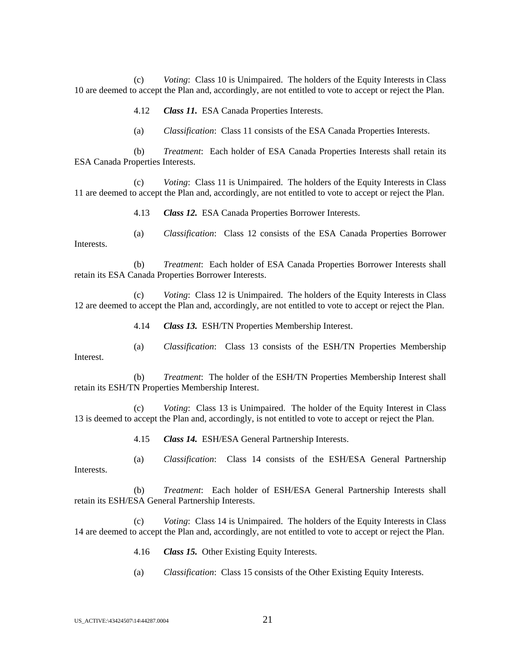(c) *Voting*: Class 10 is Unimpaired. The holders of the Equity Interests in Class 10 are deemed to accept the Plan and, accordingly, are not entitled to vote to accept or reject the Plan.

4.12 *Class 11.* ESA Canada Properties Interests.

(a) *Classification*: Class 11 consists of the ESA Canada Properties Interests.

(b) *Treatment*: Each holder of ESA Canada Properties Interests shall retain its ESA Canada Properties Interests.

(c) *Voting*: Class 11 is Unimpaired. The holders of the Equity Interests in Class 11 are deemed to accept the Plan and, accordingly, are not entitled to vote to accept or reject the Plan.

4.13 *Class 12.* ESA Canada Properties Borrower Interests.

(a) *Classification*: Class 12 consists of the ESA Canada Properties Borrower Interests.

(b) *Treatment*: Each holder of ESA Canada Properties Borrower Interests shall retain its ESA Canada Properties Borrower Interests.

(c) *Voting*: Class 12 is Unimpaired. The holders of the Equity Interests in Class 12 are deemed to accept the Plan and, accordingly, are not entitled to vote to accept or reject the Plan.

4.14 *Class 13.* ESH/TN Properties Membership Interest.

(a) *Classification*: Class 13 consists of the ESH/TN Properties Membership

(b) *Treatment*: The holder of the ESH/TN Properties Membership Interest shall retain its ESH/TN Properties Membership Interest.

(c) *Voting*: Class 13 is Unimpaired. The holder of the Equity Interest in Class 13 is deemed to accept the Plan and, accordingly, is not entitled to vote to accept or reject the Plan.

4.15 *Class 14.* ESH/ESA General Partnership Interests.

(a) *Classification*: Class 14 consists of the ESH/ESA General Partnership Interests.

(b) *Treatment*: Each holder of ESH/ESA General Partnership Interests shall retain its ESH/ESA General Partnership Interests.

*Voting*: Class 14 is Unimpaired. The holders of the Equity Interests in Class 14 are deemed to accept the Plan and, accordingly, are not entitled to vote to accept or reject the Plan.

- 4.16 *Class 15.* Other Existing Equity Interests.
- (a) *Classification*: Class 15 consists of the Other Existing Equity Interests.

Interest.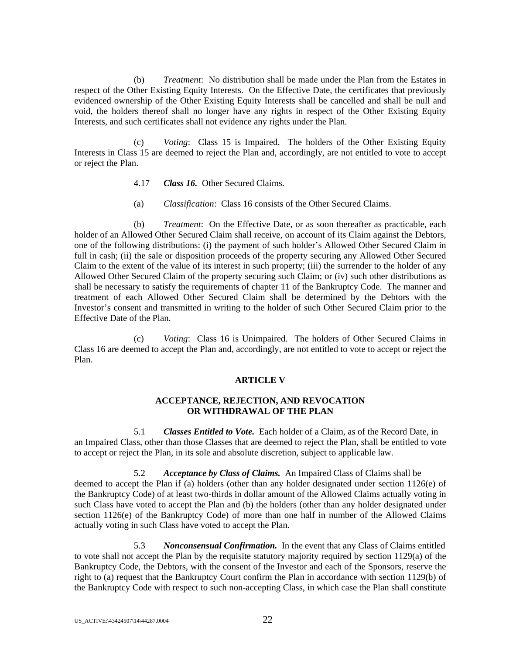(b) *Treatment*: No distribution shall be made under the Plan from the Estates in respect of the Other Existing Equity Interests. On the Effective Date, the certificates that previously evidenced ownership of the Other Existing Equity Interests shall be cancelled and shall be null and void, the holders thereof shall no longer have any rights in respect of the Other Existing Equity Interests, and such certificates shall not evidence any rights under the Plan.

(c) *Voting*: Class 15 is Impaired. The holders of the Other Existing Equity Interests in Class 15 are deemed to reject the Plan and, accordingly, are not entitled to vote to accept or reject the Plan.

- 4.17 *Class 16.* Other Secured Claims.
- (a) *Classification*: Class 16 consists of the Other Secured Claims.

(b) *Treatment*: On the Effective Date, or as soon thereafter as practicable, each holder of an Allowed Other Secured Claim shall receive, on account of its Claim against the Debtors, one of the following distributions: (i) the payment of such holder's Allowed Other Secured Claim in full in cash; (ii) the sale or disposition proceeds of the property securing any Allowed Other Secured Claim to the extent of the value of its interest in such property; (iii) the surrender to the holder of any Allowed Other Secured Claim of the property securing such Claim; or (iv) such other distributions as shall be necessary to satisfy the requirements of chapter 11 of the Bankruptcy Code. The manner and treatment of each Allowed Other Secured Claim shall be determined by the Debtors with the Investor's consent and transmitted in writing to the holder of such Other Secured Claim prior to the Effective Date of the Plan.

(c) *Voting*: Class 16 is Unimpaired. The holders of Other Secured Claims in Class 16 are deemed to accept the Plan and, accordingly, are not entitled to vote to accept or reject the Plan.

## **ARTICLE V**

### **ACCEPTANCE, REJECTION, AND REVOCATION OR WITHDRAWAL OF THE PLAN**

5.1 *Classes Entitled to Vote.* Each holder of a Claim, as of the Record Date, in an Impaired Class, other than those Classes that are deemed to reject the Plan, shall be entitled to vote to accept or reject the Plan, in its sole and absolute discretion, subject to applicable law.

5.2 *Acceptance by Class of Claims.* An Impaired Class of Claims shall be deemed to accept the Plan if (a) holders (other than any holder designated under section 1126(e) of the Bankruptcy Code) of at least two-thirds in dollar amount of the Allowed Claims actually voting in such Class have voted to accept the Plan and (b) the holders (other than any holder designated under section 1126(e) of the Bankruptcy Code) of more than one half in number of the Allowed Claims actually voting in such Class have voted to accept the Plan.

5.3 *Nonconsensual Confirmation.* In the event that any Class of Claims entitled to vote shall not accept the Plan by the requisite statutory majority required by section 1129(a) of the Bankruptcy Code, the Debtors, with the consent of the Investor and each of the Sponsors, reserve the right to (a) request that the Bankruptcy Court confirm the Plan in accordance with section 1129(b) of the Bankruptcy Code with respect to such non-accepting Class, in which case the Plan shall constitute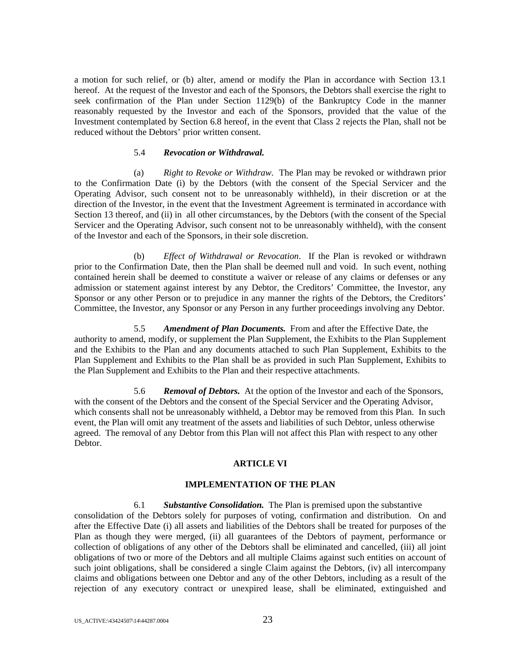a motion for such relief, or (b) alter, amend or modify the Plan in accordance with Section 13.1 hereof. At the request of the Investor and each of the Sponsors, the Debtors shall exercise the right to seek confirmation of the Plan under Section 1129(b) of the Bankruptcy Code in the manner reasonably requested by the Investor and each of the Sponsors, provided that the value of the Investment contemplated by Section 6.8 hereof, in the event that Class 2 rejects the Plan, shall not be reduced without the Debtors' prior written consent.

### 5.4 *Revocation or Withdrawal.*

(a) *Right to Revoke or Withdraw*. The Plan may be revoked or withdrawn prior to the Confirmation Date (i) by the Debtors (with the consent of the Special Servicer and the Operating Advisor, such consent not to be unreasonably withheld), in their discretion or at the direction of the Investor, in the event that the Investment Agreement is terminated in accordance with Section 13 thereof, and (ii) in all other circumstances, by the Debtors (with the consent of the Special Servicer and the Operating Advisor, such consent not to be unreasonably withheld), with the consent of the Investor and each of the Sponsors, in their sole discretion.

(b) *Effect of Withdrawal or Revocation*. If the Plan is revoked or withdrawn prior to the Confirmation Date, then the Plan shall be deemed null and void. In such event, nothing contained herein shall be deemed to constitute a waiver or release of any claims or defenses or any admission or statement against interest by any Debtor, the Creditors' Committee, the Investor, any Sponsor or any other Person or to prejudice in any manner the rights of the Debtors, the Creditors' Committee, the Investor, any Sponsor or any Person in any further proceedings involving any Debtor.

5.5 *Amendment of Plan Documents.* From and after the Effective Date, the authority to amend, modify, or supplement the Plan Supplement, the Exhibits to the Plan Supplement and the Exhibits to the Plan and any documents attached to such Plan Supplement, Exhibits to the Plan Supplement and Exhibits to the Plan shall be as provided in such Plan Supplement, Exhibits to the Plan Supplement and Exhibits to the Plan and their respective attachments.

5.6 *Removal of Debtors.* At the option of the Investor and each of the Sponsors, with the consent of the Debtors and the consent of the Special Servicer and the Operating Advisor, which consents shall not be unreasonably withheld, a Debtor may be removed from this Plan. In such event, the Plan will omit any treatment of the assets and liabilities of such Debtor, unless otherwise agreed. The removal of any Debtor from this Plan will not affect this Plan with respect to any other **Debtor** 

## **ARTICLE VI**

#### **IMPLEMENTATION OF THE PLAN**

6.1 *Substantive Consolidation.* The Plan is premised upon the substantive consolidation of the Debtors solely for purposes of voting, confirmation and distribution. On and after the Effective Date (i) all assets and liabilities of the Debtors shall be treated for purposes of the Plan as though they were merged, (ii) all guarantees of the Debtors of payment, performance or collection of obligations of any other of the Debtors shall be eliminated and cancelled, (iii) all joint obligations of two or more of the Debtors and all multiple Claims against such entities on account of such joint obligations, shall be considered a single Claim against the Debtors, (iv) all intercompany claims and obligations between one Debtor and any of the other Debtors, including as a result of the rejection of any executory contract or unexpired lease, shall be eliminated, extinguished and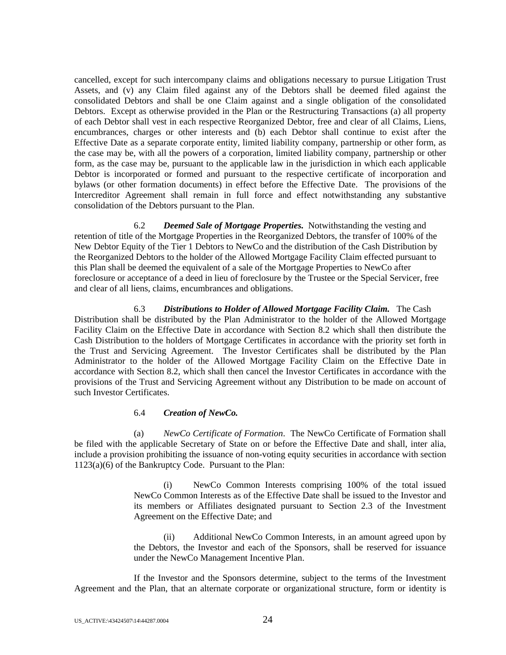cancelled, except for such intercompany claims and obligations necessary to pursue Litigation Trust Assets, and (v) any Claim filed against any of the Debtors shall be deemed filed against the consolidated Debtors and shall be one Claim against and a single obligation of the consolidated Debtors. Except as otherwise provided in the Plan or the Restructuring Transactions (a) all property of each Debtor shall vest in each respective Reorganized Debtor, free and clear of all Claims, Liens, encumbrances, charges or other interests and (b) each Debtor shall continue to exist after the Effective Date as a separate corporate entity, limited liability company, partnership or other form, as the case may be, with all the powers of a corporation, limited liability company, partnership or other form, as the case may be, pursuant to the applicable law in the jurisdiction in which each applicable Debtor is incorporated or formed and pursuant to the respective certificate of incorporation and bylaws (or other formation documents) in effect before the Effective Date. The provisions of the Intercreditor Agreement shall remain in full force and effect notwithstanding any substantive consolidation of the Debtors pursuant to the Plan.

6.2 *Deemed Sale of Mortgage Properties.* Notwithstanding the vesting and retention of title of the Mortgage Properties in the Reorganized Debtors, the transfer of 100% of the New Debtor Equity of the Tier 1 Debtors to NewCo and the distribution of the Cash Distribution by the Reorganized Debtors to the holder of the Allowed Mortgage Facility Claim effected pursuant to this Plan shall be deemed the equivalent of a sale of the Mortgage Properties to NewCo after foreclosure or acceptance of a deed in lieu of foreclosure by the Trustee or the Special Servicer, free and clear of all liens, claims, encumbrances and obligations.

6.3 *Distributions to Holder of Allowed Mortgage Facility Claim.* The Cash Distribution shall be distributed by the Plan Administrator to the holder of the Allowed Mortgage Facility Claim on the Effective Date in accordance with Section 8.2 which shall then distribute the Cash Distribution to the holders of Mortgage Certificates in accordance with the priority set forth in the Trust and Servicing Agreement. The Investor Certificates shall be distributed by the Plan Administrator to the holder of the Allowed Mortgage Facility Claim on the Effective Date in accordance with Section 8.2, which shall then cancel the Investor Certificates in accordance with the provisions of the Trust and Servicing Agreement without any Distribution to be made on account of such Investor Certificates.

## 6.4 *Creation of NewCo.*

(a) *NewCo Certificate of Formation*. The NewCo Certificate of Formation shall be filed with the applicable Secretary of State on or before the Effective Date and shall, inter alia, include a provision prohibiting the issuance of non-voting equity securities in accordance with section 1123(a)(6) of the Bankruptcy Code. Pursuant to the Plan:

> (i) NewCo Common Interests comprising 100% of the total issued NewCo Common Interests as of the Effective Date shall be issued to the Investor and its members or Affiliates designated pursuant to Section 2.3 of the Investment Agreement on the Effective Date; and

> (ii) Additional NewCo Common Interests, in an amount agreed upon by the Debtors, the Investor and each of the Sponsors, shall be reserved for issuance under the NewCo Management Incentive Plan.

If the Investor and the Sponsors determine, subject to the terms of the Investment Agreement and the Plan, that an alternate corporate or organizational structure, form or identity is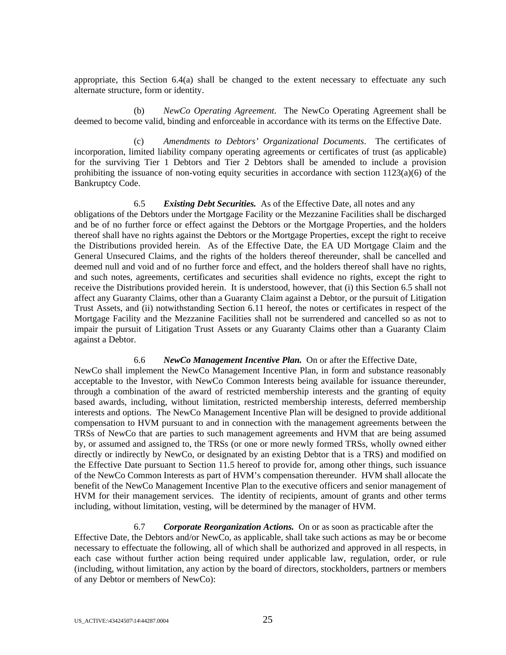appropriate, this Section 6.4(a) shall be changed to the extent necessary to effectuate any such alternate structure, form or identity.

(b) *NewCo Operating Agreement*. The NewCo Operating Agreement shall be deemed to become valid, binding and enforceable in accordance with its terms on the Effective Date.

(c) *Amendments to Debtors' Organizational Documents*. The certificates of incorporation, limited liability company operating agreements or certificates of trust (as applicable) for the surviving Tier 1 Debtors and Tier 2 Debtors shall be amended to include a provision prohibiting the issuance of non-voting equity securities in accordance with section 1123(a)(6) of the Bankruptcy Code.

6.5 *Existing Debt Securities.* As of the Effective Date, all notes and any obligations of the Debtors under the Mortgage Facility or the Mezzanine Facilities shall be discharged and be of no further force or effect against the Debtors or the Mortgage Properties, and the holders thereof shall have no rights against the Debtors or the Mortgage Properties, except the right to receive the Distributions provided herein. As of the Effective Date, the EA UD Mortgage Claim and the General Unsecured Claims, and the rights of the holders thereof thereunder, shall be cancelled and deemed null and void and of no further force and effect, and the holders thereof shall have no rights, and such notes, agreements, certificates and securities shall evidence no rights, except the right to receive the Distributions provided herein. It is understood, however, that (i) this Section 6.5 shall not affect any Guaranty Claims, other than a Guaranty Claim against a Debtor, or the pursuit of Litigation Trust Assets, and (ii) notwithstanding Section 6.11 hereof, the notes or certificates in respect of the Mortgage Facility and the Mezzanine Facilities shall not be surrendered and cancelled so as not to impair the pursuit of Litigation Trust Assets or any Guaranty Claims other than a Guaranty Claim against a Debtor.

#### 6.6 *NewCo Management Incentive Plan.* On or after the Effective Date,

NewCo shall implement the NewCo Management Incentive Plan, in form and substance reasonably acceptable to the Investor, with NewCo Common Interests being available for issuance thereunder, through a combination of the award of restricted membership interests and the granting of equity based awards, including, without limitation, restricted membership interests, deferred membership interests and options. The NewCo Management Incentive Plan will be designed to provide additional compensation to HVM pursuant to and in connection with the management agreements between the TRSs of NewCo that are parties to such management agreements and HVM that are being assumed by, or assumed and assigned to, the TRSs (or one or more newly formed TRSs, wholly owned either directly or indirectly by NewCo, or designated by an existing Debtor that is a TRS) and modified on the Effective Date pursuant to Section 11.5 hereof to provide for, among other things, such issuance of the NewCo Common Interests as part of HVM's compensation thereunder. HVM shall allocate the benefit of the NewCo Management Incentive Plan to the executive officers and senior management of HVM for their management services. The identity of recipients, amount of grants and other terms including, without limitation, vesting, will be determined by the manager of HVM.

6.7 *Corporate Reorganization Actions.* On or as soon as practicable after the Effective Date, the Debtors and/or NewCo, as applicable, shall take such actions as may be or become necessary to effectuate the following, all of which shall be authorized and approved in all respects, in each case without further action being required under applicable law, regulation, order, or rule (including, without limitation, any action by the board of directors, stockholders, partners or members of any Debtor or members of NewCo):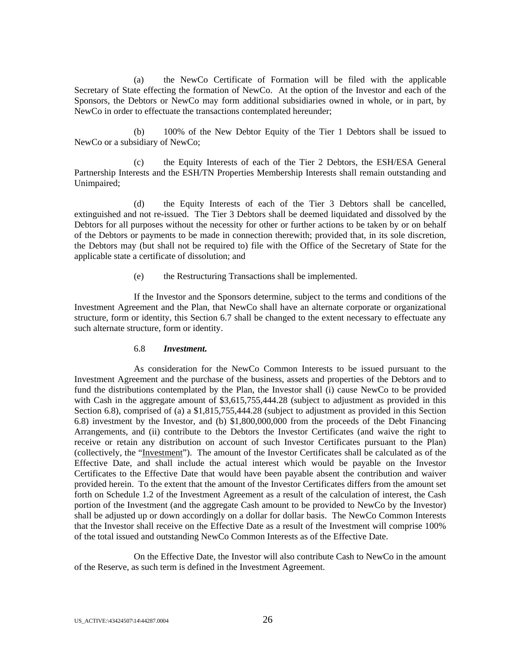(a) the NewCo Certificate of Formation will be filed with the applicable Secretary of State effecting the formation of NewCo. At the option of the Investor and each of the Sponsors, the Debtors or NewCo may form additional subsidiaries owned in whole, or in part, by NewCo in order to effectuate the transactions contemplated hereunder;

(b) 100% of the New Debtor Equity of the Tier 1 Debtors shall be issued to NewCo or a subsidiary of NewCo;

(c) the Equity Interests of each of the Tier 2 Debtors, the ESH/ESA General Partnership Interests and the ESH/TN Properties Membership Interests shall remain outstanding and Unimpaired;

(d) the Equity Interests of each of the Tier 3 Debtors shall be cancelled, extinguished and not re-issued. The Tier 3 Debtors shall be deemed liquidated and dissolved by the Debtors for all purposes without the necessity for other or further actions to be taken by or on behalf of the Debtors or payments to be made in connection therewith; provided that, in its sole discretion, the Debtors may (but shall not be required to) file with the Office of the Secretary of State for the applicable state a certificate of dissolution; and

(e) the Restructuring Transactions shall be implemented.

If the Investor and the Sponsors determine, subject to the terms and conditions of the Investment Agreement and the Plan, that NewCo shall have an alternate corporate or organizational structure, form or identity, this Section 6.7 shall be changed to the extent necessary to effectuate any such alternate structure, form or identity.

#### 6.8 *Investment.*

As consideration for the NewCo Common Interests to be issued pursuant to the Investment Agreement and the purchase of the business, assets and properties of the Debtors and to fund the distributions contemplated by the Plan, the Investor shall (i) cause NewCo to be provided with Cash in the aggregate amount of \$3,615,755,444.28 (subject to adjustment as provided in this Section 6.8), comprised of (a) a \$1,815,755,444.28 (subject to adjustment as provided in this Section 6.8) investment by the Investor, and (b) \$1,800,000,000 from the proceeds of the Debt Financing Arrangements, and (ii) contribute to the Debtors the Investor Certificates (and waive the right to receive or retain any distribution on account of such Investor Certificates pursuant to the Plan) (collectively, the "Investment"). The amount of the Investor Certificates shall be calculated as of the Effective Date, and shall include the actual interest which would be payable on the Investor Certificates to the Effective Date that would have been payable absent the contribution and waiver provided herein. To the extent that the amount of the Investor Certificates differs from the amount set forth on Schedule 1.2 of the Investment Agreement as a result of the calculation of interest, the Cash portion of the Investment (and the aggregate Cash amount to be provided to NewCo by the Investor) shall be adjusted up or down accordingly on a dollar for dollar basis. The NewCo Common Interests that the Investor shall receive on the Effective Date as a result of the Investment will comprise 100% of the total issued and outstanding NewCo Common Interests as of the Effective Date.

On the Effective Date, the Investor will also contribute Cash to NewCo in the amount of the Reserve, as such term is defined in the Investment Agreement.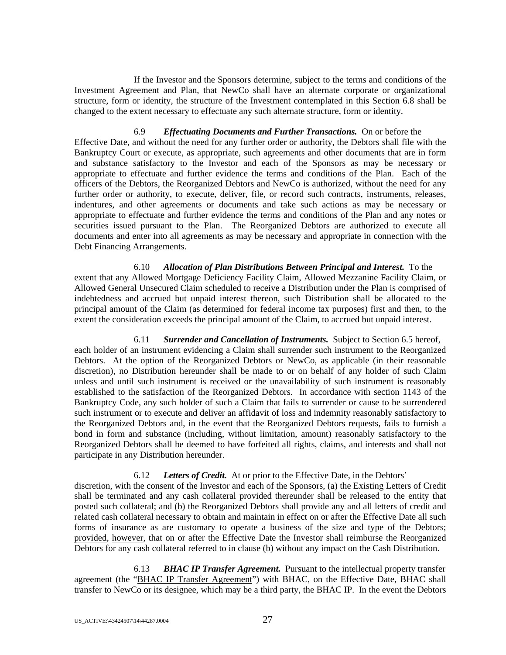If the Investor and the Sponsors determine, subject to the terms and conditions of the Investment Agreement and Plan, that NewCo shall have an alternate corporate or organizational structure, form or identity, the structure of the Investment contemplated in this Section 6.8 shall be changed to the extent necessary to effectuate any such alternate structure, form or identity.

6.9 *Effectuating Documents and Further Transactions.* On or before the Effective Date, and without the need for any further order or authority, the Debtors shall file with the Bankruptcy Court or execute, as appropriate, such agreements and other documents that are in form and substance satisfactory to the Investor and each of the Sponsors as may be necessary or appropriate to effectuate and further evidence the terms and conditions of the Plan. Each of the officers of the Debtors, the Reorganized Debtors and NewCo is authorized, without the need for any further order or authority, to execute, deliver, file, or record such contracts, instruments, releases, indentures, and other agreements or documents and take such actions as may be necessary or appropriate to effectuate and further evidence the terms and conditions of the Plan and any notes or securities issued pursuant to the Plan. The Reorganized Debtors are authorized to execute all documents and enter into all agreements as may be necessary and appropriate in connection with the Debt Financing Arrangements.

6.10 *Allocation of Plan Distributions Between Principal and Interest.* To the extent that any Allowed Mortgage Deficiency Facility Claim, Allowed Mezzanine Facility Claim, or Allowed General Unsecured Claim scheduled to receive a Distribution under the Plan is comprised of indebtedness and accrued but unpaid interest thereon, such Distribution shall be allocated to the principal amount of the Claim (as determined for federal income tax purposes) first and then, to the extent the consideration exceeds the principal amount of the Claim, to accrued but unpaid interest.

6.11 *Surrender and Cancellation of Instruments.* Subject to Section 6.5 hereof, each holder of an instrument evidencing a Claim shall surrender such instrument to the Reorganized Debtors. At the option of the Reorganized Debtors or NewCo, as applicable (in their reasonable discretion), no Distribution hereunder shall be made to or on behalf of any holder of such Claim unless and until such instrument is received or the unavailability of such instrument is reasonably established to the satisfaction of the Reorganized Debtors. In accordance with section 1143 of the Bankruptcy Code, any such holder of such a Claim that fails to surrender or cause to be surrendered such instrument or to execute and deliver an affidavit of loss and indemnity reasonably satisfactory to the Reorganized Debtors and, in the event that the Reorganized Debtors requests, fails to furnish a bond in form and substance (including, without limitation, amount) reasonably satisfactory to the Reorganized Debtors shall be deemed to have forfeited all rights, claims, and interests and shall not participate in any Distribution hereunder.

## 6.12 *Letters of Credit.* At or prior to the Effective Date, in the Debtors'

discretion, with the consent of the Investor and each of the Sponsors, (a) the Existing Letters of Credit shall be terminated and any cash collateral provided thereunder shall be released to the entity that posted such collateral; and (b) the Reorganized Debtors shall provide any and all letters of credit and related cash collateral necessary to obtain and maintain in effect on or after the Effective Date all such forms of insurance as are customary to operate a business of the size and type of the Debtors; provided, however, that on or after the Effective Date the Investor shall reimburse the Reorganized Debtors for any cash collateral referred to in clause (b) without any impact on the Cash Distribution.

6.13 *BHAC IP Transfer Agreement.* Pursuant to the intellectual property transfer agreement (the "BHAC IP Transfer Agreement") with BHAC, on the Effective Date, BHAC shall transfer to NewCo or its designee, which may be a third party, the BHAC IP. In the event the Debtors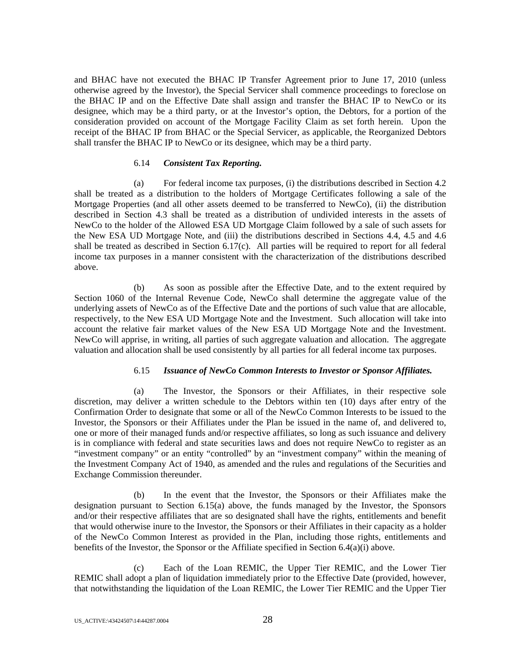and BHAC have not executed the BHAC IP Transfer Agreement prior to June 17, 2010 (unless otherwise agreed by the Investor), the Special Servicer shall commence proceedings to foreclose on the BHAC IP and on the Effective Date shall assign and transfer the BHAC IP to NewCo or its designee, which may be a third party, or at the Investor's option, the Debtors, for a portion of the consideration provided on account of the Mortgage Facility Claim as set forth herein. Upon the receipt of the BHAC IP from BHAC or the Special Servicer, as applicable, the Reorganized Debtors shall transfer the BHAC IP to NewCo or its designee, which may be a third party.

### 6.14 *Consistent Tax Reporting.*

(a) For federal income tax purposes, (i) the distributions described in Section 4.2 shall be treated as a distribution to the holders of Mortgage Certificates following a sale of the Mortgage Properties (and all other assets deemed to be transferred to NewCo), (ii) the distribution described in Section 4.3 shall be treated as a distribution of undivided interests in the assets of NewCo to the holder of the Allowed ESA UD Mortgage Claim followed by a sale of such assets for the New ESA UD Mortgage Note, and (iii) the distributions described in Sections 4.4, 4.5 and 4.6 shall be treated as described in Section 6.17(c). All parties will be required to report for all federal income tax purposes in a manner consistent with the characterization of the distributions described above.

(b) As soon as possible after the Effective Date, and to the extent required by Section 1060 of the Internal Revenue Code, NewCo shall determine the aggregate value of the underlying assets of NewCo as of the Effective Date and the portions of such value that are allocable, respectively, to the New ESA UD Mortgage Note and the Investment. Such allocation will take into account the relative fair market values of the New ESA UD Mortgage Note and the Investment. NewCo will apprise, in writing, all parties of such aggregate valuation and allocation. The aggregate valuation and allocation shall be used consistently by all parties for all federal income tax purposes.

## 6.15 *Issuance of NewCo Common Interests to Investor or Sponsor Affiliates.*

(a) The Investor, the Sponsors or their Affiliates, in their respective sole discretion, may deliver a written schedule to the Debtors within ten (10) days after entry of the Confirmation Order to designate that some or all of the NewCo Common Interests to be issued to the Investor, the Sponsors or their Affiliates under the Plan be issued in the name of, and delivered to, one or more of their managed funds and/or respective affiliates, so long as such issuance and delivery is in compliance with federal and state securities laws and does not require NewCo to register as an "investment company" or an entity "controlled" by an "investment company" within the meaning of the Investment Company Act of 1940, as amended and the rules and regulations of the Securities and Exchange Commission thereunder.

(b) In the event that the Investor, the Sponsors or their Affiliates make the designation pursuant to Section 6.15(a) above, the funds managed by the Investor, the Sponsors and/or their respective affiliates that are so designated shall have the rights, entitlements and benefit that would otherwise inure to the Investor, the Sponsors or their Affiliates in their capacity as a holder of the NewCo Common Interest as provided in the Plan, including those rights, entitlements and benefits of the Investor, the Sponsor or the Affiliate specified in Section 6.4(a)(i) above.

(c) Each of the Loan REMIC, the Upper Tier REMIC, and the Lower Tier REMIC shall adopt a plan of liquidation immediately prior to the Effective Date (provided, however, that notwithstanding the liquidation of the Loan REMIC, the Lower Tier REMIC and the Upper Tier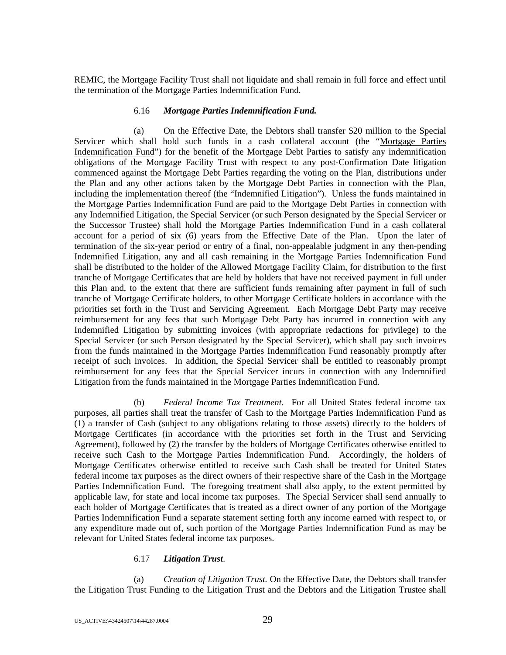REMIC, the Mortgage Facility Trust shall not liquidate and shall remain in full force and effect until the termination of the Mortgage Parties Indemnification Fund.

### 6.16 *Mortgage Parties Indemnification Fund.*

(a) On the Effective Date, the Debtors shall transfer \$20 million to the Special Servicer which shall hold such funds in a cash collateral account (the "Mortgage Parties Indemnification Fund") for the benefit of the Mortgage Debt Parties to satisfy any indemnification obligations of the Mortgage Facility Trust with respect to any post-Confirmation Date litigation commenced against the Mortgage Debt Parties regarding the voting on the Plan, distributions under the Plan and any other actions taken by the Mortgage Debt Parties in connection with the Plan, including the implementation thereof (the "Indemnified Litigation"). Unless the funds maintained in the Mortgage Parties Indemnification Fund are paid to the Mortgage Debt Parties in connection with any Indemnified Litigation, the Special Servicer (or such Person designated by the Special Servicer or the Successor Trustee) shall hold the Mortgage Parties Indemnification Fund in a cash collateral account for a period of six (6) years from the Effective Date of the Plan. Upon the later of termination of the six-year period or entry of a final, non-appealable judgment in any then-pending Indemnified Litigation, any and all cash remaining in the Mortgage Parties Indemnification Fund shall be distributed to the holder of the Allowed Mortgage Facility Claim, for distribution to the first tranche of Mortgage Certificates that are held by holders that have not received payment in full under this Plan and, to the extent that there are sufficient funds remaining after payment in full of such tranche of Mortgage Certificate holders, to other Mortgage Certificate holders in accordance with the priorities set forth in the Trust and Servicing Agreement. Each Mortgage Debt Party may receive reimbursement for any fees that such Mortgage Debt Party has incurred in connection with any Indemnified Litigation by submitting invoices (with appropriate redactions for privilege) to the Special Servicer (or such Person designated by the Special Servicer), which shall pay such invoices from the funds maintained in the Mortgage Parties Indemnification Fund reasonably promptly after receipt of such invoices. In addition, the Special Servicer shall be entitled to reasonably prompt reimbursement for any fees that the Special Servicer incurs in connection with any Indemnified Litigation from the funds maintained in the Mortgage Parties Indemnification Fund.

(b) *Federal Income Tax Treatment.* For all United States federal income tax purposes, all parties shall treat the transfer of Cash to the Mortgage Parties Indemnification Fund as (1) a transfer of Cash (subject to any obligations relating to those assets) directly to the holders of Mortgage Certificates (in accordance with the priorities set forth in the Trust and Servicing Agreement), followed by (2) the transfer by the holders of Mortgage Certificates otherwise entitled to receive such Cash to the Mortgage Parties Indemnification Fund. Accordingly, the holders of Mortgage Certificates otherwise entitled to receive such Cash shall be treated for United States federal income tax purposes as the direct owners of their respective share of the Cash in the Mortgage Parties Indemnification Fund. The foregoing treatment shall also apply, to the extent permitted by applicable law, for state and local income tax purposes. The Special Servicer shall send annually to each holder of Mortgage Certificates that is treated as a direct owner of any portion of the Mortgage Parties Indemnification Fund a separate statement setting forth any income earned with respect to, or any expenditure made out of, such portion of the Mortgage Parties Indemnification Fund as may be relevant for United States federal income tax purposes.

## 6.17 *Litigation Trust*.

(a) *Creation of Litigation Trust.* On the Effective Date, the Debtors shall transfer the Litigation Trust Funding to the Litigation Trust and the Debtors and the Litigation Trustee shall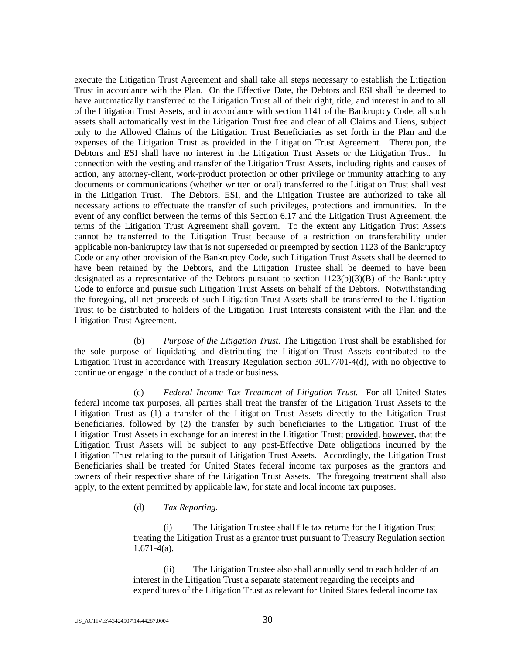execute the Litigation Trust Agreement and shall take all steps necessary to establish the Litigation Trust in accordance with the Plan. On the Effective Date, the Debtors and ESI shall be deemed to have automatically transferred to the Litigation Trust all of their right, title, and interest in and to all of the Litigation Trust Assets, and in accordance with section 1141 of the Bankruptcy Code, all such assets shall automatically vest in the Litigation Trust free and clear of all Claims and Liens, subject only to the Allowed Claims of the Litigation Trust Beneficiaries as set forth in the Plan and the expenses of the Litigation Trust as provided in the Litigation Trust Agreement. Thereupon, the Debtors and ESI shall have no interest in the Litigation Trust Assets or the Litigation Trust. In connection with the vesting and transfer of the Litigation Trust Assets, including rights and causes of action, any attorney-client, work-product protection or other privilege or immunity attaching to any documents or communications (whether written or oral) transferred to the Litigation Trust shall vest in the Litigation Trust. The Debtors, ESI, and the Litigation Trustee are authorized to take all necessary actions to effectuate the transfer of such privileges, protections and immunities. In the event of any conflict between the terms of this Section 6.17 and the Litigation Trust Agreement, the terms of the Litigation Trust Agreement shall govern. To the extent any Litigation Trust Assets cannot be transferred to the Litigation Trust because of a restriction on transferability under applicable non-bankruptcy law that is not superseded or preempted by section 1123 of the Bankruptcy Code or any other provision of the Bankruptcy Code, such Litigation Trust Assets shall be deemed to have been retained by the Debtors, and the Litigation Trustee shall be deemed to have been designated as a representative of the Debtors pursuant to section  $1123(b)(3)(B)$  of the Bankruptcy Code to enforce and pursue such Litigation Trust Assets on behalf of the Debtors. Notwithstanding the foregoing, all net proceeds of such Litigation Trust Assets shall be transferred to the Litigation Trust to be distributed to holders of the Litigation Trust Interests consistent with the Plan and the Litigation Trust Agreement.

(b) *Purpose of the Litigation Trust.* The Litigation Trust shall be established for the sole purpose of liquidating and distributing the Litigation Trust Assets contributed to the Litigation Trust in accordance with Treasury Regulation section 301.7701-4(d), with no objective to continue or engage in the conduct of a trade or business.

(c) *Federal Income Tax Treatment of Litigation Trust.* For all United States federal income tax purposes, all parties shall treat the transfer of the Litigation Trust Assets to the Litigation Trust as (1) a transfer of the Litigation Trust Assets directly to the Litigation Trust Beneficiaries, followed by (2) the transfer by such beneficiaries to the Litigation Trust of the Litigation Trust Assets in exchange for an interest in the Litigation Trust; provided, however, that the Litigation Trust Assets will be subject to any post-Effective Date obligations incurred by the Litigation Trust relating to the pursuit of Litigation Trust Assets. Accordingly, the Litigation Trust Beneficiaries shall be treated for United States federal income tax purposes as the grantors and owners of their respective share of the Litigation Trust Assets. The foregoing treatment shall also apply, to the extent permitted by applicable law, for state and local income tax purposes.

#### (d) *Tax Reporting.*

(i) The Litigation Trustee shall file tax returns for the Litigation Trust treating the Litigation Trust as a grantor trust pursuant to Treasury Regulation section  $1.671-4(a)$ .

(ii) The Litigation Trustee also shall annually send to each holder of an interest in the Litigation Trust a separate statement regarding the receipts and expenditures of the Litigation Trust as relevant for United States federal income tax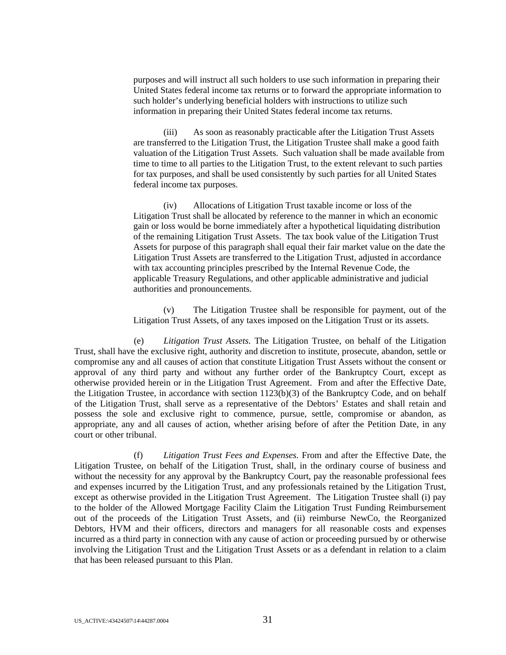purposes and will instruct all such holders to use such information in preparing their United States federal income tax returns or to forward the appropriate information to such holder's underlying beneficial holders with instructions to utilize such information in preparing their United States federal income tax returns.

(iii) As soon as reasonably practicable after the Litigation Trust Assets are transferred to the Litigation Trust, the Litigation Trustee shall make a good faith valuation of the Litigation Trust Assets. Such valuation shall be made available from time to time to all parties to the Litigation Trust, to the extent relevant to such parties for tax purposes, and shall be used consistently by such parties for all United States federal income tax purposes.

(iv) Allocations of Litigation Trust taxable income or loss of the Litigation Trust shall be allocated by reference to the manner in which an economic gain or loss would be borne immediately after a hypothetical liquidating distribution of the remaining Litigation Trust Assets. The tax book value of the Litigation Trust Assets for purpose of this paragraph shall equal their fair market value on the date the Litigation Trust Assets are transferred to the Litigation Trust, adjusted in accordance with tax accounting principles prescribed by the Internal Revenue Code, the applicable Treasury Regulations, and other applicable administrative and judicial authorities and pronouncements.

 (v) The Litigation Trustee shall be responsible for payment, out of the Litigation Trust Assets, of any taxes imposed on the Litigation Trust or its assets.

(e) *Litigation Trust Assets.* The Litigation Trustee, on behalf of the Litigation Trust, shall have the exclusive right, authority and discretion to institute, prosecute, abandon, settle or compromise any and all causes of action that constitute Litigation Trust Assets without the consent or approval of any third party and without any further order of the Bankruptcy Court, except as otherwise provided herein or in the Litigation Trust Agreement. From and after the Effective Date, the Litigation Trustee, in accordance with section 1123(b)(3) of the Bankruptcy Code, and on behalf of the Litigation Trust, shall serve as a representative of the Debtors' Estates and shall retain and possess the sole and exclusive right to commence, pursue, settle, compromise or abandon, as appropriate, any and all causes of action, whether arising before of after the Petition Date, in any court or other tribunal.

(f) *Litigation Trust Fees and Expenses*. From and after the Effective Date, the Litigation Trustee, on behalf of the Litigation Trust, shall, in the ordinary course of business and without the necessity for any approval by the Bankruptcy Court, pay the reasonable professional fees and expenses incurred by the Litigation Trust, and any professionals retained by the Litigation Trust, except as otherwise provided in the Litigation Trust Agreement. The Litigation Trustee shall (i) pay to the holder of the Allowed Mortgage Facility Claim the Litigation Trust Funding Reimbursement out of the proceeds of the Litigation Trust Assets, and (ii) reimburse NewCo, the Reorganized Debtors, HVM and their officers, directors and managers for all reasonable costs and expenses incurred as a third party in connection with any cause of action or proceeding pursued by or otherwise involving the Litigation Trust and the Litigation Trust Assets or as a defendant in relation to a claim that has been released pursuant to this Plan.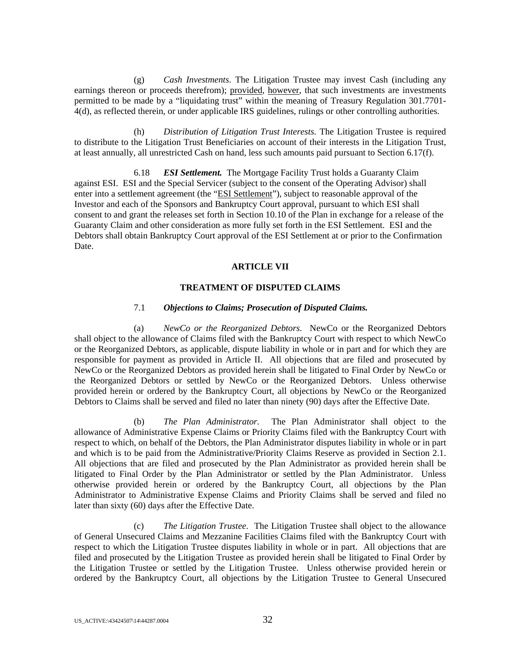(g) *Cash Investments*. The Litigation Trustee may invest Cash (including any earnings thereon or proceeds therefrom); provided*,* however, that such investments are investments permitted to be made by a "liquidating trust" within the meaning of Treasury Regulation 301.7701- 4(d), as reflected therein, or under applicable IRS guidelines, rulings or other controlling authorities.

(h) *Distribution of Litigation Trust Interests.* The Litigation Trustee is required to distribute to the Litigation Trust Beneficiaries on account of their interests in the Litigation Trust, at least annually, all unrestricted Cash on hand, less such amounts paid pursuant to Section 6.17(f).

6.18 *ESI Settlement.* The Mortgage Facility Trust holds a Guaranty Claim against ESI. ESI and the Special Servicer (subject to the consent of the Operating Advisor) shall enter into a settlement agreement (the "ESI Settlement"), subject to reasonable approval of the Investor and each of the Sponsors and Bankruptcy Court approval, pursuant to which ESI shall consent to and grant the releases set forth in Section 10.10 of the Plan in exchange for a release of the Guaranty Claim and other consideration as more fully set forth in the ESI Settlement. ESI and the Debtors shall obtain Bankruptcy Court approval of the ESI Settlement at or prior to the Confirmation Date.

### **ARTICLE VII**

## **TREATMENT OF DISPUTED CLAIMS**

### 7.1 *Objections to Claims; Prosecution of Disputed Claims.*

(a) *NewCo or the Reorganized Debtors.* NewCo or the Reorganized Debtors shall object to the allowance of Claims filed with the Bankruptcy Court with respect to which NewCo or the Reorganized Debtors, as applicable, dispute liability in whole or in part and for which they are responsible for payment as provided in Article II. All objections that are filed and prosecuted by NewCo or the Reorganized Debtors as provided herein shall be litigated to Final Order by NewCo or the Reorganized Debtors or settled by NewCo or the Reorganized Debtors. Unless otherwise provided herein or ordered by the Bankruptcy Court, all objections by NewCo or the Reorganized Debtors to Claims shall be served and filed no later than ninety (90) days after the Effective Date.

(b) *The Plan Administrator.* The Plan Administrator shall object to the allowance of Administrative Expense Claims or Priority Claims filed with the Bankruptcy Court with respect to which, on behalf of the Debtors, the Plan Administrator disputes liability in whole or in part and which is to be paid from the Administrative/Priority Claims Reserve as provided in Section 2.1. All objections that are filed and prosecuted by the Plan Administrator as provided herein shall be litigated to Final Order by the Plan Administrator or settled by the Plan Administrator. Unless otherwise provided herein or ordered by the Bankruptcy Court, all objections by the Plan Administrator to Administrative Expense Claims and Priority Claims shall be served and filed no later than sixty (60) days after the Effective Date.

(c) *The Litigation Trustee*. The Litigation Trustee shall object to the allowance of General Unsecured Claims and Mezzanine Facilities Claims filed with the Bankruptcy Court with respect to which the Litigation Trustee disputes liability in whole or in part. All objections that are filed and prosecuted by the Litigation Trustee as provided herein shall be litigated to Final Order by the Litigation Trustee or settled by the Litigation Trustee. Unless otherwise provided herein or ordered by the Bankruptcy Court, all objections by the Litigation Trustee to General Unsecured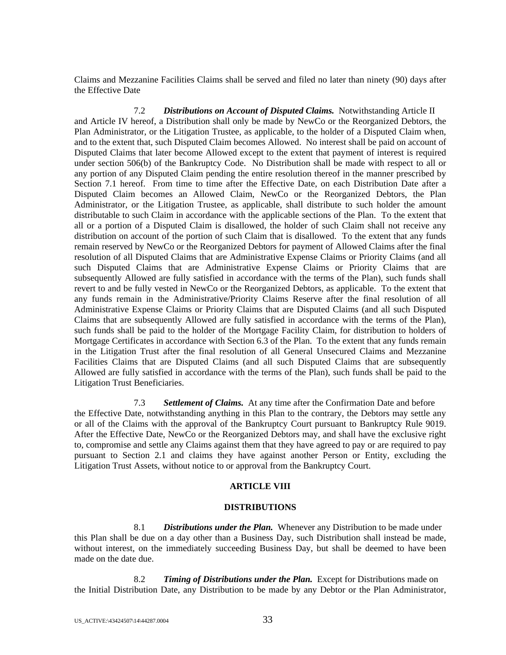Claims and Mezzanine Facilities Claims shall be served and filed no later than ninety (90) days after the Effective Date

7.2 *Distributions on Account of Disputed Claims.* Notwithstanding Article II and Article IV hereof, a Distribution shall only be made by NewCo or the Reorganized Debtors, the Plan Administrator, or the Litigation Trustee, as applicable, to the holder of a Disputed Claim when, and to the extent that, such Disputed Claim becomes Allowed. No interest shall be paid on account of Disputed Claims that later become Allowed except to the extent that payment of interest is required under section 506(b) of the Bankruptcy Code. No Distribution shall be made with respect to all or any portion of any Disputed Claim pending the entire resolution thereof in the manner prescribed by Section 7.1 hereof. From time to time after the Effective Date, on each Distribution Date after a Disputed Claim becomes an Allowed Claim, NewCo or the Reorganized Debtors, the Plan Administrator, or the Litigation Trustee, as applicable, shall distribute to such holder the amount distributable to such Claim in accordance with the applicable sections of the Plan. To the extent that all or a portion of a Disputed Claim is disallowed, the holder of such Claim shall not receive any distribution on account of the portion of such Claim that is disallowed. To the extent that any funds remain reserved by NewCo or the Reorganized Debtors for payment of Allowed Claims after the final resolution of all Disputed Claims that are Administrative Expense Claims or Priority Claims (and all such Disputed Claims that are Administrative Expense Claims or Priority Claims that are subsequently Allowed are fully satisfied in accordance with the terms of the Plan), such funds shall revert to and be fully vested in NewCo or the Reorganized Debtors, as applicable. To the extent that any funds remain in the Administrative/Priority Claims Reserve after the final resolution of all Administrative Expense Claims or Priority Claims that are Disputed Claims (and all such Disputed Claims that are subsequently Allowed are fully satisfied in accordance with the terms of the Plan), such funds shall be paid to the holder of the Mortgage Facility Claim, for distribution to holders of Mortgage Certificates in accordance with Section 6.3 of the Plan. To the extent that any funds remain in the Litigation Trust after the final resolution of all General Unsecured Claims and Mezzanine Facilities Claims that are Disputed Claims (and all such Disputed Claims that are subsequently Allowed are fully satisfied in accordance with the terms of the Plan), such funds shall be paid to the Litigation Trust Beneficiaries.

7.3 *Settlement of Claims.* At any time after the Confirmation Date and before the Effective Date, notwithstanding anything in this Plan to the contrary, the Debtors may settle any or all of the Claims with the approval of the Bankruptcy Court pursuant to Bankruptcy Rule 9019. After the Effective Date, NewCo or the Reorganized Debtors may, and shall have the exclusive right to, compromise and settle any Claims against them that they have agreed to pay or are required to pay pursuant to Section 2.1 and claims they have against another Person or Entity, excluding the Litigation Trust Assets, without notice to or approval from the Bankruptcy Court.

## **ARTICLE VIII**

#### **DISTRIBUTIONS**

8.1 *Distributions under the Plan.* Whenever any Distribution to be made under this Plan shall be due on a day other than a Business Day, such Distribution shall instead be made, without interest, on the immediately succeeding Business Day, but shall be deemed to have been made on the date due.

8.2 *Timing of Distributions under the Plan.* Except for Distributions made on the Initial Distribution Date, any Distribution to be made by any Debtor or the Plan Administrator,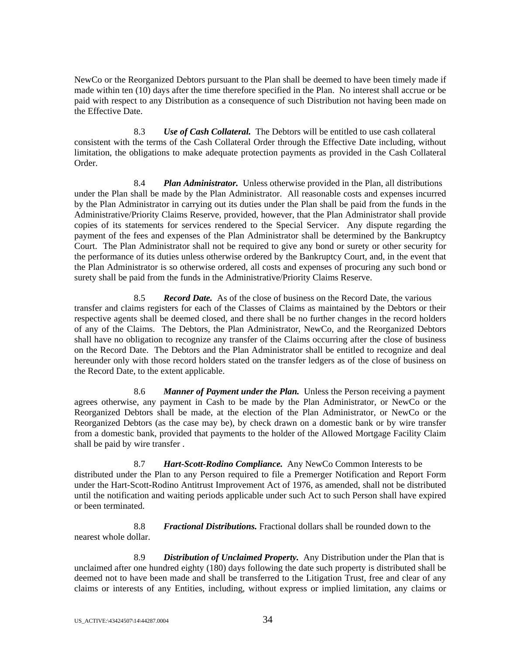NewCo or the Reorganized Debtors pursuant to the Plan shall be deemed to have been timely made if made within ten (10) days after the time therefore specified in the Plan. No interest shall accrue or be paid with respect to any Distribution as a consequence of such Distribution not having been made on the Effective Date.

8.3 *Use of Cash Collateral.* The Debtors will be entitled to use cash collateral consistent with the terms of the Cash Collateral Order through the Effective Date including, without limitation, the obligations to make adequate protection payments as provided in the Cash Collateral Order.

8.4 *Plan Administrator.* Unless otherwise provided in the Plan, all distributions under the Plan shall be made by the Plan Administrator. All reasonable costs and expenses incurred by the Plan Administrator in carrying out its duties under the Plan shall be paid from the funds in the Administrative/Priority Claims Reserve, provided, however, that the Plan Administrator shall provide copies of its statements for services rendered to the Special Servicer. Any dispute regarding the payment of the fees and expenses of the Plan Administrator shall be determined by the Bankruptcy Court. The Plan Administrator shall not be required to give any bond or surety or other security for the performance of its duties unless otherwise ordered by the Bankruptcy Court, and, in the event that the Plan Administrator is so otherwise ordered, all costs and expenses of procuring any such bond or surety shall be paid from the funds in the Administrative/Priority Claims Reserve.

8.5 *Record Date.* As of the close of business on the Record Date, the various transfer and claims registers for each of the Classes of Claims as maintained by the Debtors or their respective agents shall be deemed closed, and there shall be no further changes in the record holders of any of the Claims. The Debtors, the Plan Administrator, NewCo, and the Reorganized Debtors shall have no obligation to recognize any transfer of the Claims occurring after the close of business on the Record Date. The Debtors and the Plan Administrator shall be entitled to recognize and deal hereunder only with those record holders stated on the transfer ledgers as of the close of business on the Record Date, to the extent applicable.

8.6 *Manner of Payment under the Plan.* Unless the Person receiving a payment agrees otherwise, any payment in Cash to be made by the Plan Administrator, or NewCo or the Reorganized Debtors shall be made, at the election of the Plan Administrator, or NewCo or the Reorganized Debtors (as the case may be), by check drawn on a domestic bank or by wire transfer from a domestic bank, provided that payments to the holder of the Allowed Mortgage Facility Claim shall be paid by wire transfer .

8.7 *Hart-Scott-Rodino Compliance.* Any NewCo Common Interests to be distributed under the Plan to any Person required to file a Premerger Notification and Report Form under the Hart-Scott-Rodino Antitrust Improvement Act of 1976, as amended, shall not be distributed until the notification and waiting periods applicable under such Act to such Person shall have expired or been terminated.

8.8 *Fractional Distributions.* Fractional dollars shall be rounded down to the nearest whole dollar.

8.9 *Distribution of Unclaimed Property.* Any Distribution under the Plan that is unclaimed after one hundred eighty (180) days following the date such property is distributed shall be deemed not to have been made and shall be transferred to the Litigation Trust, free and clear of any claims or interests of any Entities, including, without express or implied limitation, any claims or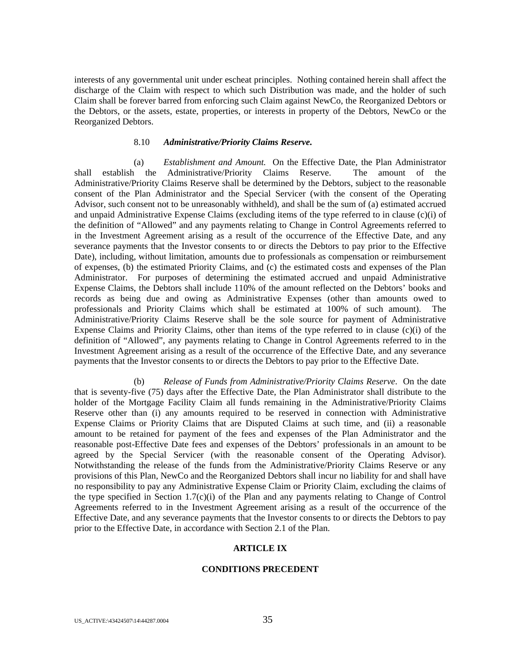interests of any governmental unit under escheat principles. Nothing contained herein shall affect the discharge of the Claim with respect to which such Distribution was made, and the holder of such Claim shall be forever barred from enforcing such Claim against NewCo, the Reorganized Debtors or the Debtors, or the assets, estate, properties, or interests in property of the Debtors, NewCo or the Reorganized Debtors.

#### 8.10 *Administrative/Priority Claims Reserve.*

 (a) *Establishment and Amount.* On the Effective Date, the Plan Administrator shall establish the Administrative/Priority Claims Reserve. The amount of the Administrative/Priority Claims Reserve shall be determined by the Debtors, subject to the reasonable consent of the Plan Administrator and the Special Servicer (with the consent of the Operating Advisor, such consent not to be unreasonably withheld), and shall be the sum of (a) estimated accrued and unpaid Administrative Expense Claims (excluding items of the type referred to in clause (c)(i) of the definition of "Allowed" and any payments relating to Change in Control Agreements referred to in the Investment Agreement arising as a result of the occurrence of the Effective Date, and any severance payments that the Investor consents to or directs the Debtors to pay prior to the Effective Date), including, without limitation, amounts due to professionals as compensation or reimbursement of expenses, (b) the estimated Priority Claims, and (c) the estimated costs and expenses of the Plan Administrator. For purposes of determining the estimated accrued and unpaid Administrative Expense Claims, the Debtors shall include 110% of the amount reflected on the Debtors' books and records as being due and owing as Administrative Expenses (other than amounts owed to professionals and Priority Claims which shall be estimated at 100% of such amount). The Administrative/Priority Claims Reserve shall be the sole source for payment of Administrative Expense Claims and Priority Claims, other than items of the type referred to in clause  $(c)(i)$  of the definition of "Allowed", any payments relating to Change in Control Agreements referred to in the Investment Agreement arising as a result of the occurrence of the Effective Date, and any severance payments that the Investor consents to or directs the Debtors to pay prior to the Effective Date.

 (b) *Release of Funds from Administrative/Priority Claims Reserve*. On the date that is seventy-five (75) days after the Effective Date, the Plan Administrator shall distribute to the holder of the Mortgage Facility Claim all funds remaining in the Administrative/Priority Claims Reserve other than (i) any amounts required to be reserved in connection with Administrative Expense Claims or Priority Claims that are Disputed Claims at such time, and (ii) a reasonable amount to be retained for payment of the fees and expenses of the Plan Administrator and the reasonable post-Effective Date fees and expenses of the Debtors' professionals in an amount to be agreed by the Special Servicer (with the reasonable consent of the Operating Advisor). Notwithstanding the release of the funds from the Administrative/Priority Claims Reserve or any provisions of this Plan, NewCo and the Reorganized Debtors shall incur no liability for and shall have no responsibility to pay any Administrative Expense Claim or Priority Claim, excluding the claims of the type specified in Section 1.7(c)(i) of the Plan and any payments relating to Change of Control Agreements referred to in the Investment Agreement arising as a result of the occurrence of the Effective Date, and any severance payments that the Investor consents to or directs the Debtors to pay prior to the Effective Date, in accordance with Section 2.1 of the Plan.

#### **ARTICLE IX**

#### **CONDITIONS PRECEDENT**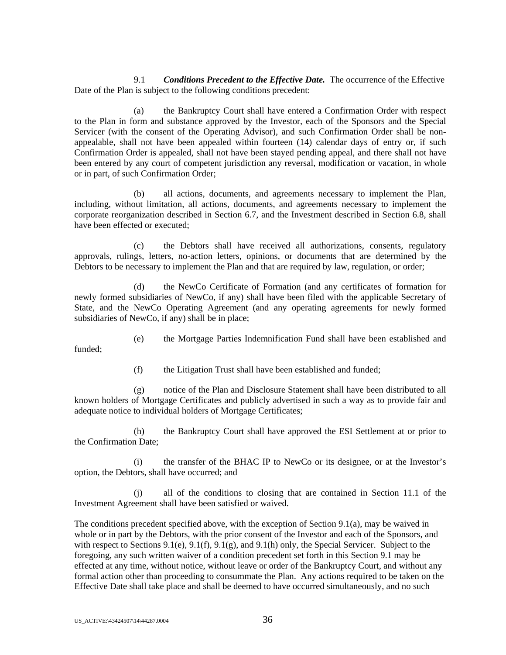9.1 *Conditions Precedent to the Effective Date.* The occurrence of the Effective Date of the Plan is subject to the following conditions precedent:

(a) the Bankruptcy Court shall have entered a Confirmation Order with respect to the Plan in form and substance approved by the Investor, each of the Sponsors and the Special Servicer (with the consent of the Operating Advisor), and such Confirmation Order shall be nonappealable, shall not have been appealed within fourteen (14) calendar days of entry or, if such Confirmation Order is appealed, shall not have been stayed pending appeal, and there shall not have been entered by any court of competent jurisdiction any reversal, modification or vacation, in whole or in part, of such Confirmation Order;

(b) all actions, documents, and agreements necessary to implement the Plan, including, without limitation, all actions, documents, and agreements necessary to implement the corporate reorganization described in Section 6.7, and the Investment described in Section 6.8, shall have been effected or executed;

(c) the Debtors shall have received all authorizations, consents, regulatory approvals, rulings, letters, no-action letters, opinions, or documents that are determined by the Debtors to be necessary to implement the Plan and that are required by law, regulation, or order;

(d) the NewCo Certificate of Formation (and any certificates of formation for newly formed subsidiaries of NewCo, if any) shall have been filed with the applicable Secretary of State, and the NewCo Operating Agreement (and any operating agreements for newly formed subsidiaries of NewCo, if any) shall be in place;

(e) the Mortgage Parties Indemnification Fund shall have been established and

(f) the Litigation Trust shall have been established and funded;

(g) notice of the Plan and Disclosure Statement shall have been distributed to all known holders of Mortgage Certificates and publicly advertised in such a way as to provide fair and adequate notice to individual holders of Mortgage Certificates;

(h) the Bankruptcy Court shall have approved the ESI Settlement at or prior to the Confirmation Date;

(i) the transfer of the BHAC IP to NewCo or its designee, or at the Investor's option, the Debtors, shall have occurred; and

(j) all of the conditions to closing that are contained in Section 11.1 of the Investment Agreement shall have been satisfied or waived.

The conditions precedent specified above, with the exception of Section 9.1(a), may be waived in whole or in part by the Debtors, with the prior consent of the Investor and each of the Sponsors, and with respect to Sections 9.1(e), 9.1(f), 9.1(g), and 9.1(h) only, the Special Servicer. Subject to the foregoing, any such written waiver of a condition precedent set forth in this Section 9.1 may be effected at any time, without notice, without leave or order of the Bankruptcy Court, and without any formal action other than proceeding to consummate the Plan. Any actions required to be taken on the Effective Date shall take place and shall be deemed to have occurred simultaneously, and no such

funded;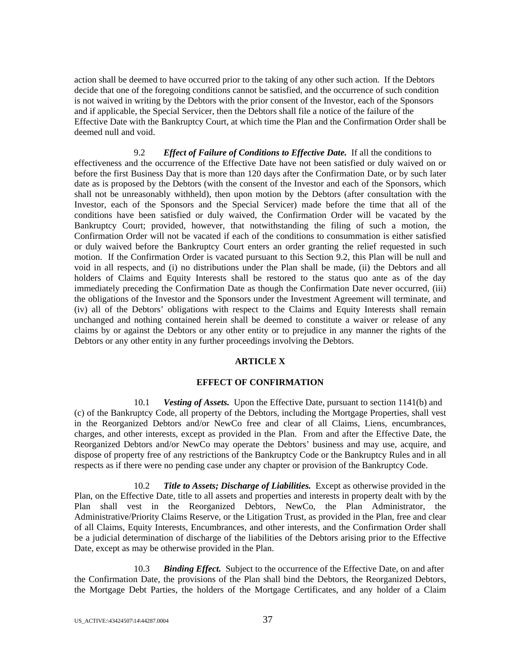action shall be deemed to have occurred prior to the taking of any other such action. If the Debtors decide that one of the foregoing conditions cannot be satisfied, and the occurrence of such condition is not waived in writing by the Debtors with the prior consent of the Investor, each of the Sponsors and if applicable, the Special Servicer, then the Debtors shall file a notice of the failure of the Effective Date with the Bankruptcy Court, at which time the Plan and the Confirmation Order shall be deemed null and void.

9.2 *Effect of Failure of Conditions to Effective Date.* If all the conditions to effectiveness and the occurrence of the Effective Date have not been satisfied or duly waived on or before the first Business Day that is more than 120 days after the Confirmation Date, or by such later date as is proposed by the Debtors (with the consent of the Investor and each of the Sponsors, which shall not be unreasonably withheld), then upon motion by the Debtors (after consultation with the Investor, each of the Sponsors and the Special Servicer) made before the time that all of the conditions have been satisfied or duly waived, the Confirmation Order will be vacated by the Bankruptcy Court; provided, however, that notwithstanding the filing of such a motion, the Confirmation Order will not be vacated if each of the conditions to consummation is either satisfied or duly waived before the Bankruptcy Court enters an order granting the relief requested in such motion. If the Confirmation Order is vacated pursuant to this Section 9.2, this Plan will be null and void in all respects, and (i) no distributions under the Plan shall be made, (ii) the Debtors and all holders of Claims and Equity Interests shall be restored to the status quo ante as of the day immediately preceding the Confirmation Date as though the Confirmation Date never occurred, (iii) the obligations of the Investor and the Sponsors under the Investment Agreement will terminate, and (iv) all of the Debtors' obligations with respect to the Claims and Equity Interests shall remain unchanged and nothing contained herein shall be deemed to constitute a waiver or release of any claims by or against the Debtors or any other entity or to prejudice in any manner the rights of the Debtors or any other entity in any further proceedings involving the Debtors.

# **ARTICLE X**

#### **EFFECT OF CONFIRMATION**

10.1 *Vesting of Assets.* Upon the Effective Date, pursuant to section 1141(b) and (c) of the Bankruptcy Code, all property of the Debtors, including the Mortgage Properties, shall vest in the Reorganized Debtors and/or NewCo free and clear of all Claims, Liens, encumbrances, charges, and other interests, except as provided in the Plan. From and after the Effective Date, the Reorganized Debtors and/or NewCo may operate the Debtors' business and may use, acquire, and dispose of property free of any restrictions of the Bankruptcy Code or the Bankruptcy Rules and in all respects as if there were no pending case under any chapter or provision of the Bankruptcy Code.

10.2 *Title to Assets; Discharge of Liabilities.* Except as otherwise provided in the Plan, on the Effective Date, title to all assets and properties and interests in property dealt with by the Plan shall vest in the Reorganized Debtors, NewCo, the Plan Administrator, the Administrative/Priority Claims Reserve, or the Litigation Trust, as provided in the Plan, free and clear of all Claims, Equity Interests, Encumbrances, and other interests, and the Confirmation Order shall be a judicial determination of discharge of the liabilities of the Debtors arising prior to the Effective Date, except as may be otherwise provided in the Plan.

10.3 *Binding Effect.* Subject to the occurrence of the Effective Date, on and after the Confirmation Date, the provisions of the Plan shall bind the Debtors, the Reorganized Debtors, the Mortgage Debt Parties, the holders of the Mortgage Certificates, and any holder of a Claim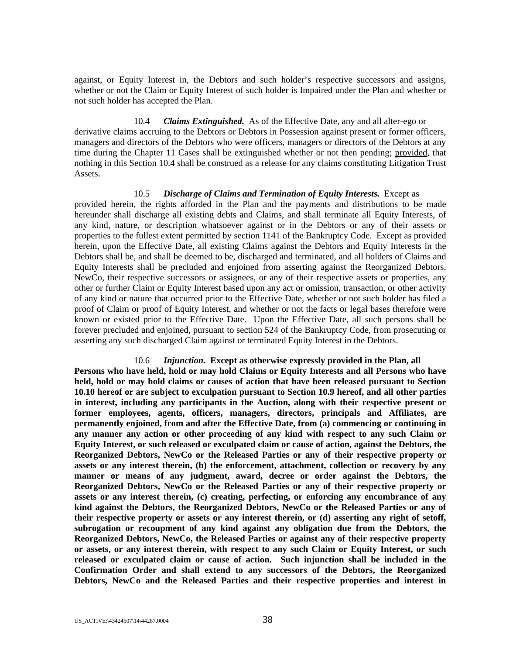against, or Equity Interest in, the Debtors and such holder's respective successors and assigns, whether or not the Claim or Equity Interest of such holder is Impaired under the Plan and whether or not such holder has accepted the Plan.

10.4 *Claims Extinguished.* As of the Effective Date, any and all alter-ego or derivative claims accruing to the Debtors or Debtors in Possession against present or former officers, managers and directors of the Debtors who were officers, managers or directors of the Debtors at any time during the Chapter 11 Cases shall be extinguished whether or not then pending; provided, that nothing in this Section 10.4 shall be construed as a release for any claims constituting Litigation Trust Assets.

10.5 *Discharge of Claims and Termination of Equity Interests.* Except as provided herein, the rights afforded in the Plan and the payments and distributions to be made hereunder shall discharge all existing debts and Claims, and shall terminate all Equity Interests, of any kind, nature, or description whatsoever against or in the Debtors or any of their assets or properties to the fullest extent permitted by section 1141 of the Bankruptcy Code. Except as provided herein, upon the Effective Date, all existing Claims against the Debtors and Equity Interests in the Debtors shall be, and shall be deemed to be, discharged and terminated, and all holders of Claims and Equity Interests shall be precluded and enjoined from asserting against the Reorganized Debtors, NewCo, their respective successors or assignees, or any of their respective assets or properties, any other or further Claim or Equity Interest based upon any act or omission, transaction, or other activity of any kind or nature that occurred prior to the Effective Date, whether or not such holder has filed a proof of Claim or proof of Equity Interest, and whether or not the facts or legal bases therefore were known or existed prior to the Effective Date. Upon the Effective Date, all such persons shall be forever precluded and enjoined, pursuant to section 524 of the Bankruptcy Code, from prosecuting or asserting any such discharged Claim against or terminated Equity Interest in the Debtors.

#### 10.6 *Injunction.* **Except as otherwise expressly provided in the Plan, all**

**Persons who have held, hold or may hold Claims or Equity Interests and all Persons who have held, hold or may hold claims or causes of action that have been released pursuant to Section 10.10 hereof or are subject to exculpation pursuant to Section 10.9 hereof, and all other parties in interest, including any participants in the Auction, along with their respective present or former employees, agents, officers, managers, directors, principals and Affiliates, are permanently enjoined, from and after the Effective Date, from (a) commencing or continuing in any manner any action or other proceeding of any kind with respect to any such Claim or Equity Interest, or such released or exculpated claim or cause of action, against the Debtors, the Reorganized Debtors, NewCo or the Released Parties or any of their respective property or assets or any interest therein, (b) the enforcement, attachment, collection or recovery by any manner or means of any judgment, award, decree or order against the Debtors, the Reorganized Debtors, NewCo or the Released Parties or any of their respective property or assets or any interest therein, (c) creating, perfecting, or enforcing any encumbrance of any kind against the Debtors, the Reorganized Debtors, NewCo or the Released Parties or any of their respective property or assets or any interest therein, or (d) asserting any right of setoff, subrogation or recoupment of any kind against any obligation due from the Debtors, the Reorganized Debtors, NewCo, the Released Parties or against any of their respective property or assets, or any interest therein, with respect to any such Claim or Equity Interest, or such released or exculpated claim or cause of action. Such injunction shall be included in the Confirmation Order and shall extend to any successors of the Debtors, the Reorganized Debtors, NewCo and the Released Parties and their respective properties and interest in**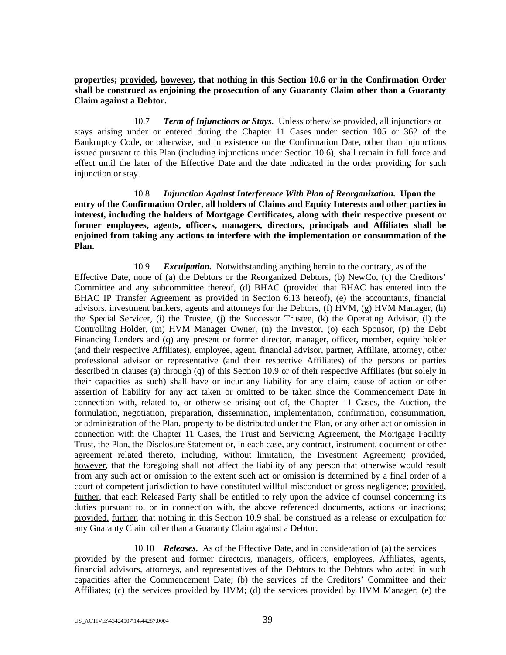**properties; provided, however, that nothing in this Section 10.6 or in the Confirmation Order shall be construed as enjoining the prosecution of any Guaranty Claim other than a Guaranty Claim against a Debtor.** 

10.7 *Term of Injunctions or Stays.* Unless otherwise provided, all injunctions or stays arising under or entered during the Chapter 11 Cases under section 105 or 362 of the Bankruptcy Code, or otherwise, and in existence on the Confirmation Date, other than injunctions issued pursuant to this Plan (including injunctions under Section 10.6), shall remain in full force and effect until the later of the Effective Date and the date indicated in the order providing for such injunction or stay.

10.8 *Injunction Against Interference With Plan of Reorganization.* **Upon the entry of the Confirmation Order, all holders of Claims and Equity Interests and other parties in interest, including the holders of Mortgage Certificates, along with their respective present or former employees, agents, officers, managers, directors, principals and Affiliates shall be enjoined from taking any actions to interfere with the implementation or consummation of the Plan.** 

10.9 *Exculpation.* Notwithstanding anything herein to the contrary, as of the Effective Date, none of (a) the Debtors or the Reorganized Debtors, (b) NewCo, (c) the Creditors' Committee and any subcommittee thereof, (d) BHAC (provided that BHAC has entered into the BHAC IP Transfer Agreement as provided in Section 6.13 hereof), (e) the accountants, financial advisors, investment bankers, agents and attorneys for the Debtors, (f) HVM, (g) HVM Manager, (h) the Special Servicer, (i) the Trustee, (j) the Successor Trustee, (k) the Operating Advisor, (l) the Controlling Holder, (m) HVM Manager Owner, (n) the Investor, (o) each Sponsor, (p) the Debt Financing Lenders and (q) any present or former director, manager, officer, member, equity holder (and their respective Affiliates), employee, agent, financial advisor, partner, Affiliate, attorney, other professional advisor or representative (and their respective Affiliates) of the persons or parties described in clauses (a) through (q) of this Section 10.9 or of their respective Affiliates (but solely in their capacities as such) shall have or incur any liability for any claim, cause of action or other assertion of liability for any act taken or omitted to be taken since the Commencement Date in connection with, related to, or otherwise arising out of, the Chapter 11 Cases, the Auction, the formulation, negotiation, preparation, dissemination, implementation, confirmation, consummation, or administration of the Plan, property to be distributed under the Plan, or any other act or omission in connection with the Chapter 11 Cases, the Trust and Servicing Agreement, the Mortgage Facility Trust, the Plan, the Disclosure Statement or, in each case, any contract, instrument, document or other agreement related thereto, including, without limitation, the Investment Agreement; provided, however, that the foregoing shall not affect the liability of any person that otherwise would result from any such act or omission to the extent such act or omission is determined by a final order of a court of competent jurisdiction to have constituted willful misconduct or gross negligence; provided, further, that each Released Party shall be entitled to rely upon the advice of counsel concerning its duties pursuant to, or in connection with, the above referenced documents, actions or inactions; provided, further, that nothing in this Section 10.9 shall be construed as a release or exculpation for any Guaranty Claim other than a Guaranty Claim against a Debtor.

# 10.10 *Releases.* As of the Effective Date, and in consideration of (a) the services

provided by the present and former directors, managers, officers, employees, Affiliates, agents, financial advisors, attorneys, and representatives of the Debtors to the Debtors who acted in such capacities after the Commencement Date; (b) the services of the Creditors' Committee and their Affiliates; (c) the services provided by HVM; (d) the services provided by HVM Manager; (e) the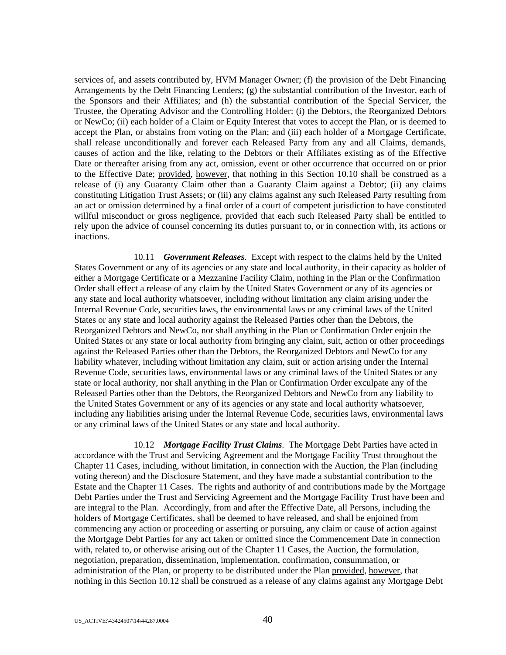services of, and assets contributed by, HVM Manager Owner; (f) the provision of the Debt Financing Arrangements by the Debt Financing Lenders; (g) the substantial contribution of the Investor, each of the Sponsors and their Affiliates; and (h) the substantial contribution of the Special Servicer, the Trustee, the Operating Advisor and the Controlling Holder: (i) the Debtors, the Reorganized Debtors or NewCo; (ii) each holder of a Claim or Equity Interest that votes to accept the Plan, or is deemed to accept the Plan, or abstains from voting on the Plan; and (iii) each holder of a Mortgage Certificate, shall release unconditionally and forever each Released Party from any and all Claims, demands, causes of action and the like, relating to the Debtors or their Affiliates existing as of the Effective Date or thereafter arising from any act, omission, event or other occurrence that occurred on or prior to the Effective Date; provided, however, that nothing in this Section 10.10 shall be construed as a release of (i) any Guaranty Claim other than a Guaranty Claim against a Debtor; (ii) any claims constituting Litigation Trust Assets; or (iii) any claims against any such Released Party resulting from an act or omission determined by a final order of a court of competent jurisdiction to have constituted willful misconduct or gross negligence, provided that each such Released Party shall be entitled to rely upon the advice of counsel concerning its duties pursuant to, or in connection with, its actions or inactions.

10.11 *Government Releases*. Except with respect to the claims held by the United States Government or any of its agencies or any state and local authority, in their capacity as holder of either a Mortgage Certificate or a Mezzanine Facility Claim, nothing in the Plan or the Confirmation Order shall effect a release of any claim by the United States Government or any of its agencies or any state and local authority whatsoever, including without limitation any claim arising under the Internal Revenue Code, securities laws, the environmental laws or any criminal laws of the United States or any state and local authority against the Released Parties other than the Debtors, the Reorganized Debtors and NewCo, nor shall anything in the Plan or Confirmation Order enjoin the United States or any state or local authority from bringing any claim, suit, action or other proceedings against the Released Parties other than the Debtors, the Reorganized Debtors and NewCo for any liability whatever, including without limitation any claim, suit or action arising under the Internal Revenue Code, securities laws, environmental laws or any criminal laws of the United States or any state or local authority, nor shall anything in the Plan or Confirmation Order exculpate any of the Released Parties other than the Debtors, the Reorganized Debtors and NewCo from any liability to the United States Government or any of its agencies or any state and local authority whatsoever, including any liabilities arising under the Internal Revenue Code, securities laws, environmental laws or any criminal laws of the United States or any state and local authority.

10.12 *Mortgage Facility Trust Claims*. The Mortgage Debt Parties have acted in accordance with the Trust and Servicing Agreement and the Mortgage Facility Trust throughout the Chapter 11 Cases, including, without limitation, in connection with the Auction, the Plan (including voting thereon) and the Disclosure Statement, and they have made a substantial contribution to the Estate and the Chapter 11 Cases. The rights and authority of and contributions made by the Mortgage Debt Parties under the Trust and Servicing Agreement and the Mortgage Facility Trust have been and are integral to the Plan. Accordingly, from and after the Effective Date, all Persons, including the holders of Mortgage Certificates, shall be deemed to have released, and shall be enjoined from commencing any action or proceeding or asserting or pursuing, any claim or cause of action against the Mortgage Debt Parties for any act taken or omitted since the Commencement Date in connection with, related to, or otherwise arising out of the Chapter 11 Cases, the Auction, the formulation, negotiation, preparation, dissemination, implementation, confirmation, consummation, or administration of the Plan, or property to be distributed under the Plan provided, however, that nothing in this Section 10.12 shall be construed as a release of any claims against any Mortgage Debt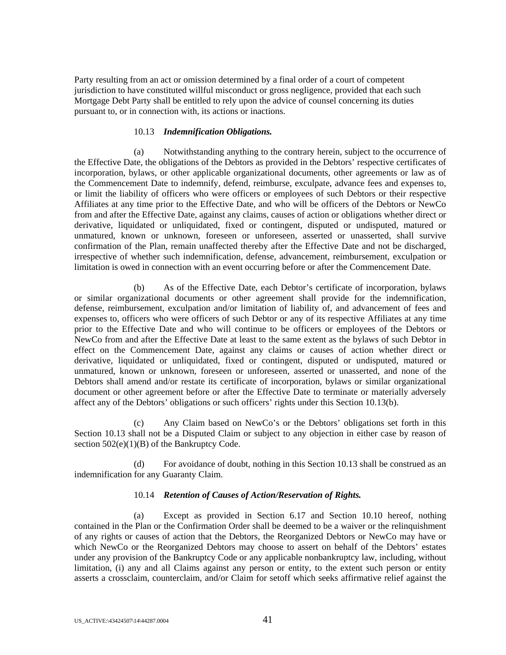Party resulting from an act or omission determined by a final order of a court of competent jurisdiction to have constituted willful misconduct or gross negligence, provided that each such Mortgage Debt Party shall be entitled to rely upon the advice of counsel concerning its duties pursuant to, or in connection with, its actions or inactions.

### 10.13 *Indemnification Obligations.*

(a) Notwithstanding anything to the contrary herein, subject to the occurrence of the Effective Date, the obligations of the Debtors as provided in the Debtors' respective certificates of incorporation, bylaws, or other applicable organizational documents, other agreements or law as of the Commencement Date to indemnify, defend, reimburse, exculpate, advance fees and expenses to, or limit the liability of officers who were officers or employees of such Debtors or their respective Affiliates at any time prior to the Effective Date, and who will be officers of the Debtors or NewCo from and after the Effective Date, against any claims, causes of action or obligations whether direct or derivative, liquidated or unliquidated, fixed or contingent, disputed or undisputed, matured or unmatured, known or unknown, foreseen or unforeseen, asserted or unasserted, shall survive confirmation of the Plan, remain unaffected thereby after the Effective Date and not be discharged, irrespective of whether such indemnification, defense, advancement, reimbursement, exculpation or limitation is owed in connection with an event occurring before or after the Commencement Date.

(b) As of the Effective Date, each Debtor's certificate of incorporation, bylaws or similar organizational documents or other agreement shall provide for the indemnification, defense, reimbursement, exculpation and/or limitation of liability of, and advancement of fees and expenses to, officers who were officers of such Debtor or any of its respective Affiliates at any time prior to the Effective Date and who will continue to be officers or employees of the Debtors or NewCo from and after the Effective Date at least to the same extent as the bylaws of such Debtor in effect on the Commencement Date, against any claims or causes of action whether direct or derivative, liquidated or unliquidated, fixed or contingent, disputed or undisputed, matured or unmatured, known or unknown, foreseen or unforeseen, asserted or unasserted, and none of the Debtors shall amend and/or restate its certificate of incorporation, bylaws or similar organizational document or other agreement before or after the Effective Date to terminate or materially adversely affect any of the Debtors' obligations or such officers' rights under this Section 10.13(b).

(c) Any Claim based on NewCo's or the Debtors' obligations set forth in this Section 10.13 shall not be a Disputed Claim or subject to any objection in either case by reason of section  $502(e)(1)(B)$  of the Bankruptcy Code.

(d) For avoidance of doubt, nothing in this Section 10.13 shall be construed as an indemnification for any Guaranty Claim.

# 10.14 *Retention of Causes of Action/Reservation of Rights.*

(a) Except as provided in Section 6.17 and Section 10.10 hereof, nothing contained in the Plan or the Confirmation Order shall be deemed to be a waiver or the relinquishment of any rights or causes of action that the Debtors, the Reorganized Debtors or NewCo may have or which NewCo or the Reorganized Debtors may choose to assert on behalf of the Debtors' estates under any provision of the Bankruptcy Code or any applicable nonbankruptcy law, including, without limitation, (i) any and all Claims against any person or entity, to the extent such person or entity asserts a crossclaim, counterclaim, and/or Claim for setoff which seeks affirmative relief against the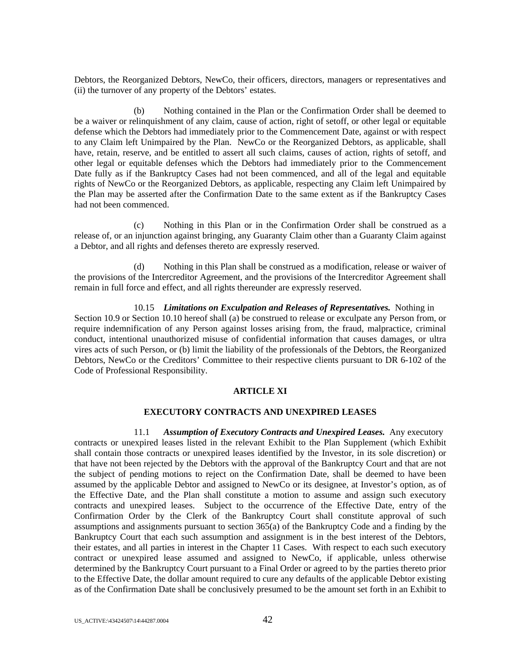Debtors, the Reorganized Debtors, NewCo, their officers, directors, managers or representatives and (ii) the turnover of any property of the Debtors' estates.

(b) Nothing contained in the Plan or the Confirmation Order shall be deemed to be a waiver or relinquishment of any claim, cause of action, right of setoff, or other legal or equitable defense which the Debtors had immediately prior to the Commencement Date, against or with respect to any Claim left Unimpaired by the Plan. NewCo or the Reorganized Debtors, as applicable, shall have, retain, reserve, and be entitled to assert all such claims, causes of action, rights of setoff, and other legal or equitable defenses which the Debtors had immediately prior to the Commencement Date fully as if the Bankruptcy Cases had not been commenced, and all of the legal and equitable rights of NewCo or the Reorganized Debtors, as applicable, respecting any Claim left Unimpaired by the Plan may be asserted after the Confirmation Date to the same extent as if the Bankruptcy Cases had not been commenced.

(c) Nothing in this Plan or in the Confirmation Order shall be construed as a release of, or an injunction against bringing, any Guaranty Claim other than a Guaranty Claim against a Debtor, and all rights and defenses thereto are expressly reserved.

(d) Nothing in this Plan shall be construed as a modification, release or waiver of the provisions of the Intercreditor Agreement, and the provisions of the Intercreditor Agreement shall remain in full force and effect, and all rights thereunder are expressly reserved.

10.15 *Limitations on Exculpation and Releases of Representatives.* Nothing in Section 10.9 or Section 10.10 hereof shall (a) be construed to release or exculpate any Person from, or require indemnification of any Person against losses arising from, the fraud, malpractice, criminal conduct, intentional unauthorized misuse of confidential information that causes damages, or ultra vires acts of such Person, or (b) limit the liability of the professionals of the Debtors, the Reorganized Debtors, NewCo or the Creditors' Committee to their respective clients pursuant to DR 6-102 of the Code of Professional Responsibility.

# **ARTICLE XI**

# **EXECUTORY CONTRACTS AND UNEXPIRED LEASES**

11.1 *Assumption of Executory Contracts and Unexpired Leases.* Any executory contracts or unexpired leases listed in the relevant Exhibit to the Plan Supplement (which Exhibit shall contain those contracts or unexpired leases identified by the Investor, in its sole discretion) or that have not been rejected by the Debtors with the approval of the Bankruptcy Court and that are not the subject of pending motions to reject on the Confirmation Date, shall be deemed to have been assumed by the applicable Debtor and assigned to NewCo or its designee, at Investor's option, as of the Effective Date, and the Plan shall constitute a motion to assume and assign such executory contracts and unexpired leases. Subject to the occurrence of the Effective Date, entry of the Confirmation Order by the Clerk of the Bankruptcy Court shall constitute approval of such assumptions and assignments pursuant to section 365(a) of the Bankruptcy Code and a finding by the Bankruptcy Court that each such assumption and assignment is in the best interest of the Debtors, their estates, and all parties in interest in the Chapter 11 Cases. With respect to each such executory contract or unexpired lease assumed and assigned to NewCo, if applicable, unless otherwise determined by the Bankruptcy Court pursuant to a Final Order or agreed to by the parties thereto prior to the Effective Date, the dollar amount required to cure any defaults of the applicable Debtor existing as of the Confirmation Date shall be conclusively presumed to be the amount set forth in an Exhibit to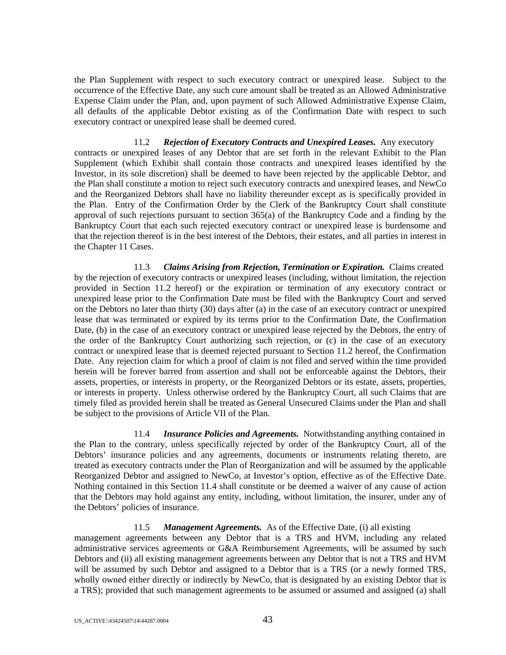the Plan Supplement with respect to such executory contract or unexpired lease. Subject to the occurrence of the Effective Date, any such cure amount shall be treated as an Allowed Administrative Expense Claim under the Plan, and, upon payment of such Allowed Administrative Expense Claim, all defaults of the applicable Debtor existing as of the Confirmation Date with respect to such executory contract or unexpired lease shall be deemed cured.

# 11.2 *Rejection of Executory Contracts and Unexpired Leases.* Any executory

contracts or unexpired leases of any Debtor that are set forth in the relevant Exhibit to the Plan Supplement (which Exhibit shall contain those contracts and unexpired leases identified by the Investor, in its sole discretion) shall be deemed to have been rejected by the applicable Debtor, and the Plan shall constitute a motion to reject such executory contracts and unexpired leases, and NewCo and the Reorganized Debtors shall have no liability thereunder except as is specifically provided in the Plan. Entry of the Confirmation Order by the Clerk of the Bankruptcy Court shall constitute approval of such rejections pursuant to section 365(a) of the Bankruptcy Code and a finding by the Bankruptcy Court that each such rejected executory contract or unexpired lease is burdensome and that the rejection thereof is in the best interest of the Debtors, their estates, and all parties in interest in the Chapter 11 Cases.

11.3 *Claims Arising from Rejection, Termination or Expiration.* Claims created by the rejection of executory contracts or unexpired leases (including, without limitation, the rejection provided in Section 11.2 hereof) or the expiration or termination of any executory contract or unexpired lease prior to the Confirmation Date must be filed with the Bankruptcy Court and served on the Debtors no later than thirty (30) days after (a) in the case of an executory contract or unexpired lease that was terminated or expired by its terms prior to the Confirmation Date, the Confirmation Date, (b) in the case of an executory contract or unexpired lease rejected by the Debtors, the entry of the order of the Bankruptcy Court authorizing such rejection, or (c) in the case of an executory contract or unexpired lease that is deemed rejected pursuant to Section 11.2 hereof, the Confirmation Date. Any rejection claim for which a proof of claim is not filed and served within the time provided herein will be forever barred from assertion and shall not be enforceable against the Debtors, their assets, properties, or interests in property, or the Reorganized Debtors or its estate, assets, properties, or interests in property. Unless otherwise ordered by the Bankruptcy Court, all such Claims that are timely filed as provided herein shall be treated as General Unsecured Claims under the Plan and shall be subject to the provisions of Article VII of the Plan.

11.4 *Insurance Policies and Agreements.* Notwithstanding anything contained in the Plan to the contrary, unless specifically rejected by order of the Bankruptcy Court, all of the Debtors' insurance policies and any agreements, documents or instruments relating thereto, are treated as executory contracts under the Plan of Reorganization and will be assumed by the applicable Reorganized Debtor and assigned to NewCo, at Investor's option, effective as of the Effective Date. Nothing contained in this Section 11.4 shall constitute or be deemed a waiver of any cause of action that the Debtors may hold against any entity, including, without limitation, the insurer, under any of the Debtors' policies of insurance.

# 11.5 *Management Agreements.* As of the Effective Date, (i) all existing

management agreements between any Debtor that is a TRS and HVM, including any related administrative services agreements or G&A Reimbursement Agreements, will be assumed by such Debtors and (ii) all existing management agreements between any Debtor that is not a TRS and HVM will be assumed by such Debtor and assigned to a Debtor that is a TRS (or a newly formed TRS, wholly owned either directly or indirectly by NewCo, that is designated by an existing Debtor that is a TRS); provided that such management agreements to be assumed or assumed and assigned (a) shall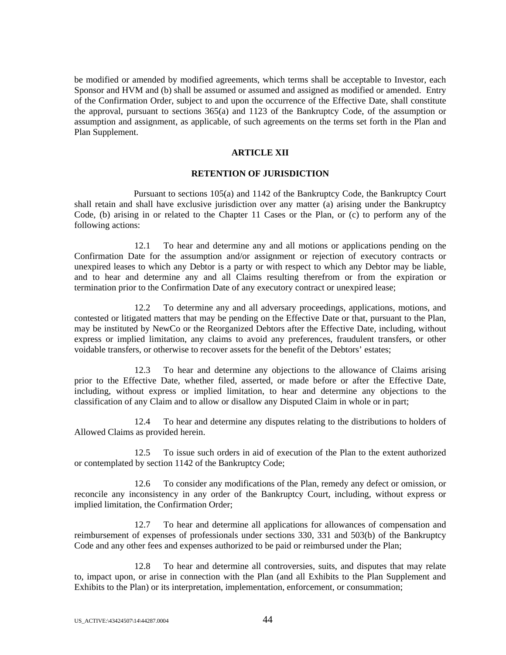be modified or amended by modified agreements, which terms shall be acceptable to Investor, each Sponsor and HVM and (b) shall be assumed or assumed and assigned as modified or amended. Entry of the Confirmation Order, subject to and upon the occurrence of the Effective Date, shall constitute the approval, pursuant to sections 365(a) and 1123 of the Bankruptcy Code, of the assumption or assumption and assignment, as applicable, of such agreements on the terms set forth in the Plan and Plan Supplement.

#### **ARTICLE XII**

#### **RETENTION OF JURISDICTION**

Pursuant to sections 105(a) and 1142 of the Bankruptcy Code, the Bankruptcy Court shall retain and shall have exclusive jurisdiction over any matter (a) arising under the Bankruptcy Code, (b) arising in or related to the Chapter 11 Cases or the Plan, or (c) to perform any of the following actions:

12.1 To hear and determine any and all motions or applications pending on the Confirmation Date for the assumption and/or assignment or rejection of executory contracts or unexpired leases to which any Debtor is a party or with respect to which any Debtor may be liable, and to hear and determine any and all Claims resulting therefrom or from the expiration or termination prior to the Confirmation Date of any executory contract or unexpired lease;

12.2 To determine any and all adversary proceedings, applications, motions, and contested or litigated matters that may be pending on the Effective Date or that, pursuant to the Plan, may be instituted by NewCo or the Reorganized Debtors after the Effective Date, including, without express or implied limitation, any claims to avoid any preferences, fraudulent transfers, or other voidable transfers, or otherwise to recover assets for the benefit of the Debtors' estates;

12.3 To hear and determine any objections to the allowance of Claims arising prior to the Effective Date, whether filed, asserted, or made before or after the Effective Date, including, without express or implied limitation, to hear and determine any objections to the classification of any Claim and to allow or disallow any Disputed Claim in whole or in part;

12.4 To hear and determine any disputes relating to the distributions to holders of Allowed Claims as provided herein.

12.5 To issue such orders in aid of execution of the Plan to the extent authorized or contemplated by section 1142 of the Bankruptcy Code;

12.6 To consider any modifications of the Plan, remedy any defect or omission, or reconcile any inconsistency in any order of the Bankruptcy Court, including, without express or implied limitation, the Confirmation Order;

12.7 To hear and determine all applications for allowances of compensation and reimbursement of expenses of professionals under sections 330, 331 and 503(b) of the Bankruptcy Code and any other fees and expenses authorized to be paid or reimbursed under the Plan;

12.8 To hear and determine all controversies, suits, and disputes that may relate to, impact upon, or arise in connection with the Plan (and all Exhibits to the Plan Supplement and Exhibits to the Plan) or its interpretation, implementation, enforcement, or consummation;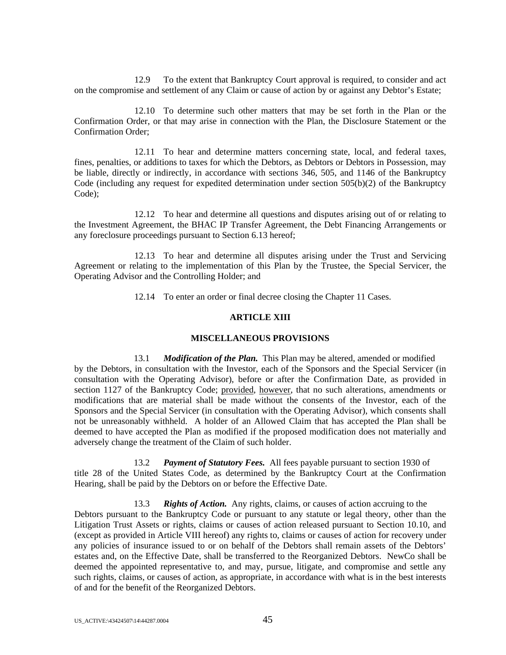12.9 To the extent that Bankruptcy Court approval is required, to consider and act on the compromise and settlement of any Claim or cause of action by or against any Debtor's Estate;

12.10 To determine such other matters that may be set forth in the Plan or the Confirmation Order, or that may arise in connection with the Plan, the Disclosure Statement or the Confirmation Order;

12.11 To hear and determine matters concerning state, local, and federal taxes, fines, penalties, or additions to taxes for which the Debtors, as Debtors or Debtors in Possession, may be liable, directly or indirectly, in accordance with sections 346, 505, and 1146 of the Bankruptcy Code (including any request for expedited determination under section 505(b)(2) of the Bankruptcy Code);

12.12 To hear and determine all questions and disputes arising out of or relating to the Investment Agreement, the BHAC IP Transfer Agreement, the Debt Financing Arrangements or any foreclosure proceedings pursuant to Section 6.13 hereof;

12.13 To hear and determine all disputes arising under the Trust and Servicing Agreement or relating to the implementation of this Plan by the Trustee, the Special Servicer, the Operating Advisor and the Controlling Holder; and

12.14 To enter an order or final decree closing the Chapter 11 Cases.

#### **ARTICLE XIII**

#### **MISCELLANEOUS PROVISIONS**

13.1 *Modification of the Plan.* This Plan may be altered, amended or modified by the Debtors, in consultation with the Investor, each of the Sponsors and the Special Servicer (in consultation with the Operating Advisor), before or after the Confirmation Date, as provided in section 1127 of the Bankruptcy Code; provided, however, that no such alterations, amendments or modifications that are material shall be made without the consents of the Investor, each of the Sponsors and the Special Servicer (in consultation with the Operating Advisor), which consents shall not be unreasonably withheld. A holder of an Allowed Claim that has accepted the Plan shall be deemed to have accepted the Plan as modified if the proposed modification does not materially and adversely change the treatment of the Claim of such holder.

13.2 *Payment of Statutory Fees.* All fees payable pursuant to section 1930 of title 28 of the United States Code, as determined by the Bankruptcy Court at the Confirmation Hearing, shall be paid by the Debtors on or before the Effective Date.

13.3 *Rights of Action.* Any rights, claims, or causes of action accruing to the Debtors pursuant to the Bankruptcy Code or pursuant to any statute or legal theory, other than the Litigation Trust Assets or rights, claims or causes of action released pursuant to Section 10.10, and (except as provided in Article VIII hereof) any rights to, claims or causes of action for recovery under any policies of insurance issued to or on behalf of the Debtors shall remain assets of the Debtors' estates and, on the Effective Date, shall be transferred to the Reorganized Debtors. NewCo shall be deemed the appointed representative to, and may, pursue, litigate, and compromise and settle any such rights, claims, or causes of action, as appropriate, in accordance with what is in the best interests of and for the benefit of the Reorganized Debtors.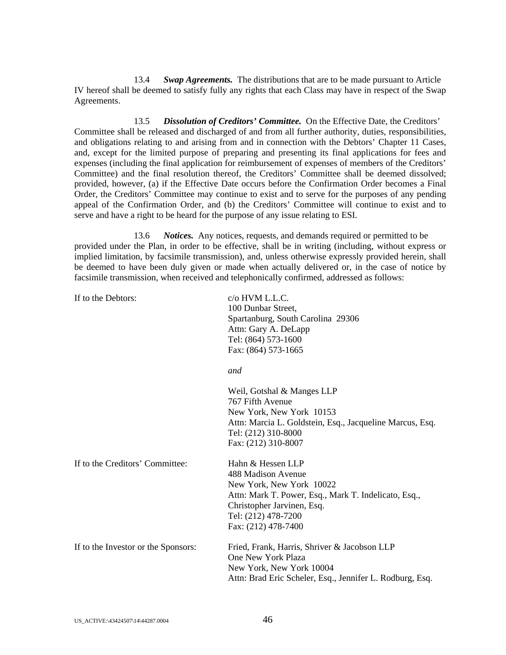13.4 *Swap Agreements.* The distributions that are to be made pursuant to Article IV hereof shall be deemed to satisfy fully any rights that each Class may have in respect of the Swap Agreements.

13.5 *Dissolution of Creditors' Committee.* On the Effective Date, the Creditors' Committee shall be released and discharged of and from all further authority, duties, responsibilities, and obligations relating to and arising from and in connection with the Debtors' Chapter 11 Cases, and, except for the limited purpose of preparing and presenting its final applications for fees and expenses (including the final application for reimbursement of expenses of members of the Creditors' Committee) and the final resolution thereof, the Creditors' Committee shall be deemed dissolved; provided, however, (a) if the Effective Date occurs before the Confirmation Order becomes a Final Order, the Creditors' Committee may continue to exist and to serve for the purposes of any pending appeal of the Confirmation Order, and (b) the Creditors' Committee will continue to exist and to serve and have a right to be heard for the purpose of any issue relating to ESI.

13.6 *Notices.* Any notices, requests, and demands required or permitted to be provided under the Plan, in order to be effective, shall be in writing (including, without express or implied limitation, by facsimile transmission), and, unless otherwise expressly provided herein, shall be deemed to have been duly given or made when actually delivered or, in the case of notice by facsimile transmission, when received and telephonically confirmed, addressed as follows:

| If to the Debtors:                  | $c$ /o HVM L.L.C.<br>100 Dunbar Street,<br>Spartanburg, South Carolina 29306<br>Attn: Gary A. DeLapp<br>Tel: (864) 573-1600<br>Fax: (864) 573-1665                                                      |
|-------------------------------------|---------------------------------------------------------------------------------------------------------------------------------------------------------------------------------------------------------|
|                                     | and                                                                                                                                                                                                     |
|                                     | Weil, Gotshal & Manges LLP<br>767 Fifth Avenue<br>New York, New York 10153<br>Attn: Marcia L. Goldstein, Esq., Jacqueline Marcus, Esq.<br>Tel: (212) 310-8000<br>Fax: (212) 310-8007                    |
| If to the Creditors' Committee:     | Hahn & Hessen LLP<br>488 Madison Avenue<br>New York, New York 10022<br>Attn: Mark T. Power, Esq., Mark T. Indelicato, Esq.,<br>Christopher Jarvinen, Esq.<br>Tel: (212) 478-7200<br>Fax: (212) 478-7400 |
| If to the Investor or the Sponsors: | Fried, Frank, Harris, Shriver & Jacobson LLP<br>One New York Plaza<br>New York, New York 10004<br>Attn: Brad Eric Scheler, Esq., Jennifer L. Rodburg, Esq.                                              |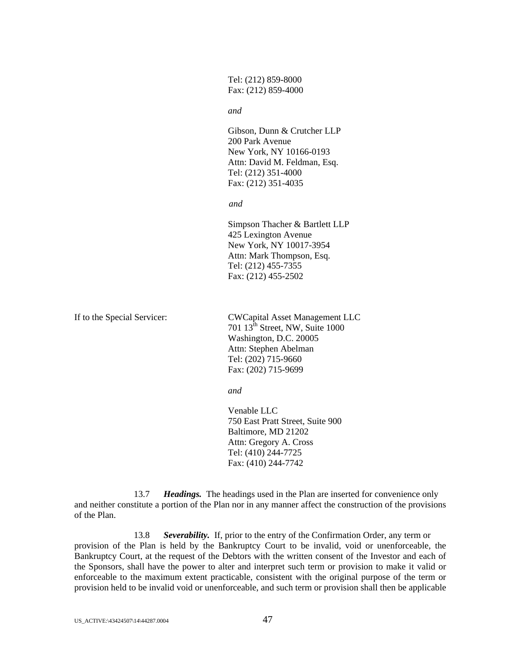Tel: (212) 859-8000 Fax: (212) 859-4000

*and* 

 Gibson, Dunn & Crutcher LLP 200 Park Avenue New York, NY 10166-0193 Attn: David M. Feldman, Esq. Tel: (212) 351-4000 Fax: (212) 351-4035

*and* 

 Simpson Thacher & Bartlett LLP 425 Lexington Avenue New York, NY 10017-3954 Attn: Mark Thompson, Esq. Tel: (212) 455-7355 Fax: (212) 455-2502

If to the Special Servicer: CWCapital Asset Management LLC 701  $13^{\text{th}}$  Street, NW, Suite 1000 Washington, D.C. 20005 Attn: Stephen Abelman Tel: (202) 715-9660 Fax: (202) 715-9699

*and* 

 Venable LLC 750 East Pratt Street, Suite 900 Baltimore, MD 21202 Attn: Gregory A. Cross Tel: (410) 244-7725 Fax: (410) 244-7742

13.7 *Headings.* The headings used in the Plan are inserted for convenience only and neither constitute a portion of the Plan nor in any manner affect the construction of the provisions of the Plan.

13.8 *Severability.* If, prior to the entry of the Confirmation Order, any term or provision of the Plan is held by the Bankruptcy Court to be invalid, void or unenforceable, the Bankruptcy Court, at the request of the Debtors with the written consent of the Investor and each of the Sponsors, shall have the power to alter and interpret such term or provision to make it valid or enforceable to the maximum extent practicable, consistent with the original purpose of the term or provision held to be invalid void or unenforceable, and such term or provision shall then be applicable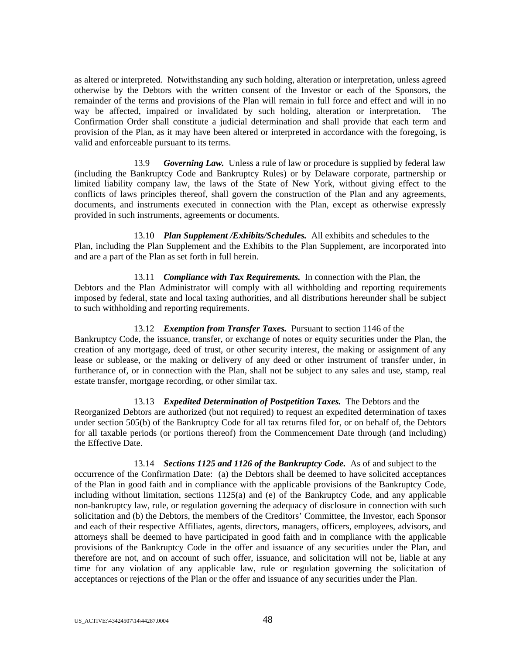as altered or interpreted. Notwithstanding any such holding, alteration or interpretation, unless agreed otherwise by the Debtors with the written consent of the Investor or each of the Sponsors, the remainder of the terms and provisions of the Plan will remain in full force and effect and will in no way be affected, impaired or invalidated by such holding, alteration or interpretation. The Confirmation Order shall constitute a judicial determination and shall provide that each term and provision of the Plan, as it may have been altered or interpreted in accordance with the foregoing, is valid and enforceable pursuant to its terms.

13.9 *Governing Law.* Unless a rule of law or procedure is supplied by federal law (including the Bankruptcy Code and Bankruptcy Rules) or by Delaware corporate, partnership or limited liability company law, the laws of the State of New York, without giving effect to the conflicts of laws principles thereof, shall govern the construction of the Plan and any agreements, documents, and instruments executed in connection with the Plan, except as otherwise expressly provided in such instruments, agreements or documents.

13.10 *Plan Supplement /Exhibits/Schedules.* All exhibits and schedules to the Plan, including the Plan Supplement and the Exhibits to the Plan Supplement, are incorporated into and are a part of the Plan as set forth in full herein.

13.11 *Compliance with Tax Requirements.* In connection with the Plan, the Debtors and the Plan Administrator will comply with all withholding and reporting requirements imposed by federal, state and local taxing authorities, and all distributions hereunder shall be subject to such withholding and reporting requirements.

#### 13.12 *Exemption from Transfer Taxes.* Pursuant to section 1146 of the

Bankruptcy Code, the issuance, transfer, or exchange of notes or equity securities under the Plan, the creation of any mortgage, deed of trust, or other security interest, the making or assignment of any lease or sublease, or the making or delivery of any deed or other instrument of transfer under, in furtherance of, or in connection with the Plan, shall not be subject to any sales and use, stamp, real estate transfer, mortgage recording, or other similar tax.

13.13 *Expedited Determination of Postpetition Taxes.* The Debtors and the Reorganized Debtors are authorized (but not required) to request an expedited determination of taxes under section 505(b) of the Bankruptcy Code for all tax returns filed for, or on behalf of, the Debtors for all taxable periods (or portions thereof) from the Commencement Date through (and including) the Effective Date.

13.14 *Sections 1125 and 1126 of the Bankruptcy Code.* As of and subject to the occurrence of the Confirmation Date: (a) the Debtors shall be deemed to have solicited acceptances of the Plan in good faith and in compliance with the applicable provisions of the Bankruptcy Code, including without limitation, sections  $1125(a)$  and (e) of the Bankruptcy Code, and any applicable non-bankruptcy law, rule, or regulation governing the adequacy of disclosure in connection with such solicitation and (b) the Debtors, the members of the Creditors' Committee, the Investor, each Sponsor and each of their respective Affiliates, agents, directors, managers, officers, employees, advisors, and attorneys shall be deemed to have participated in good faith and in compliance with the applicable provisions of the Bankruptcy Code in the offer and issuance of any securities under the Plan, and therefore are not, and on account of such offer, issuance, and solicitation will not be, liable at any time for any violation of any applicable law, rule or regulation governing the solicitation of acceptances or rejections of the Plan or the offer and issuance of any securities under the Plan.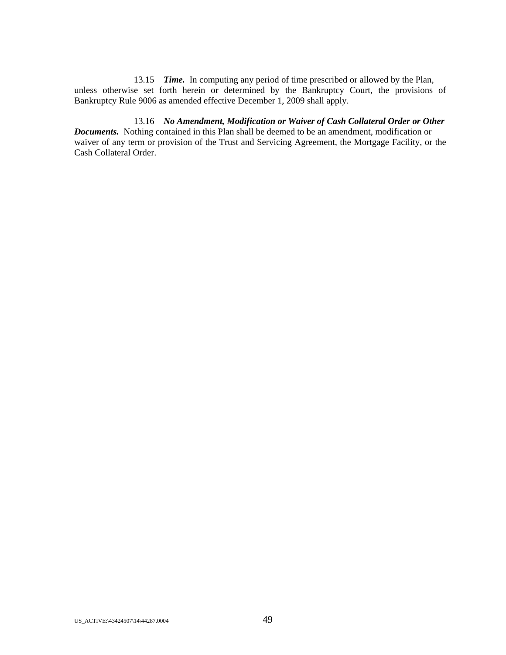13.15 *Time.* In computing any period of time prescribed or allowed by the Plan, unless otherwise set forth herein or determined by the Bankruptcy Court, the provisions of Bankruptcy Rule 9006 as amended effective December 1, 2009 shall apply.

13.16 *No Amendment, Modification or Waiver of Cash Collateral Order or Other Documents.* Nothing contained in this Plan shall be deemed to be an amendment, modification or waiver of any term or provision of the Trust and Servicing Agreement, the Mortgage Facility, or the Cash Collateral Order.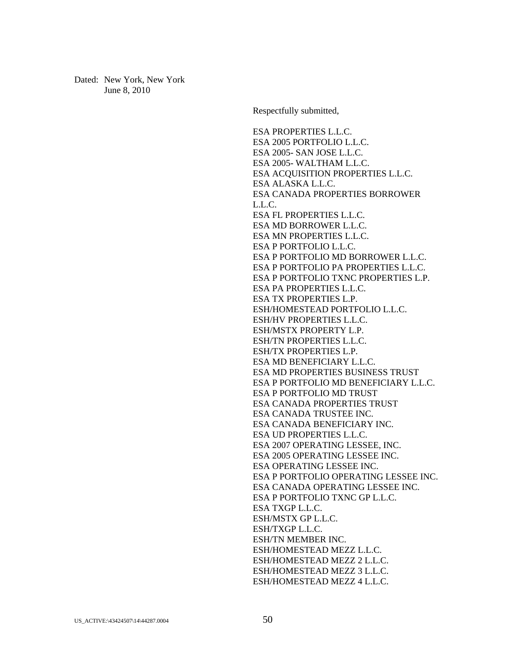Dated: New York, New York June 8, 2010

Respectfully submitted,

ESA PROPERTIES L.L.C. ESA 2005 PORTFOLIO L.L.C. ESA 2005- SAN JOSE L.L.C. ESA 2005- WALTHAM L.L.C. ESA ACQUISITION PROPERTIES L.L.C. ESA ALASKA L.L.C. ESA CANADA PROPERTIES BORROWER L.L.C. ESA FL PROPERTIES L.L.C. ESA MD BORROWER L.L.C. ESA MN PROPERTIES L.L.C. ESA P PORTFOLIO L.L.C. ESA P PORTFOLIO MD BORROWER L.L.C. ESA P PORTFOLIO PA PROPERTIES L.L.C. ESA P PORTFOLIO TXNC PROPERTIES L.P. ESA PA PROPERTIES L.L.C. ESA TX PROPERTIES L.P. ESH/HOMESTEAD PORTFOLIO L.L.C. ESH/HV PROPERTIES L.L.C. ESH/MSTX PROPERTY L.P. ESH/TN PROPERTIES L.L.C. ESH/TX PROPERTIES L.P. ESA MD BENEFICIARY L.L.C. ESA MD PROPERTIES BUSINESS TRUST ESA P PORTFOLIO MD BENEFICIARY L.L.C. ESA P PORTFOLIO MD TRUST ESA CANADA PROPERTIES TRUST ESA CANADA TRUSTEE INC. ESA CANADA BENEFICIARY INC. ESA UD PROPERTIES L.L.C. ESA 2007 OPERATING LESSEE, INC. ESA 2005 OPERATING LESSEE INC. ESA OPERATING LESSEE INC. ESA P PORTFOLIO OPERATING LESSEE INC. ESA CANADA OPERATING LESSEE INC. ESA P PORTFOLIO TXNC GP L.L.C. ESA TXGP L.L.C. ESH/MSTX GP L.L.C. ESH/TXGP L.L.C. ESH/TN MEMBER INC. ESH/HOMESTEAD MEZZ L.L.C. ESH/HOMESTEAD MEZZ 2 L.L.C. ESH/HOMESTEAD MEZZ 3 L.L.C. ESH/HOMESTEAD MEZZ 4 L.L.C.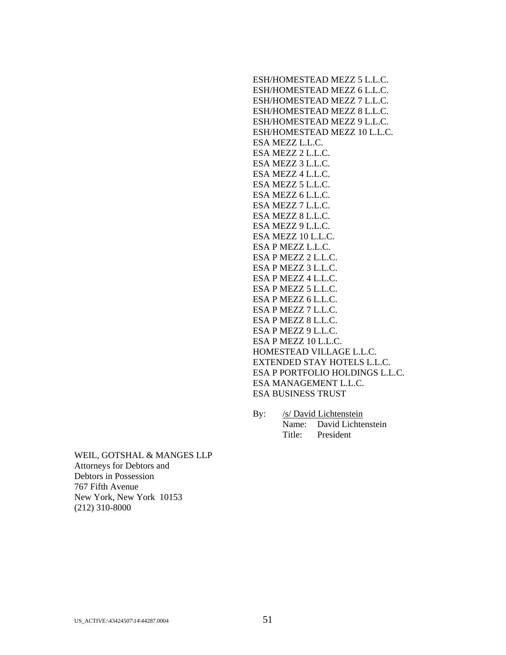ESH/HOMESTEAD MEZZ 5 L.L.C. ESH/HOMESTEAD MEZZ 6 L.L.C. ESH/HOMESTEAD MEZZ 7 L.L.C. ESH/HOMESTEAD MEZZ 8 L.L.C. ESH/HOMESTEAD MEZZ 9 L.L.C. ESH/HOMESTEAD MEZZ 10 L.L.C. ESA MEZZ L.L.C. ESA MEZZ 2 L.L.C. ESA MEZZ 3 L.L.C. ESA MEZZ 4 L.L.C. ESA MEZZ 5 L.L.C. ESA MEZZ 6 L.L.C. ESA MEZZ 7 L.L.C. ESA MEZZ 8 L.L.C. ESA MEZZ 9 L.L.C. ESA MEZZ 10 L.L.C. ESA P MEZZ L.L.C. ESA P MEZZ 2 L.L.C. ESA P MEZZ 3 L.L.C. ESA P MEZZ 4 L.L.C. ESA P MEZZ 5 L.L.C. ESA P MEZZ 6 L.L.C. ESA P MEZZ 7 L.L.C. ESA P MEZZ 8 L.L.C. ESA P MEZZ 9 L.L.C. ESA P MEZZ 10 L.L.C. HOMESTEAD VILLAGE L.L.C. EXTENDED STAY HOTELS L.L.C. ESA P PORTFOLIO HOLDINGS L.L.C. ESA MANAGEMENT L.L.C. ESA BUSINESS TRUST

By: /s/ David Lichtenstein Name: David Lichtenstein Title: President

WEIL, GOTSHAL & MANGES LLP Attorneys for Debtors and Debtors in Possession 767 Fifth Avenue New York, New York 10153 (212) 310-8000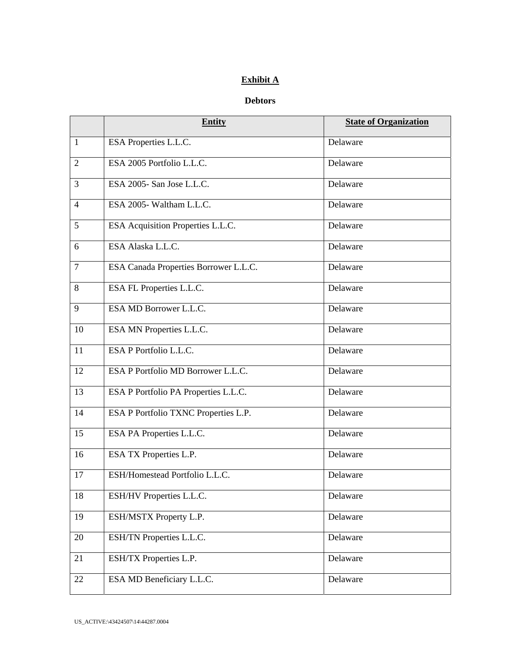# **Exhibit A**

# **Debtors**

|                | <b>Entity</b>                         | <b>State of Organization</b> |
|----------------|---------------------------------------|------------------------------|
| $\mathbf{1}$   | ESA Properties L.L.C.                 | Delaware                     |
| $\overline{2}$ | ESA 2005 Portfolio L.L.C.             | Delaware                     |
| 3              | ESA 2005- San Jose L.L.C.             | Delaware                     |
| $\overline{4}$ | ESA 2005- Waltham L.L.C.              | Delaware                     |
| 5              | ESA Acquisition Properties L.L.C.     | Delaware                     |
| 6              | ESA Alaska L.L.C.                     | Delaware                     |
| $\overline{7}$ | ESA Canada Properties Borrower L.L.C. | Delaware                     |
| 8              | ESA FL Properties L.L.C.              | Delaware                     |
| 9              | ESA MD Borrower L.L.C.                | Delaware                     |
| 10             | ESA MN Properties L.L.C.              | Delaware                     |
| 11             | ESA P Portfolio L.L.C.                | Delaware                     |
| 12             | ESA P Portfolio MD Borrower L.L.C.    | Delaware                     |
| 13             | ESA P Portfolio PA Properties L.L.C.  | Delaware                     |
| 14             | ESA P Portfolio TXNC Properties L.P.  | Delaware                     |
| 15             | ESA PA Properties L.L.C.              | Delaware                     |
| 16             | ESA TX Properties L.P.                | Delaware                     |
| 17             | ESH/Homestead Portfolio L.L.C.        | Delaware                     |
| 18             | ESH/HV Properties L.L.C.              | Delaware                     |
| 19             | ESH/MSTX Property L.P.                | Delaware                     |
| 20             | ESH/TN Properties L.L.C.              | Delaware                     |
| 21             | ESH/TX Properties L.P.                | Delaware                     |
| 22             | ESA MD Beneficiary L.L.C.             | Delaware                     |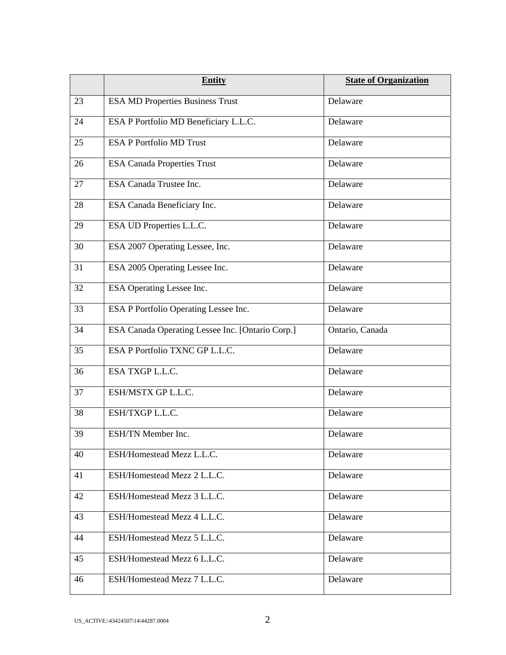|    | <b>Entity</b>                                    | <b>State of Organization</b> |
|----|--------------------------------------------------|------------------------------|
| 23 | <b>ESA MD Properties Business Trust</b>          | Delaware                     |
| 24 | ESA P Portfolio MD Beneficiary L.L.C.            | Delaware                     |
| 25 | <b>ESA P Portfolio MD Trust</b>                  | Delaware                     |
| 26 | <b>ESA Canada Properties Trust</b>               | Delaware                     |
| 27 | <b>ESA Canada Trustee Inc.</b>                   | Delaware                     |
| 28 | ESA Canada Beneficiary Inc.                      | Delaware                     |
| 29 | ESA UD Properties L.L.C.                         | Delaware                     |
| 30 | ESA 2007 Operating Lessee, Inc.                  | Delaware                     |
| 31 | ESA 2005 Operating Lessee Inc.                   | Delaware                     |
| 32 | ESA Operating Lessee Inc.                        | Delaware                     |
| 33 | ESA P Portfolio Operating Lessee Inc.            | Delaware                     |
| 34 | ESA Canada Operating Lessee Inc. [Ontario Corp.] | Ontario, Canada              |
| 35 | ESA P Portfolio TXNC GP L.L.C.                   | Delaware                     |
| 36 | ESA TXGP L.L.C.                                  | Delaware                     |
| 37 | ESH/MSTX GP L.L.C.                               | Delaware                     |
| 38 | ESH/TXGP L.L.C.                                  | Delaware                     |
| 39 | ESH/TN Member Inc.                               | Delaware                     |
| 40 | ESH/Homestead Mezz L.L.C.                        | Delaware                     |
| 41 | ESH/Homestead Mezz 2 L.L.C.                      | Delaware                     |
| 42 | ESH/Homestead Mezz 3 L.L.C.                      | Delaware                     |
| 43 | ESH/Homestead Mezz 4 L.L.C.                      | Delaware                     |
| 44 | ESH/Homestead Mezz 5 L.L.C.                      | Delaware                     |
| 45 | ESH/Homestead Mezz 6 L.L.C.                      | Delaware                     |
| 46 | ESH/Homestead Mezz 7 L.L.C.                      | Delaware                     |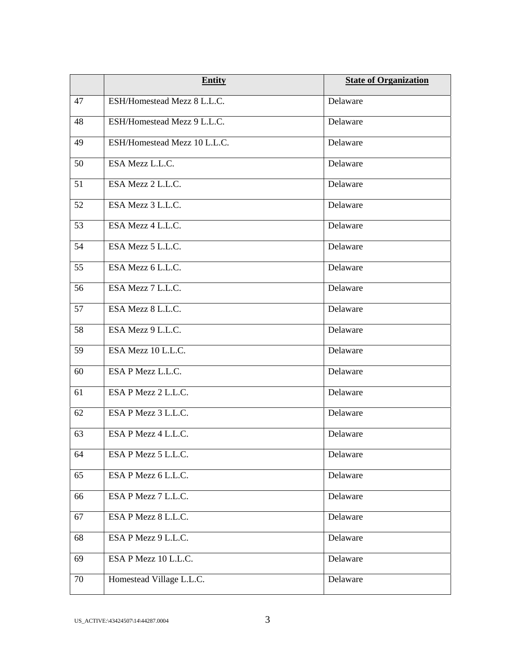|    | <b>Entity</b>                | <b>State of Organization</b> |
|----|------------------------------|------------------------------|
| 47 | ESH/Homestead Mezz 8 L.L.C.  | Delaware                     |
| 48 | ESH/Homestead Mezz 9 L.L.C.  | Delaware                     |
| 49 | ESH/Homestead Mezz 10 L.L.C. | Delaware                     |
| 50 | ESA Mezz L.L.C.              | Delaware                     |
| 51 | ESA Mezz 2 L.L.C.            | Delaware                     |
| 52 | ESA Mezz 3 L.L.C.            | Delaware                     |
| 53 | ESA Mezz 4 L.L.C.            | Delaware                     |
| 54 | ESA Mezz 5 L.L.C.            | Delaware                     |
| 55 | ESA Mezz 6 L.L.C.            | Delaware                     |
| 56 | ESA Mezz 7 L.L.C.            | Delaware                     |
| 57 | ESA Mezz 8 L.L.C.            | Delaware                     |
| 58 | ESA Mezz 9 L.L.C.            | Delaware                     |
| 59 | ESA Mezz 10 L.L.C.           | Delaware                     |
| 60 | ESA P Mezz L.L.C.            | Delaware                     |
| 61 | ESA P Mezz 2 L.L.C.          | Delaware                     |
| 62 | ESA P Mezz 3 L.L.C.          | Delaware                     |
| 63 | ESA P Mezz 4 L.L.C.          | Delaware                     |
| 64 | ESA P Mezz 5 L.L.C.          | Delaware                     |
| 65 | ESA P Mezz 6 L.L.C.          | Delaware                     |
| 66 | ESA P Mezz 7 L.L.C.          | Delaware                     |
| 67 | ESA P Mezz 8 L.L.C.          | Delaware                     |
| 68 | ESA P Mezz 9 L.L.C.          | Delaware                     |
| 69 | ESA P Mezz 10 L.L.C.         | Delaware                     |
| 70 | Homestead Village L.L.C.     | Delaware                     |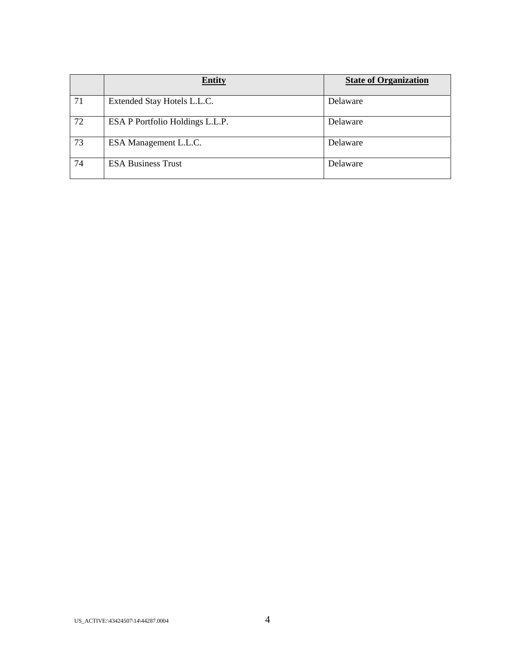|    | <b>Entity</b>                   | <b>State of Organization</b> |
|----|---------------------------------|------------------------------|
| 71 | Extended Stay Hotels L.L.C.     | Delaware                     |
| 72 | ESA P Portfolio Holdings L.L.P. | Delaware                     |
| 73 | ESA Management L.L.C.           | Delaware                     |
| 74 | <b>ESA Business Trust</b>       | Delaware                     |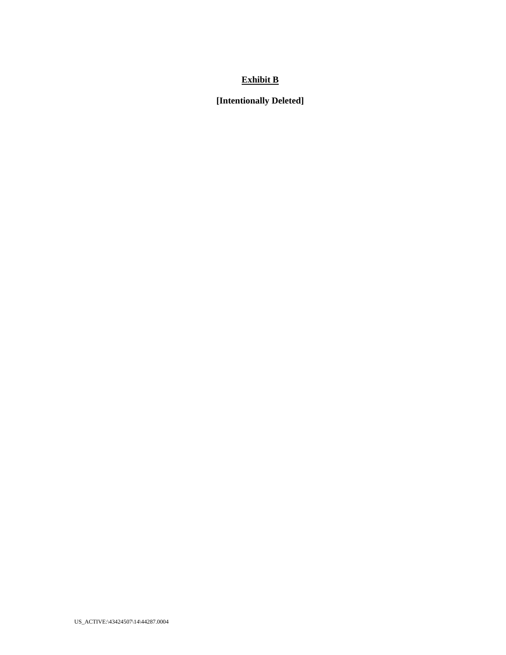# **Exhibit B**

**[Intentionally Deleted]**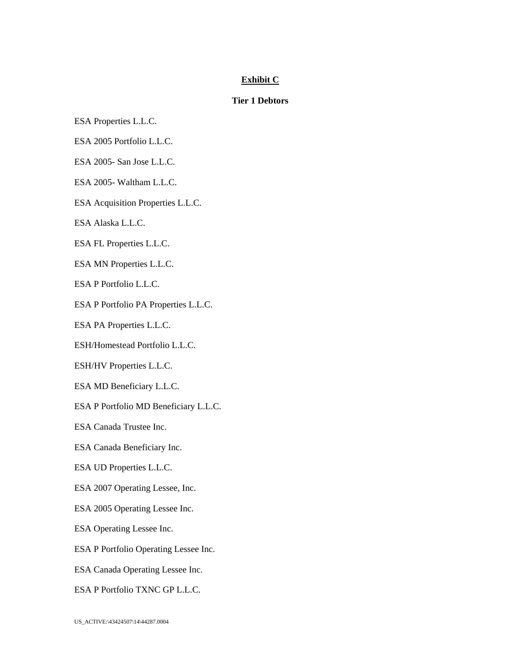# **Exhibit C**

# **Tier 1 Debtors**

- ESA Properties L.L.C.
- ESA 2005 Portfolio L.L.C.
- ESA 2005- San Jose L.L.C.
- ESA 2005- Waltham L.L.C.
- ESA Acquisition Properties L.L.C.
- ESA Alaska L.L.C.
- ESA FL Properties L.L.C.
- ESA MN Properties L.L.C.
- ESA P Portfolio L.L.C.
- ESA P Portfolio PA Properties L.L.C.
- ESA PA Properties L.L.C.
- ESH/Homestead Portfolio L.L.C.
- ESH/HV Properties L.L.C.
- ESA MD Beneficiary L.L.C.
- ESA P Portfolio MD Beneficiary L.L.C.
- ESA Canada Trustee Inc.
- ESA Canada Beneficiary Inc.
- ESA UD Properties L.L.C.
- ESA 2007 Operating Lessee, Inc.
- ESA 2005 Operating Lessee Inc.
- ESA Operating Lessee Inc.
- ESA P Portfolio Operating Lessee Inc.
- ESA Canada Operating Lessee Inc.
- ESA P Portfolio TXNC GP L.L.C.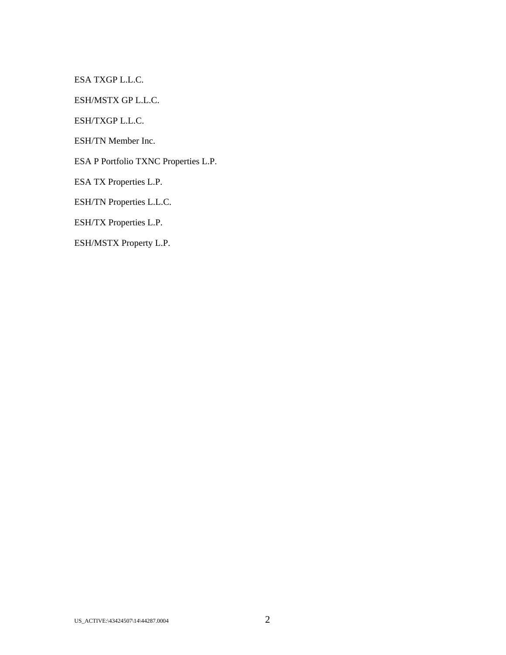ESA TXGP L.L.C.

ESH/MSTX GP L.L.C.

ESH/TXGP L.L.C.

ESH/TN Member Inc.

ESA P Portfolio TXNC Properties L.P.

ESA TX Properties L.P.

ESH/TN Properties L.L.C.

ESH/TX Properties L.P.

ESH/MSTX Property L.P.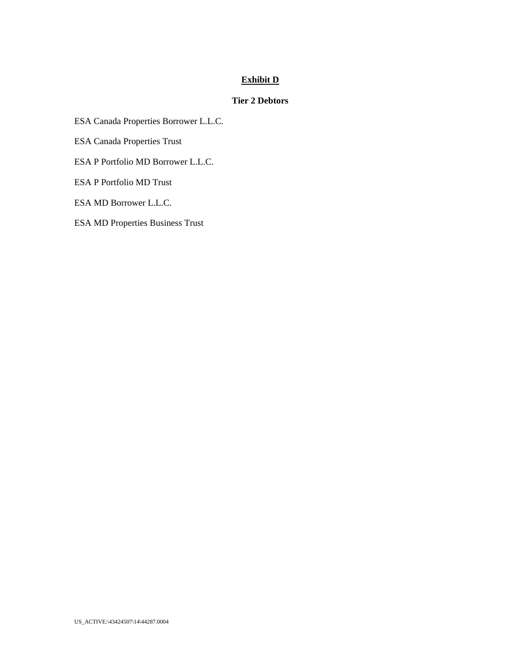# **Exhibit D**

# **Tier 2 Debtors**

ESA Canada Properties Borrower L.L.C.

ESA Canada Properties Trust

ESA P Portfolio MD Borrower L.L.C.

ESA P Portfolio MD Trust

ESA MD Borrower L.L.C.

ESA MD Properties Business Trust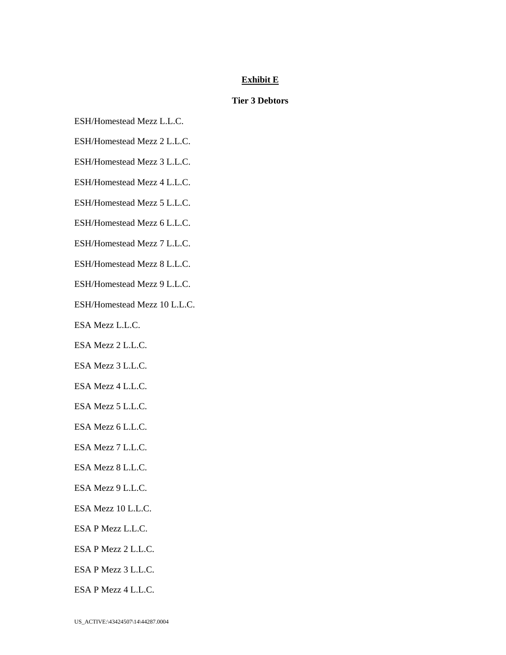# **Exhibit E**

# **Tier 3 Debtors**

- ESH/Homestead Mezz L.L.C.
- ESH/Homestead Mezz 2 L.L.C.
- ESH/Homestead Mezz 3 L.L.C.
- ESH/Homestead Mezz 4 L.L.C.
- ESH/Homestead Mezz 5 L.L.C.
- ESH/Homestead Mezz 6 L.L.C.
- ESH/Homestead Mezz 7 L.L.C.
- ESH/Homestead Mezz 8 L.L.C.
- ESH/Homestead Mezz 9 L.L.C.
- ESH/Homestead Mezz 10 L.L.C.
- ESA Mezz L.L.C.
- ESA Mezz 2 L.L.C.
- ESA Mezz 3 L.L.C.
- ESA Mezz 4 L.L.C.
- ESA Mezz 5 L.L.C.
- ESA Mezz 6 L.L.C.
- ESA Mezz 7 L.L.C.
- ESA Mezz 8 L.L.C.
- ESA Mezz 9 L.L.C.
- ESA Mezz 10 L.L.C.
- ESA P Mezz L.L.C.
- ESA P Mezz 2 L.L.C.
- ESA P Mezz 3 L.L.C.
- ESA P Mezz 4 L.L.C.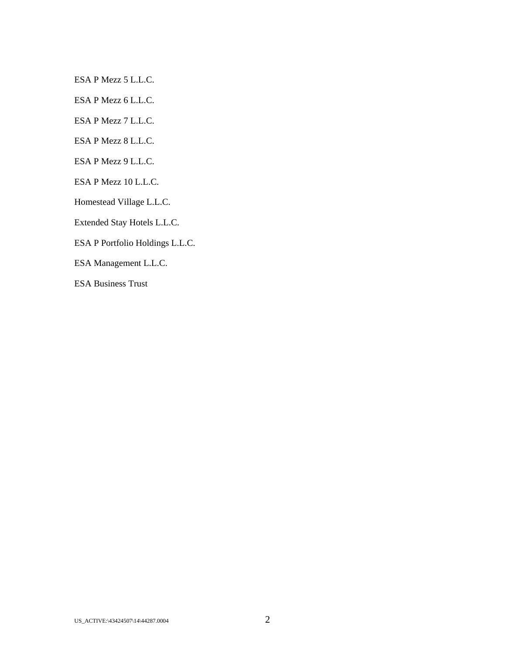ESA P Mezz 5 L.L.C.

ESA P Mezz 6 L.L.C.

ESA P Mezz 7 L.L.C.

ESA P Mezz 8 L.L.C.

ESA P Mezz 9 L.L.C.

ESA P Mezz 10 L.L.C.

Homestead Village L.L.C.

Extended Stay Hotels L.L.C.

ESA P Portfolio Holdings L.L.C.

ESA Management L.L.C.

ESA Business Trust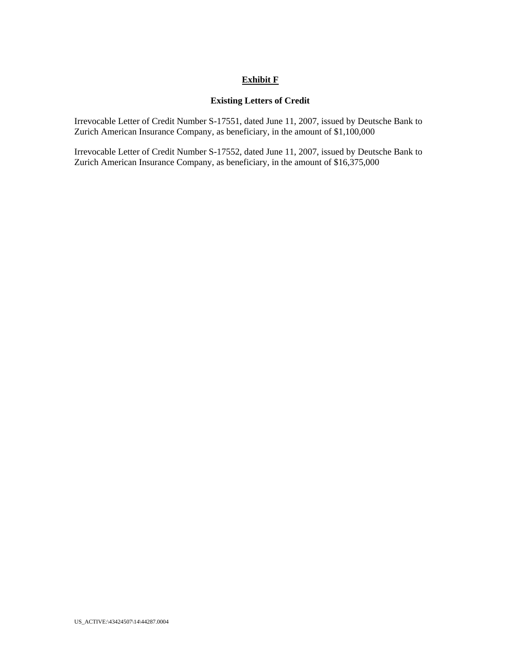# **Exhibit F**

## **Existing Letters of Credit**

Irrevocable Letter of Credit Number S-17551, dated June 11, 2007, issued by Deutsche Bank to Zurich American Insurance Company, as beneficiary, in the amount of \$1,100,000

Irrevocable Letter of Credit Number S-17552, dated June 11, 2007, issued by Deutsche Bank to Zurich American Insurance Company, as beneficiary, in the amount of \$16,375,000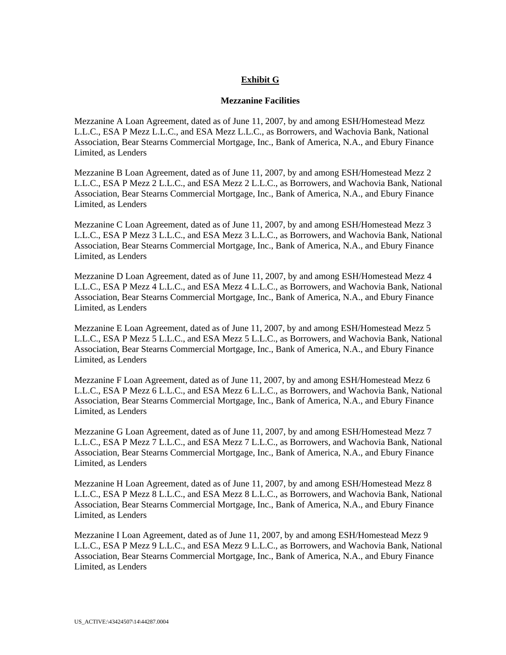# **Exhibit G**

### **Mezzanine Facilities**

Mezzanine A Loan Agreement, dated as of June 11, 2007, by and among ESH/Homestead Mezz L.L.C., ESA P Mezz L.L.C., and ESA Mezz L.L.C., as Borrowers, and Wachovia Bank, National Association, Bear Stearns Commercial Mortgage, Inc., Bank of America, N.A., and Ebury Finance Limited, as Lenders

Mezzanine B Loan Agreement, dated as of June 11, 2007, by and among ESH/Homestead Mezz 2 L.L.C., ESA P Mezz 2 L.L.C., and ESA Mezz 2 L.L.C., as Borrowers, and Wachovia Bank, National Association, Bear Stearns Commercial Mortgage, Inc., Bank of America, N.A., and Ebury Finance Limited, as Lenders

Mezzanine C Loan Agreement, dated as of June 11, 2007, by and among ESH/Homestead Mezz 3 L.L.C., ESA P Mezz 3 L.L.C., and ESA Mezz 3 L.L.C., as Borrowers, and Wachovia Bank, National Association, Bear Stearns Commercial Mortgage, Inc., Bank of America, N.A., and Ebury Finance Limited, as Lenders

Mezzanine D Loan Agreement, dated as of June 11, 2007, by and among ESH/Homestead Mezz 4 L.L.C., ESA P Mezz 4 L.L.C., and ESA Mezz 4 L.L.C., as Borrowers, and Wachovia Bank, National Association, Bear Stearns Commercial Mortgage, Inc., Bank of America, N.A., and Ebury Finance Limited, as Lenders

Mezzanine E Loan Agreement, dated as of June 11, 2007, by and among ESH/Homestead Mezz 5 L.L.C., ESA P Mezz 5 L.L.C., and ESA Mezz 5 L.L.C., as Borrowers, and Wachovia Bank, National Association, Bear Stearns Commercial Mortgage, Inc., Bank of America, N.A., and Ebury Finance Limited, as Lenders

Mezzanine F Loan Agreement, dated as of June 11, 2007, by and among ESH/Homestead Mezz 6 L.L.C., ESA P Mezz 6 L.L.C., and ESA Mezz 6 L.L.C., as Borrowers, and Wachovia Bank, National Association, Bear Stearns Commercial Mortgage, Inc., Bank of America, N.A., and Ebury Finance Limited, as Lenders

Mezzanine G Loan Agreement, dated as of June 11, 2007, by and among ESH/Homestead Mezz 7 L.L.C., ESA P Mezz 7 L.L.C., and ESA Mezz 7 L.L.C., as Borrowers, and Wachovia Bank, National Association, Bear Stearns Commercial Mortgage, Inc., Bank of America, N.A., and Ebury Finance Limited, as Lenders

Mezzanine H Loan Agreement, dated as of June 11, 2007, by and among ESH/Homestead Mezz 8 L.L.C., ESA P Mezz 8 L.L.C., and ESA Mezz 8 L.L.C., as Borrowers, and Wachovia Bank, National Association, Bear Stearns Commercial Mortgage, Inc., Bank of America, N.A., and Ebury Finance Limited, as Lenders

Mezzanine I Loan Agreement, dated as of June 11, 2007, by and among ESH/Homestead Mezz 9 L.L.C., ESA P Mezz 9 L.L.C., and ESA Mezz 9 L.L.C., as Borrowers, and Wachovia Bank, National Association, Bear Stearns Commercial Mortgage, Inc., Bank of America, N.A., and Ebury Finance Limited, as Lenders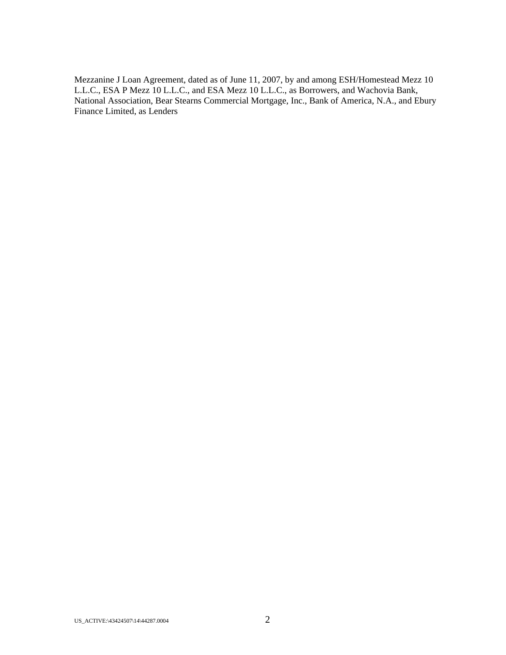Mezzanine J Loan Agreement, dated as of June 11, 2007, by and among ESH/Homestead Mezz 10 L.L.C., ESA P Mezz 10 L.L.C., and ESA Mezz 10 L.L.C., as Borrowers, and Wachovia Bank, National Association, Bear Stearns Commercial Mortgage, Inc., Bank of America, N.A., and Ebury Finance Limited, as Lenders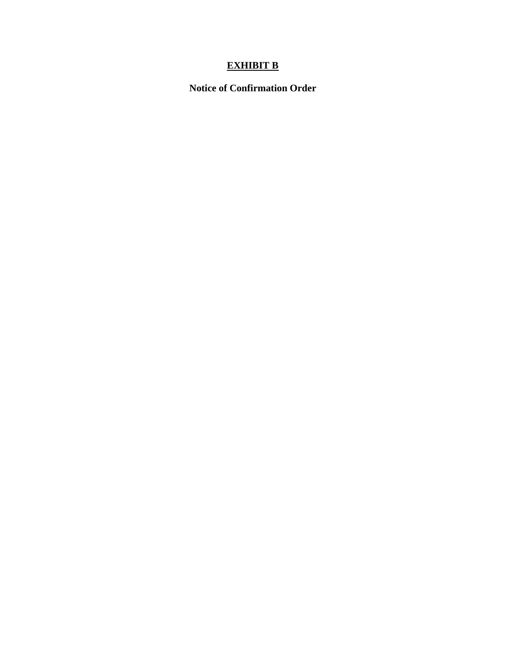# **EXHIBIT B**

**Notice of Confirmation Order**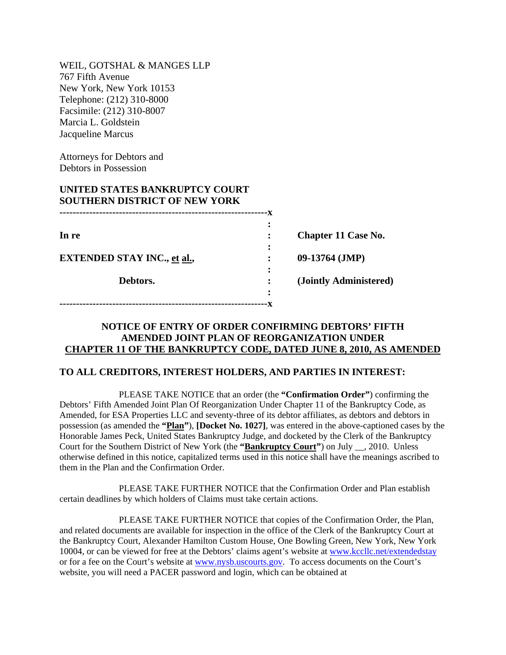WEIL, GOTSHAL & MANGES LLP 767 Fifth Avenue New York, New York 10153 Telephone: (212) 310-8000 Facsimile: (212) 310-8007 Marcia L. Goldstein Jacqueline Marcus

Attorneys for Debtors and Debtors in Possession

# **UNITED STATES BANKRUPTCY COURT SOUTHERN DISTRICT OF NEW YORK**

**---------------------------------------------------------------x**

|                                    | $\ddot{\cdot}$ |                            |
|------------------------------------|----------------|----------------------------|
| In re                              |                | <b>Chapter 11 Case No.</b> |
|                                    | :              |                            |
| <b>EXTENDED STAY INC., et al.,</b> | $\ddot{\cdot}$ | $09-13764$ (JMP)           |
|                                    | :              |                            |
| Debtors.                           |                | (Jointly Administered)     |
|                                    | :              |                            |

# **NOTICE OF ENTRY OF ORDER CONFIRMING DEBTORS' FIFTH AMENDED JOINT PLAN OF REORGANIZATION UNDER CHAPTER 11 OF THE BANKRUPTCY CODE, DATED JUNE 8, 2010, AS AMENDED**

# **TO ALL CREDITORS, INTEREST HOLDERS, AND PARTIES IN INTEREST:**

PLEASE TAKE NOTICE that an order (the **"Confirmation Order"**) confirming the Debtors' Fifth Amended Joint Plan Of Reorganization Under Chapter 11 of the Bankruptcy Code, as Amended, for ESA Properties LLC and seventy-three of its debtor affiliates, as debtors and debtors in possession (as amended the **"Plan"**), **[Docket No. 1027]**, was entered in the above-captioned cases by the Honorable James Peck, United States Bankruptcy Judge, and docketed by the Clerk of the Bankruptcy Court for the Southern District of New York (the **"Bankruptcy Court"**) on July \_\_, 2010. Unless otherwise defined in this notice, capitalized terms used in this notice shall have the meanings ascribed to them in the Plan and the Confirmation Order.

PLEASE TAKE FURTHER NOTICE that the Confirmation Order and Plan establish certain deadlines by which holders of Claims must take certain actions.

PLEASE TAKE FURTHER NOTICE that copies of the Confirmation Order, the Plan, and related documents are available for inspection in the office of the Clerk of the Bankruptcy Court at the Bankruptcy Court, Alexander Hamilton Custom House, One Bowling Green, New York, New York 10004, or can be viewed for free at the Debtors' claims agent's website at www.kccllc.net/extendedstay or for a fee on the Court's website at www.nysb.uscourts.gov. To access documents on the Court's website, you will need a PACER password and login, which can be obtained at